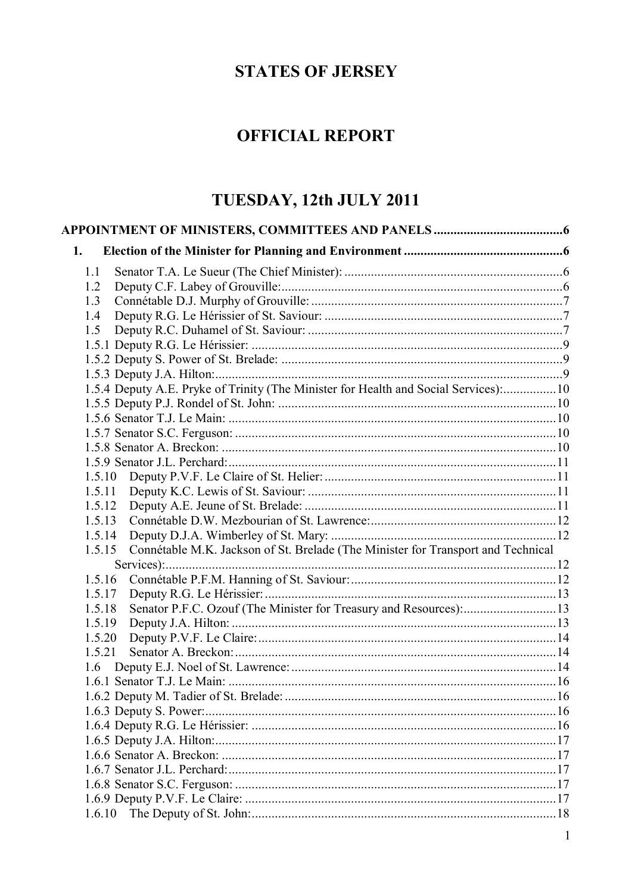# **STATES OF JERSEY**

# **OFFICIAL REPORT**

# TUESDAY, 12th JULY 2011

| 1.                                                                                         |  |
|--------------------------------------------------------------------------------------------|--|
|                                                                                            |  |
| 1.1                                                                                        |  |
| 1.2                                                                                        |  |
| 1.3                                                                                        |  |
| 1.4                                                                                        |  |
| 1.5                                                                                        |  |
|                                                                                            |  |
|                                                                                            |  |
|                                                                                            |  |
| 1.5.4 Deputy A.E. Pryke of Trinity (The Minister for Health and Social Services):10        |  |
|                                                                                            |  |
|                                                                                            |  |
|                                                                                            |  |
|                                                                                            |  |
|                                                                                            |  |
| 1.5.10                                                                                     |  |
| 1.5.11                                                                                     |  |
| 1.5.12                                                                                     |  |
| 1.5.13                                                                                     |  |
| 1.5.14                                                                                     |  |
| Connétable M.K. Jackson of St. Brelade (The Minister for Transport and Technical<br>1.5.15 |  |
|                                                                                            |  |
| 1.5.16                                                                                     |  |
| 1.5.17                                                                                     |  |
| Senator P.F.C. Ozouf (The Minister for Treasury and Resources):13<br>1.5.18                |  |
| 1.5.19                                                                                     |  |
| 1.5.20                                                                                     |  |
| 1.5.21                                                                                     |  |
|                                                                                            |  |
|                                                                                            |  |
|                                                                                            |  |
|                                                                                            |  |
|                                                                                            |  |
|                                                                                            |  |
|                                                                                            |  |
|                                                                                            |  |
|                                                                                            |  |
|                                                                                            |  |
| 1.6.10                                                                                     |  |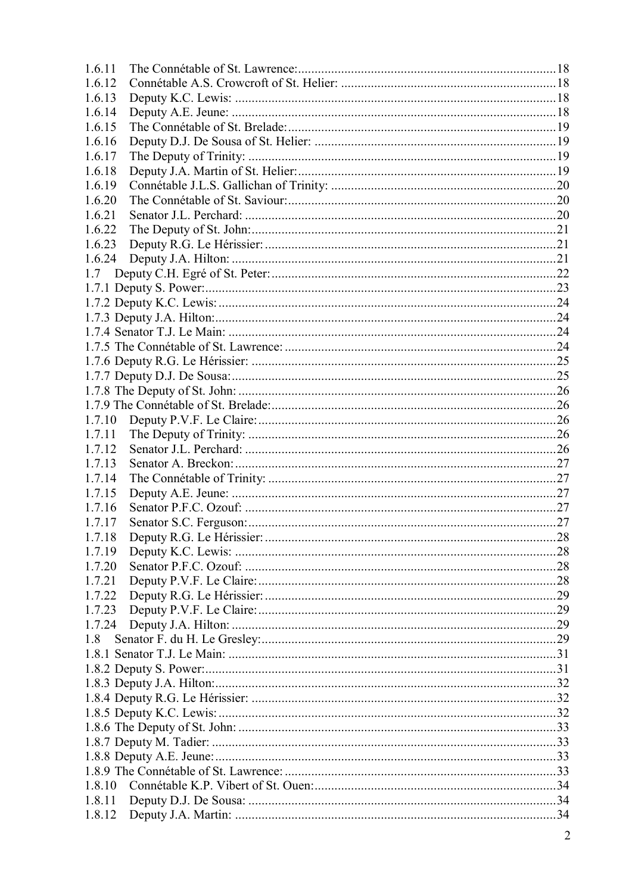| 1.6.11 |  |   |  |
|--------|--|---|--|
| 1.6.12 |  |   |  |
| 1.6.13 |  |   |  |
| 1.6.14 |  |   |  |
| 1.6.15 |  |   |  |
| 1.6.16 |  |   |  |
| 1.6.17 |  |   |  |
| 1.6.18 |  |   |  |
| 1.6.19 |  |   |  |
| 1.6.20 |  |   |  |
| 1.6.21 |  |   |  |
| 1.6.22 |  |   |  |
| 1.6.23 |  |   |  |
| 1.6.24 |  |   |  |
| 1.7    |  |   |  |
|        |  |   |  |
|        |  |   |  |
|        |  |   |  |
|        |  |   |  |
|        |  |   |  |
|        |  |   |  |
|        |  |   |  |
|        |  |   |  |
|        |  |   |  |
| 1.7.10 |  |   |  |
| 1.7.11 |  |   |  |
| 1.7.12 |  |   |  |
| 1.7.13 |  |   |  |
| 1.7.14 |  |   |  |
| 1.7.15 |  |   |  |
| 1.7.16 |  |   |  |
| 1.7.17 |  |   |  |
| 1.7.18 |  |   |  |
| 1.7.19 |  |   |  |
| 1.7.20 |  |   |  |
| 1.7.21 |  |   |  |
| 1.7.22 |  |   |  |
| 1.7.23 |  |   |  |
|        |  |   |  |
| 1.8    |  |   |  |
|        |  |   |  |
|        |  |   |  |
|        |  |   |  |
|        |  |   |  |
|        |  |   |  |
|        |  |   |  |
|        |  |   |  |
|        |  |   |  |
|        |  |   |  |
|        |  |   |  |
|        |  |   |  |
|        |  |   |  |
|        |  | 2 |  |
|        |  |   |  |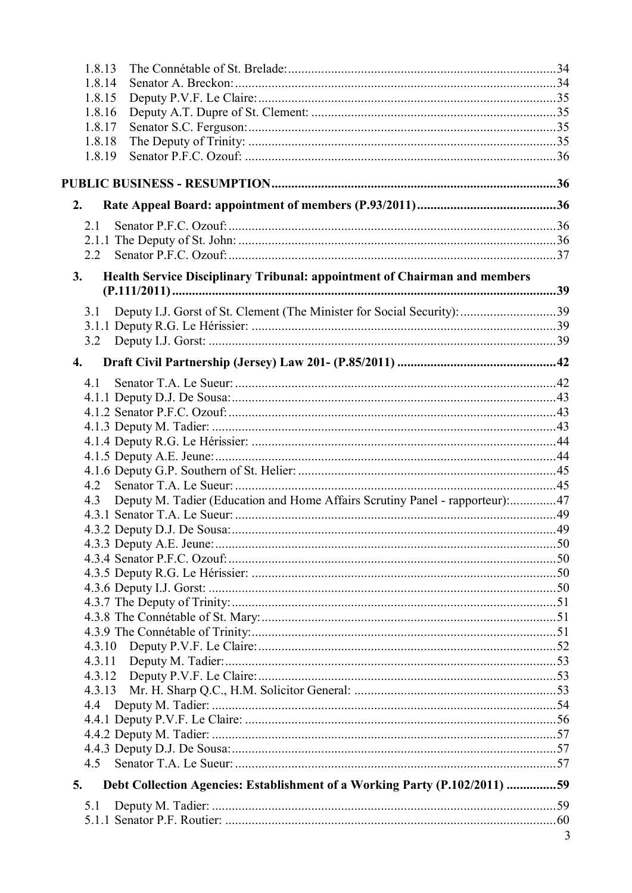| 1.8.14<br>1.8.15<br>1.8.16<br>1.8.17<br>1.8.18<br>1.8.19<br>2.<br>2.1<br>2.2<br>Health Service Disciplinary Tribunal: appointment of Chairman and members<br>3.<br>Deputy I.J. Gorst of St. Clement (The Minister for Social Security): 39<br>3.1<br>3.2<br>$\overline{4}$ .<br>4.1<br>4.2<br>Deputy M. Tadier (Education and Home Affairs Scrutiny Panel - rapporteur):47<br>4.3<br>4.3.10<br>4.3.11<br>4.4<br>Debt Collection Agencies: Establishment of a Working Party (P.102/2011) 59<br>5.<br>5.1<br>3 | 1.8.13 |  |
|--------------------------------------------------------------------------------------------------------------------------------------------------------------------------------------------------------------------------------------------------------------------------------------------------------------------------------------------------------------------------------------------------------------------------------------------------------------------------------------------------------------|--------|--|
|                                                                                                                                                                                                                                                                                                                                                                                                                                                                                                              |        |  |
|                                                                                                                                                                                                                                                                                                                                                                                                                                                                                                              |        |  |
|                                                                                                                                                                                                                                                                                                                                                                                                                                                                                                              |        |  |
|                                                                                                                                                                                                                                                                                                                                                                                                                                                                                                              |        |  |
|                                                                                                                                                                                                                                                                                                                                                                                                                                                                                                              |        |  |
|                                                                                                                                                                                                                                                                                                                                                                                                                                                                                                              |        |  |
|                                                                                                                                                                                                                                                                                                                                                                                                                                                                                                              |        |  |
|                                                                                                                                                                                                                                                                                                                                                                                                                                                                                                              |        |  |
|                                                                                                                                                                                                                                                                                                                                                                                                                                                                                                              |        |  |
|                                                                                                                                                                                                                                                                                                                                                                                                                                                                                                              |        |  |
|                                                                                                                                                                                                                                                                                                                                                                                                                                                                                                              |        |  |
|                                                                                                                                                                                                                                                                                                                                                                                                                                                                                                              |        |  |
|                                                                                                                                                                                                                                                                                                                                                                                                                                                                                                              |        |  |
|                                                                                                                                                                                                                                                                                                                                                                                                                                                                                                              |        |  |
|                                                                                                                                                                                                                                                                                                                                                                                                                                                                                                              |        |  |
|                                                                                                                                                                                                                                                                                                                                                                                                                                                                                                              |        |  |
|                                                                                                                                                                                                                                                                                                                                                                                                                                                                                                              |        |  |
|                                                                                                                                                                                                                                                                                                                                                                                                                                                                                                              |        |  |
|                                                                                                                                                                                                                                                                                                                                                                                                                                                                                                              |        |  |
|                                                                                                                                                                                                                                                                                                                                                                                                                                                                                                              |        |  |
|                                                                                                                                                                                                                                                                                                                                                                                                                                                                                                              |        |  |
|                                                                                                                                                                                                                                                                                                                                                                                                                                                                                                              |        |  |
|                                                                                                                                                                                                                                                                                                                                                                                                                                                                                                              |        |  |
|                                                                                                                                                                                                                                                                                                                                                                                                                                                                                                              |        |  |
|                                                                                                                                                                                                                                                                                                                                                                                                                                                                                                              |        |  |
|                                                                                                                                                                                                                                                                                                                                                                                                                                                                                                              |        |  |
|                                                                                                                                                                                                                                                                                                                                                                                                                                                                                                              |        |  |
|                                                                                                                                                                                                                                                                                                                                                                                                                                                                                                              |        |  |
|                                                                                                                                                                                                                                                                                                                                                                                                                                                                                                              |        |  |
|                                                                                                                                                                                                                                                                                                                                                                                                                                                                                                              |        |  |
|                                                                                                                                                                                                                                                                                                                                                                                                                                                                                                              |        |  |
|                                                                                                                                                                                                                                                                                                                                                                                                                                                                                                              |        |  |
|                                                                                                                                                                                                                                                                                                                                                                                                                                                                                                              |        |  |
|                                                                                                                                                                                                                                                                                                                                                                                                                                                                                                              |        |  |
|                                                                                                                                                                                                                                                                                                                                                                                                                                                                                                              |        |  |
|                                                                                                                                                                                                                                                                                                                                                                                                                                                                                                              |        |  |
|                                                                                                                                                                                                                                                                                                                                                                                                                                                                                                              |        |  |
|                                                                                                                                                                                                                                                                                                                                                                                                                                                                                                              |        |  |
|                                                                                                                                                                                                                                                                                                                                                                                                                                                                                                              |        |  |
|                                                                                                                                                                                                                                                                                                                                                                                                                                                                                                              |        |  |
|                                                                                                                                                                                                                                                                                                                                                                                                                                                                                                              |        |  |
|                                                                                                                                                                                                                                                                                                                                                                                                                                                                                                              |        |  |
|                                                                                                                                                                                                                                                                                                                                                                                                                                                                                                              |        |  |
|                                                                                                                                                                                                                                                                                                                                                                                                                                                                                                              |        |  |
|                                                                                                                                                                                                                                                                                                                                                                                                                                                                                                              |        |  |
|                                                                                                                                                                                                                                                                                                                                                                                                                                                                                                              |        |  |
|                                                                                                                                                                                                                                                                                                                                                                                                                                                                                                              |        |  |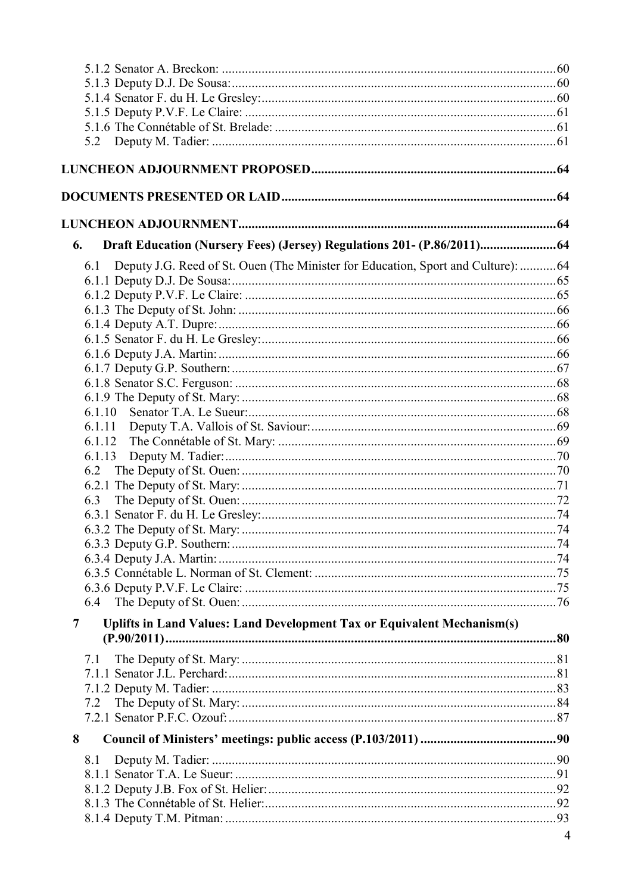| Draft Education (Nursery Fees) (Jersey) Regulations 201- (P.86/2011) 64<br>6.           |                |
|-----------------------------------------------------------------------------------------|----------------|
| Deputy J.G. Reed of St. Ouen (The Minister for Education, Sport and Culture): 64<br>6.1 |                |
|                                                                                         |                |
|                                                                                         |                |
|                                                                                         |                |
|                                                                                         |                |
|                                                                                         |                |
|                                                                                         |                |
|                                                                                         |                |
|                                                                                         |                |
| 6.1.10                                                                                  |                |
| 6.1.11                                                                                  |                |
|                                                                                         |                |
| 6.1.13                                                                                  |                |
| 6.2                                                                                     |                |
|                                                                                         |                |
| 6.3                                                                                     |                |
|                                                                                         |                |
|                                                                                         |                |
|                                                                                         |                |
|                                                                                         |                |
|                                                                                         |                |
|                                                                                         |                |
|                                                                                         |                |
| Uplifts in Land Values: Land Development Tax or Equivalent Mechanism(s)<br>7            |                |
|                                                                                         |                |
| 7.1                                                                                     |                |
|                                                                                         |                |
|                                                                                         |                |
| 7.2                                                                                     |                |
|                                                                                         |                |
| 8                                                                                       |                |
| 8.1                                                                                     |                |
|                                                                                         |                |
|                                                                                         |                |
|                                                                                         |                |
|                                                                                         |                |
|                                                                                         | $\overline{4}$ |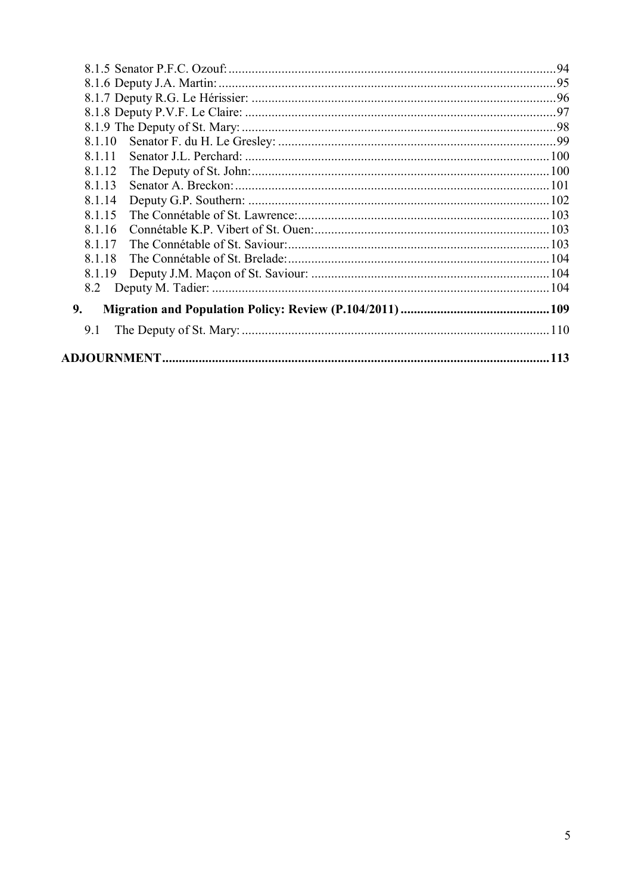| 8.1.10         |  |
|----------------|--|
| 8.1.11         |  |
| 8.1.12         |  |
| 8.1.13         |  |
| 8.1.14         |  |
| 8.1.15         |  |
| 8.1.16         |  |
| 8 1 1 7        |  |
| 8.1.18         |  |
| 8.1.19         |  |
|                |  |
| 9 <sub>r</sub> |  |
| 9.1            |  |
|                |  |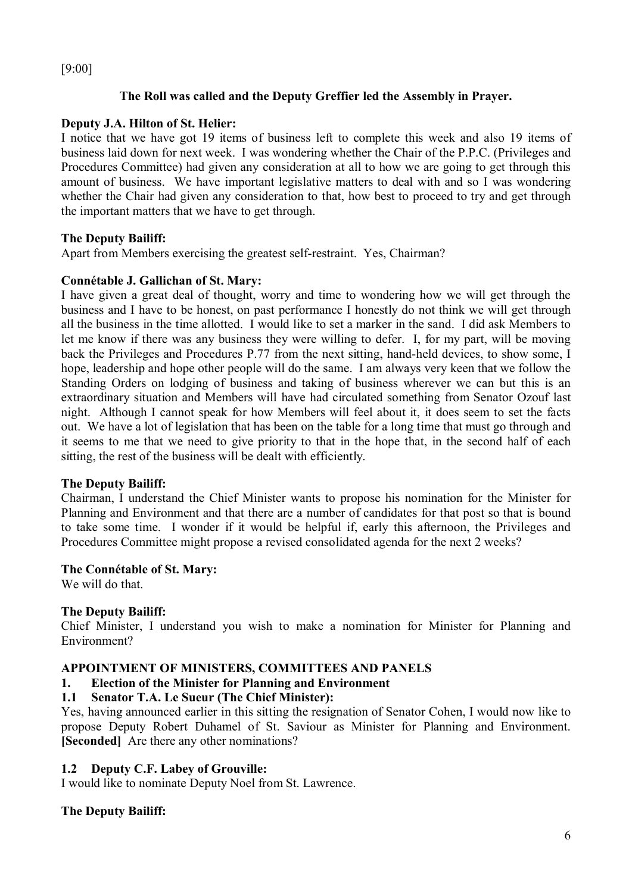## [9:00]

## **The Roll was called and the Deputy Greffier led the Assembly in Prayer.**

## **Deputy J.A. Hilton of St. Helier:**

I notice that we have got 19 items of business left to complete this week and also 19 items of business laid down for next week. I was wondering whether the Chair of the P.P.C. (Privileges and Procedures Committee) had given any consideration at all to how we are going to get through this amount of business. We have important legislative matters to deal with and so I was wondering whether the Chair had given any consideration to that, how best to proceed to try and get through the important matters that we have to get through.

## **The Deputy Bailiff:**

Apart from Members exercising the greatest self-restraint. Yes, Chairman?

## **Connétable J. Gallichan of St. Mary:**

I have given a great deal of thought, worry and time to wondering how we will get through the business and I have to be honest, on past performance I honestly do not think we will get through all the business in the time allotted. I would like to set a marker in the sand. I did ask Members to let me know if there was any business they were willing to defer. I, for my part, will be moving back the Privileges and Procedures P.77 from the next sitting, hand-held devices, to show some, I hope, leadership and hope other people will do the same. I am always very keen that we follow the Standing Orders on lodging of business and taking of business wherever we can but this is an extraordinary situation and Members will have had circulated something from Senator Ozouf last night. Although I cannot speak for how Members will feel about it, it does seem to set the facts out. We have a lot of legislation that has been on the table for a long time that must go through and it seems to me that we need to give priority to that in the hope that, in the second half of each sitting, the rest of the business will be dealt with efficiently.

## **The Deputy Bailiff:**

Chairman, I understand the Chief Minister wants to propose his nomination for the Minister for Planning and Environment and that there are a number of candidates for that post so that is bound to take some time. I wonder if it would be helpful if, early this afternoon, the Privileges and Procedures Committee might propose a revised consolidated agenda for the next 2 weeks?

## **The Connétable of St. Mary:**

We will do that.

## **The Deputy Bailiff:**

Chief Minister, I understand you wish to make a nomination for Minister for Planning and Environment?

## **APPOINTMENT OF MINISTERS, COMMITTEES AND PANELS**

# **1. Election of the Minister for Planning and Environment**

## **1.1 Senator T.A. Le Sueur (The Chief Minister):**

Yes, having announced earlier in this sitting the resignation of Senator Cohen, I would now like to propose Deputy Robert Duhamel of St. Saviour as Minister for Planning and Environment. **[Seconded]** Are there any other nominations?

## **1.2 Deputy C.F. Labey of Grouville:**

I would like to nominate Deputy Noel from St. Lawrence.

## **The Deputy Bailiff:**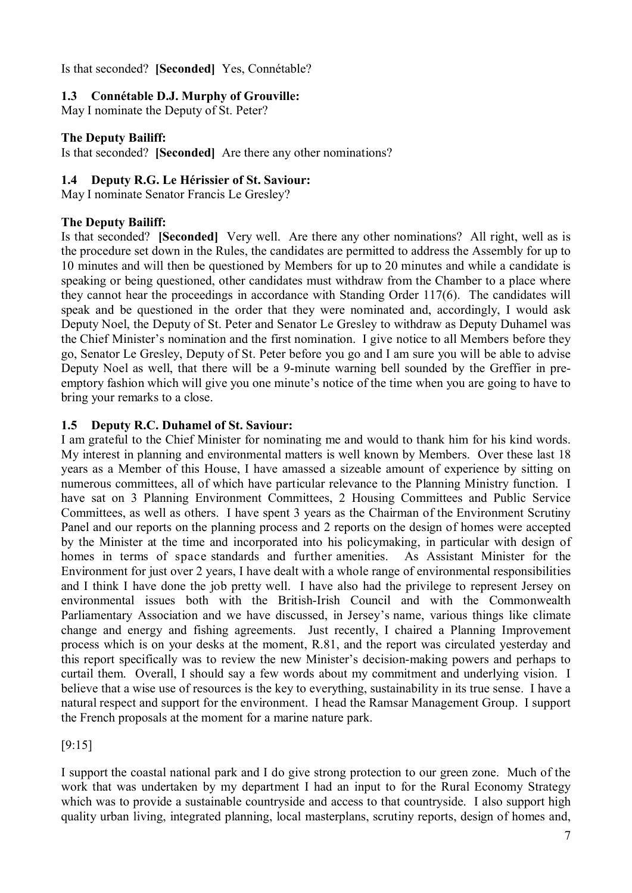Is that seconded? **[Seconded]** Yes, Connétable?

## **1.3 Connétable D.J. Murphy of Grouville:**

May I nominate the Deputy of St. Peter?

## **The Deputy Bailiff:**

Is that seconded? **[Seconded]** Are there any other nominations?

## **1.4 Deputy R.G. Le Hérissier of St. Saviour:**

May I nominate Senator Francis Le Gresley?

## **The Deputy Bailiff:**

Is that seconded? **[Seconded]** Very well. Are there any other nominations? All right, well as is the procedure set down in the Rules, the candidates are permitted to address the Assembly for up to 10 minutes and will then be questioned by Members for up to 20 minutes and while a candidate is speaking or being questioned, other candidates must withdraw from the Chamber to a place where they cannot hear the proceedings in accordance with Standing Order 117(6). The candidates will speak and be questioned in the order that they were nominated and, accordingly, I would ask Deputy Noel, the Deputy of St. Peter and Senator Le Gresley to withdraw as Deputy Duhamel was the Chief Minister's nomination and the first nomination. I give notice to all Members before they go, Senator Le Gresley, Deputy of St. Peter before you go and I am sure you will be able to advise Deputy Noel as well, that there will be a 9-minute warning bell sounded by the Greffier in preemptory fashion which will give you one minute's notice of the time when you are going to have to bring your remarks to a close.

## **1.5 Deputy R.C. Duhamel of St. Saviour:**

I am grateful to the Chief Minister for nominating me and would to thank him for his kind words. My interest in planning and environmental matters is well known by Members. Over these last 18 years as a Member of this House, I have amassed a sizeable amount of experience by sitting on numerous committees, all of which have particular relevance to the Planning Ministry function. I have sat on 3 Planning Environment Committees, 2 Housing Committees and Public Service Committees, as well as others. I have spent 3 years as the Chairman of the Environment Scrutiny Panel and our reports on the planning process and 2 reports on the design of homes were accepted by the Minister at the time and incorporated into his policymaking, in particular with design of homes in terms of space standards and further amenities. As Assistant Minister for the Environment for just over 2 years, I have dealt with a whole range of environmental responsibilities and I think I have done the job pretty well. I have also had the privilege to represent Jersey on environmental issues both with the British-Irish Council and with the Commonwealth Parliamentary Association and we have discussed, in Jersey's name, various things like climate change and energy and fishing agreements. Just recently, I chaired a Planning Improvement process which is on your desks at the moment, R.81, and the report was circulated yesterday and this report specifically was to review the new Minister's decision-making powers and perhaps to curtail them. Overall, I should say a few words about my commitment and underlying vision. I believe that a wise use of resources is the key to everything, sustainability in its true sense. I have a natural respect and support for the environment. I head the Ramsar Management Group. I support the French proposals at the moment for a marine nature park.

[9:15]

I support the coastal national park and I do give strong protection to our green zone. Much of the work that was undertaken by my department I had an input to for the Rural Economy Strategy which was to provide a sustainable countryside and access to that countryside. I also support high quality urban living, integrated planning, local masterplans, scrutiny reports, design of homes and,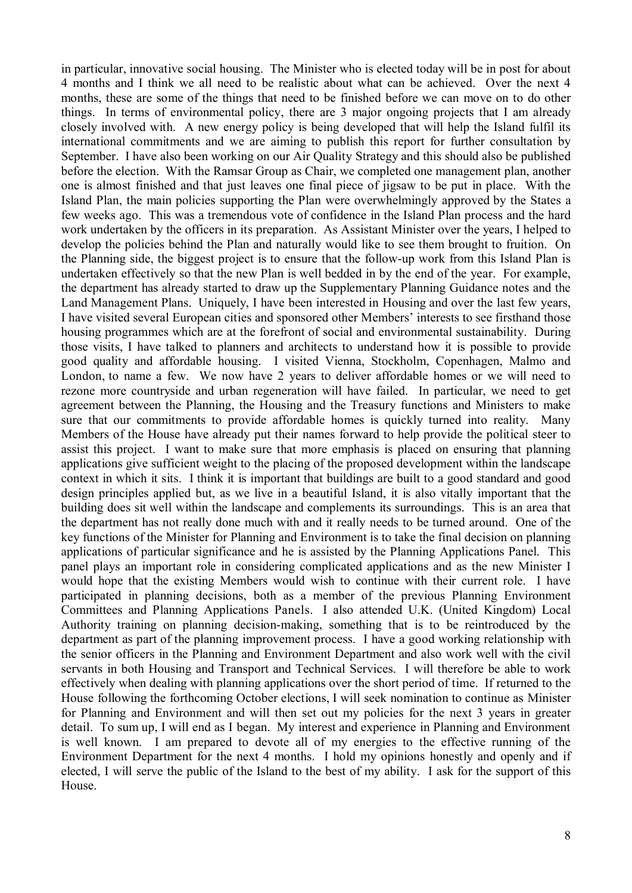in particular, innovative social housing. The Minister who is elected today will be in post for about 4 months and I think we all need to be realistic about what can be achieved. Over the next 4 months, these are some of the things that need to be finished before we can move on to do other things. In terms of environmental policy, there are 3 major ongoing projects that I am already closely involved with. A new energy policy is being developed that will help the Island fulfil its international commitments and we are aiming to publish this report for further consultation by September. I have also been working on our Air Quality Strategy and this should also be published before the election. With the Ramsar Group as Chair, we completed one management plan, another one is almost finished and that just leaves one final piece of jigsaw to be put in place. With the Island Plan, the main policies supporting the Plan were overwhelmingly approved by the States a few weeks ago. This was a tremendous vote of confidence in the Island Plan process and the hard work undertaken by the officers in its preparation. As Assistant Minister over the years, I helped to develop the policies behind the Plan and naturally would like to see them brought to fruition. On the Planning side, the biggest project is to ensure that the follow-up work from this Island Plan is undertaken effectively so that the new Plan is well bedded in by the end of the year. For example, the department has already started to draw up the Supplementary Planning Guidance notes and the Land Management Plans. Uniquely, I have been interested in Housing and over the last few years, I have visited several European cities and sponsored other Members' interests to see firsthand those housing programmes which are at the forefront of social and environmental sustainability. During those visits, I have talked to planners and architects to understand how it is possible to provide good quality and affordable housing. I visited Vienna, Stockholm, Copenhagen, Malmo and London, to name a few. We now have 2 years to deliver affordable homes or we will need to rezone more countryside and urban regeneration will have failed. In particular, we need to get agreement between the Planning, the Housing and the Treasury functions and Ministers to make sure that our commitments to provide affordable homes is quickly turned into reality. Many Members of the House have already put their names forward to help provide the political steer to assist this project. I want to make sure that more emphasis is placed on ensuring that planning applications give sufficient weight to the placing of the proposed development within the landscape context in which it sits. I think it is important that buildings are built to a good standard and good design principles applied but, as we live in a beautiful Island, it is also vitally important that the building does sit well within the landscape and complements its surroundings. This is an area that the department has not really done much with and it really needs to be turned around. One of the key functions of the Minister for Planning and Environment is to take the final decision on planning applications of particular significance and he is assisted by the Planning Applications Panel. This panel plays an important role in considering complicated applications and as the new Minister I would hope that the existing Members would wish to continue with their current role. I have participated in planning decisions, both as a member of the previous Planning Environment Committees and Planning Applications Panels. I also attended U.K. (United Kingdom) Local Authority training on planning decision-making, something that is to be reintroduced by the department as part of the planning improvement process. I have a good working relationship with the senior officers in the Planning and Environment Department and also work well with the civil servants in both Housing and Transport and Technical Services. I will therefore be able to work effectively when dealing with planning applications over the short period of time. If returned to the House following the forthcoming October elections, I will seek nomination to continue as Minister for Planning and Environment and will then set out my policies for the next 3 years in greater detail. To sum up, I will end as I began. My interest and experience in Planning and Environment is well known. I am prepared to devote all of my energies to the effective running of the Environment Department for the next 4 months. I hold my opinions honestly and openly and if elected, I will serve the public of the Island to the best of my ability. I ask for the support of this House.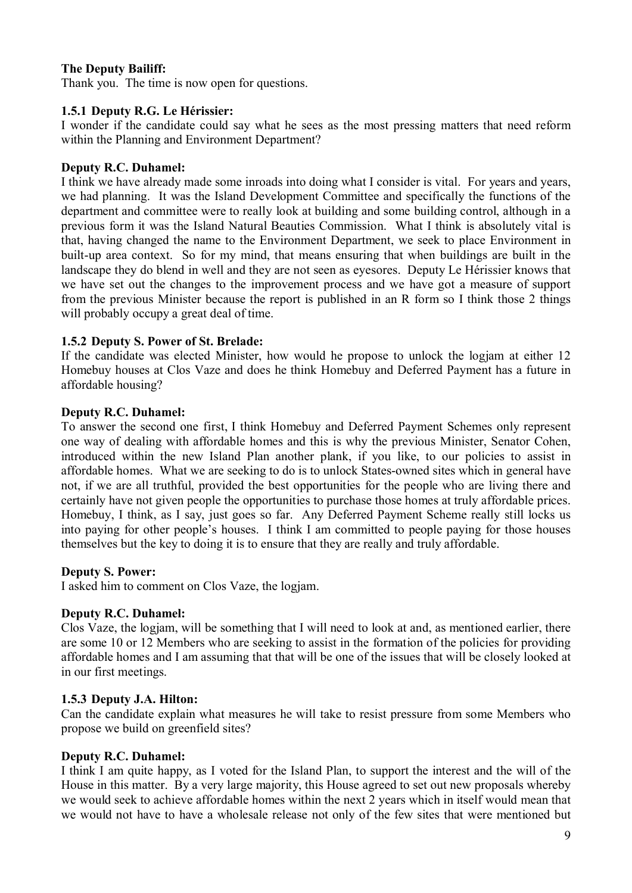## **The Deputy Bailiff:**

Thank you. The time is now open for questions.

#### **1.5.1 Deputy R.G. Le Hérissier:**

I wonder if the candidate could say what he sees as the most pressing matters that need reform within the Planning and Environment Department?

#### **Deputy R.C. Duhamel:**

I think we have already made some inroads into doing what I consider is vital. For years and years, we had planning. It was the Island Development Committee and specifically the functions of the department and committee were to really look at building and some building control, although in a previous form it was the Island Natural Beauties Commission. What I think is absolutely vital is that, having changed the name to the Environment Department, we seek to place Environment in built-up area context. So for my mind, that means ensuring that when buildings are built in the landscape they do blend in well and they are not seen as eyesores. Deputy Le Hérissier knows that we have set out the changes to the improvement process and we have got a measure of support from the previous Minister because the report is published in an R form so I think those 2 things will probably occupy a great deal of time.

#### **1.5.2 Deputy S. Power of St. Brelade:**

If the candidate was elected Minister, how would he propose to unlock the logiam at either 12 Homebuy houses at Clos Vaze and does he think Homebuy and Deferred Payment has a future in affordable housing?

#### **Deputy R.C. Duhamel:**

To answer the second one first, I think Homebuy and Deferred Payment Schemes only represent one way of dealing with affordable homes and this is why the previous Minister, Senator Cohen, introduced within the new Island Plan another plank, if you like, to our policies to assist in affordable homes. What we are seeking to do is to unlock States-owned sites which in general have not, if we are all truthful, provided the best opportunities for the people who are living there and certainly have not given people the opportunities to purchase those homes at truly affordable prices. Homebuy, I think, as I say, just goes so far. Any Deferred Payment Scheme really still locks us into paying for other people's houses. I think I am committed to people paying for those houses themselves but the key to doing it is to ensure that they are really and truly affordable.

#### **Deputy S. Power:**

I asked him to comment on Clos Vaze, the logjam.

## **Deputy R.C. Duhamel:**

Clos Vaze, the logjam, will be something that I will need to look at and, as mentioned earlier, there are some 10 or 12 Members who are seeking to assist in the formation of the policies for providing affordable homes and I am assuming that that will be one of the issues that will be closely looked at in our first meetings.

#### **1.5.3 Deputy J.A. Hilton:**

Can the candidate explain what measures he will take to resist pressure from some Members who propose we build on greenfield sites?

## **Deputy R.C. Duhamel:**

I think I am quite happy, as I voted for the Island Plan, to support the interest and the will of the House in this matter. By a very large majority, this House agreed to set out new proposals whereby we would seek to achieve affordable homes within the next 2 years which in itself would mean that we would not have to have a wholesale release not only of the few sites that were mentioned but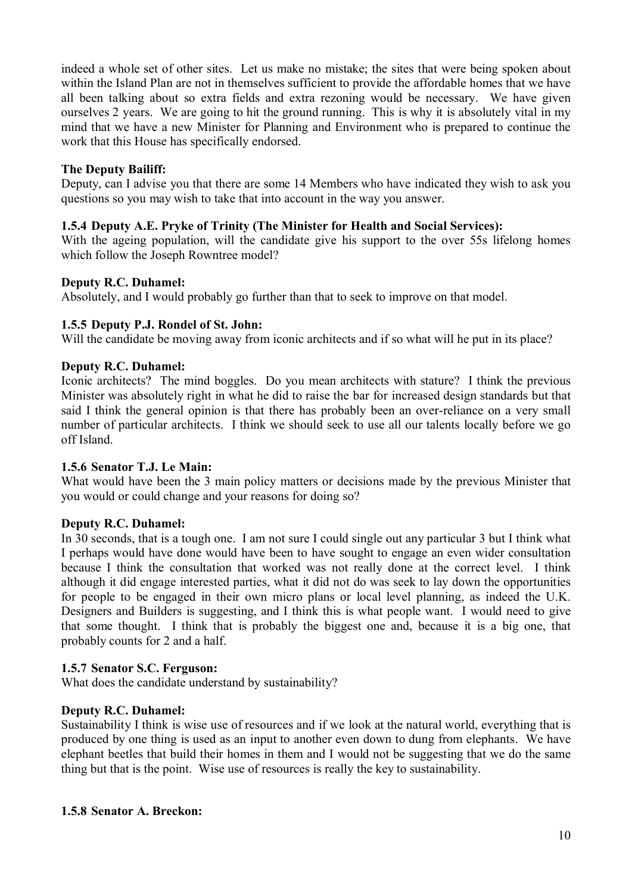indeed a whole set of other sites. Let us make no mistake; the sites that were being spoken about within the Island Plan are not in themselves sufficient to provide the affordable homes that we have all been talking about so extra fields and extra rezoning would be necessary. We have given ourselves 2 years. We are going to hit the ground running. This is why it is absolutely vital in my mind that we have a new Minister for Planning and Environment who is prepared to continue the work that this House has specifically endorsed.

## **The Deputy Bailiff:**

Deputy, can I advise you that there are some 14 Members who have indicated they wish to ask you questions so you may wish to take that into account in the way you answer.

#### **1.5.4 Deputy A.E. Pryke of Trinity (The Minister for Health and Social Services):**

With the ageing population, will the candidate give his support to the over 55s lifelong homes which follow the Joseph Rowntree model?

#### **Deputy R.C. Duhamel:**

Absolutely, and I would probably go further than that to seek to improve on that model.

#### **1.5.5 Deputy P.J. Rondel of St. John:**

Will the candidate be moving away from iconic architects and if so what will he put in its place?

#### **Deputy R.C. Duhamel:**

Iconic architects? The mind boggles. Do you mean architects with stature? I think the previous Minister was absolutely right in what he did to raise the bar for increased design standards but that said I think the general opinion is that there has probably been an over-reliance on a very small number of particular architects. I think we should seek to use all our talents locally before we go off Island.

#### **1.5.6 Senator T.J. Le Main:**

What would have been the 3 main policy matters or decisions made by the previous Minister that you would or could change and your reasons for doing so?

#### **Deputy R.C. Duhamel:**

In 30 seconds, that is a tough one. I am not sure I could single out any particular 3 but I think what I perhaps would have done would have been to have sought to engage an even wider consultation because I think the consultation that worked was not really done at the correct level. I think although it did engage interested parties, what it did not do was seek to lay down the opportunities for people to be engaged in their own micro plans or local level planning, as indeed the U.K. Designers and Builders is suggesting, and I think this is what people want. I would need to give that some thought. I think that is probably the biggest one and, because it is a big one, that probably counts for 2 and a half.

#### **1.5.7 Senator S.C. Ferguson:**

What does the candidate understand by sustainability?

## **Deputy R.C. Duhamel:**

Sustainability I think is wise use of resources and if we look at the natural world, everything that is produced by one thing is used as an input to another even down to dung from elephants. We have elephant beetles that build their homes in them and I would not be suggesting that we do the same thing but that is the point. Wise use of resources is really the key to sustainability.

#### **1.5.8 Senator A. Breckon:**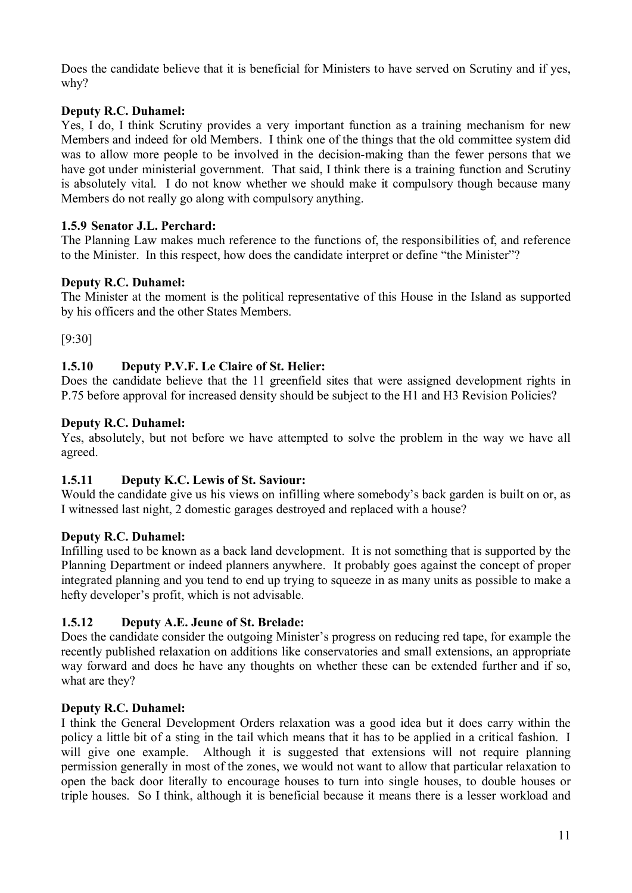Does the candidate believe that it is beneficial for Ministers to have served on Scrutiny and if yes, why?

## **Deputy R.C. Duhamel:**

Yes, I do, I think Scrutiny provides a very important function as a training mechanism for new Members and indeed for old Members. I think one of the things that the old committee system did was to allow more people to be involved in the decision-making than the fewer persons that we have got under ministerial government. That said, I think there is a training function and Scrutiny is absolutely vital. I do not know whether we should make it compulsory though because many Members do not really go along with compulsory anything.

## **1.5.9 Senator J.L. Perchard:**

The Planning Law makes much reference to the functions of, the responsibilities of, and reference to the Minister. In this respect, how does the candidate interpret or define "the Minister"?

## **Deputy R.C. Duhamel:**

The Minister at the moment is the political representative of this House in the Island as supported by his officers and the other States Members.

[9:30]

## **1.5.10 Deputy P.V.F. Le Claire of St. Helier:**

Does the candidate believe that the 11 greenfield sites that were assigned development rights in P.75 before approval for increased density should be subject to the H1 and H3 Revision Policies?

## **Deputy R.C. Duhamel:**

Yes, absolutely, but not before we have attempted to solve the problem in the way we have all agreed.

## **1.5.11 Deputy K.C. Lewis of St. Saviour:**

Would the candidate give us his views on infilling where somebody's back garden is built on or, as I witnessed last night, 2 domestic garages destroyed and replaced with a house?

## **Deputy R.C. Duhamel:**

Infilling used to be known as a back land development. It is not something that is supported by the Planning Department or indeed planners anywhere. It probably goes against the concept of proper integrated planning and you tend to end up trying to squeeze in as many units as possible to make a hefty developer's profit, which is not advisable.

## **1.5.12 Deputy A.E. Jeune of St. Brelade:**

Does the candidate consider the outgoing Minister's progress on reducing red tape, for example the recently published relaxation on additions like conservatories and small extensions, an appropriate way forward and does he have any thoughts on whether these can be extended further and if so, what are they?

## **Deputy R.C. Duhamel:**

I think the General Development Orders relaxation was a good idea but it does carry within the policy a little bit of a sting in the tail which means that it has to be applied in a critical fashion. I will give one example. Although it is suggested that extensions will not require planning permission generally in most of the zones, we would not want to allow that particular relaxation to open the back door literally to encourage houses to turn into single houses, to double houses or triple houses. So I think, although it is beneficial because it means there is a lesser workload and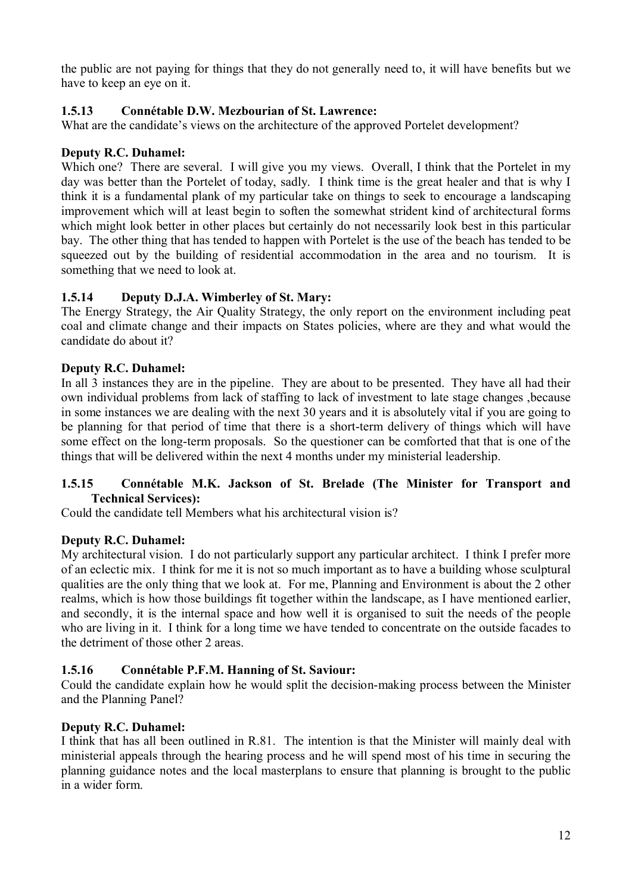the public are not paying for things that they do not generally need to, it will have benefits but we have to keep an eye on it.

## **1.5.13 Connétable D.W. Mezbourian of St. Lawrence:**

What are the candidate's views on the architecture of the approved Portelet development?

#### **Deputy R.C. Duhamel:**

Which one? There are several. I will give you my views. Overall, I think that the Portelet in my day was better than the Portelet of today, sadly. I think time is the great healer and that is why I think it is a fundamental plank of my particular take on things to seek to encourage a landscaping improvement which will at least begin to soften the somewhat strident kind of architectural forms which might look better in other places but certainly do not necessarily look best in this particular bay. The other thing that has tended to happen with Portelet is the use of the beach has tended to be squeezed out by the building of residential accommodation in the area and no tourism. It is something that we need to look at.

#### **1.5.14 Deputy D.J.A. Wimberley of St. Mary:**

The Energy Strategy, the Air Quality Strategy, the only report on the environment including peat coal and climate change and their impacts on States policies, where are they and what would the candidate do about it?

#### **Deputy R.C. Duhamel:**

In all 3 instances they are in the pipeline. They are about to be presented. They have all had their own individual problems from lack of staffing to lack of investment to late stage changes ,because in some instances we are dealing with the next 30 years and it is absolutely vital if you are going to be planning for that period of time that there is a short-term delivery of things which will have some effect on the long-term proposals. So the questioner can be comforted that that is one of the things that will be delivered within the next 4 months under my ministerial leadership.

## **1.5.15 Connétable M.K. Jackson of St. Brelade (The Minister for Transport and Technical Services):**

Could the candidate tell Members what his architectural vision is?

#### **Deputy R.C. Duhamel:**

My architectural vision. I do not particularly support any particular architect. I think I prefer more of an eclectic mix. I think for me it is not so much important as to have a building whose sculptural qualities are the only thing that we look at. For me, Planning and Environment is about the 2 other realms, which is how those buildings fit together within the landscape, as I have mentioned earlier, and secondly, it is the internal space and how well it is organised to suit the needs of the people who are living in it. I think for a long time we have tended to concentrate on the outside facades to the detriment of those other 2 areas.

## **1.5.16 Connétable P.F.M. Hanning of St. Saviour:**

Could the candidate explain how he would split the decision-making process between the Minister and the Planning Panel?

#### **Deputy R.C. Duhamel:**

I think that has all been outlined in R.81. The intention is that the Minister will mainly deal with ministerial appeals through the hearing process and he will spend most of his time in securing the planning guidance notes and the local masterplans to ensure that planning is brought to the public in a wider form.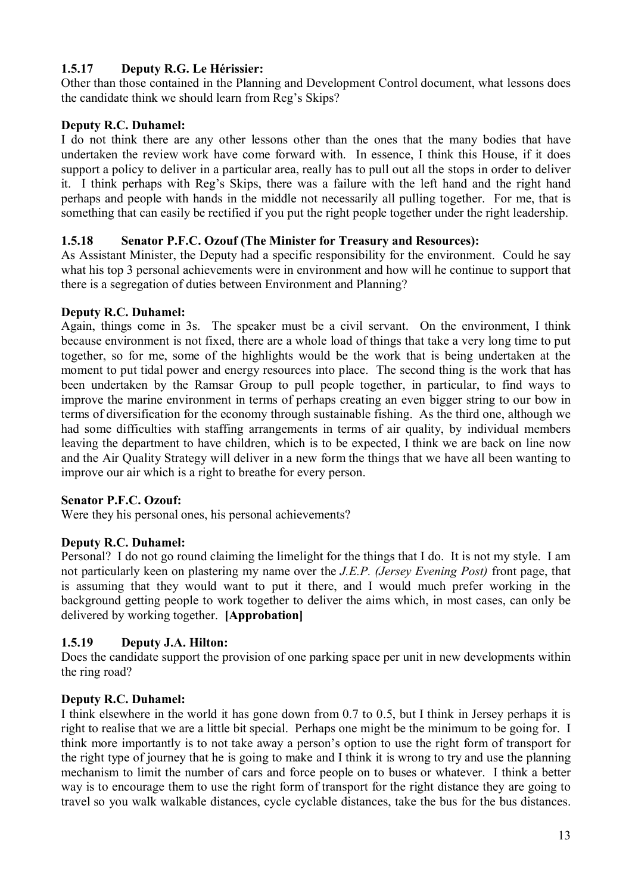# **1.5.17 Deputy R.G. Le Hérissier:**

Other than those contained in the Planning and Development Control document, what lessons does the candidate think we should learn from Reg's Skips?

## **Deputy R.C. Duhamel:**

I do not think there are any other lessons other than the ones that the many bodies that have undertaken the review work have come forward with. In essence, I think this House, if it does support a policy to deliver in a particular area, really has to pull out all the stops in order to deliver it. I think perhaps with Reg's Skips, there was a failure with the left hand and the right hand perhaps and people with hands in the middle not necessarily all pulling together. For me, that is something that can easily be rectified if you put the right people together under the right leadership.

## **1.5.18 Senator P.F.C. Ozouf (The Minister for Treasury and Resources):**

As Assistant Minister, the Deputy had a specific responsibility for the environment. Could he say what his top 3 personal achievements were in environment and how will he continue to support that there is a segregation of duties between Environment and Planning?

## **Deputy R.C. Duhamel:**

Again, things come in 3s. The speaker must be a civil servant. On the environment, I think because environment is not fixed, there are a whole load of things that take a very long time to put together, so for me, some of the highlights would be the work that is being undertaken at the moment to put tidal power and energy resources into place. The second thing is the work that has been undertaken by the Ramsar Group to pull people together, in particular, to find ways to improve the marine environment in terms of perhaps creating an even bigger string to our bow in terms of diversification for the economy through sustainable fishing. As the third one, although we had some difficulties with staffing arrangements in terms of air quality, by individual members leaving the department to have children, which is to be expected, I think we are back on line now and the Air Quality Strategy will deliver in a new form the things that we have all been wanting to improve our air which is a right to breathe for every person.

## **Senator P.F.C. Ozouf:**

Were they his personal ones, his personal achievements?

## **Deputy R.C. Duhamel:**

Personal? I do not go round claiming the limelight for the things that I do. It is not my style. I am not particularly keen on plastering my name over the *J.E.P. (Jersey Evening Post)* front page, that is assuming that they would want to put it there, and I would much prefer working in the background getting people to work together to deliver the aims which, in most cases, can only be delivered by working together. **[Approbation]**

## **1.5.19 Deputy J.A. Hilton:**

Does the candidate support the provision of one parking space per unit in new developments within the ring road?

## **Deputy R.C. Duhamel:**

I think elsewhere in the world it has gone down from 0.7 to 0.5, but I think in Jersey perhaps it is right to realise that we are a little bit special. Perhaps one might be the minimum to be going for. I think more importantly is to not take away a person's option to use the right form of transport for the right type of journey that he is going to make and I think it is wrong to try and use the planning mechanism to limit the number of cars and force people on to buses or whatever. I think a better way is to encourage them to use the right form of transport for the right distance they are going to travel so you walk walkable distances, cycle cyclable distances, take the bus for the bus distances.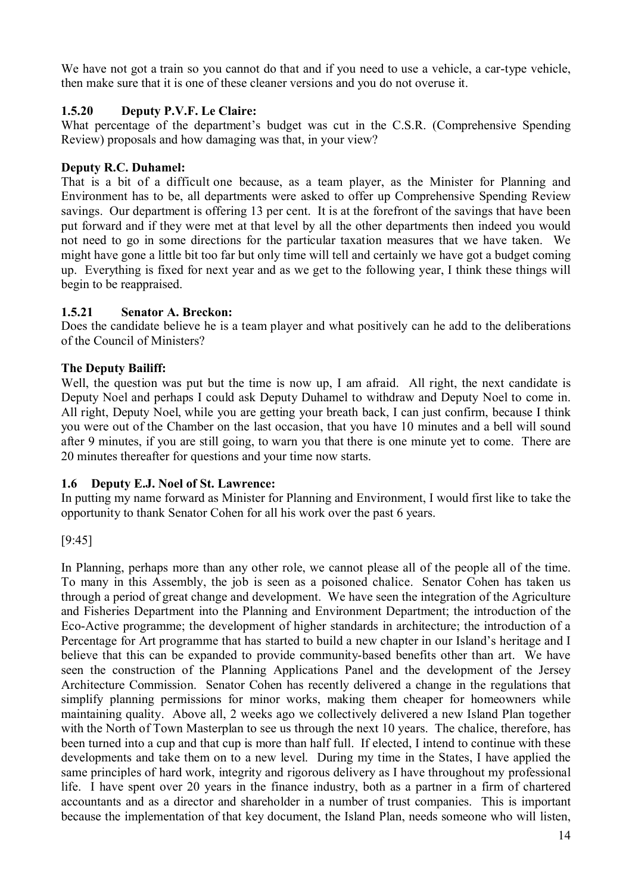We have not got a train so you cannot do that and if you need to use a vehicle, a car-type vehicle, then make sure that it is one of these cleaner versions and you do not overuse it.

## **1.5.20 Deputy P.V.F. Le Claire:**

What percentage of the department's budget was cut in the C.S.R. (Comprehensive Spending Review) proposals and how damaging was that, in your view?

## **Deputy R.C. Duhamel:**

That is a bit of a difficult one because, as a team player, as the Minister for Planning and Environment has to be, all departments were asked to offer up Comprehensive Spending Review savings. Our department is offering 13 per cent. It is at the forefront of the savings that have been put forward and if they were met at that level by all the other departments then indeed you would not need to go in some directions for the particular taxation measures that we have taken. We might have gone a little bit too far but only time will tell and certainly we have got a budget coming up. Everything is fixed for next year and as we get to the following year, I think these things will begin to be reappraised.

#### **1.5.21 Senator A. Breckon:**

Does the candidate believe he is a team player and what positively can he add to the deliberations of the Council of Ministers?

#### **The Deputy Bailiff:**

Well, the question was put but the time is now up, I am afraid. All right, the next candidate is Deputy Noel and perhaps I could ask Deputy Duhamel to withdraw and Deputy Noel to come in. All right, Deputy Noel, while you are getting your breath back, I can just confirm, because I think you were out of the Chamber on the last occasion, that you have 10 minutes and a bell will sound after 9 minutes, if you are still going, to warn you that there is one minute yet to come. There are 20 minutes thereafter for questions and your time now starts.

#### **1.6 Deputy E.J. Noel of St. Lawrence:**

In putting my name forward as Minister for Planning and Environment, I would first like to take the opportunity to thank Senator Cohen for all his work over the past 6 years.

[9:45]

In Planning, perhaps more than any other role, we cannot please all of the people all of the time. To many in this Assembly, the job is seen as a poisoned chalice. Senator Cohen has taken us through a period of great change and development. We have seen the integration of the Agriculture and Fisheries Department into the Planning and Environment Department; the introduction of the Eco-Active programme; the development of higher standards in architecture; the introduction of a Percentage for Art programme that has started to build a new chapter in our Island's heritage and I believe that this can be expanded to provide community-based benefits other than art. We have seen the construction of the Planning Applications Panel and the development of the Jersey Architecture Commission. Senator Cohen has recently delivered a change in the regulations that simplify planning permissions for minor works, making them cheaper for homeowners while maintaining quality. Above all, 2 weeks ago we collectively delivered a new Island Plan together with the North of Town Masterplan to see us through the next 10 years. The chalice, therefore, has been turned into a cup and that cup is more than half full. If elected, I intend to continue with these developments and take them on to a new level. During my time in the States, I have applied the same principles of hard work, integrity and rigorous delivery as I have throughout my professional life. I have spent over 20 years in the finance industry, both as a partner in a firm of chartered accountants and as a director and shareholder in a number of trust companies. This is important because the implementation of that key document, the Island Plan, needs someone who will listen,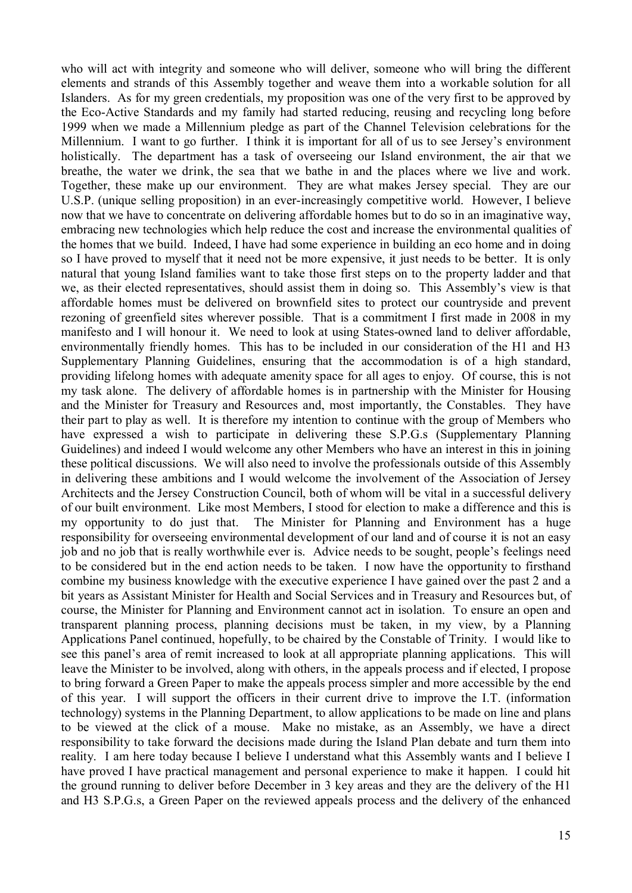who will act with integrity and someone who will deliver, someone who will bring the different elements and strands of this Assembly together and weave them into a workable solution for all Islanders. As for my green credentials, my proposition was one of the very first to be approved by the Eco-Active Standards and my family had started reducing, reusing and recycling long before 1999 when we made a Millennium pledge as part of the Channel Television celebrations for the Millennium. I want to go further. I think it is important for all of us to see Jersey's environment holistically. The department has a task of overseeing our Island environment, the air that we breathe, the water we drink, the sea that we bathe in and the places where we live and work. Together, these make up our environment. They are what makes Jersey special. They are our U.S.P. (unique selling proposition) in an ever-increasingly competitive world. However, I believe now that we have to concentrate on delivering affordable homes but to do so in an imaginative way, embracing new technologies which help reduce the cost and increase the environmental qualities of the homes that we build. Indeed, I have had some experience in building an eco home and in doing so I have proved to myself that it need not be more expensive, it just needs to be better. It is only natural that young Island families want to take those first steps on to the property ladder and that we, as their elected representatives, should assist them in doing so. This Assembly's view is that affordable homes must be delivered on brownfield sites to protect our countryside and prevent rezoning of greenfield sites wherever possible. That is a commitment I first made in 2008 in my manifesto and I will honour it. We need to look at using States-owned land to deliver affordable, environmentally friendly homes. This has to be included in our consideration of the H1 and H3 Supplementary Planning Guidelines, ensuring that the accommodation is of a high standard, providing lifelong homes with adequate amenity space for all ages to enjoy. Of course, this is not my task alone. The delivery of affordable homes is in partnership with the Minister for Housing and the Minister for Treasury and Resources and, most importantly, the Constables. They have their part to play as well. It is therefore my intention to continue with the group of Members who have expressed a wish to participate in delivering these S.P.G.s (Supplementary Planning Guidelines) and indeed I would welcome any other Members who have an interest in this in joining these political discussions. We will also need to involve the professionals outside of this Assembly in delivering these ambitions and I would welcome the involvement of the Association of Jersey Architects and the Jersey Construction Council, both of whom will be vital in a successful delivery of our built environment. Like most Members, I stood for election to make a difference and this is my opportunity to do just that. The Minister for Planning and Environment has a huge responsibility for overseeing environmental development of our land and of course it is not an easy job and no job that is really worthwhile ever is. Advice needs to be sought, people's feelings need to be considered but in the end action needs to be taken. I now have the opportunity to firsthand combine my business knowledge with the executive experience I have gained over the past 2 and a bit years as Assistant Minister for Health and Social Services and in Treasury and Resources but, of course, the Minister for Planning and Environment cannot act in isolation. To ensure an open and transparent planning process, planning decisions must be taken, in my view, by a Planning Applications Panel continued, hopefully, to be chaired by the Constable of Trinity. I would like to see this panel's area of remit increased to look at all appropriate planning applications. This will leave the Minister to be involved, along with others, in the appeals process and if elected, I propose to bring forward a Green Paper to make the appeals process simpler and more accessible by the end of this year. I will support the officers in their current drive to improve the I.T. (information technology) systems in the Planning Department, to allow applications to be made on line and plans to be viewed at the click of a mouse. Make no mistake, as an Assembly, we have a direct responsibility to take forward the decisions made during the Island Plan debate and turn them into reality. I am here today because I believe I understand what this Assembly wants and I believe I have proved I have practical management and personal experience to make it happen. I could hit the ground running to deliver before December in 3 key areas and they are the delivery of the H1 and H3 S.P.G.s, a Green Paper on the reviewed appeals process and the delivery of the enhanced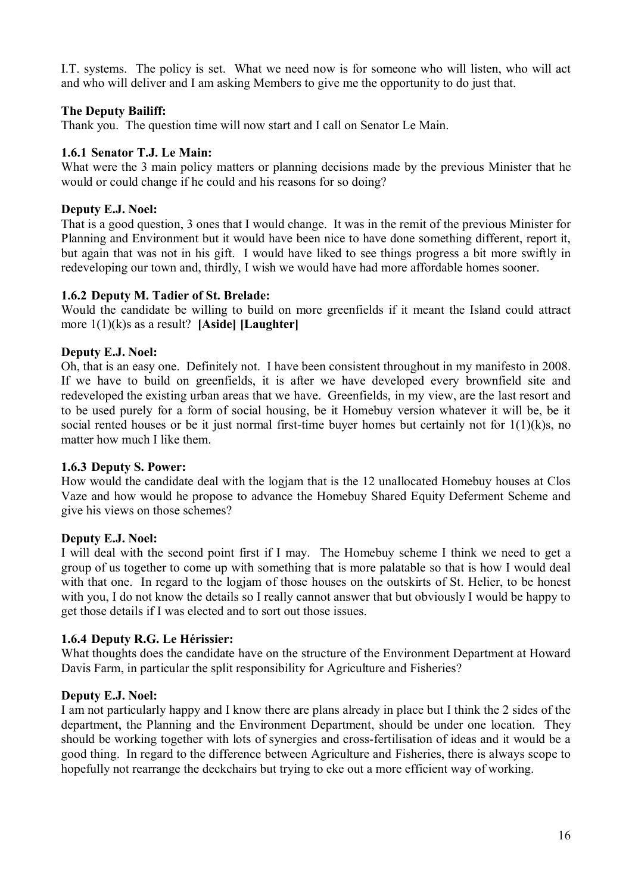I.T. systems. The policy is set. What we need now is for someone who will listen, who will act and who will deliver and I am asking Members to give me the opportunity to do just that.

#### **The Deputy Bailiff:**

Thank you. The question time will now start and I call on Senator Le Main.

#### **1.6.1 Senator T.J. Le Main:**

What were the 3 main policy matters or planning decisions made by the previous Minister that he would or could change if he could and his reasons for so doing?

#### **Deputy E.J. Noel:**

That is a good question, 3 ones that I would change. It was in the remit of the previous Minister for Planning and Environment but it would have been nice to have done something different, report it, but again that was not in his gift. I would have liked to see things progress a bit more swiftly in redeveloping our town and, thirdly, I wish we would have had more affordable homes sooner.

#### **1.6.2 Deputy M. Tadier of St. Brelade:**

Would the candidate be willing to build on more greenfields if it meant the Island could attract more 1(1)(k)s as a result? **[Aside] [Laughter]**

#### **Deputy E.J. Noel:**

Oh, that is an easy one. Definitely not. I have been consistent throughout in my manifesto in 2008. If we have to build on greenfields, it is after we have developed every brownfield site and redeveloped the existing urban areas that we have. Greenfields, in my view, are the last resort and to be used purely for a form of social housing, be it Homebuy version whatever it will be, be it social rented houses or be it just normal first-time buyer homes but certainly not for 1(1)(k)s, no matter how much I like them.

#### **1.6.3 Deputy S. Power:**

How would the candidate deal with the logjam that is the 12 unallocated Homebuy houses at Clos Vaze and how would he propose to advance the Homebuy Shared Equity Deferment Scheme and give his views on those schemes?

#### **Deputy E.J. Noel:**

I will deal with the second point first if I may. The Homebuy scheme I think we need to get a group of us together to come up with something that is more palatable so that is how I would deal with that one. In regard to the logiam of those houses on the outskirts of St. Helier, to be honest with you, I do not know the details so I really cannot answer that but obviously I would be happy to get those details if I was elected and to sort out those issues.

#### **1.6.4 Deputy R.G. Le Hérissier:**

What thoughts does the candidate have on the structure of the Environment Department at Howard Davis Farm, in particular the split responsibility for Agriculture and Fisheries?

#### **Deputy E.J. Noel:**

I am not particularly happy and I know there are plans already in place but I think the 2 sides of the department, the Planning and the Environment Department, should be under one location. They should be working together with lots of synergies and cross-fertilisation of ideas and it would be a good thing. In regard to the difference between Agriculture and Fisheries, there is always scope to hopefully not rearrange the deckchairs but trying to eke out a more efficient way of working.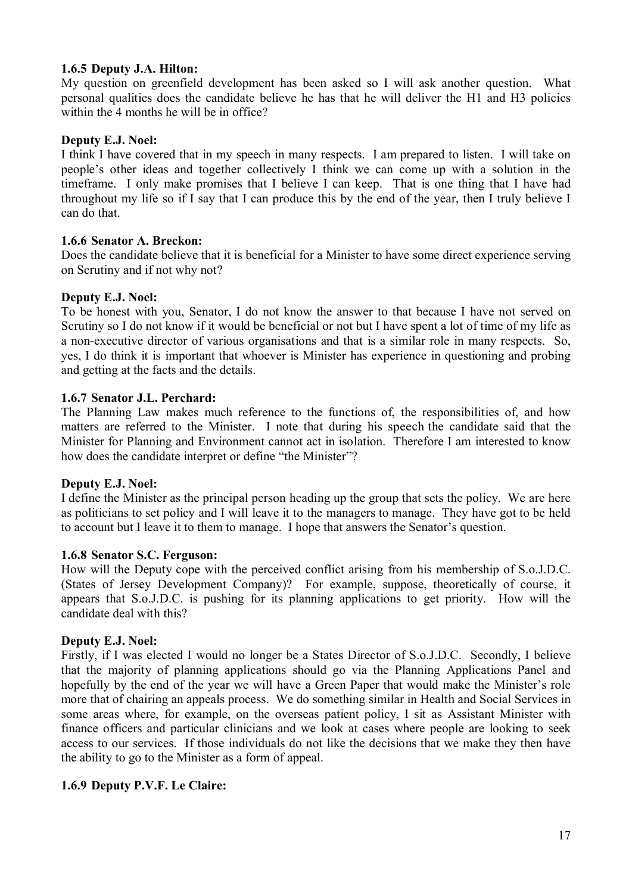#### **1.6.5 Deputy J.A. Hilton:**

My question on greenfield development has been asked so I will ask another question. What personal qualities does the candidate believe he has that he will deliver the H1 and H3 policies within the 4 months he will be in office?

#### **Deputy E.J. Noel:**

I think I have covered that in my speech in many respects. I am prepared to listen. I will take on people's other ideas and together collectively I think we can come up with a solution in the timeframe. I only make promises that I believe I can keep. That is one thing that I have had throughout my life so if I say that I can produce this by the end of the year, then I truly believe I can do that.

#### **1.6.6 Senator A. Breckon:**

Does the candidate believe that it is beneficial for a Minister to have some direct experience serving on Scrutiny and if not why not?

#### **Deputy E.J. Noel:**

To be honest with you, Senator, I do not know the answer to that because I have not served on Scrutiny so I do not know if it would be beneficial or not but I have spent a lot of time of my life as a non-executive director of various organisations and that is a similar role in many respects. So, yes, I do think it is important that whoever is Minister has experience in questioning and probing and getting at the facts and the details.

#### **1.6.7 Senator J.L. Perchard:**

The Planning Law makes much reference to the functions of, the responsibilities of, and how matters are referred to the Minister. I note that during his speech the candidate said that the Minister for Planning and Environment cannot act in isolation. Therefore I am interested to know how does the candidate interpret or define "the Minister"?

#### **Deputy E.J. Noel:**

I define the Minister as the principal person heading up the group that sets the policy. We are here as politicians to set policy and I will leave it to the managers to manage. They have got to be held to account but I leave it to them to manage. I hope that answers the Senator's question.

#### **1.6.8 Senator S.C. Ferguson:**

How will the Deputy cope with the perceived conflict arising from his membership of S.o.J.D.C. (States of Jersey Development Company)? For example, suppose, theoretically of course, it appears that S.o.J.D.C. is pushing for its planning applications to get priority. How will the candidate deal with this?

#### **Deputy E.J. Noel:**

Firstly, if I was elected I would no longer be a States Director of S.o.J.D.C. Secondly, I believe that the majority of planning applications should go via the Planning Applications Panel and hopefully by the end of the year we will have a Green Paper that would make the Minister's role more that of chairing an appeals process. We do something similar in Health and Social Services in some areas where, for example, on the overseas patient policy, I sit as Assistant Minister with finance officers and particular clinicians and we look at cases where people are looking to seek access to our services. If those individuals do not like the decisions that we make they then have the ability to go to the Minister as a form of appeal.

#### **1.6.9 Deputy P.V.F. Le Claire:**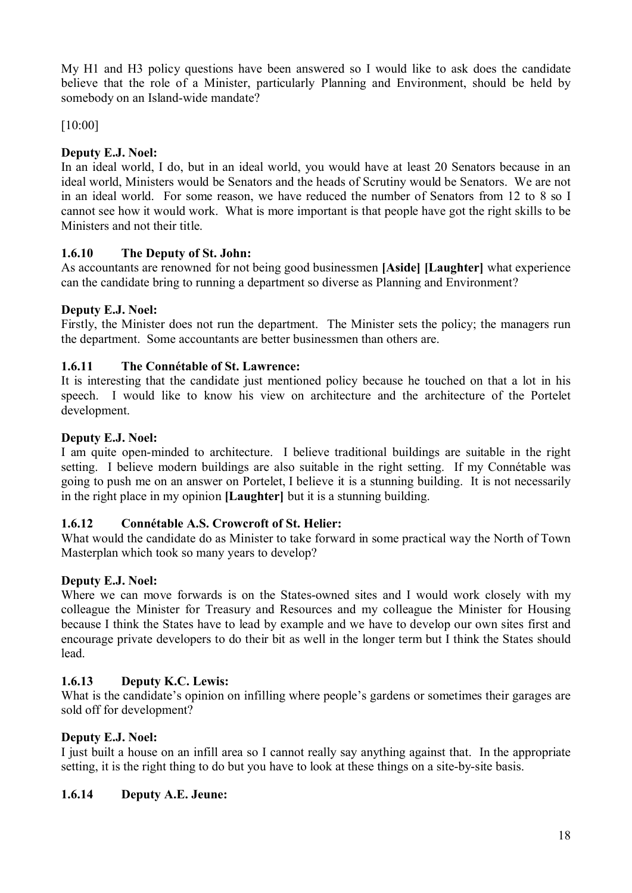My H1 and H3 policy questions have been answered so I would like to ask does the candidate believe that the role of a Minister, particularly Planning and Environment, should be held by somebody on an Island-wide mandate?

[10:00]

# **Deputy E.J. Noel:**

In an ideal world, I do, but in an ideal world, you would have at least 20 Senators because in an ideal world, Ministers would be Senators and the heads of Scrutiny would be Senators. We are not in an ideal world. For some reason, we have reduced the number of Senators from 12 to 8 so I cannot see how it would work. What is more important is that people have got the right skills to be Ministers and not their title.

## **1.6.10 The Deputy of St. John:**

As accountants are renowned for not being good businessmen **[Aside] [Laughter]** what experience can the candidate bring to running a department so diverse as Planning and Environment?

## **Deputy E.J. Noel:**

Firstly, the Minister does not run the department. The Minister sets the policy; the managers run the department. Some accountants are better businessmen than others are.

## **1.6.11 The Connétable of St. Lawrence:**

It is interesting that the candidate just mentioned policy because he touched on that a lot in his speech. I would like to know his view on architecture and the architecture of the Portelet development.

## **Deputy E.J. Noel:**

I am quite open-minded to architecture. I believe traditional buildings are suitable in the right setting. I believe modern buildings are also suitable in the right setting. If my Connétable was going to push me on an answer on Portelet, I believe it is a stunning building. It is not necessarily in the right place in my opinion **[Laughter]** but it is a stunning building.

## **1.6.12 Connétable A.S. Crowcroft of St. Helier:**

What would the candidate do as Minister to take forward in some practical way the North of Town Masterplan which took so many years to develop?

## **Deputy E.J. Noel:**

Where we can move forwards is on the States-owned sites and I would work closely with my colleague the Minister for Treasury and Resources and my colleague the Minister for Housing because I think the States have to lead by example and we have to develop our own sites first and encourage private developers to do their bit as well in the longer term but I think the States should lead.

# **1.6.13 Deputy K.C. Lewis:**

What is the candidate's opinion on infilling where people's gardens or sometimes their garages are sold off for development?

## **Deputy E.J. Noel:**

I just built a house on an infill area so I cannot really say anything against that. In the appropriate setting, it is the right thing to do but you have to look at these things on a site-by-site basis.

## **1.6.14 Deputy A.E. Jeune:**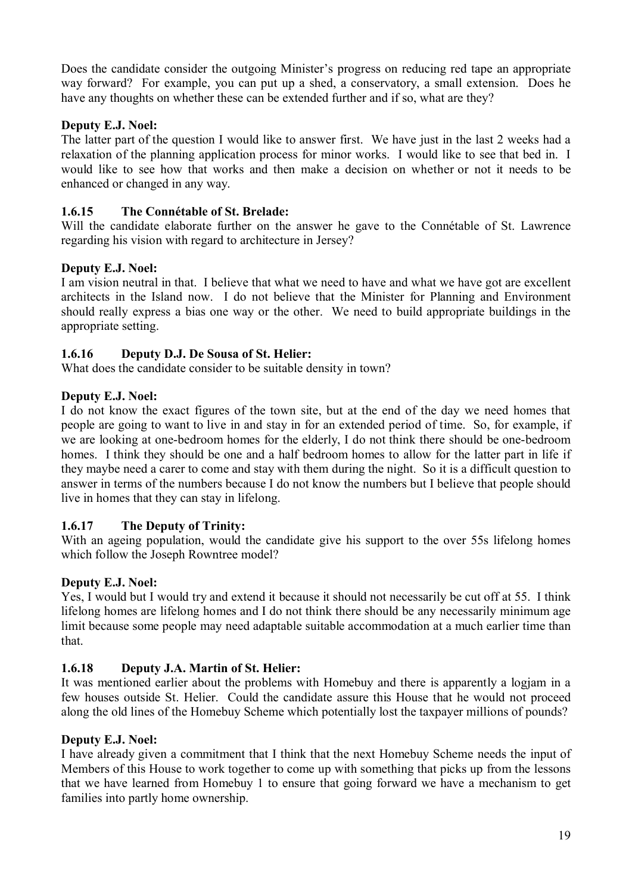Does the candidate consider the outgoing Minister's progress on reducing red tape an appropriate way forward? For example, you can put up a shed, a conservatory, a small extension. Does he have any thoughts on whether these can be extended further and if so, what are they?

## **Deputy E.J. Noel:**

The latter part of the question I would like to answer first. We have just in the last 2 weeks had a relaxation of the planning application process for minor works. I would like to see that bed in. I would like to see how that works and then make a decision on whether or not it needs to be enhanced or changed in any way.

## **1.6.15 The Connétable of St. Brelade:**

Will the candidate elaborate further on the answer he gave to the Connétable of St. Lawrence regarding his vision with regard to architecture in Jersey?

## **Deputy E.J. Noel:**

I am vision neutral in that. I believe that what we need to have and what we have got are excellent architects in the Island now. I do not believe that the Minister for Planning and Environment should really express a bias one way or the other. We need to build appropriate buildings in the appropriate setting.

## **1.6.16 Deputy D.J. De Sousa of St. Helier:**

What does the candidate consider to be suitable density in town?

## **Deputy E.J. Noel:**

I do not know the exact figures of the town site, but at the end of the day we need homes that people are going to want to live in and stay in for an extended period of time. So, for example, if we are looking at one-bedroom homes for the elderly, I do not think there should be one-bedroom homes. I think they should be one and a half bedroom homes to allow for the latter part in life if they maybe need a carer to come and stay with them during the night. So it is a difficult question to answer in terms of the numbers because I do not know the numbers but I believe that people should live in homes that they can stay in lifelong.

## **1.6.17 The Deputy of Trinity:**

With an ageing population, would the candidate give his support to the over 55s lifelong homes which follow the Joseph Rowntree model?

## **Deputy E.J. Noel:**

Yes, I would but I would try and extend it because it should not necessarily be cut off at 55. I think lifelong homes are lifelong homes and I do not think there should be any necessarily minimum age limit because some people may need adaptable suitable accommodation at a much earlier time than that.

# **1.6.18 Deputy J.A. Martin of St. Helier:**

It was mentioned earlier about the problems with Homebuy and there is apparently a logjam in a few houses outside St. Helier. Could the candidate assure this House that he would not proceed along the old lines of the Homebuy Scheme which potentially lost the taxpayer millions of pounds?

## **Deputy E.J. Noel:**

I have already given a commitment that I think that the next Homebuy Scheme needs the input of Members of this House to work together to come up with something that picks up from the lessons that we have learned from Homebuy 1 to ensure that going forward we have a mechanism to get families into partly home ownership.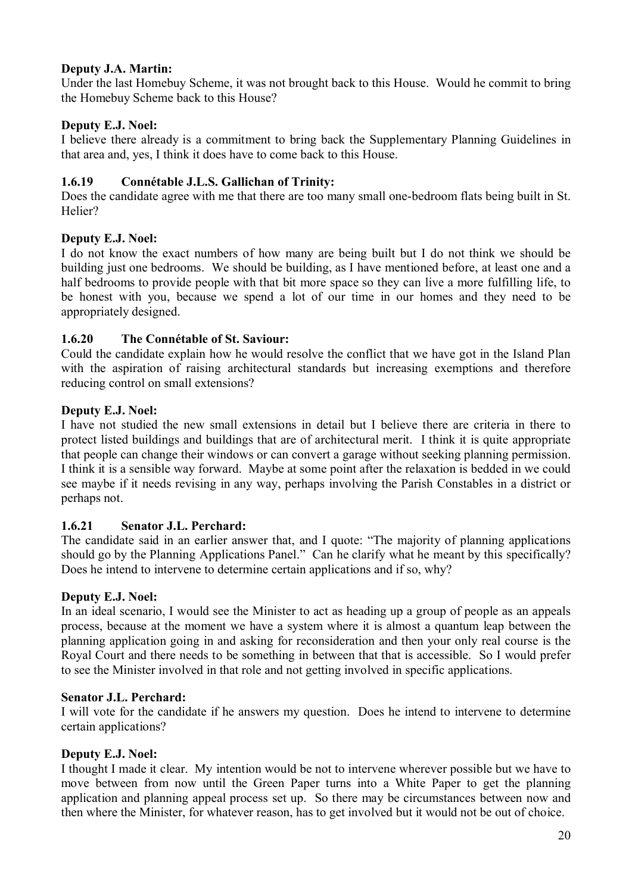## **Deputy J.A. Martin:**

Under the last Homebuy Scheme, it was not brought back to this House. Would he commit to bring the Homebuy Scheme back to this House?

## **Deputy E.J. Noel:**

I believe there already is a commitment to bring back the Supplementary Planning Guidelines in that area and, yes, I think it does have to come back to this House.

## **1.6.19 Connétable J.L.S. Gallichan of Trinity:**

Does the candidate agree with me that there are too many small one-bedroom flats being built in St. Helier?

## **Deputy E.J. Noel:**

I do not know the exact numbers of how many are being built but I do not think we should be building just one bedrooms. We should be building, as I have mentioned before, at least one and a half bedrooms to provide people with that bit more space so they can live a more fulfilling life, to be honest with you, because we spend a lot of our time in our homes and they need to be appropriately designed.

## **1.6.20 The Connétable of St. Saviour:**

Could the candidate explain how he would resolve the conflict that we have got in the Island Plan with the aspiration of raising architectural standards but increasing exemptions and therefore reducing control on small extensions?

## **Deputy E.J. Noel:**

I have not studied the new small extensions in detail but I believe there are criteria in there to protect listed buildings and buildings that are of architectural merit. I think it is quite appropriate that people can change their windows or can convert a garage without seeking planning permission. I think it is a sensible way forward. Maybe at some point after the relaxation is bedded in we could see maybe if it needs revising in any way, perhaps involving the Parish Constables in a district or perhaps not.

## **1.6.21 Senator J.L. Perchard:**

The candidate said in an earlier answer that, and I quote: "The majority of planning applications should go by the Planning Applications Panel." Can he clarify what he meant by this specifically? Does he intend to intervene to determine certain applications and if so, why?

## **Deputy E.J. Noel:**

In an ideal scenario, I would see the Minister to act as heading up a group of people as an appeals process, because at the moment we have a system where it is almost a quantum leap between the planning application going in and asking for reconsideration and then your only real course is the Royal Court and there needs to be something in between that that is accessible. So I would prefer to see the Minister involved in that role and not getting involved in specific applications.

## **Senator J.L. Perchard:**

I will vote for the candidate if he answers my question. Does he intend to intervene to determine certain applications?

## **Deputy E.J. Noel:**

I thought I made it clear. My intention would be not to intervene wherever possible but we have to move between from now until the Green Paper turns into a White Paper to get the planning application and planning appeal process set up. So there may be circumstances between now and then where the Minister, for whatever reason, has to get involved but it would not be out of choice.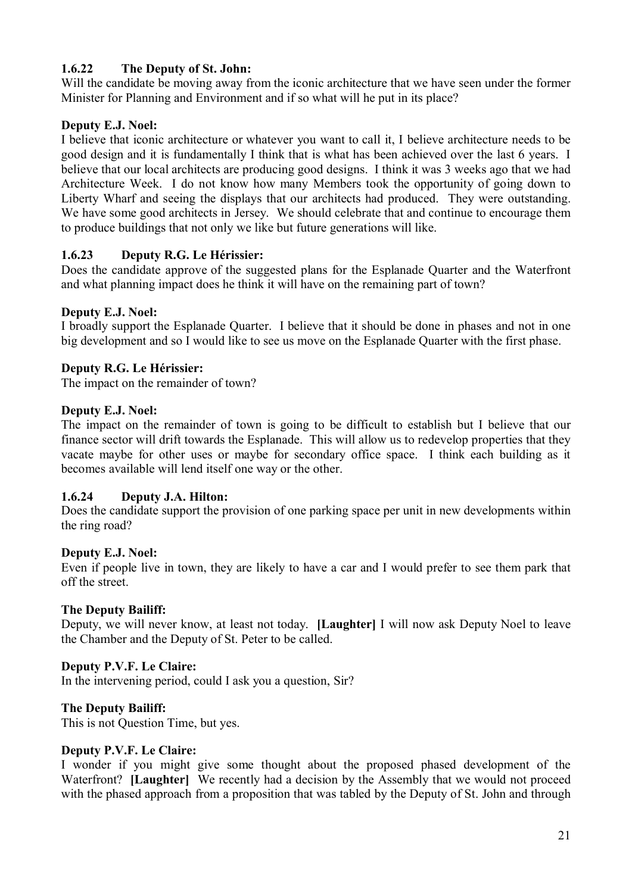# **1.6.22 The Deputy of St. John:**

Will the candidate be moving away from the iconic architecture that we have seen under the former Minister for Planning and Environment and if so what will he put in its place?

## **Deputy E.J. Noel:**

I believe that iconic architecture or whatever you want to call it, I believe architecture needs to be good design and it is fundamentally I think that is what has been achieved over the last 6 years. I believe that our local architects are producing good designs. I think it was 3 weeks ago that we had Architecture Week. I do not know how many Members took the opportunity of going down to Liberty Wharf and seeing the displays that our architects had produced. They were outstanding. We have some good architects in Jersey. We should celebrate that and continue to encourage them to produce buildings that not only we like but future generations will like.

## **1.6.23 Deputy R.G. Le Hérissier:**

Does the candidate approve of the suggested plans for the Esplanade Quarter and the Waterfront and what planning impact does he think it will have on the remaining part of town?

#### **Deputy E.J. Noel:**

I broadly support the Esplanade Quarter. I believe that it should be done in phases and not in one big development and so I would like to see us move on the Esplanade Quarter with the first phase.

#### **Deputy R.G. Le Hérissier:**

The impact on the remainder of town?

#### **Deputy E.J. Noel:**

The impact on the remainder of town is going to be difficult to establish but I believe that our finance sector will drift towards the Esplanade. This will allow us to redevelop properties that they vacate maybe for other uses or maybe for secondary office space. I think each building as it becomes available will lend itself one way or the other.

#### **1.6.24 Deputy J.A. Hilton:**

Does the candidate support the provision of one parking space per unit in new developments within the ring road?

#### **Deputy E.J. Noel:**

Even if people live in town, they are likely to have a car and I would prefer to see them park that off the street.

#### **The Deputy Bailiff:**

Deputy, we will never know, at least not today. **[Laughter]** I will now ask Deputy Noel to leave the Chamber and the Deputy of St. Peter to be called.

#### **Deputy P.V.F. Le Claire:**

In the intervening period, could I ask you a question, Sir?

#### **The Deputy Bailiff:**

This is not Question Time, but yes.

#### **Deputy P.V.F. Le Claire:**

I wonder if you might give some thought about the proposed phased development of the Waterfront? **[Laughter]** We recently had a decision by the Assembly that we would not proceed with the phased approach from a proposition that was tabled by the Deputy of St. John and through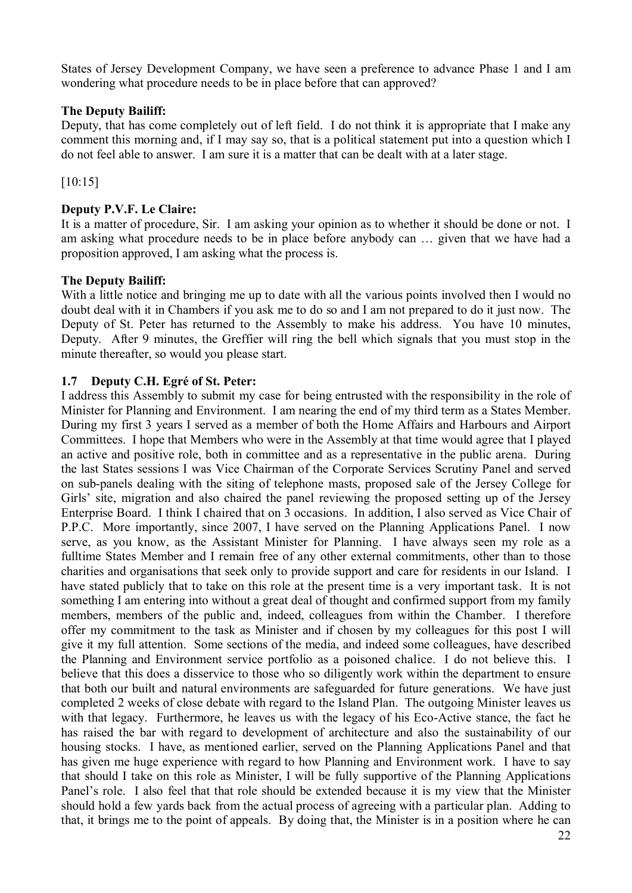States of Jersey Development Company, we have seen a preference to advance Phase 1 and I am wondering what procedure needs to be in place before that can approved?

#### **The Deputy Bailiff:**

Deputy, that has come completely out of left field. I do not think it is appropriate that I make any comment this morning and, if I may say so, that is a political statement put into a question which I do not feel able to answer. I am sure it is a matter that can be dealt with at a later stage.

[10:15]

#### **Deputy P.V.F. Le Claire:**

It is a matter of procedure, Sir. I am asking your opinion as to whether it should be done or not. I am asking what procedure needs to be in place before anybody can … given that we have had a proposition approved, I am asking what the process is.

#### **The Deputy Bailiff:**

With a little notice and bringing me up to date with all the various points involved then I would no doubt deal with it in Chambers if you ask me to do so and I am not prepared to do it just now. The Deputy of St. Peter has returned to the Assembly to make his address. You have 10 minutes, Deputy. After 9 minutes, the Greffier will ring the bell which signals that you must stop in the minute thereafter, so would you please start.

## **1.7 Deputy C.H. Egré of St. Peter:**

I address this Assembly to submit my case for being entrusted with the responsibility in the role of Minister for Planning and Environment. I am nearing the end of my third term as a States Member. During my first 3 years I served as a member of both the Home Affairs and Harbours and Airport Committees. I hope that Members who were in the Assembly at that time would agree that I played an active and positive role, both in committee and as a representative in the public arena. During the last States sessions I was Vice Chairman of the Corporate Services Scrutiny Panel and served on sub-panels dealing with the siting of telephone masts, proposed sale of the Jersey College for Girls' site, migration and also chaired the panel reviewing the proposed setting up of the Jersey Enterprise Board. I think I chaired that on 3 occasions. In addition, I also served as Vice Chair of P.P.C. More importantly, since 2007, I have served on the Planning Applications Panel. I now serve, as you know, as the Assistant Minister for Planning. I have always seen my role as a fulltime States Member and I remain free of any other external commitments, other than to those charities and organisations that seek only to provide support and care for residents in our Island. I have stated publicly that to take on this role at the present time is a very important task. It is not something I am entering into without a great deal of thought and confirmed support from my family members, members of the public and, indeed, colleagues from within the Chamber. I therefore offer my commitment to the task as Minister and if chosen by my colleagues for this post I will give it my full attention. Some sections of the media, and indeed some colleagues, have described the Planning and Environment service portfolio as a poisoned chalice. I do not believe this. I believe that this does a disservice to those who so diligently work within the department to ensure that both our built and natural environments are safeguarded for future generations. We have just completed 2 weeks of close debate with regard to the Island Plan. The outgoing Minister leaves us with that legacy. Furthermore, he leaves us with the legacy of his Eco-Active stance, the fact he has raised the bar with regard to development of architecture and also the sustainability of our housing stocks. I have, as mentioned earlier, served on the Planning Applications Panel and that has given me huge experience with regard to how Planning and Environment work. I have to say that should I take on this role as Minister, I will be fully supportive of the Planning Applications Panel's role. I also feel that that role should be extended because it is my view that the Minister should hold a few yards back from the actual process of agreeing with a particular plan. Adding to that, it brings me to the point of appeals. By doing that, the Minister is in a position where he can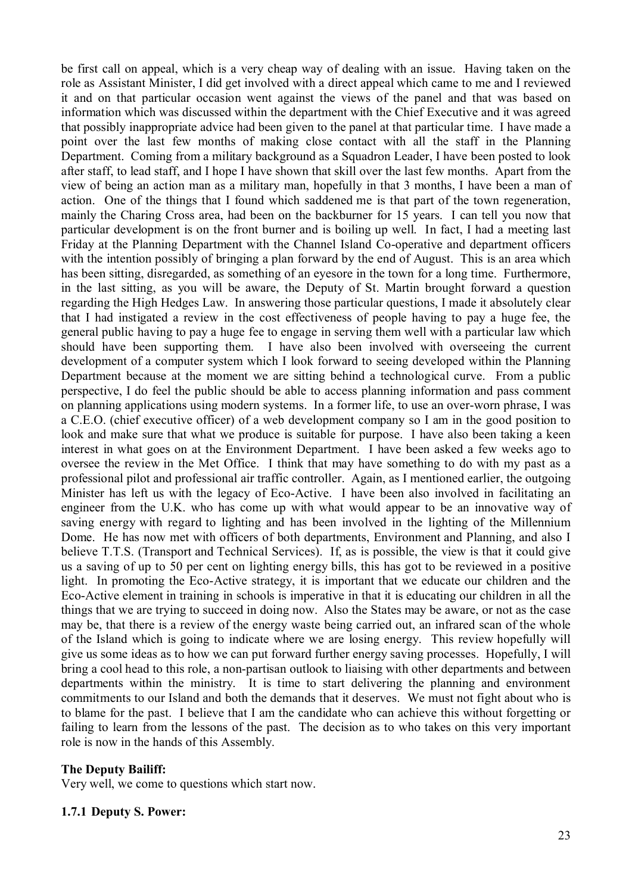be first call on appeal, which is a very cheap way of dealing with an issue. Having taken on the role as Assistant Minister, I did get involved with a direct appeal which came to me and I reviewed it and on that particular occasion went against the views of the panel and that was based on information which was discussed within the department with the Chief Executive and it was agreed that possibly inappropriate advice had been given to the panel at that particular time. I have made a point over the last few months of making close contact with all the staff in the Planning Department. Coming from a military background as a Squadron Leader, I have been posted to look after staff, to lead staff, and I hope I have shown that skill over the last few months. Apart from the view of being an action man as a military man, hopefully in that 3 months, I have been a man of action. One of the things that I found which saddened me is that part of the town regeneration, mainly the Charing Cross area, had been on the backburner for 15 years. I can tell you now that particular development is on the front burner and is boiling up well. In fact, I had a meeting last Friday at the Planning Department with the Channel Island Co-operative and department officers with the intention possibly of bringing a plan forward by the end of August. This is an area which has been sitting, disregarded, as something of an eyesore in the town for a long time. Furthermore, in the last sitting, as you will be aware, the Deputy of St. Martin brought forward a question regarding the High Hedges Law. In answering those particular questions, I made it absolutely clear that I had instigated a review in the cost effectiveness of people having to pay a huge fee, the general public having to pay a huge fee to engage in serving them well with a particular law which should have been supporting them. I have also been involved with overseeing the current development of a computer system which I look forward to seeing developed within the Planning Department because at the moment we are sitting behind a technological curve. From a public perspective, I do feel the public should be able to access planning information and pass comment on planning applications using modern systems. In a former life, to use an over-worn phrase, I was a C.E.O. (chief executive officer) of a web development company so I am in the good position to look and make sure that what we produce is suitable for purpose. I have also been taking a keen interest in what goes on at the Environment Department. I have been asked a few weeks ago to oversee the review in the Met Office. I think that may have something to do with my past as a professional pilot and professional air traffic controller. Again, as I mentioned earlier, the outgoing Minister has left us with the legacy of Eco-Active. I have been also involved in facilitating an engineer from the U.K. who has come up with what would appear to be an innovative way of saving energy with regard to lighting and has been involved in the lighting of the Millennium Dome. He has now met with officers of both departments, Environment and Planning, and also I believe T.T.S. (Transport and Technical Services). If, as is possible, the view is that it could give us a saving of up to 50 per cent on lighting energy bills, this has got to be reviewed in a positive light. In promoting the Eco-Active strategy, it is important that we educate our children and the Eco-Active element in training in schools is imperative in that it is educating our children in all the things that we are trying to succeed in doing now. Also the States may be aware, or not as the case may be, that there is a review of the energy waste being carried out, an infrared scan of the whole of the Island which is going to indicate where we are losing energy. This review hopefully will give us some ideas as to how we can put forward further energy saving processes. Hopefully, I will bring a cool head to this role, a non-partisan outlook to liaising with other departments and between departments within the ministry. It is time to start delivering the planning and environment commitments to our Island and both the demands that it deserves. We must not fight about who is to blame for the past. I believe that I am the candidate who can achieve this without forgetting or failing to learn from the lessons of the past. The decision as to who takes on this very important role is now in the hands of this Assembly.

#### **The Deputy Bailiff:**

Very well, we come to questions which start now.

#### **1.7.1 Deputy S. Power:**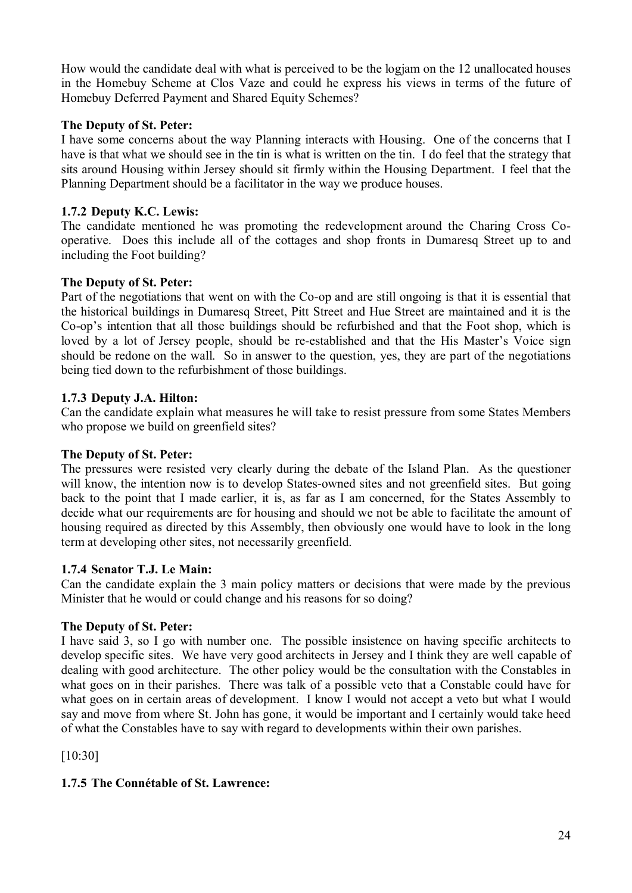How would the candidate deal with what is perceived to be the logjam on the 12 unallocated houses in the Homebuy Scheme at Clos Vaze and could he express his views in terms of the future of Homebuy Deferred Payment and Shared Equity Schemes?

## **The Deputy of St. Peter:**

I have some concerns about the way Planning interacts with Housing. One of the concerns that I have is that what we should see in the tin is what is written on the tin. I do feel that the strategy that sits around Housing within Jersey should sit firmly within the Housing Department. I feel that the Planning Department should be a facilitator in the way we produce houses.

#### **1.7.2 Deputy K.C. Lewis:**

The candidate mentioned he was promoting the redevelopment around the Charing Cross Cooperative. Does this include all of the cottages and shop fronts in Dumaresq Street up to and including the Foot building?

#### **The Deputy of St. Peter:**

Part of the negotiations that went on with the Co-op and are still ongoing is that it is essential that the historical buildings in Dumaresq Street, Pitt Street and Hue Street are maintained and it is the Co-op's intention that all those buildings should be refurbished and that the Foot shop, which is loved by a lot of Jersey people, should be re-established and that the His Master's Voice sign should be redone on the wall. So in answer to the question, yes, they are part of the negotiations being tied down to the refurbishment of those buildings.

#### **1.7.3 Deputy J.A. Hilton:**

Can the candidate explain what measures he will take to resist pressure from some States Members who propose we build on greenfield sites?

#### **The Deputy of St. Peter:**

The pressures were resisted very clearly during the debate of the Island Plan. As the questioner will know, the intention now is to develop States-owned sites and not greenfield sites. But going back to the point that I made earlier, it is, as far as I am concerned, for the States Assembly to decide what our requirements are for housing and should we not be able to facilitate the amount of housing required as directed by this Assembly, then obviously one would have to look in the long term at developing other sites, not necessarily greenfield.

#### **1.7.4 Senator T.J. Le Main:**

Can the candidate explain the 3 main policy matters or decisions that were made by the previous Minister that he would or could change and his reasons for so doing?

## **The Deputy of St. Peter:**

I have said 3, so I go with number one. The possible insistence on having specific architects to develop specific sites. We have very good architects in Jersey and I think they are well capable of dealing with good architecture. The other policy would be the consultation with the Constables in what goes on in their parishes. There was talk of a possible veto that a Constable could have for what goes on in certain areas of development. I know I would not accept a veto but what I would say and move from where St. John has gone, it would be important and I certainly would take heed of what the Constables have to say with regard to developments within their own parishes.

[10:30]

#### **1.7.5 The Connétable of St. Lawrence:**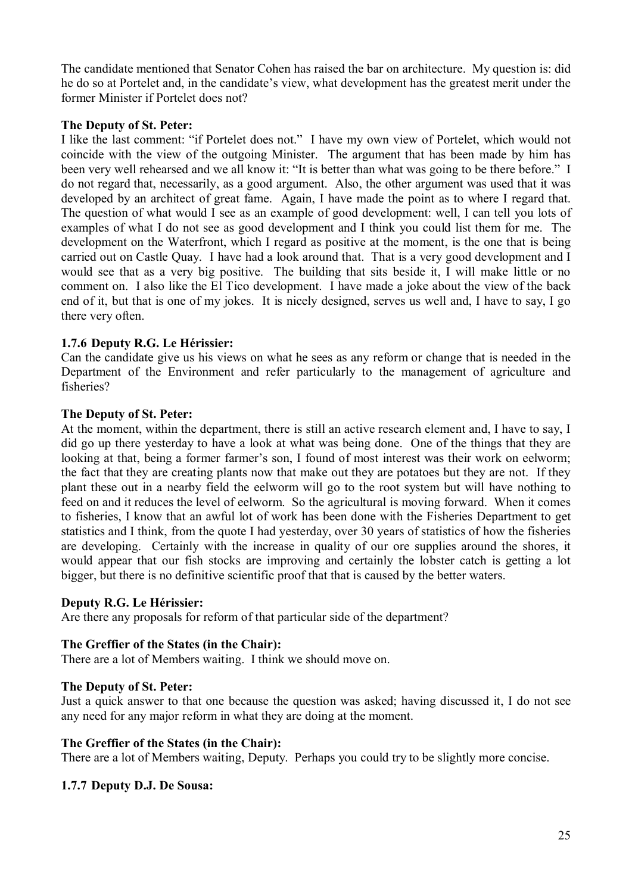The candidate mentioned that Senator Cohen has raised the bar on architecture. My question is: did he do so at Portelet and, in the candidate's view, what development has the greatest merit under the former Minister if Portelet does not?

#### **The Deputy of St. Peter:**

I like the last comment: "if Portelet does not." I have my own view of Portelet, which would not coincide with the view of the outgoing Minister. The argument that has been made by him has been very well rehearsed and we all know it: "It is better than what was going to be there before." I do not regard that, necessarily, as a good argument. Also, the other argument was used that it was developed by an architect of great fame. Again, I have made the point as to where I regard that. The question of what would I see as an example of good development: well, I can tell you lots of examples of what I do not see as good development and I think you could list them for me. The development on the Waterfront, which I regard as positive at the moment, is the one that is being carried out on Castle Quay. I have had a look around that. That is a very good development and I would see that as a very big positive. The building that sits beside it, I will make little or no comment on. I also like the El Tico development. I have made a joke about the view of the back end of it, but that is one of my jokes. It is nicely designed, serves us well and, I have to say, I go there very often.

## **1.7.6 Deputy R.G. Le Hérissier:**

Can the candidate give us his views on what he sees as any reform or change that is needed in the Department of the Environment and refer particularly to the management of agriculture and fisheries?

#### **The Deputy of St. Peter:**

At the moment, within the department, there is still an active research element and, I have to say, I did go up there yesterday to have a look at what was being done. One of the things that they are looking at that, being a former farmer's son, I found of most interest was their work on eelworm; the fact that they are creating plants now that make out they are potatoes but they are not. If they plant these out in a nearby field the eelworm will go to the root system but will have nothing to feed on and it reduces the level of eelworm. So the agricultural is moving forward. When it comes to fisheries, I know that an awful lot of work has been done with the Fisheries Department to get statistics and I think, from the quote I had yesterday, over 30 years of statistics of how the fisheries are developing. Certainly with the increase in quality of our ore supplies around the shores, it would appear that our fish stocks are improving and certainly the lobster catch is getting a lot bigger, but there is no definitive scientific proof that that is caused by the better waters.

#### **Deputy R.G. Le Hérissier:**

Are there any proposals for reform of that particular side of the department?

#### **The Greffier of the States (in the Chair):**

There are a lot of Members waiting. I think we should move on.

#### **The Deputy of St. Peter:**

Just a quick answer to that one because the question was asked; having discussed it, I do not see any need for any major reform in what they are doing at the moment.

#### **The Greffier of the States (in the Chair):**

There are a lot of Members waiting, Deputy. Perhaps you could try to be slightly more concise.

## **1.7.7 Deputy D.J. De Sousa:**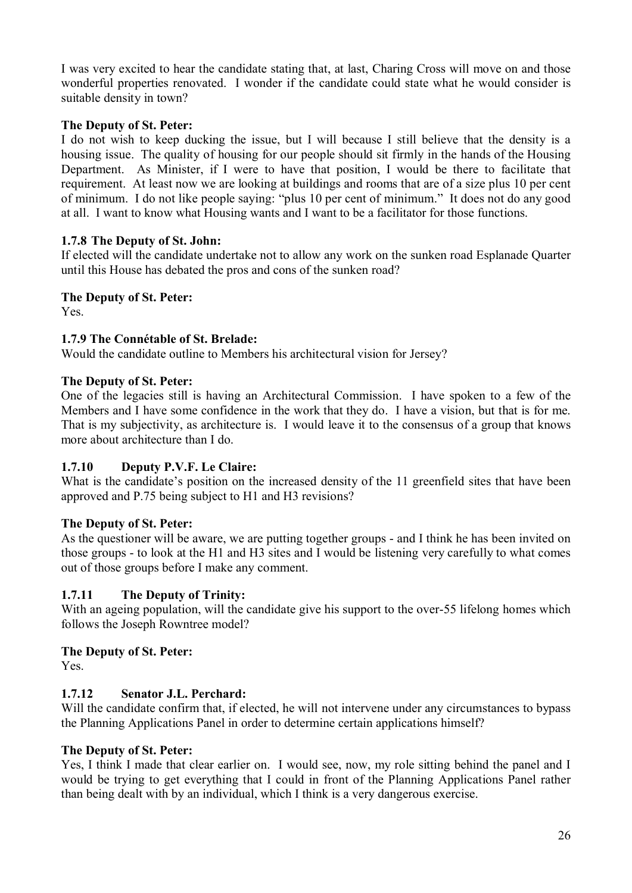I was very excited to hear the candidate stating that, at last, Charing Cross will move on and those wonderful properties renovated. I wonder if the candidate could state what he would consider is suitable density in town?

#### **The Deputy of St. Peter:**

I do not wish to keep ducking the issue, but I will because I still believe that the density is a housing issue. The quality of housing for our people should sit firmly in the hands of the Housing Department. As Minister, if I were to have that position, I would be there to facilitate that requirement. At least now we are looking at buildings and rooms that are of a size plus 10 per cent of minimum. I do not like people saying: "plus 10 per cent of minimum." It does not do any good at all. I want to know what Housing wants and I want to be a facilitator for those functions.

#### **1.7.8 The Deputy of St. John:**

If elected will the candidate undertake not to allow any work on the sunken road Esplanade Quarter until this House has debated the pros and cons of the sunken road?

#### **The Deputy of St. Peter:**

Yes.

#### **1.7.9 The Connétable of St. Brelade:**

Would the candidate outline to Members his architectural vision for Jersey?

#### **The Deputy of St. Peter:**

One of the legacies still is having an Architectural Commission. I have spoken to a few of the Members and I have some confidence in the work that they do. I have a vision, but that is for me. That is my subjectivity, as architecture is. I would leave it to the consensus of a group that knows more about architecture than I do.

## **1.7.10 Deputy P.V.F. Le Claire:**

What is the candidate's position on the increased density of the 11 greenfield sites that have been approved and P.75 being subject to H1 and H3 revisions?

## **The Deputy of St. Peter:**

As the questioner will be aware, we are putting together groups - and I think he has been invited on those groups - to look at the H1 and H3 sites and I would be listening very carefully to what comes out of those groups before I make any comment.

## **1.7.11 The Deputy of Trinity:**

With an ageing population, will the candidate give his support to the over-55 lifelong homes which follows the Joseph Rowntree model?

## **The Deputy of St. Peter:**

Yes.

## **1.7.12 Senator J.L. Perchard:**

Will the candidate confirm that, if elected, he will not intervene under any circumstances to bypass the Planning Applications Panel in order to determine certain applications himself?

#### **The Deputy of St. Peter:**

Yes, I think I made that clear earlier on. I would see, now, my role sitting behind the panel and I would be trying to get everything that I could in front of the Planning Applications Panel rather than being dealt with by an individual, which I think is a very dangerous exercise.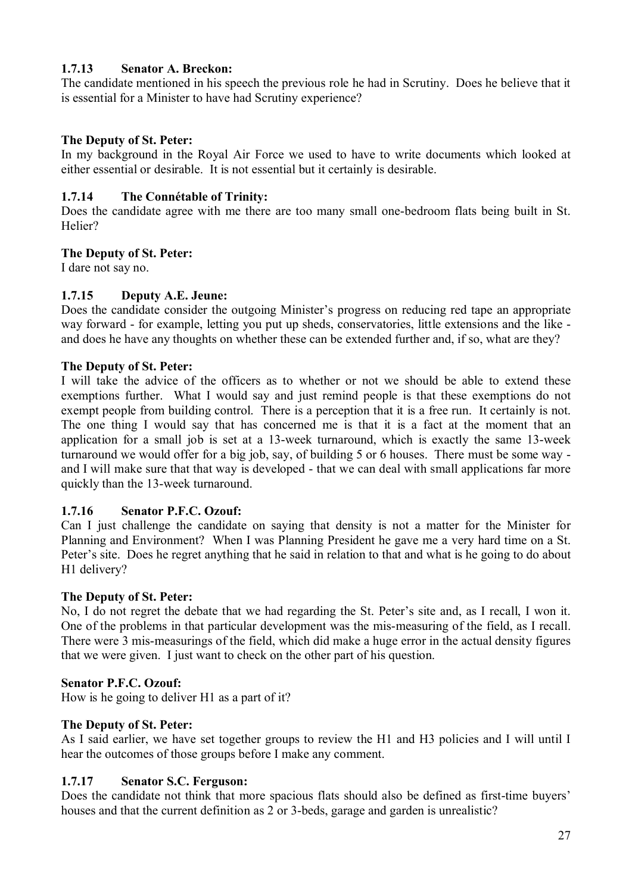## **1.7.13 Senator A. Breckon:**

The candidate mentioned in his speech the previous role he had in Scrutiny. Does he believe that it is essential for a Minister to have had Scrutiny experience?

## **The Deputy of St. Peter:**

In my background in the Royal Air Force we used to have to write documents which looked at either essential or desirable. It is not essential but it certainly is desirable.

## **1.7.14 The Connétable of Trinity:**

Does the candidate agree with me there are too many small one-bedroom flats being built in St. Helier?

## **The Deputy of St. Peter:**

I dare not say no.

## **1.7.15 Deputy A.E. Jeune:**

Does the candidate consider the outgoing Minister's progress on reducing red tape an appropriate way forward - for example, letting you put up sheds, conservatories, little extensions and the like and does he have any thoughts on whether these can be extended further and, if so, what are they?

## **The Deputy of St. Peter:**

I will take the advice of the officers as to whether or not we should be able to extend these exemptions further. What I would say and just remind people is that these exemptions do not exempt people from building control. There is a perception that it is a free run. It certainly is not. The one thing I would say that has concerned me is that it is a fact at the moment that an application for a small job is set at a 13-week turnaround, which is exactly the same 13-week turnaround we would offer for a big job, say, of building 5 or 6 houses. There must be some way and I will make sure that that way is developed - that we can deal with small applications far more quickly than the 13-week turnaround.

## **1.7.16 Senator P.F.C. Ozouf:**

Can I just challenge the candidate on saying that density is not a matter for the Minister for Planning and Environment? When I was Planning President he gave me a very hard time on a St. Peter's site. Does he regret anything that he said in relation to that and what is he going to do about H<sub>1</sub> delivery?

## **The Deputy of St. Peter:**

No, I do not regret the debate that we had regarding the St. Peter's site and, as I recall, I won it. One of the problems in that particular development was the mis-measuring of the field, as I recall. There were 3 mis-measurings of the field, which did make a huge error in the actual density figures that we were given. I just want to check on the other part of his question.

## **Senator P.F.C. Ozouf:**

How is he going to deliver H1 as a part of it?

## **The Deputy of St. Peter:**

As I said earlier, we have set together groups to review the H1 and H3 policies and I will until I hear the outcomes of those groups before I make any comment.

## **1.7.17 Senator S.C. Ferguson:**

Does the candidate not think that more spacious flats should also be defined as first-time buyers' houses and that the current definition as 2 or 3-beds, garage and garden is unrealistic?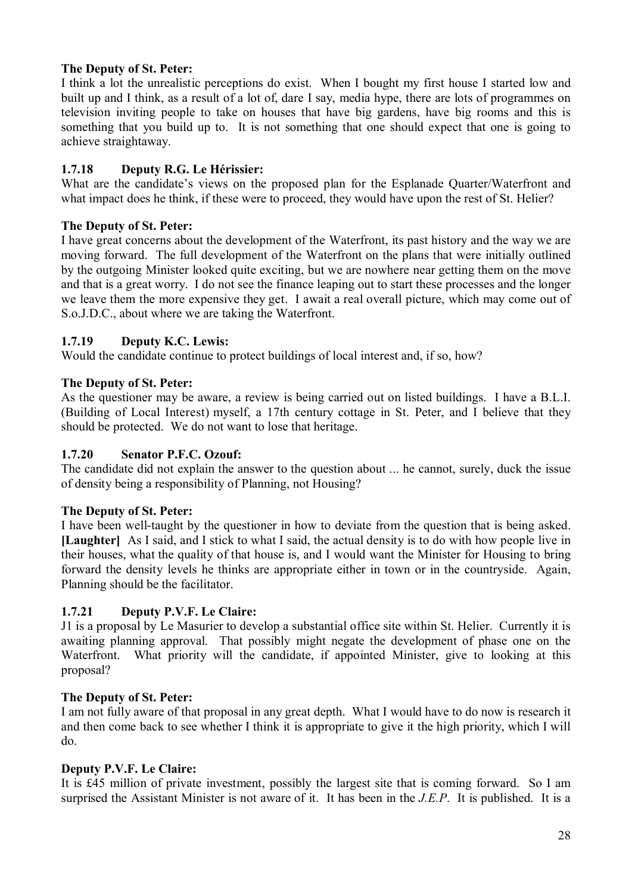## **The Deputy of St. Peter:**

I think a lot the unrealistic perceptions do exist. When I bought my first house I started low and built up and I think, as a result of a lot of, dare I say, media hype, there are lots of programmes on television inviting people to take on houses that have big gardens, have big rooms and this is something that you build up to. It is not something that one should expect that one is going to achieve straightaway.

# **1.7.18 Deputy R.G. Le Hérissier:**

What are the candidate's views on the proposed plan for the Esplanade Quarter/Waterfront and what impact does he think, if these were to proceed, they would have upon the rest of St. Helier?

## **The Deputy of St. Peter:**

I have great concerns about the development of the Waterfront, its past history and the way we are moving forward. The full development of the Waterfront on the plans that were initially outlined by the outgoing Minister looked quite exciting, but we are nowhere near getting them on the move and that is a great worry. I do not see the finance leaping out to start these processes and the longer we leave them the more expensive they get. I await a real overall picture, which may come out of S.o.J.D.C., about where we are taking the Waterfront.

## **1.7.19 Deputy K.C. Lewis:**

Would the candidate continue to protect buildings of local interest and, if so, how?

## **The Deputy of St. Peter:**

As the questioner may be aware, a review is being carried out on listed buildings. I have a B.L.I. (Building of Local Interest) myself, a 17th century cottage in St. Peter, and I believe that they should be protected. We do not want to lose that heritage.

## **1.7.20 Senator P.F.C. Ozouf:**

The candidate did not explain the answer to the question about ... he cannot, surely, duck the issue of density being a responsibility of Planning, not Housing?

## **The Deputy of St. Peter:**

I have been well-taught by the questioner in how to deviate from the question that is being asked. **[Laughter]** As I said, and I stick to what I said, the actual density is to do with how people live in their houses, what the quality of that house is, and I would want the Minister for Housing to bring forward the density levels he thinks are appropriate either in town or in the countryside. Again, Planning should be the facilitator.

## **1.7.21 Deputy P.V.F. Le Claire:**

J1 is a proposal by Le Masurier to develop a substantial office site within St. Helier. Currently it is awaiting planning approval. That possibly might negate the development of phase one on the Waterfront. What priority will the candidate, if appointed Minister, give to looking at this proposal?

## **The Deputy of St. Peter:**

I am not fully aware of that proposal in any great depth. What I would have to do now is research it and then come back to see whether I think it is appropriate to give it the high priority, which I will do.

## **Deputy P.V.F. Le Claire:**

It is £45 million of private investment, possibly the largest site that is coming forward. So I am surprised the Assistant Minister is not aware of it. It has been in the *J.E.P*. It is published. It is a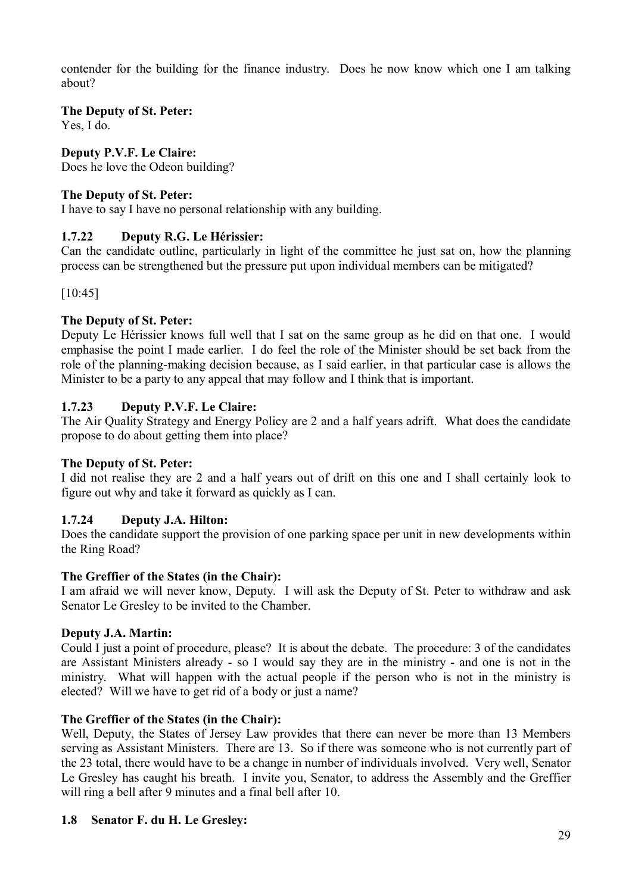contender for the building for the finance industry. Does he now know which one I am talking about?

## **The Deputy of St. Peter:**

Yes, I do.

## **Deputy P.V.F. Le Claire:**

Does he love the Odeon building?

## **The Deputy of St. Peter:**

I have to say I have no personal relationship with any building.

## **1.7.22 Deputy R.G. Le Hérissier:**

Can the candidate outline, particularly in light of the committee he just sat on, how the planning process can be strengthened but the pressure put upon individual members can be mitigated?

[10:45]

## **The Deputy of St. Peter:**

Deputy Le Hérissier knows full well that I sat on the same group as he did on that one. I would emphasise the point I made earlier. I do feel the role of the Minister should be set back from the role of the planning-making decision because, as I said earlier, in that particular case is allows the Minister to be a party to any appeal that may follow and I think that is important.

## **1.7.23 Deputy P.V.F. Le Claire:**

The Air Quality Strategy and Energy Policy are 2 and a half years adrift. What does the candidate propose to do about getting them into place?

## **The Deputy of St. Peter:**

I did not realise they are 2 and a half years out of drift on this one and I shall certainly look to figure out why and take it forward as quickly as I can.

## **1.7.24 Deputy J.A. Hilton:**

Does the candidate support the provision of one parking space per unit in new developments within the Ring Road?

## **The Greffier of the States (in the Chair):**

I am afraid we will never know, Deputy. I will ask the Deputy of St. Peter to withdraw and ask Senator Le Gresley to be invited to the Chamber.

## **Deputy J.A. Martin:**

Could I just a point of procedure, please? It is about the debate. The procedure: 3 of the candidates are Assistant Ministers already - so I would say they are in the ministry - and one is not in the ministry. What will happen with the actual people if the person who is not in the ministry is elected? Will we have to get rid of a body or just a name?

## **The Greffier of the States (in the Chair):**

Well, Deputy, the States of Jersey Law provides that there can never be more than 13 Members serving as Assistant Ministers. There are 13. So if there was someone who is not currently part of the 23 total, there would have to be a change in number of individuals involved. Very well, Senator Le Gresley has caught his breath. I invite you, Senator, to address the Assembly and the Greffier will ring a bell after 9 minutes and a final bell after 10.

## **1.8 Senator F. du H. Le Gresley:**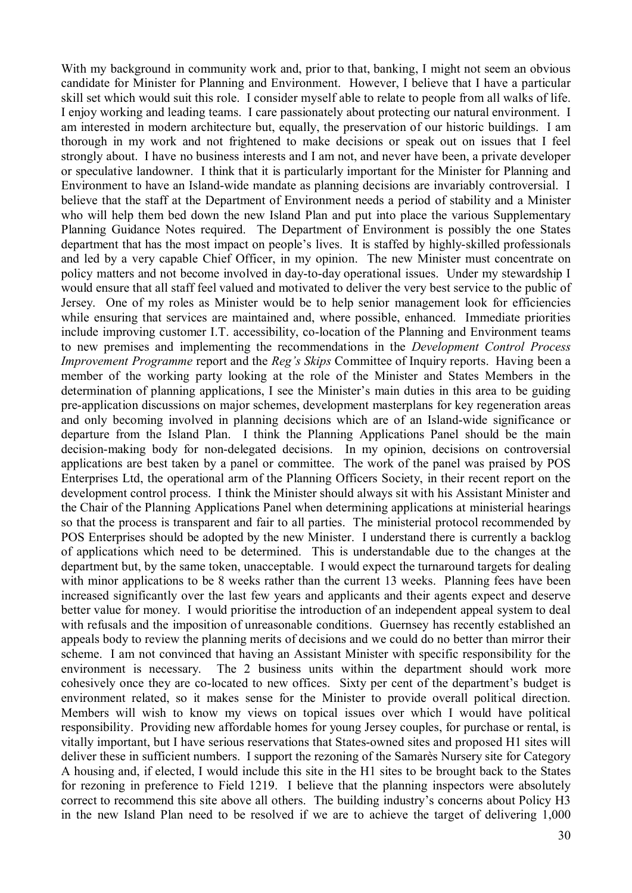With my background in community work and, prior to that, banking, I might not seem an obvious candidate for Minister for Planning and Environment. However, I believe that I have a particular skill set which would suit this role. I consider myself able to relate to people from all walks of life. I enjoy working and leading teams. I care passionately about protecting our natural environment. I am interested in modern architecture but, equally, the preservation of our historic buildings. I am thorough in my work and not frightened to make decisions or speak out on issues that I feel strongly about. I have no business interests and I am not, and never have been, a private developer or speculative landowner. I think that it is particularly important for the Minister for Planning and Environment to have an Island-wide mandate as planning decisions are invariably controversial. I believe that the staff at the Department of Environment needs a period of stability and a Minister who will help them bed down the new Island Plan and put into place the various Supplementary Planning Guidance Notes required. The Department of Environment is possibly the one States department that has the most impact on people's lives. It is staffed by highly-skilled professionals and led by a very capable Chief Officer, in my opinion. The new Minister must concentrate on policy matters and not become involved in day-to-day operational issues. Under my stewardship I would ensure that all staff feel valued and motivated to deliver the very best service to the public of Jersey. One of my roles as Minister would be to help senior management look for efficiencies while ensuring that services are maintained and, where possible, enhanced. Immediate priorities include improving customer I.T. accessibility, co-location of the Planning and Environment teams to new premises and implementing the recommendations in the *Development Control Process Improvement Programme* report and the *Reg's Skips* Committee of Inquiry reports. Having been a member of the working party looking at the role of the Minister and States Members in the determination of planning applications, I see the Minister's main duties in this area to be guiding pre-application discussions on major schemes, development masterplans for key regeneration areas and only becoming involved in planning decisions which are of an Island-wide significance or departure from the Island Plan. I think the Planning Applications Panel should be the main decision-making body for non-delegated decisions. In my opinion, decisions on controversial applications are best taken by a panel or committee. The work of the panel was praised by POS Enterprises Ltd, the operational arm of the Planning Officers Society, in their recent report on the development control process. I think the Minister should always sit with his Assistant Minister and the Chair of the Planning Applications Panel when determining applications at ministerial hearings so that the process is transparent and fair to all parties. The ministerial protocol recommended by POS Enterprises should be adopted by the new Minister. I understand there is currently a backlog of applications which need to be determined. This is understandable due to the changes at the department but, by the same token, unacceptable. I would expect the turnaround targets for dealing with minor applications to be 8 weeks rather than the current 13 weeks. Planning fees have been increased significantly over the last few years and applicants and their agents expect and deserve better value for money. I would prioritise the introduction of an independent appeal system to deal with refusals and the imposition of unreasonable conditions. Guernsey has recently established an appeals body to review the planning merits of decisions and we could do no better than mirror their scheme. I am not convinced that having an Assistant Minister with specific responsibility for the environment is necessary. The 2 business units within the department should work more cohesively once they are co-located to new offices. Sixty per cent of the department's budget is environment related, so it makes sense for the Minister to provide overall political direction. Members will wish to know my views on topical issues over which I would have political responsibility. Providing new affordable homes for young Jersey couples, for purchase or rental, is vitally important, but I have serious reservations that States-owned sites and proposed H1 sites will deliver these in sufficient numbers. I support the rezoning of the Samarès Nursery site for Category A housing and, if elected, I would include this site in the H1 sites to be brought back to the States for rezoning in preference to Field 1219. I believe that the planning inspectors were absolutely correct to recommend this site above all others. The building industry's concerns about Policy H3 in the new Island Plan need to be resolved if we are to achieve the target of delivering 1,000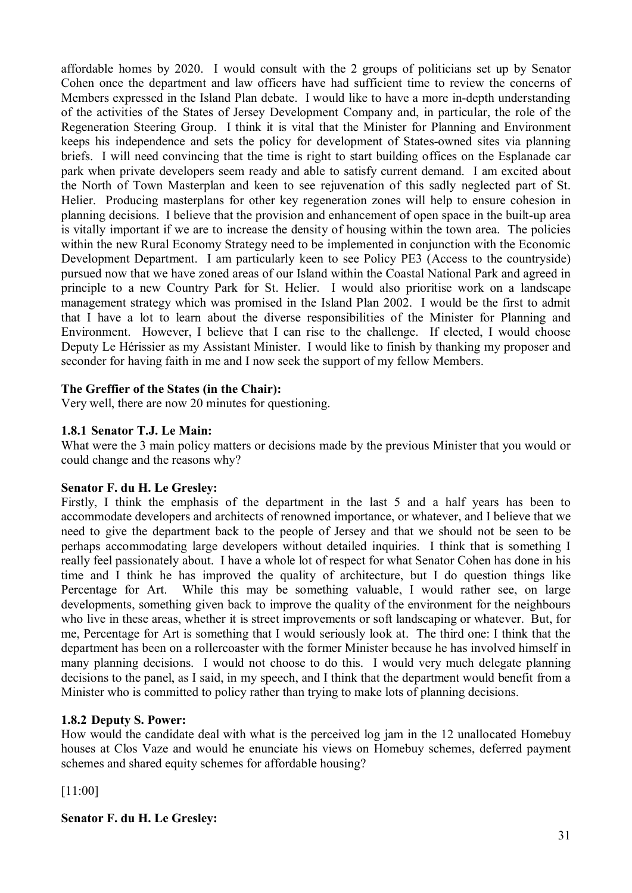affordable homes by 2020. I would consult with the 2 groups of politicians set up by Senator Cohen once the department and law officers have had sufficient time to review the concerns of Members expressed in the Island Plan debate. I would like to have a more in-depth understanding of the activities of the States of Jersey Development Company and, in particular, the role of the Regeneration Steering Group. I think it is vital that the Minister for Planning and Environment keeps his independence and sets the policy for development of States-owned sites via planning briefs. I will need convincing that the time is right to start building offices on the Esplanade car park when private developers seem ready and able to satisfy current demand. I am excited about the North of Town Masterplan and keen to see rejuvenation of this sadly neglected part of St. Helier. Producing masterplans for other key regeneration zones will help to ensure cohesion in planning decisions. I believe that the provision and enhancement of open space in the built-up area is vitally important if we are to increase the density of housing within the town area. The policies within the new Rural Economy Strategy need to be implemented in conjunction with the Economic Development Department. I am particularly keen to see Policy PE3 (Access to the countryside) pursued now that we have zoned areas of our Island within the Coastal National Park and agreed in principle to a new Country Park for St. Helier. I would also prioritise work on a landscape management strategy which was promised in the Island Plan 2002. I would be the first to admit that I have a lot to learn about the diverse responsibilities of the Minister for Planning and Environment. However, I believe that I can rise to the challenge. If elected, I would choose Deputy Le Hérissier as my Assistant Minister. I would like to finish by thanking my proposer and seconder for having faith in me and I now seek the support of my fellow Members.

## **The Greffier of the States (in the Chair):**

Very well, there are now 20 minutes for questioning.

## **1.8.1 Senator T.J. Le Main:**

What were the 3 main policy matters or decisions made by the previous Minister that you would or could change and the reasons why?

#### **Senator F. du H. Le Gresley:**

Firstly, I think the emphasis of the department in the last 5 and a half years has been to accommodate developers and architects of renowned importance, or whatever, and I believe that we need to give the department back to the people of Jersey and that we should not be seen to be perhaps accommodating large developers without detailed inquiries. I think that is something I really feel passionately about. I have a whole lot of respect for what Senator Cohen has done in his time and I think he has improved the quality of architecture, but I do question things like Percentage for Art. While this may be something valuable, I would rather see, on large developments, something given back to improve the quality of the environment for the neighbours who live in these areas, whether it is street improvements or soft landscaping or whatever. But, for me, Percentage for Art is something that I would seriously look at. The third one: I think that the department has been on a rollercoaster with the former Minister because he has involved himself in many planning decisions. I would not choose to do this. I would very much delegate planning decisions to the panel, as I said, in my speech, and I think that the department would benefit from a Minister who is committed to policy rather than trying to make lots of planning decisions.

## **1.8.2 Deputy S. Power:**

How would the candidate deal with what is the perceived log jam in the 12 unallocated Homebuy houses at Clos Vaze and would he enunciate his views on Homebuy schemes, deferred payment schemes and shared equity schemes for affordable housing?

[11:00]

**Senator F. du H. Le Gresley:**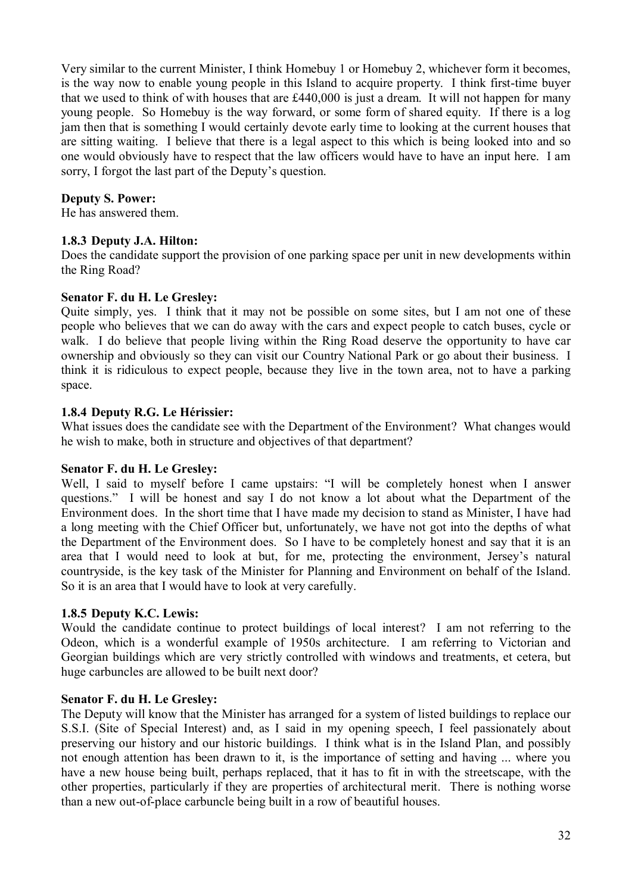Very similar to the current Minister, I think Homebuy 1 or Homebuy 2, whichever form it becomes, is the way now to enable young people in this Island to acquire property. I think first-time buyer that we used to think of with houses that are £440,000 is just a dream. It will not happen for many young people. So Homebuy is the way forward, or some form of shared equity. If there is a log jam then that is something I would certainly devote early time to looking at the current houses that are sitting waiting. I believe that there is a legal aspect to this which is being looked into and so one would obviously have to respect that the law officers would have to have an input here. I am sorry, I forgot the last part of the Deputy's question.

#### **Deputy S. Power:**

He has answered them.

#### **1.8.3 Deputy J.A. Hilton:**

Does the candidate support the provision of one parking space per unit in new developments within the Ring Road?

#### **Senator F. du H. Le Gresley:**

Quite simply, yes. I think that it may not be possible on some sites, but I am not one of these people who believes that we can do away with the cars and expect people to catch buses, cycle or walk. I do believe that people living within the Ring Road deserve the opportunity to have car ownership and obviously so they can visit our Country National Park or go about their business. I think it is ridiculous to expect people, because they live in the town area, not to have a parking space.

#### **1.8.4 Deputy R.G. Le Hérissier:**

What issues does the candidate see with the Department of the Environment? What changes would he wish to make, both in structure and objectives of that department?

## **Senator F. du H. Le Gresley:**

Well, I said to myself before I came upstairs: "I will be completely honest when I answer questions." I will be honest and say I do not know a lot about what the Department of the Environment does. In the short time that I have made my decision to stand as Minister, I have had a long meeting with the Chief Officer but, unfortunately, we have not got into the depths of what the Department of the Environment does. So I have to be completely honest and say that it is an area that I would need to look at but, for me, protecting the environment, Jersey's natural countryside, is the key task of the Minister for Planning and Environment on behalf of the Island. So it is an area that I would have to look at very carefully.

## **1.8.5 Deputy K.C. Lewis:**

Would the candidate continue to protect buildings of local interest? I am not referring to the Odeon, which is a wonderful example of 1950s architecture. I am referring to Victorian and Georgian buildings which are very strictly controlled with windows and treatments, et cetera, but huge carbuncles are allowed to be built next door?

#### **Senator F. du H. Le Gresley:**

The Deputy will know that the Minister has arranged for a system of listed buildings to replace our S.S.I. (Site of Special Interest) and, as I said in my opening speech, I feel passionately about preserving our history and our historic buildings. I think what is in the Island Plan, and possibly not enough attention has been drawn to it, is the importance of setting and having ... where you have a new house being built, perhaps replaced, that it has to fit in with the streetscape, with the other properties, particularly if they are properties of architectural merit. There is nothing worse than a new out-of-place carbuncle being built in a row of beautiful houses.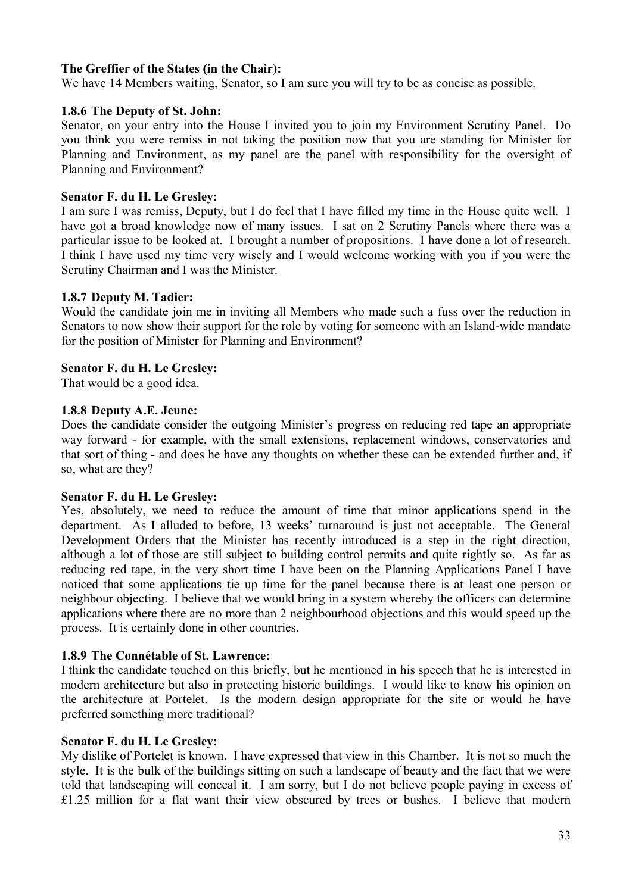#### **The Greffier of the States (in the Chair):**

We have 14 Members waiting, Senator, so I am sure you will try to be as concise as possible.

#### **1.8.6 The Deputy of St. John:**

Senator, on your entry into the House I invited you to join my Environment Scrutiny Panel. Do you think you were remiss in not taking the position now that you are standing for Minister for Planning and Environment, as my panel are the panel with responsibility for the oversight of Planning and Environment?

#### **Senator F. du H. Le Gresley:**

I am sure I was remiss, Deputy, but I do feel that I have filled my time in the House quite well. I have got a broad knowledge now of many issues. I sat on 2 Scrutiny Panels where there was a particular issue to be looked at. I brought a number of propositions. I have done a lot of research. I think I have used my time very wisely and I would welcome working with you if you were the Scrutiny Chairman and I was the Minister.

#### **1.8.7 Deputy M. Tadier:**

Would the candidate join me in inviting all Members who made such a fuss over the reduction in Senators to now show their support for the role by voting for someone with an Island-wide mandate for the position of Minister for Planning and Environment?

#### **Senator F. du H. Le Gresley:**

That would be a good idea.

#### **1.8.8 Deputy A.E. Jeune:**

Does the candidate consider the outgoing Minister's progress on reducing red tape an appropriate way forward - for example, with the small extensions, replacement windows, conservatories and that sort of thing - and does he have any thoughts on whether these can be extended further and, if so, what are they?

#### **Senator F. du H. Le Gresley:**

Yes, absolutely, we need to reduce the amount of time that minor applications spend in the department. As I alluded to before, 13 weeks' turnaround is just not acceptable. The General Development Orders that the Minister has recently introduced is a step in the right direction. although a lot of those are still subject to building control permits and quite rightly so. As far as reducing red tape, in the very short time I have been on the Planning Applications Panel I have noticed that some applications tie up time for the panel because there is at least one person or neighbour objecting. I believe that we would bring in a system whereby the officers can determine applications where there are no more than 2 neighbourhood objections and this would speed up the process. It is certainly done in other countries.

#### **1.8.9 The Connétable of St. Lawrence:**

I think the candidate touched on this briefly, but he mentioned in his speech that he is interested in modern architecture but also in protecting historic buildings. I would like to know his opinion on the architecture at Portelet. Is the modern design appropriate for the site or would he have preferred something more traditional?

#### **Senator F. du H. Le Gresley:**

My dislike of Portelet is known. I have expressed that view in this Chamber. It is not so much the style. It is the bulk of the buildings sitting on such a landscape of beauty and the fact that we were told that landscaping will conceal it. I am sorry, but I do not believe people paying in excess of £1.25 million for a flat want their view obscured by trees or bushes. I believe that modern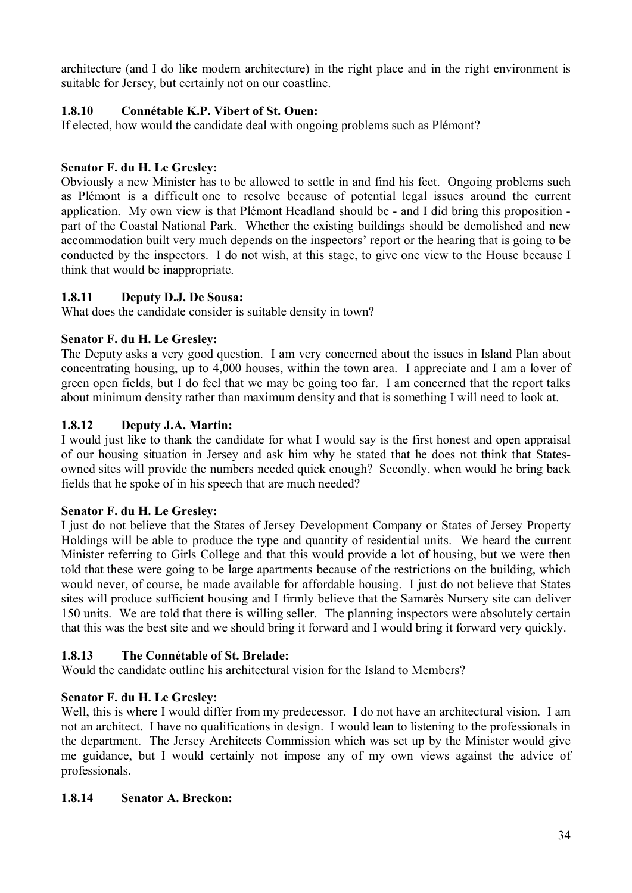architecture (and I do like modern architecture) in the right place and in the right environment is suitable for Jersey, but certainly not on our coastline.

## **1.8.10 Connétable K.P. Vibert of St. Ouen:**

If elected, how would the candidate deal with ongoing problems such as Plémont?

## **Senator F. du H. Le Gresley:**

Obviously a new Minister has to be allowed to settle in and find his feet. Ongoing problems such as Plémont is a difficult one to resolve because of potential legal issues around the current application. My own view is that Plémont Headland should be - and I did bring this proposition part of the Coastal National Park. Whether the existing buildings should be demolished and new accommodation built very much depends on the inspectors' report or the hearing that is going to be conducted by the inspectors. I do not wish, at this stage, to give one view to the House because I think that would be inappropriate.

## **1.8.11 Deputy D.J. De Sousa:**

What does the candidate consider is suitable density in town?

## **Senator F. du H. Le Gresley:**

The Deputy asks a very good question. I am very concerned about the issues in Island Plan about concentrating housing, up to 4,000 houses, within the town area. I appreciate and I am a lover of green open fields, but I do feel that we may be going too far. I am concerned that the report talks about minimum density rather than maximum density and that is something I will need to look at.

## **1.8.12 Deputy J.A. Martin:**

I would just like to thank the candidate for what I would say is the first honest and open appraisal of our housing situation in Jersey and ask him why he stated that he does not think that Statesowned sites will provide the numbers needed quick enough? Secondly, when would he bring back fields that he spoke of in his speech that are much needed?

## **Senator F. du H. Le Gresley:**

I just do not believe that the States of Jersey Development Company or States of Jersey Property Holdings will be able to produce the type and quantity of residential units. We heard the current Minister referring to Girls College and that this would provide a lot of housing, but we were then told that these were going to be large apartments because of the restrictions on the building, which would never, of course, be made available for affordable housing. I just do not believe that States sites will produce sufficient housing and I firmly believe that the Samarès Nursery site can deliver 150 units. We are told that there is willing seller. The planning inspectors were absolutely certain that this was the best site and we should bring it forward and I would bring it forward very quickly.

## **1.8.13 The Connétable of St. Brelade:**

Would the candidate outline his architectural vision for the Island to Members?

# **Senator F. du H. Le Gresley:**

Well, this is where I would differ from my predecessor. I do not have an architectural vision. I am not an architect. I have no qualifications in design. I would lean to listening to the professionals in the department. The Jersey Architects Commission which was set up by the Minister would give me guidance, but I would certainly not impose any of my own views against the advice of professionals.

## **1.8.14 Senator A. Breckon:**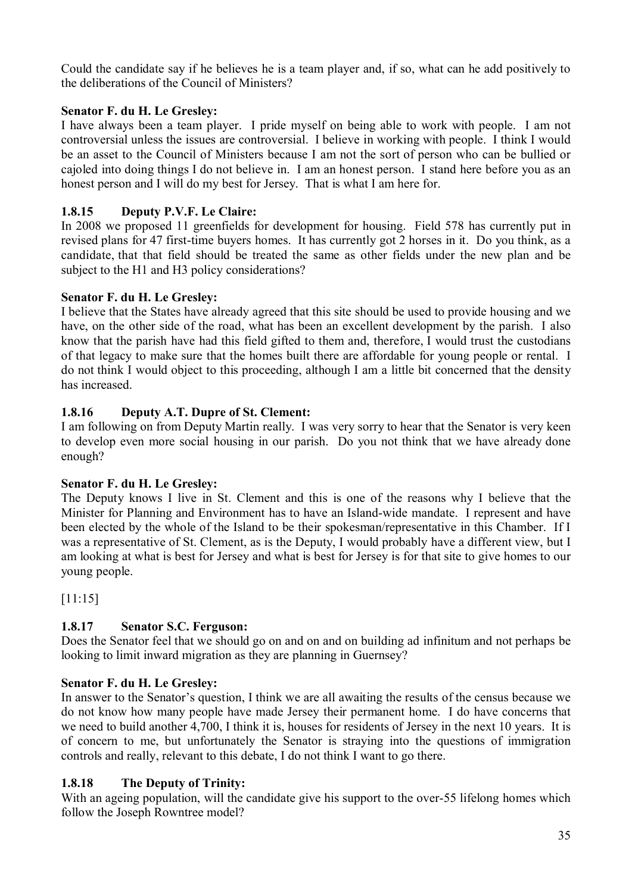Could the candidate say if he believes he is a team player and, if so, what can he add positively to the deliberations of the Council of Ministers?

# **Senator F. du H. Le Gresley:**

I have always been a team player. I pride myself on being able to work with people. I am not controversial unless the issues are controversial. I believe in working with people. I think I would be an asset to the Council of Ministers because I am not the sort of person who can be bullied or cajoled into doing things I do not believe in. I am an honest person. I stand here before you as an honest person and I will do my best for Jersey. That is what I am here for.

# **1.8.15 Deputy P.V.F. Le Claire:**

In 2008 we proposed 11 greenfields for development for housing. Field 578 has currently put in revised plans for 47 first-time buyers homes. It has currently got 2 horses in it. Do you think, as a candidate, that that field should be treated the same as other fields under the new plan and be subject to the H1 and H3 policy considerations?

## **Senator F. du H. Le Gresley:**

I believe that the States have already agreed that this site should be used to provide housing and we have, on the other side of the road, what has been an excellent development by the parish. I also know that the parish have had this field gifted to them and, therefore, I would trust the custodians of that legacy to make sure that the homes built there are affordable for young people or rental. I do not think I would object to this proceeding, although I am a little bit concerned that the density has increased.

## **1.8.16 Deputy A.T. Dupre of St. Clement:**

I am following on from Deputy Martin really. I was very sorry to hear that the Senator is very keen to develop even more social housing in our parish. Do you not think that we have already done enough?

## **Senator F. du H. Le Gresley:**

The Deputy knows I live in St. Clement and this is one of the reasons why I believe that the Minister for Planning and Environment has to have an Island-wide mandate. I represent and have been elected by the whole of the Island to be their spokesman/representative in this Chamber. If I was a representative of St. Clement, as is the Deputy, I would probably have a different view, but I am looking at what is best for Jersey and what is best for Jersey is for that site to give homes to our young people.

[11:15]

# **1.8.17 Senator S.C. Ferguson:**

Does the Senator feel that we should go on and on and on building ad infinitum and not perhaps be looking to limit inward migration as they are planning in Guernsey?

## **Senator F. du H. Le Gresley:**

In answer to the Senator's question, I think we are all awaiting the results of the census because we do not know how many people have made Jersey their permanent home. I do have concerns that we need to build another 4,700, I think it is, houses for residents of Jersey in the next 10 years. It is of concern to me, but unfortunately the Senator is straying into the questions of immigration controls and really, relevant to this debate, I do not think I want to go there.

## **1.8.18 The Deputy of Trinity:**

With an ageing population, will the candidate give his support to the over-55 lifelong homes which follow the Joseph Rowntree model?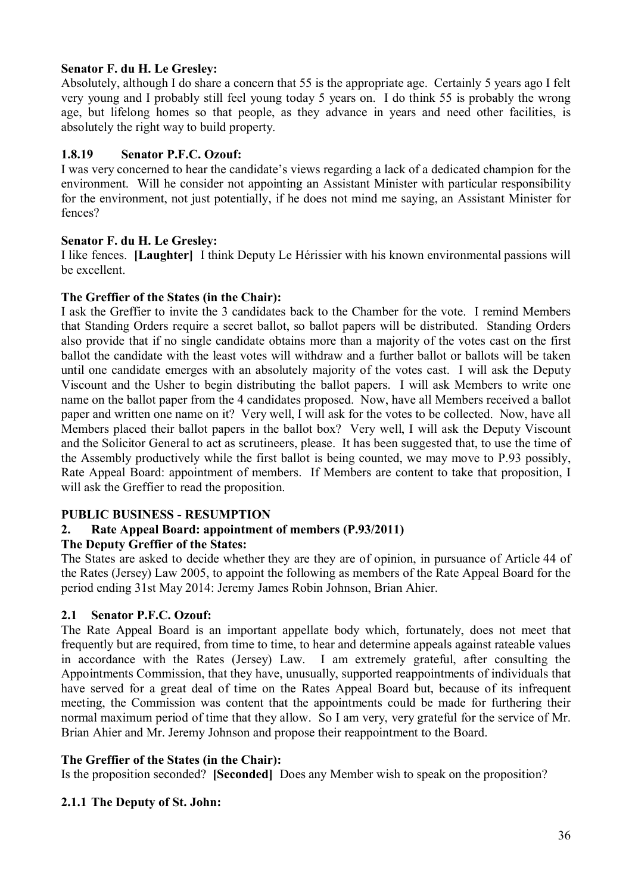## **Senator F. du H. Le Gresley:**

Absolutely, although I do share a concern that 55 is the appropriate age. Certainly 5 years ago I felt very young and I probably still feel young today 5 years on. I do think 55 is probably the wrong age, but lifelong homes so that people, as they advance in years and need other facilities, is absolutely the right way to build property.

## **1.8.19 Senator P.F.C. Ozouf:**

I was very concerned to hear the candidate's views regarding a lack of a dedicated champion for the environment. Will he consider not appointing an Assistant Minister with particular responsibility for the environment, not just potentially, if he does not mind me saying, an Assistant Minister for fences?

## **Senator F. du H. Le Gresley:**

I like fences. **[Laughter]** I think Deputy Le Hérissier with his known environmental passions will be excellent.

## **The Greffier of the States (in the Chair):**

I ask the Greffier to invite the 3 candidates back to the Chamber for the vote. I remind Members that Standing Orders require a secret ballot, so ballot papers will be distributed. Standing Orders also provide that if no single candidate obtains more than a majority of the votes cast on the first ballot the candidate with the least votes will withdraw and a further ballot or ballots will be taken until one candidate emerges with an absolutely majority of the votes cast. I will ask the Deputy Viscount and the Usher to begin distributing the ballot papers. I will ask Members to write one name on the ballot paper from the 4 candidates proposed. Now, have all Members received a ballot paper and written one name on it? Very well, I will ask for the votes to be collected. Now, have all Members placed their ballot papers in the ballot box? Very well, I will ask the Deputy Viscount and the Solicitor General to act as scrutineers, please. It has been suggested that, to use the time of the Assembly productively while the first ballot is being counted, we may move to P.93 possibly, Rate Appeal Board: appointment of members. If Members are content to take that proposition, I will ask the Greffier to read the proposition.

# **PUBLIC BUSINESS - RESUMPTION**

# **2. Rate Appeal Board: appointment of members (P.93/2011)**

# **The Deputy Greffier of the States:**

The States are asked to decide whether they are they are of opinion, in pursuance of Article 44 of the Rates (Jersey) Law 2005, to appoint the following as members of the Rate Appeal Board for the period ending 31st May 2014: Jeremy James Robin Johnson, Brian Ahier.

## **2.1 Senator P.F.C. Ozouf:**

The Rate Appeal Board is an important appellate body which, fortunately, does not meet that frequently but are required, from time to time, to hear and determine appeals against rateable values in accordance with the Rates (Jersey) Law. I am extremely grateful, after consulting the Appointments Commission, that they have, unusually, supported reappointments of individuals that have served for a great deal of time on the Rates Appeal Board but, because of its infrequent meeting, the Commission was content that the appointments could be made for furthering their normal maximum period of time that they allow. So I am very, very grateful for the service of Mr. Brian Ahier and Mr. Jeremy Johnson and propose their reappointment to the Board.

## **The Greffier of the States (in the Chair):**

Is the proposition seconded? **[Seconded]** Does any Member wish to speak on the proposition?

# **2.1.1 The Deputy of St. John:**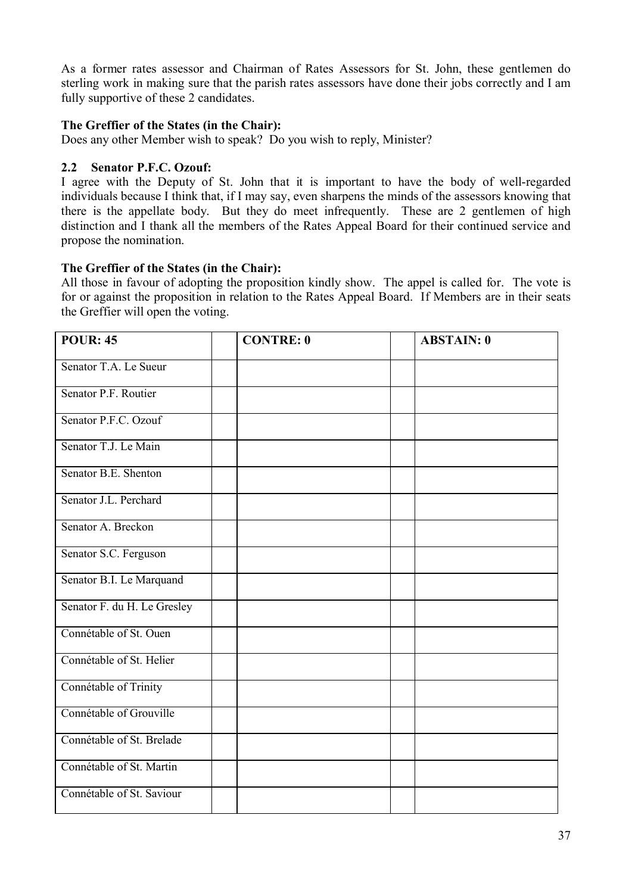As a former rates assessor and Chairman of Rates Assessors for St. John, these gentlemen do sterling work in making sure that the parish rates assessors have done their jobs correctly and I am fully supportive of these 2 candidates.

# **The Greffier of the States (in the Chair):**

Does any other Member wish to speak? Do you wish to reply, Minister?

## **2.2 Senator P.F.C. Ozouf:**

I agree with the Deputy of St. John that it is important to have the body of well-regarded individuals because I think that, if I may say, even sharpens the minds of the assessors knowing that there is the appellate body. But they do meet infrequently. These are 2 gentlemen of high distinction and I thank all the members of the Rates Appeal Board for their continued service and propose the nomination.

# **The Greffier of the States (in the Chair):**

All those in favour of adopting the proposition kindly show. The appel is called for. The vote is for or against the proposition in relation to the Rates Appeal Board. If Members are in their seats the Greffier will open the voting.

| <b>POUR: 45</b>             | <b>CONTRE: 0</b> | <b>ABSTAIN: 0</b> |
|-----------------------------|------------------|-------------------|
| Senator T.A. Le Sueur       |                  |                   |
| Senator P.F. Routier        |                  |                   |
| Senator P.F.C. Ozouf        |                  |                   |
| Senator T.J. Le Main        |                  |                   |
| Senator B.E. Shenton        |                  |                   |
| Senator J.L. Perchard       |                  |                   |
| Senator A. Breckon          |                  |                   |
| Senator S.C. Ferguson       |                  |                   |
| Senator B.I. Le Marquand    |                  |                   |
| Senator F. du H. Le Gresley |                  |                   |
| Connétable of St. Ouen      |                  |                   |
| Connétable of St. Helier    |                  |                   |
| Connétable of Trinity       |                  |                   |
| Connétable of Grouville     |                  |                   |
| Connétable of St. Brelade   |                  |                   |
| Connétable of St. Martin    |                  |                   |
| Connétable of St. Saviour   |                  |                   |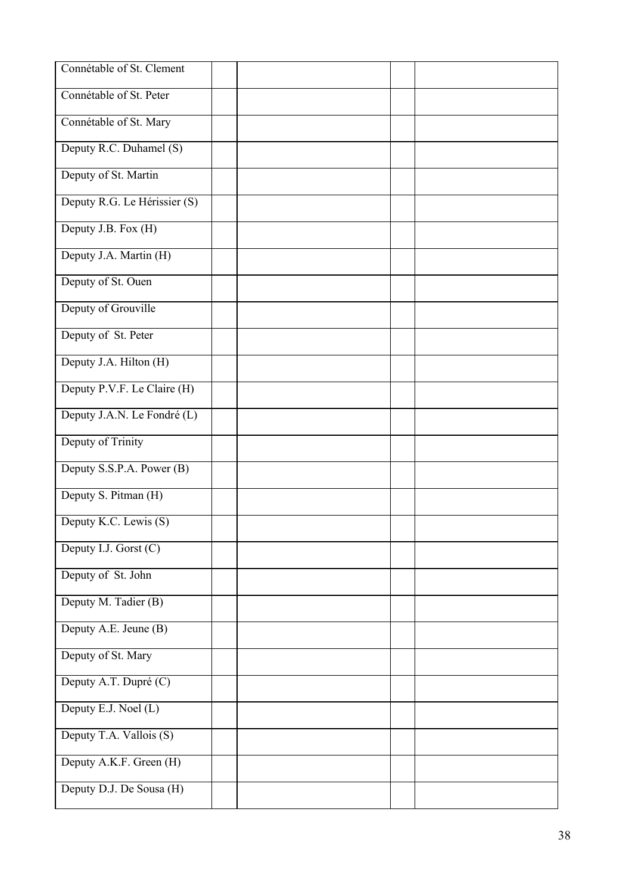| Connétable of St. Clement    |  |  |  |
|------------------------------|--|--|--|
| Connétable of St. Peter      |  |  |  |
| Connétable of St. Mary       |  |  |  |
| Deputy R.C. Duhamel (S)      |  |  |  |
| Deputy of St. Martin         |  |  |  |
| Deputy R.G. Le Hérissier (S) |  |  |  |
| Deputy J.B. Fox (H)          |  |  |  |
| Deputy J.A. Martin (H)       |  |  |  |
| Deputy of St. Ouen           |  |  |  |
| Deputy of Grouville          |  |  |  |
| Deputy of St. Peter          |  |  |  |
| Deputy J.A. Hilton (H)       |  |  |  |
| Deputy P.V.F. Le Claire (H)  |  |  |  |
| Deputy J.A.N. Le Fondré (L)  |  |  |  |
| Deputy of Trinity            |  |  |  |
| Deputy S.S.P.A. Power (B)    |  |  |  |
| Deputy S. Pitman (H)         |  |  |  |
| Deputy K.C. Lewis (S)        |  |  |  |
| Deputy I.J. Gorst (C)        |  |  |  |
| Deputy of St. John           |  |  |  |
| Deputy M. Tadier (B)         |  |  |  |
| Deputy A.E. Jeune (B)        |  |  |  |
| Deputy of St. Mary           |  |  |  |
| Deputy A.T. Dupré (C)        |  |  |  |
| Deputy E.J. Noel (L)         |  |  |  |
| Deputy T.A. Vallois (S)      |  |  |  |
| Deputy A.K.F. Green (H)      |  |  |  |
| Deputy D.J. De Sousa (H)     |  |  |  |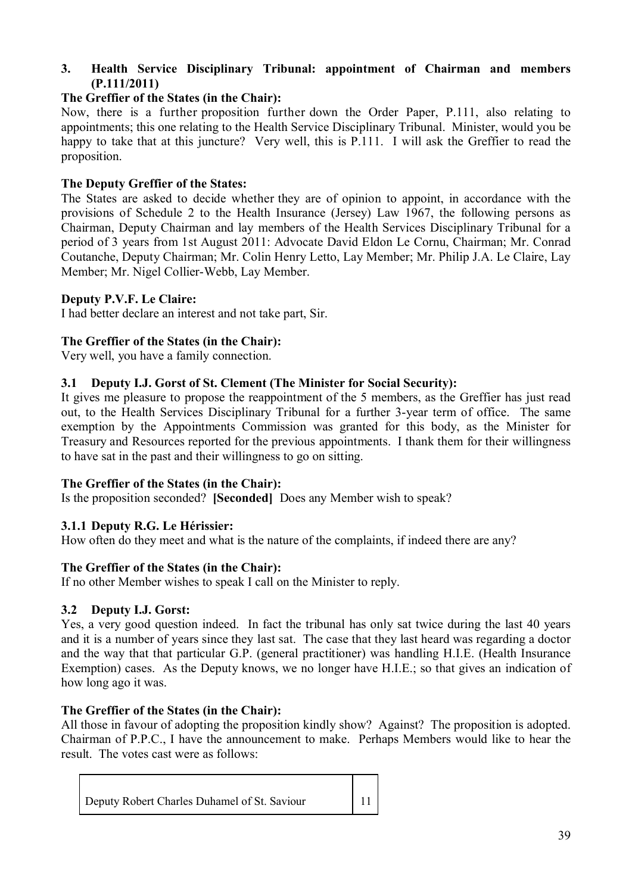# **3. Health Service Disciplinary Tribunal: appointment of Chairman and members (P.111/2011)**

# **The Greffier of the States (in the Chair):**

Now, there is a further proposition further down the Order Paper, P.111, also relating to appointments; this one relating to the Health Service Disciplinary Tribunal. Minister, would you be happy to take that at this juncture? Very well, this is P.111. I will ask the Greffier to read the proposition.

# **The Deputy Greffier of the States:**

The States are asked to decide whether they are of opinion to appoint, in accordance with the provisions of Schedule 2 to the Health Insurance (Jersey) Law 1967, the following persons as Chairman, Deputy Chairman and lay members of the Health Services Disciplinary Tribunal for a period of 3 years from 1st August 2011: Advocate David Eldon Le Cornu, Chairman; Mr. Conrad Coutanche, Deputy Chairman; Mr. Colin Henry Letto, Lay Member; Mr. Philip J.A. Le Claire, Lay Member; Mr. Nigel Collier-Webb, Lay Member.

# **Deputy P.V.F. Le Claire:**

I had better declare an interest and not take part, Sir.

# **The Greffier of the States (in the Chair):**

Very well, you have a family connection.

# **3.1 Deputy I.J. Gorst of St. Clement (The Minister for Social Security):**

It gives me pleasure to propose the reappointment of the 5 members, as the Greffier has just read out, to the Health Services Disciplinary Tribunal for a further 3-year term of office. The same exemption by the Appointments Commission was granted for this body, as the Minister for Treasury and Resources reported for the previous appointments. I thank them for their willingness to have sat in the past and their willingness to go on sitting.

# **The Greffier of the States (in the Chair):**

Is the proposition seconded? **[Seconded]** Does any Member wish to speak?

# **3.1.1 Deputy R.G. Le Hérissier:**

How often do they meet and what is the nature of the complaints, if indeed there are any?

# **The Greffier of the States (in the Chair):**

If no other Member wishes to speak I call on the Minister to reply.

# **3.2 Deputy I.J. Gorst:**

Yes, a very good question indeed. In fact the tribunal has only sat twice during the last 40 years and it is a number of years since they last sat. The case that they last heard was regarding a doctor and the way that that particular G.P. (general practitioner) was handling H.I.E. (Health Insurance Exemption) cases. As the Deputy knows, we no longer have H.I.E.; so that gives an indication of how long ago it was.

# **The Greffier of the States (in the Chair):**

All those in favour of adopting the proposition kindly show? Against? The proposition is adopted. Chairman of P.P.C., I have the announcement to make. Perhaps Members would like to hear the result. The votes cast were as follows:

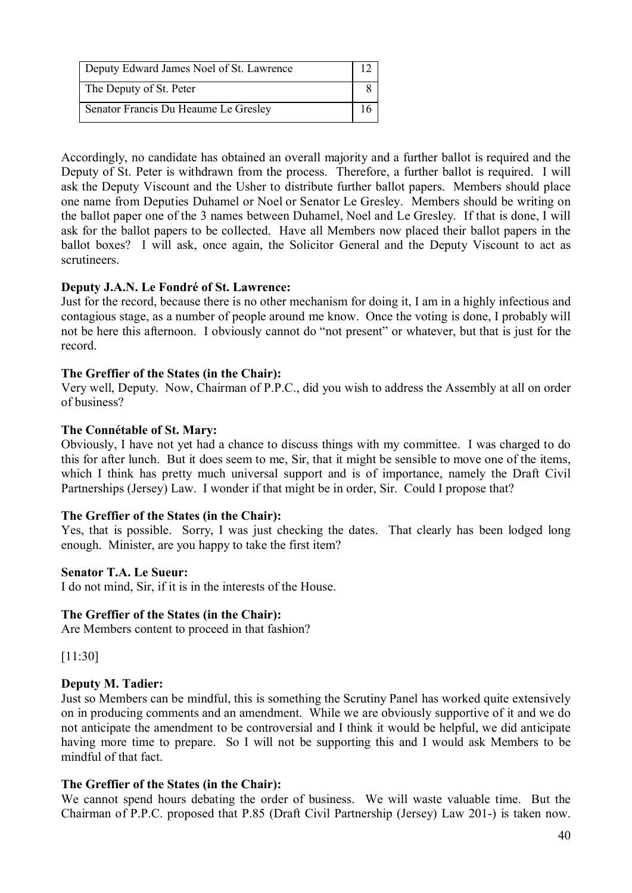| Deputy Edward James Noel of St. Lawrence |  |
|------------------------------------------|--|
| The Deputy of St. Peter                  |  |
| Senator Francis Du Heaume Le Gresley     |  |

Accordingly, no candidate has obtained an overall majority and a further ballot is required and the Deputy of St. Peter is withdrawn from the process. Therefore, a further ballot is required. I will ask the Deputy Viscount and the Usher to distribute further ballot papers. Members should place one name from Deputies Duhamel or Noel or Senator Le Gresley. Members should be writing on the ballot paper one of the 3 names between Duhamel, Noel and Le Gresley. If that is done, I will ask for the ballot papers to be collected. Have all Members now placed their ballot papers in the ballot boxes? I will ask, once again, the Solicitor General and the Deputy Viscount to act as scrutineers.

# **Deputy J.A.N. Le Fondré of St. Lawrence:**

Just for the record, because there is no other mechanism for doing it, I am in a highly infectious and contagious stage, as a number of people around me know. Once the voting is done, I probably will not be here this afternoon. I obviously cannot do "not present" or whatever, but that is just for the record.

## **The Greffier of the States (in the Chair):**

Very well, Deputy. Now, Chairman of P.P.C., did you wish to address the Assembly at all on order of business?

## **The Connétable of St. Mary:**

Obviously, I have not yet had a chance to discuss things with my committee. I was charged to do this for after lunch. But it does seem to me, Sir, that it might be sensible to move one of the items, which I think has pretty much universal support and is of importance, namely the Draft Civil Partnerships (Jersey) Law. I wonder if that might be in order, Sir. Could I propose that?

# **The Greffier of the States (in the Chair):**

Yes, that is possible. Sorry, I was just checking the dates. That clearly has been lodged long enough. Minister, are you happy to take the first item?

### **Senator T.A. Le Sueur:**

I do not mind, Sir, if it is in the interests of the House.

### **The Greffier of the States (in the Chair):**

Are Members content to proceed in that fashion?

[11:30]

# **Deputy M. Tadier:**

Just so Members can be mindful, this is something the Scrutiny Panel has worked quite extensively on in producing comments and an amendment. While we are obviously supportive of it and we do not anticipate the amendment to be controversial and I think it would be helpful, we did anticipate having more time to prepare. So I will not be supporting this and I would ask Members to be mindful of that fact.

# **The Greffier of the States (in the Chair):**

We cannot spend hours debating the order of business. We will waste valuable time. But the Chairman of P.P.C. proposed that P.85 (Draft Civil Partnership (Jersey) Law 201-) is taken now.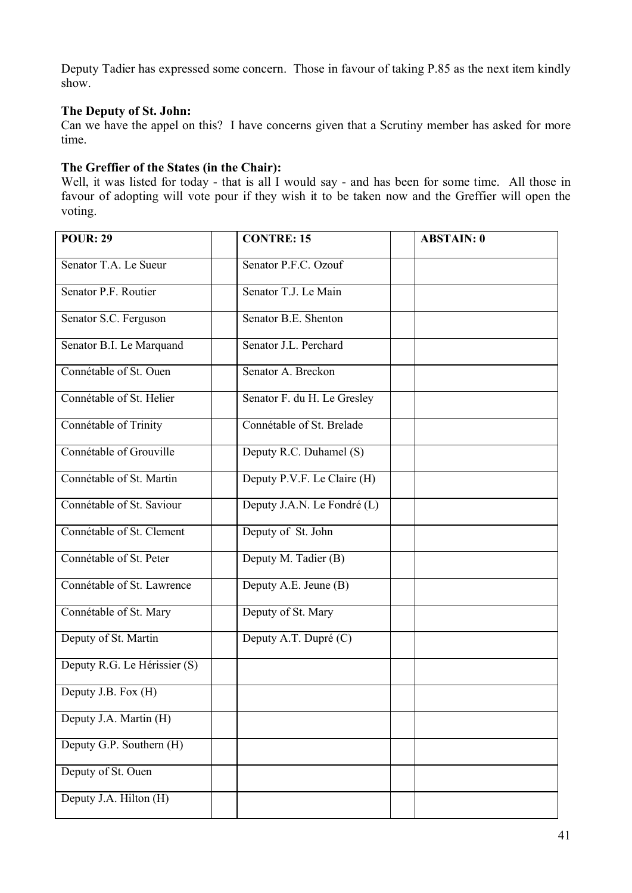Deputy Tadier has expressed some concern. Those in favour of taking P.85 as the next item kindly show.

## **The Deputy of St. John:**

Can we have the appel on this? I have concerns given that a Scrutiny member has asked for more time.

## **The Greffier of the States (in the Chair):**

Well, it was listed for today - that is all I would say - and has been for some time. All those in favour of adopting will vote pour if they wish it to be taken now and the Greffier will open the voting.

| <b>POUR: 29</b>              | <b>CONTRE: 15</b>           | <b>ABSTAIN: 0</b> |
|------------------------------|-----------------------------|-------------------|
| Senator T.A. Le Sueur        | Senator P.F.C. Ozouf        |                   |
| Senator P.F. Routier         | Senator T.J. Le Main        |                   |
| Senator S.C. Ferguson        | Senator B.E. Shenton        |                   |
| Senator B.I. Le Marquand     | Senator J.L. Perchard       |                   |
| Connétable of St. Ouen       | Senator A. Breckon          |                   |
| Connétable of St. Helier     | Senator F. du H. Le Gresley |                   |
| Connétable of Trinity        | Connétable of St. Brelade   |                   |
| Connétable of Grouville      | Deputy R.C. Duhamel (S)     |                   |
| Connétable of St. Martin     | Deputy P.V.F. Le Claire (H) |                   |
| Connétable of St. Saviour    | Deputy J.A.N. Le Fondré (L) |                   |
| Connétable of St. Clement    | Deputy of St. John          |                   |
| Connétable of St. Peter      | Deputy M. Tadier (B)        |                   |
| Connétable of St. Lawrence   | Deputy A.E. Jeune (B)       |                   |
| Connétable of St. Mary       | Deputy of St. Mary          |                   |
| Deputy of St. Martin         | Deputy A.T. Dupré (C)       |                   |
| Deputy R.G. Le Hérissier (S) |                             |                   |
| Deputy J.B. Fox (H)          |                             |                   |
| Deputy J.A. Martin (H)       |                             |                   |
| Deputy G.P. Southern (H)     |                             |                   |
| Deputy of St. Ouen           |                             |                   |
| Deputy J.A. Hilton (H)       |                             |                   |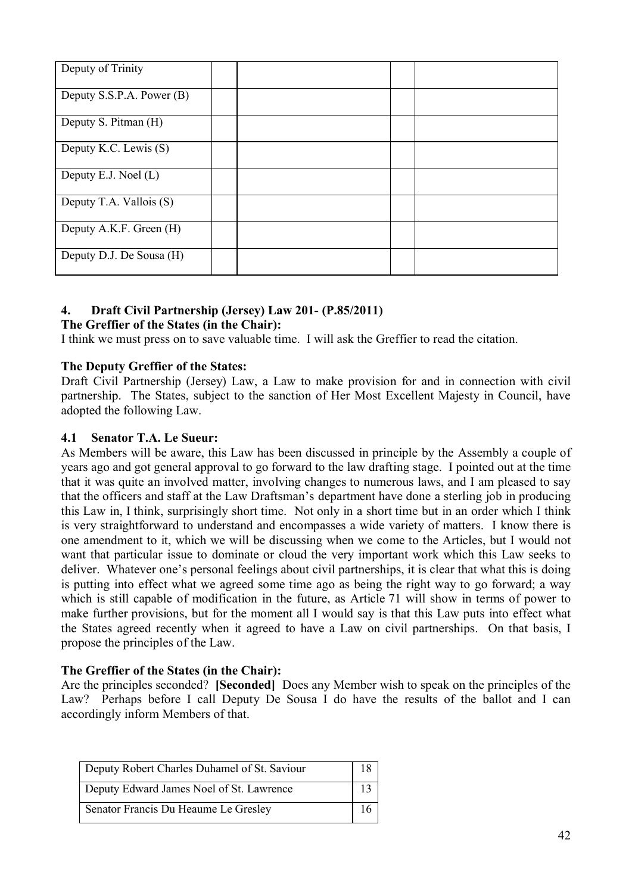| Deputy of Trinity         |  |  |
|---------------------------|--|--|
| Deputy S.S.P.A. Power (B) |  |  |
| Deputy S. Pitman (H)      |  |  |
| Deputy K.C. Lewis (S)     |  |  |
| Deputy E.J. Noel (L)      |  |  |
| Deputy T.A. Vallois (S)   |  |  |
| Deputy A.K.F. Green (H)   |  |  |
| Deputy D.J. De Sousa (H)  |  |  |

# **4. Draft Civil Partnership (Jersey) Law 201- (P.85/2011)**

# **The Greffier of the States (in the Chair):**

I think we must press on to save valuable time. I will ask the Greffier to read the citation.

# **The Deputy Greffier of the States:**

Draft Civil Partnership (Jersey) Law, a Law to make provision for and in connection with civil partnership. The States, subject to the sanction of Her Most Excellent Majesty in Council, have adopted the following Law.

## **4.1 Senator T.A. Le Sueur:**

As Members will be aware, this Law has been discussed in principle by the Assembly a couple of years ago and got general approval to go forward to the law drafting stage. I pointed out at the time that it was quite an involved matter, involving changes to numerous laws, and I am pleased to say that the officers and staff at the Law Draftsman's department have done a sterling job in producing this Law in, I think, surprisingly short time. Not only in a short time but in an order which I think is very straightforward to understand and encompasses a wide variety of matters. I know there is one amendment to it, which we will be discussing when we come to the Articles, but I would not want that particular issue to dominate or cloud the very important work which this Law seeks to deliver. Whatever one's personal feelings about civil partnerships, it is clear that what this is doing is putting into effect what we agreed some time ago as being the right way to go forward; a way which is still capable of modification in the future, as Article 71 will show in terms of power to make further provisions, but for the moment all I would say is that this Law puts into effect what the States agreed recently when it agreed to have a Law on civil partnerships. On that basis, I propose the principles of the Law.

# **The Greffier of the States (in the Chair):**

Are the principles seconded? **[Seconded]** Does any Member wish to speak on the principles of the Law? Perhaps before I call Deputy De Sousa I do have the results of the ballot and I can accordingly inform Members of that.

| Deputy Robert Charles Duhamel of St. Saviour | 18 |
|----------------------------------------------|----|
| Deputy Edward James Noel of St. Lawrence     | 13 |
| Senator Francis Du Heaume Le Gresley         |    |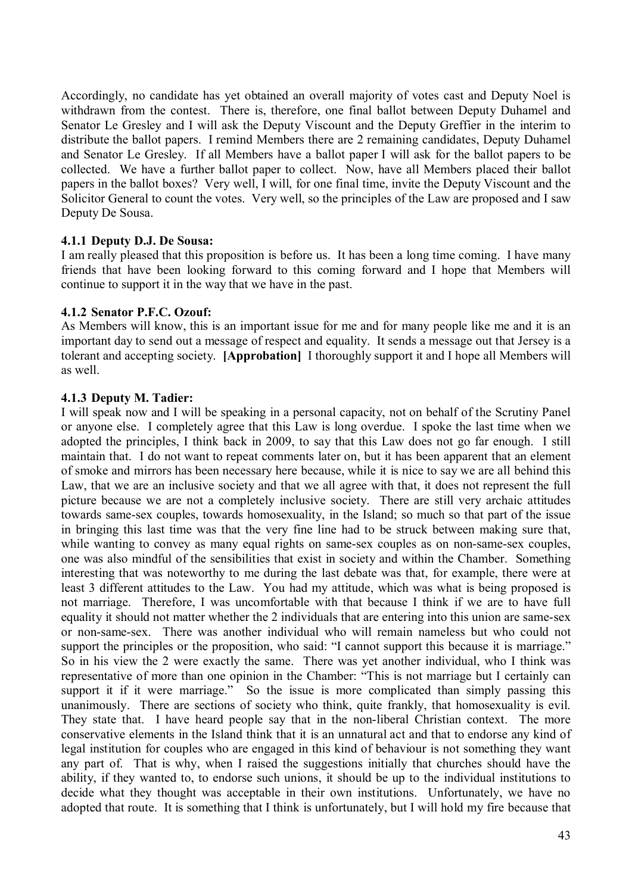Accordingly, no candidate has yet obtained an overall majority of votes cast and Deputy Noel is withdrawn from the contest. There is, therefore, one final ballot between Deputy Duhamel and Senator Le Gresley and I will ask the Deputy Viscount and the Deputy Greffier in the interim to distribute the ballot papers. I remind Members there are 2 remaining candidates, Deputy Duhamel and Senator Le Gresley. If all Members have a ballot paper I will ask for the ballot papers to be collected. We have a further ballot paper to collect. Now, have all Members placed their ballot papers in the ballot boxes? Very well, I will, for one final time, invite the Deputy Viscount and the Solicitor General to count the votes. Very well, so the principles of the Law are proposed and I saw Deputy De Sousa.

## **4.1.1 Deputy D.J. De Sousa:**

I am really pleased that this proposition is before us. It has been a long time coming. I have many friends that have been looking forward to this coming forward and I hope that Members will continue to support it in the way that we have in the past.

## **4.1.2 Senator P.F.C. Ozouf:**

As Members will know, this is an important issue for me and for many people like me and it is an important day to send out a message of respect and equality. It sends a message out that Jersey is a tolerant and accepting society. **[Approbation]** I thoroughly support it and I hope all Members will as well.

## **4.1.3 Deputy M. Tadier:**

I will speak now and I will be speaking in a personal capacity, not on behalf of the Scrutiny Panel or anyone else. I completely agree that this Law is long overdue. I spoke the last time when we adopted the principles, I think back in 2009, to say that this Law does not go far enough. I still maintain that. I do not want to repeat comments later on, but it has been apparent that an element of smoke and mirrors has been necessary here because, while it is nice to say we are all behind this Law, that we are an inclusive society and that we all agree with that, it does not represent the full picture because we are not a completely inclusive society. There are still very archaic attitudes towards same-sex couples, towards homosexuality, in the Island; so much so that part of the issue in bringing this last time was that the very fine line had to be struck between making sure that, while wanting to convey as many equal rights on same-sex couples as on non-same-sex couples, one was also mindful of the sensibilities that exist in society and within the Chamber. Something interesting that was noteworthy to me during the last debate was that, for example, there were at least 3 different attitudes to the Law. You had my attitude, which was what is being proposed is not marriage. Therefore, I was uncomfortable with that because I think if we are to have full equality it should not matter whether the 2 individuals that are entering into this union are same-sex or non-same-sex. There was another individual who will remain nameless but who could not support the principles or the proposition, who said: "I cannot support this because it is marriage." So in his view the 2 were exactly the same. There was yet another individual, who I think was representative of more than one opinion in the Chamber: "This is not marriage but I certainly can support it if it were marriage." So the issue is more complicated than simply passing this unanimously. There are sections of society who think, quite frankly, that homosexuality is evil. They state that. I have heard people say that in the non-liberal Christian context. The more conservative elements in the Island think that it is an unnatural act and that to endorse any kind of legal institution for couples who are engaged in this kind of behaviour is not something they want any part of. That is why, when I raised the suggestions initially that churches should have the ability, if they wanted to, to endorse such unions, it should be up to the individual institutions to decide what they thought was acceptable in their own institutions. Unfortunately, we have no adopted that route. It is something that I think is unfortunately, but I will hold my fire because that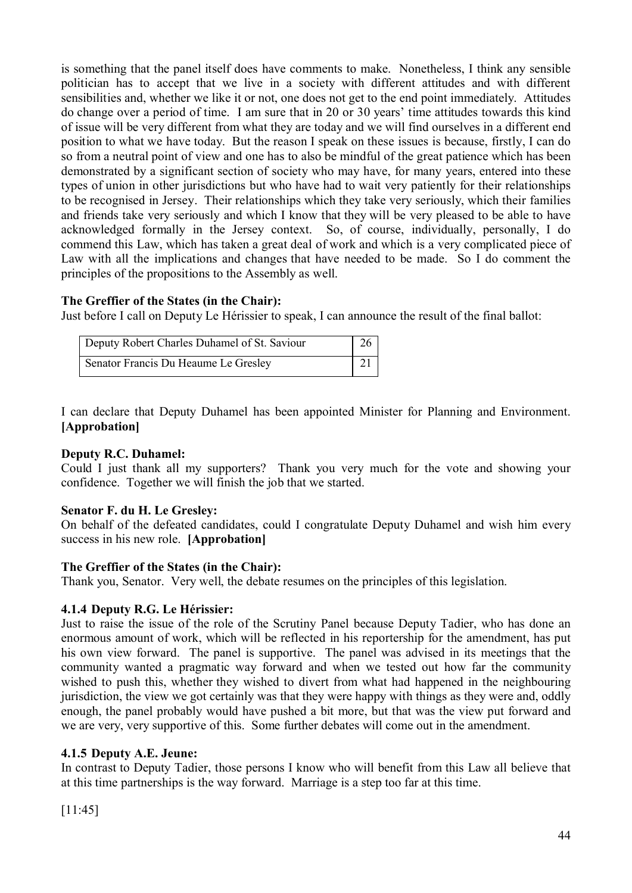is something that the panel itself does have comments to make. Nonetheless, I think any sensible politician has to accept that we live in a society with different attitudes and with different sensibilities and, whether we like it or not, one does not get to the end point immediately. Attitudes do change over a period of time. I am sure that in 20 or 30 years' time attitudes towards this kind of issue will be very different from what they are today and we will find ourselves in a different end position to what we have today. But the reason I speak on these issues is because, firstly, I can do so from a neutral point of view and one has to also be mindful of the great patience which has been demonstrated by a significant section of society who may have, for many years, entered into these types of union in other jurisdictions but who have had to wait very patiently for their relationships to be recognised in Jersey. Their relationships which they take very seriously, which their families and friends take very seriously and which I know that they will be very pleased to be able to have acknowledged formally in the Jersey context. So, of course, individually, personally, I do commend this Law, which has taken a great deal of work and which is a very complicated piece of Law with all the implications and changes that have needed to be made. So I do comment the principles of the propositions to the Assembly as well.

# **The Greffier of the States (in the Chair):**

Just before I call on Deputy Le Hérissier to speak, I can announce the result of the final ballot:

| Deputy Robert Charles Duhamel of St. Saviour | 26 |  |
|----------------------------------------------|----|--|
| Senator Francis Du Heaume Le Gresley         | 21 |  |

I can declare that Deputy Duhamel has been appointed Minister for Planning and Environment. **[Approbation]**

# **Deputy R.C. Duhamel:**

Could I just thank all my supporters? Thank you very much for the vote and showing your confidence. Together we will finish the job that we started.

# **Senator F. du H. Le Gresley:**

On behalf of the defeated candidates, could I congratulate Deputy Duhamel and wish him every success in his new role. **[Approbation]**

# **The Greffier of the States (in the Chair):**

Thank you, Senator. Very well, the debate resumes on the principles of this legislation.

# **4.1.4 Deputy R.G. Le Hérissier:**

Just to raise the issue of the role of the Scrutiny Panel because Deputy Tadier, who has done an enormous amount of work, which will be reflected in his reportership for the amendment, has put his own view forward. The panel is supportive. The panel was advised in its meetings that the community wanted a pragmatic way forward and when we tested out how far the community wished to push this, whether they wished to divert from what had happened in the neighbouring jurisdiction, the view we got certainly was that they were happy with things as they were and, oddly enough, the panel probably would have pushed a bit more, but that was the view put forward and we are very, very supportive of this. Some further debates will come out in the amendment.

# **4.1.5 Deputy A.E. Jeune:**

In contrast to Deputy Tadier, those persons I know who will benefit from this Law all believe that at this time partnerships is the way forward. Marriage is a step too far at this time.

[11:45]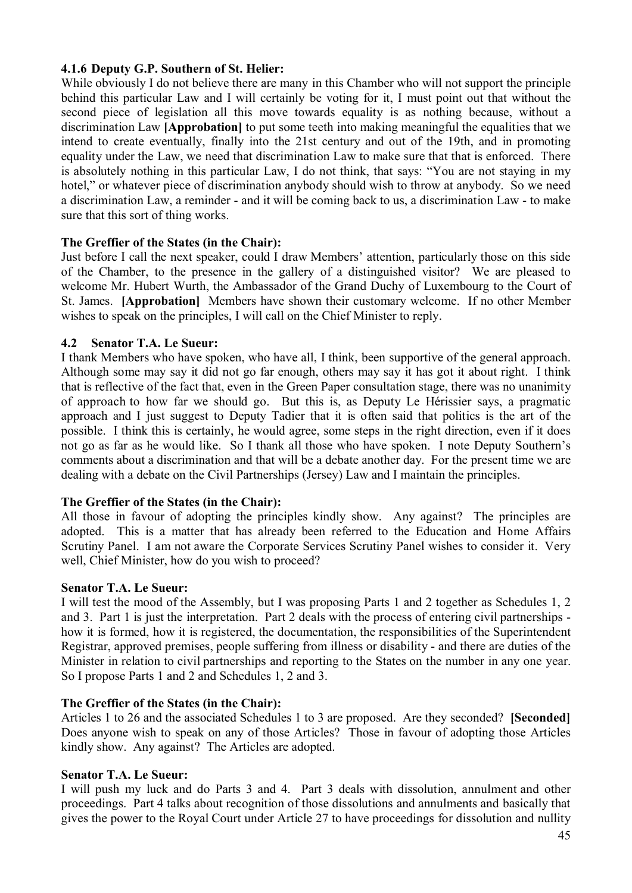# **4.1.6 Deputy G.P. Southern of St. Helier:**

While obviously I do not believe there are many in this Chamber who will not support the principle behind this particular Law and I will certainly be voting for it, I must point out that without the second piece of legislation all this move towards equality is as nothing because, without a discrimination Law **[Approbation]** to put some teeth into making meaningful the equalities that we intend to create eventually, finally into the 21st century and out of the 19th, and in promoting equality under the Law, we need that discrimination Law to make sure that that is enforced. There is absolutely nothing in this particular Law, I do not think, that says: "You are not staying in my hotel," or whatever piece of discrimination anybody should wish to throw at anybody. So we need a discrimination Law, a reminder - and it will be coming back to us, a discrimination Law - to make sure that this sort of thing works.

# **The Greffier of the States (in the Chair):**

Just before I call the next speaker, could I draw Members' attention, particularly those on this side of the Chamber, to the presence in the gallery of a distinguished visitor? We are pleased to welcome Mr. Hubert Wurth, the Ambassador of the Grand Duchy of Luxembourg to the Court of St. James. **[Approbation]** Members have shown their customary welcome. If no other Member wishes to speak on the principles, I will call on the Chief Minister to reply.

# **4.2 Senator T.A. Le Sueur:**

I thank Members who have spoken, who have all, I think, been supportive of the general approach. Although some may say it did not go far enough, others may say it has got it about right. I think that is reflective of the fact that, even in the Green Paper consultation stage, there was no unanimity of approach to how far we should go. But this is, as Deputy Le Hérissier says, a pragmatic approach and I just suggest to Deputy Tadier that it is often said that politics is the art of the possible. I think this is certainly, he would agree, some steps in the right direction, even if it does not go as far as he would like. So I thank all those who have spoken. I note Deputy Southern's comments about a discrimination and that will be a debate another day. For the present time we are dealing with a debate on the Civil Partnerships (Jersey) Law and I maintain the principles.

# **The Greffier of the States (in the Chair):**

All those in favour of adopting the principles kindly show. Any against? The principles are adopted. This is a matter that has already been referred to the Education and Home Affairs Scrutiny Panel. I am not aware the Corporate Services Scrutiny Panel wishes to consider it. Very well, Chief Minister, how do you wish to proceed?

### **Senator T.A. Le Sueur:**

I will test the mood of the Assembly, but I was proposing Parts 1 and 2 together as Schedules 1, 2 and 3. Part 1 is just the interpretation. Part 2 deals with the process of entering civil partnerships how it is formed, how it is registered, the documentation, the responsibilities of the Superintendent Registrar, approved premises, people suffering from illness or disability - and there are duties of the Minister in relation to civil partnerships and reporting to the States on the number in any one year. So I propose Parts 1 and 2 and Schedules 1, 2 and 3.

# **The Greffier of the States (in the Chair):**

Articles 1 to 26 and the associated Schedules 1 to 3 are proposed. Are they seconded? **[Seconded]** Does anyone wish to speak on any of those Articles? Those in favour of adopting those Articles kindly show. Any against? The Articles are adopted.

### **Senator T.A. Le Sueur:**

I will push my luck and do Parts 3 and 4. Part 3 deals with dissolution, annulment and other proceedings. Part 4 talks about recognition of those dissolutions and annulments and basically that gives the power to the Royal Court under Article 27 to have proceedings for dissolution and nullity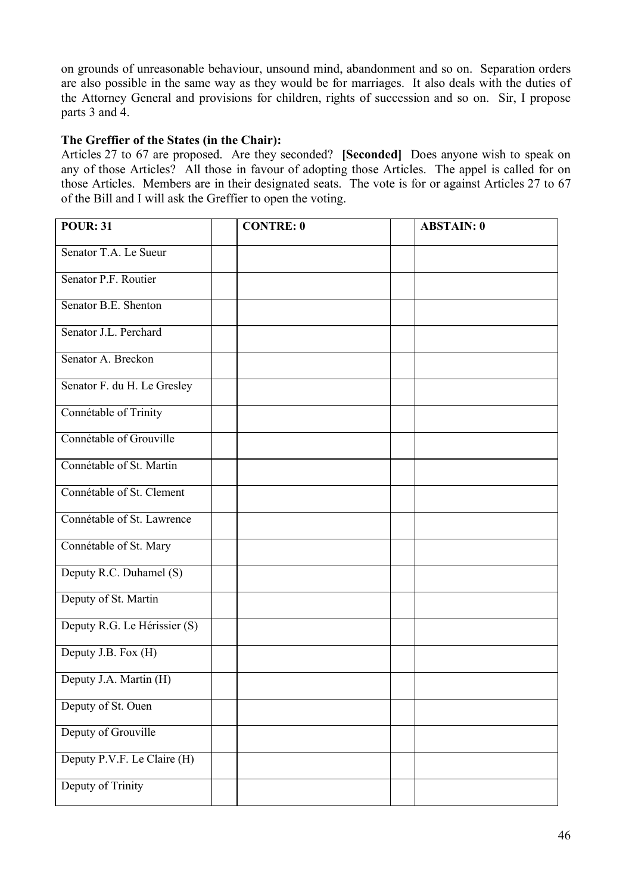on grounds of unreasonable behaviour, unsound mind, abandonment and so on. Separation orders are also possible in the same way as they would be for marriages. It also deals with the duties of the Attorney General and provisions for children, rights of succession and so on. Sir, I propose parts 3 and 4.

# **The Greffier of the States (in the Chair):**

Articles 27 to 67 are proposed. Are they seconded? **[Seconded]** Does anyone wish to speak on any of those Articles? All those in favour of adopting those Articles. The appel is called for on those Articles. Members are in their designated seats. The vote is for or against Articles 27 to 67 of the Bill and I will ask the Greffier to open the voting.

| <b>POUR: 31</b>              | <b>CONTRE: 0</b> | <b>ABSTAIN: 0</b> |  |
|------------------------------|------------------|-------------------|--|
| Senator T.A. Le Sueur        |                  |                   |  |
| Senator P.F. Routier         |                  |                   |  |
| Senator B.E. Shenton         |                  |                   |  |
| Senator J.L. Perchard        |                  |                   |  |
| Senator A. Breckon           |                  |                   |  |
| Senator F. du H. Le Gresley  |                  |                   |  |
| Connétable of Trinity        |                  |                   |  |
| Connétable of Grouville      |                  |                   |  |
| Connétable of St. Martin     |                  |                   |  |
| Connétable of St. Clement    |                  |                   |  |
| Connétable of St. Lawrence   |                  |                   |  |
| Connétable of St. Mary       |                  |                   |  |
| Deputy R.C. Duhamel (S)      |                  |                   |  |
| Deputy of St. Martin         |                  |                   |  |
| Deputy R.G. Le Hérissier (S) |                  |                   |  |
| Deputy J.B. Fox (H)          |                  |                   |  |
| Deputy J.A. Martin (H)       |                  |                   |  |
| Deputy of St. Ouen           |                  |                   |  |
| Deputy of Grouville          |                  |                   |  |
| Deputy P.V.F. Le Claire (H)  |                  |                   |  |
| Deputy of Trinity            |                  |                   |  |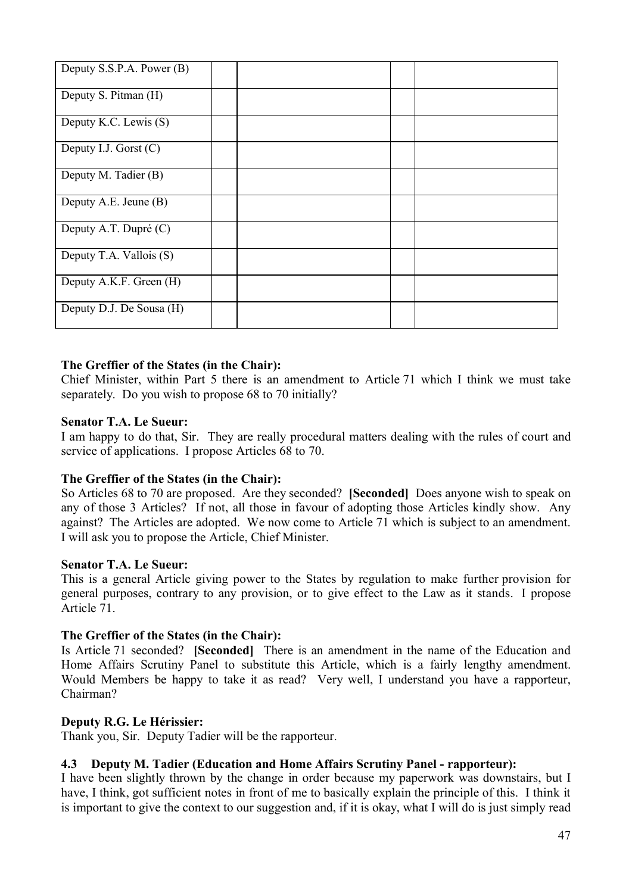| Deputy S.S.P.A. Power (B) |  |  |  |
|---------------------------|--|--|--|
| Deputy S. Pitman (H)      |  |  |  |
| Deputy K.C. Lewis (S)     |  |  |  |
| Deputy I.J. Gorst $(C)$   |  |  |  |
| Deputy M. Tadier (B)      |  |  |  |
| Deputy A.E. Jeune (B)     |  |  |  |
| Deputy A.T. Dupré (C)     |  |  |  |
| Deputy T.A. Vallois (S)   |  |  |  |
| Deputy A.K.F. Green (H)   |  |  |  |
| Deputy D.J. De Sousa (H)  |  |  |  |

# **The Greffier of the States (in the Chair):**

Chief Minister, within Part 5 there is an amendment to Article 71 which I think we must take separately. Do you wish to propose 68 to 70 initially?

### **Senator T.A. Le Sueur:**

I am happy to do that, Sir. They are really procedural matters dealing with the rules of court and service of applications. I propose Articles 68 to 70.

### **The Greffier of the States (in the Chair):**

So Articles 68 to 70 are proposed. Are they seconded? **[Seconded]** Does anyone wish to speak on any of those 3 Articles? If not, all those in favour of adopting those Articles kindly show. Any against? The Articles are adopted. We now come to Article 71 which is subject to an amendment. I will ask you to propose the Article, Chief Minister.

### **Senator T.A. Le Sueur:**

This is a general Article giving power to the States by regulation to make further provision for general purposes, contrary to any provision, or to give effect to the Law as it stands. I propose Article 71.

### **The Greffier of the States (in the Chair):**

Is Article 71 seconded? **[Seconded]** There is an amendment in the name of the Education and Home Affairs Scrutiny Panel to substitute this Article, which is a fairly lengthy amendment. Would Members be happy to take it as read? Very well, I understand you have a rapporteur, Chairman?

### **Deputy R.G. Le Hérissier:**

Thank you, Sir. Deputy Tadier will be the rapporteur.

# **4.3 Deputy M. Tadier (Education and Home Affairs Scrutiny Panel - rapporteur):**

I have been slightly thrown by the change in order because my paperwork was downstairs, but I have, I think, got sufficient notes in front of me to basically explain the principle of this. I think it is important to give the context to our suggestion and, if it is okay, what I will do is just simply read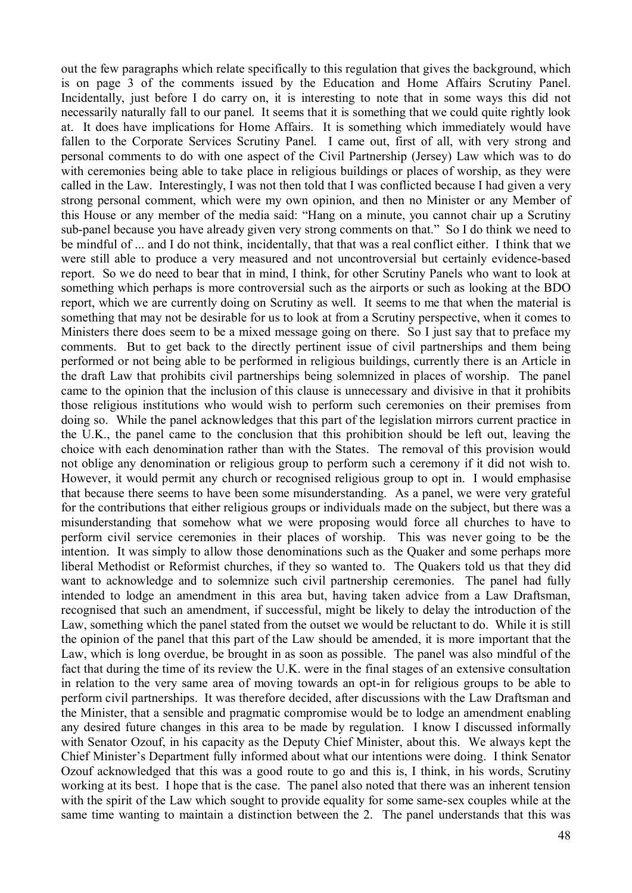out the few paragraphs which relate specifically to this regulation that gives the background, which is on page 3 of the comments issued by the Education and Home Affairs Scrutiny Panel. Incidentally, just before I do carry on, it is interesting to note that in some ways this did not necessarily naturally fall to our panel. It seems that it is something that we could quite rightly look at. It does have implications for Home Affairs. It is something which immediately would have fallen to the Corporate Services Scrutiny Panel. I came out, first of all, with very strong and personal comments to do with one aspect of the Civil Partnership (Jersey) Law which was to do with ceremonies being able to take place in religious buildings or places of worship, as they were called in the Law. Interestingly, I was not then told that I was conflicted because I had given a very strong personal comment, which were my own opinion, and then no Minister or any Member of this House or any member of the media said: "Hang on a minute, you cannot chair up a Scrutiny sub-panel because you have already given very strong comments on that." So I do think we need to be mindful of ... and I do not think, incidentally, that that was a real conflict either. I think that we were still able to produce a very measured and not uncontroversial but certainly evidence-based report. So we do need to bear that in mind, I think, for other Scrutiny Panels who want to look at something which perhaps is more controversial such as the airports or such as looking at the BDO report, which we are currently doing on Scrutiny as well. It seems to me that when the material is something that may not be desirable for us to look at from a Scrutiny perspective, when it comes to Ministers there does seem to be a mixed message going on there. So I just say that to preface my comments. But to get back to the directly pertinent issue of civil partnerships and them being performed or not being able to be performed in religious buildings, currently there is an Article in the draft Law that prohibits civil partnerships being solemnized in places of worship. The panel came to the opinion that the inclusion of this clause is unnecessary and divisive in that it prohibits those religious institutions who would wish to perform such ceremonies on their premises from doing so. While the panel acknowledges that this part of the legislation mirrors current practice in the U.K., the panel came to the conclusion that this prohibition should be left out, leaving the choice with each denomination rather than with the States. The removal of this provision would not oblige any denomination or religious group to perform such a ceremony if it did not wish to. However, it would permit any church or recognised religious group to opt in. I would emphasise that because there seems to have been some misunderstanding. As a panel, we were very grateful for the contributions that either religious groups or individuals made on the subject, but there was a misunderstanding that somehow what we were proposing would force all churches to have to perform civil service ceremonies in their places of worship. This was never going to be the intention. It was simply to allow those denominations such as the Quaker and some perhaps more liberal Methodist or Reformist churches, if they so wanted to. The Quakers told us that they did want to acknowledge and to solemnize such civil partnership ceremonies. The panel had fully intended to lodge an amendment in this area but, having taken advice from a Law Draftsman, recognised that such an amendment, if successful, might be likely to delay the introduction of the Law, something which the panel stated from the outset we would be reluctant to do. While it is still the opinion of the panel that this part of the Law should be amended, it is more important that the Law, which is long overdue, be brought in as soon as possible. The panel was also mindful of the fact that during the time of its review the U.K. were in the final stages of an extensive consultation in relation to the very same area of moving towards an opt-in for religious groups to be able to perform civil partnerships. It was therefore decided, after discussions with the Law Draftsman and the Minister, that a sensible and pragmatic compromise would be to lodge an amendment enabling any desired future changes in this area to be made by regulation. I know I discussed informally with Senator Ozouf, in his capacity as the Deputy Chief Minister, about this. We always kept the Chief Minister's Department fully informed about what our intentions were doing. I think Senator Ozouf acknowledged that this was a good route to go and this is, I think, in his words, Scrutiny working at its best. I hope that is the case. The panel also noted that there was an inherent tension with the spirit of the Law which sought to provide equality for some same-sex couples while at the same time wanting to maintain a distinction between the 2. The panel understands that this was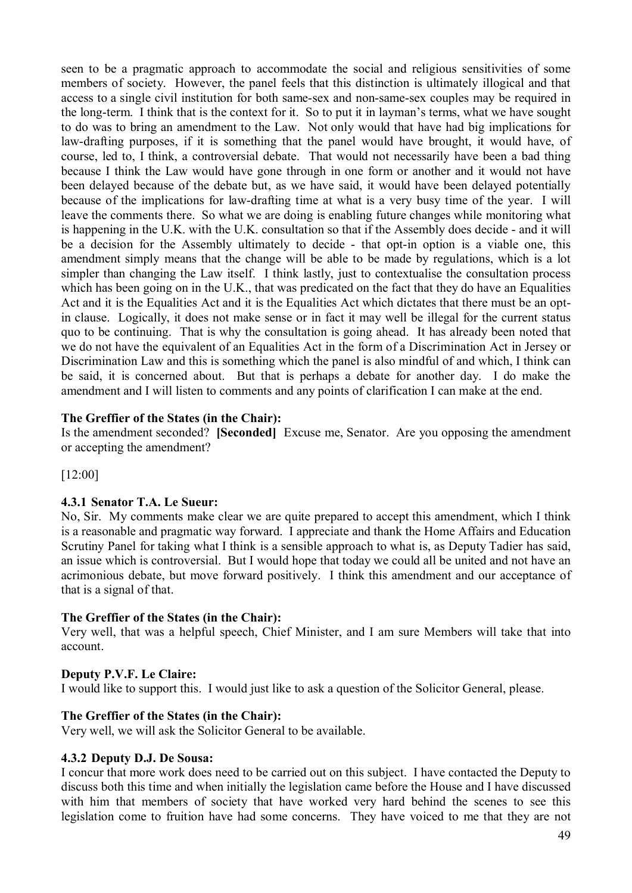seen to be a pragmatic approach to accommodate the social and religious sensitivities of some members of society. However, the panel feels that this distinction is ultimately illogical and that access to a single civil institution for both same-sex and non-same-sex couples may be required in the long-term. I think that is the context for it. So to put it in layman's terms, what we have sought to do was to bring an amendment to the Law. Not only would that have had big implications for law-drafting purposes, if it is something that the panel would have brought, it would have, of course, led to, I think, a controversial debate. That would not necessarily have been a bad thing because I think the Law would have gone through in one form or another and it would not have been delayed because of the debate but, as we have said, it would have been delayed potentially because of the implications for law-drafting time at what is a very busy time of the year. I will leave the comments there. So what we are doing is enabling future changes while monitoring what is happening in the U.K. with the U.K. consultation so that if the Assembly does decide - and it will be a decision for the Assembly ultimately to decide - that opt-in option is a viable one, this amendment simply means that the change will be able to be made by regulations, which is a lot simpler than changing the Law itself. I think lastly, just to contextualise the consultation process which has been going on in the U.K., that was predicated on the fact that they do have an Equalities Act and it is the Equalities Act and it is the Equalities Act which dictates that there must be an optin clause. Logically, it does not make sense or in fact it may well be illegal for the current status quo to be continuing. That is why the consultation is going ahead. It has already been noted that we do not have the equivalent of an Equalities Act in the form of a Discrimination Act in Jersey or Discrimination Law and this is something which the panel is also mindful of and which, I think can be said, it is concerned about. But that is perhaps a debate for another day. I do make the amendment and I will listen to comments and any points of clarification I can make at the end.

# **The Greffier of the States (in the Chair):**

Is the amendment seconded? **[Seconded]** Excuse me, Senator. Are you opposing the amendment or accepting the amendment?

[12:00]

### **4.3.1 Senator T.A. Le Sueur:**

No, Sir. My comments make clear we are quite prepared to accept this amendment, which I think is a reasonable and pragmatic way forward. I appreciate and thank the Home Affairs and Education Scrutiny Panel for taking what I think is a sensible approach to what is, as Deputy Tadier has said, an issue which is controversial. But I would hope that today we could all be united and not have an acrimonious debate, but move forward positively. I think this amendment and our acceptance of that is a signal of that.

# **The Greffier of the States (in the Chair):**

Very well, that was a helpful speech, Chief Minister, and I am sure Members will take that into account.

### **Deputy P.V.F. Le Claire:**

I would like to support this. I would just like to ask a question of the Solicitor General, please.

# **The Greffier of the States (in the Chair):**

Very well, we will ask the Solicitor General to be available.

### **4.3.2 Deputy D.J. De Sousa:**

I concur that more work does need to be carried out on this subject. I have contacted the Deputy to discuss both this time and when initially the legislation came before the House and I have discussed with him that members of society that have worked very hard behind the scenes to see this legislation come to fruition have had some concerns. They have voiced to me that they are not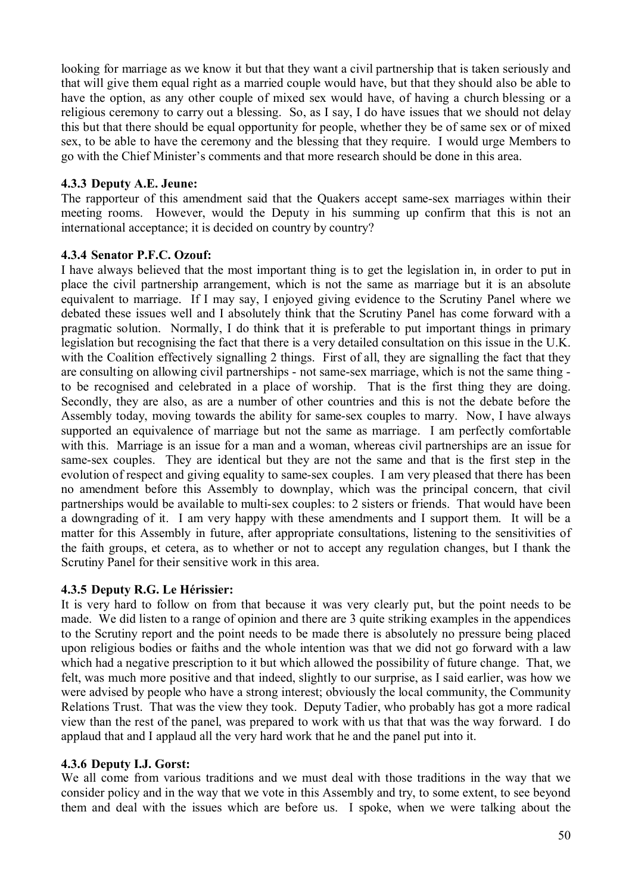looking for marriage as we know it but that they want a civil partnership that is taken seriously and that will give them equal right as a married couple would have, but that they should also be able to have the option, as any other couple of mixed sex would have, of having a church blessing or a religious ceremony to carry out a blessing. So, as I say, I do have issues that we should not delay this but that there should be equal opportunity for people, whether they be of same sex or of mixed sex, to be able to have the ceremony and the blessing that they require. I would urge Members to go with the Chief Minister's comments and that more research should be done in this area.

## **4.3.3 Deputy A.E. Jeune:**

The rapporteur of this amendment said that the Quakers accept same-sex marriages within their meeting rooms. However, would the Deputy in his summing up confirm that this is not an international acceptance; it is decided on country by country?

### **4.3.4 Senator P.F.C. Ozouf:**

I have always believed that the most important thing is to get the legislation in, in order to put in place the civil partnership arrangement, which is not the same as marriage but it is an absolute equivalent to marriage. If I may say, I enjoyed giving evidence to the Scrutiny Panel where we debated these issues well and I absolutely think that the Scrutiny Panel has come forward with a pragmatic solution. Normally, I do think that it is preferable to put important things in primary legislation but recognising the fact that there is a very detailed consultation on this issue in the U.K. with the Coalition effectively signalling 2 things. First of all, they are signalling the fact that they are consulting on allowing civil partnerships - not same-sex marriage, which is not the same thing to be recognised and celebrated in a place of worship. That is the first thing they are doing. Secondly, they are also, as are a number of other countries and this is not the debate before the Assembly today, moving towards the ability for same-sex couples to marry. Now, I have always supported an equivalence of marriage but not the same as marriage. I am perfectly comfortable with this. Marriage is an issue for a man and a woman, whereas civil partnerships are an issue for same-sex couples. They are identical but they are not the same and that is the first step in the evolution of respect and giving equality to same-sex couples. I am very pleased that there has been no amendment before this Assembly to downplay, which was the principal concern, that civil partnerships would be available to multi-sex couples: to 2 sisters or friends. That would have been a downgrading of it. I am very happy with these amendments and I support them. It will be a matter for this Assembly in future, after appropriate consultations, listening to the sensitivities of the faith groups, et cetera, as to whether or not to accept any regulation changes, but I thank the Scrutiny Panel for their sensitive work in this area.

# **4.3.5 Deputy R.G. Le Hérissier:**

It is very hard to follow on from that because it was very clearly put, but the point needs to be made. We did listen to a range of opinion and there are 3 quite striking examples in the appendices to the Scrutiny report and the point needs to be made there is absolutely no pressure being placed upon religious bodies or faiths and the whole intention was that we did not go forward with a law which had a negative prescription to it but which allowed the possibility of future change. That, we felt, was much more positive and that indeed, slightly to our surprise, as I said earlier, was how we were advised by people who have a strong interest; obviously the local community, the Community Relations Trust. That was the view they took. Deputy Tadier, who probably has got a more radical view than the rest of the panel, was prepared to work with us that that was the way forward. I do applaud that and I applaud all the very hard work that he and the panel put into it.

# **4.3.6 Deputy I.J. Gorst:**

We all come from various traditions and we must deal with those traditions in the way that we consider policy and in the way that we vote in this Assembly and try, to some extent, to see beyond them and deal with the issues which are before us. I spoke, when we were talking about the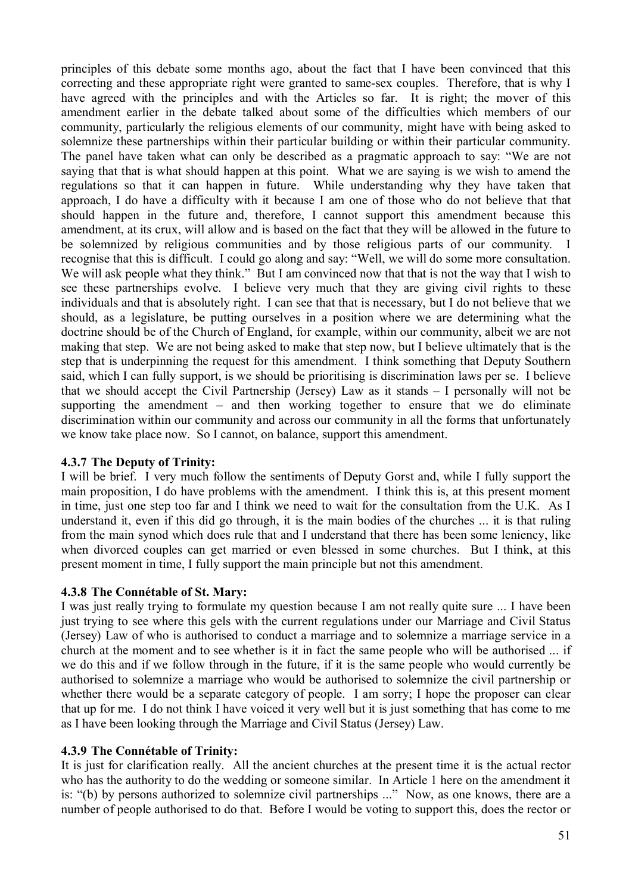principles of this debate some months ago, about the fact that I have been convinced that this correcting and these appropriate right were granted to same-sex couples. Therefore, that is why I have agreed with the principles and with the Articles so far. It is right; the mover of this amendment earlier in the debate talked about some of the difficulties which members of our community, particularly the religious elements of our community, might have with being asked to solemnize these partnerships within their particular building or within their particular community. The panel have taken what can only be described as a pragmatic approach to say: "We are not saying that that is what should happen at this point. What we are saying is we wish to amend the regulations so that it can happen in future. While understanding why they have taken that approach, I do have a difficulty with it because I am one of those who do not believe that that should happen in the future and, therefore, I cannot support this amendment because this amendment, at its crux, will allow and is based on the fact that they will be allowed in the future to be solemnized by religious communities and by those religious parts of our community. I recognise that this is difficult. I could go along and say: "Well, we will do some more consultation. We will ask people what they think." But I am convinced now that that is not the way that I wish to see these partnerships evolve. I believe very much that they are giving civil rights to these individuals and that is absolutely right. I can see that that is necessary, but I do not believe that we should, as a legislature, be putting ourselves in a position where we are determining what the doctrine should be of the Church of England, for example, within our community, albeit we are not making that step. We are not being asked to make that step now, but I believe ultimately that is the step that is underpinning the request for this amendment. I think something that Deputy Southern said, which I can fully support, is we should be prioritising is discrimination laws per se. I believe that we should accept the Civil Partnership (Jersey) Law as it stands – I personally will not be supporting the amendment – and then working together to ensure that we do eliminate discrimination within our community and across our community in all the forms that unfortunately we know take place now. So I cannot, on balance, support this amendment.

# **4.3.7 The Deputy of Trinity:**

I will be brief. I very much follow the sentiments of Deputy Gorst and, while I fully support the main proposition, I do have problems with the amendment. I think this is, at this present moment in time, just one step too far and I think we need to wait for the consultation from the U.K. As I understand it, even if this did go through, it is the main bodies of the churches ... it is that ruling from the main synod which does rule that and I understand that there has been some leniency, like when divorced couples can get married or even blessed in some churches. But I think, at this present moment in time, I fully support the main principle but not this amendment.

# **4.3.8 The Connétable of St. Mary:**

I was just really trying to formulate my question because I am not really quite sure ... I have been just trying to see where this gels with the current regulations under our Marriage and Civil Status (Jersey) Law of who is authorised to conduct a marriage and to solemnize a marriage service in a church at the moment and to see whether is it in fact the same people who will be authorised ... if we do this and if we follow through in the future, if it is the same people who would currently be authorised to solemnize a marriage who would be authorised to solemnize the civil partnership or whether there would be a separate category of people. I am sorry; I hope the proposer can clear that up for me. I do not think I have voiced it very well but it is just something that has come to me as I have been looking through the Marriage and Civil Status (Jersey) Law.

# **4.3.9 The Connétable of Trinity:**

It is just for clarification really. All the ancient churches at the present time it is the actual rector who has the authority to do the wedding or someone similar. In Article 1 here on the amendment it is: "(b) by persons authorized to solemnize civil partnerships ..." Now, as one knows, there are a number of people authorised to do that. Before I would be voting to support this, does the rector or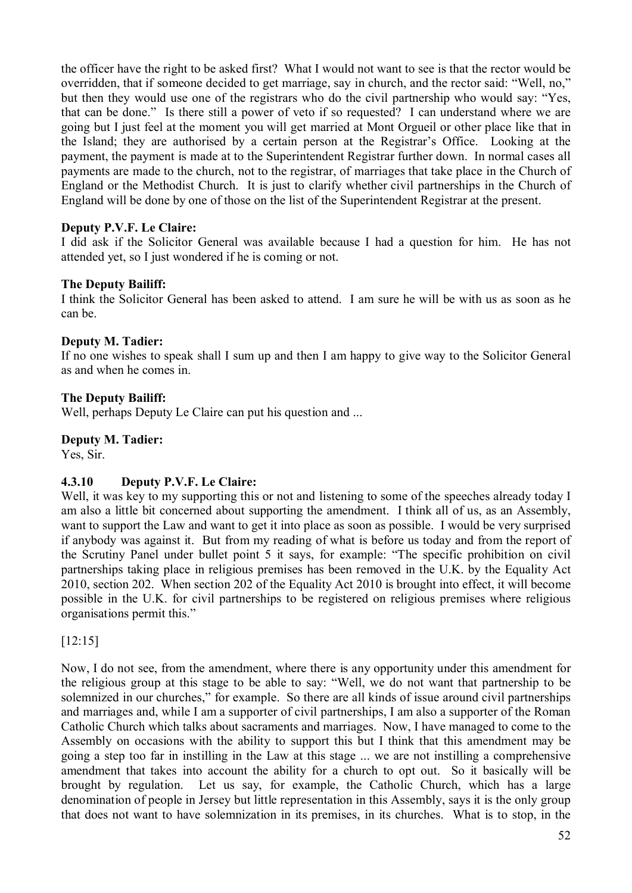the officer have the right to be asked first? What I would not want to see is that the rector would be overridden, that if someone decided to get marriage, say in church, and the rector said: "Well, no," but then they would use one of the registrars who do the civil partnership who would say: "Yes, that can be done." Is there still a power of veto if so requested? I can understand where we are going but I just feel at the moment you will get married at Mont Orgueil or other place like that in the Island; they are authorised by a certain person at the Registrar's Office. Looking at the payment, the payment is made at to the Superintendent Registrar further down. In normal cases all payments are made to the church, not to the registrar, of marriages that take place in the Church of England or the Methodist Church. It is just to clarify whether civil partnerships in the Church of England will be done by one of those on the list of the Superintendent Registrar at the present.

# **Deputy P.V.F. Le Claire:**

I did ask if the Solicitor General was available because I had a question for him. He has not attended yet, so I just wondered if he is coming or not.

### **The Deputy Bailiff:**

I think the Solicitor General has been asked to attend. I am sure he will be with us as soon as he can be.

### **Deputy M. Tadier:**

If no one wishes to speak shall I sum up and then I am happy to give way to the Solicitor General as and when he comes in.

## **The Deputy Bailiff:**

Well, perhaps Deputy Le Claire can put his question and ...

## **Deputy M. Tadier:**

Yes, Sir.

# **4.3.10 Deputy P.V.F. Le Claire:**

Well, it was key to my supporting this or not and listening to some of the speeches already today I am also a little bit concerned about supporting the amendment. I think all of us, as an Assembly, want to support the Law and want to get it into place as soon as possible. I would be very surprised if anybody was against it. But from my reading of what is before us today and from the report of the Scrutiny Panel under bullet point 5 it says, for example: "The specific prohibition on civil partnerships taking place in religious premises has been removed in the U.K. by the Equality Act 2010, section 202. When section 202 of the Equality Act 2010 is brought into effect, it will become possible in the U.K. for civil partnerships to be registered on religious premises where religious organisations permit this."

[12:15]

Now, I do not see, from the amendment, where there is any opportunity under this amendment for the religious group at this stage to be able to say: "Well, we do not want that partnership to be solemnized in our churches," for example. So there are all kinds of issue around civil partnerships and marriages and, while I am a supporter of civil partnerships, I am also a supporter of the Roman Catholic Church which talks about sacraments and marriages. Now, I have managed to come to the Assembly on occasions with the ability to support this but I think that this amendment may be going a step too far in instilling in the Law at this stage ... we are not instilling a comprehensive amendment that takes into account the ability for a church to opt out. So it basically will be brought by regulation. Let us say, for example, the Catholic Church, which has a large denomination of people in Jersey but little representation in this Assembly, says it is the only group that does not want to have solemnization in its premises, in its churches. What is to stop, in the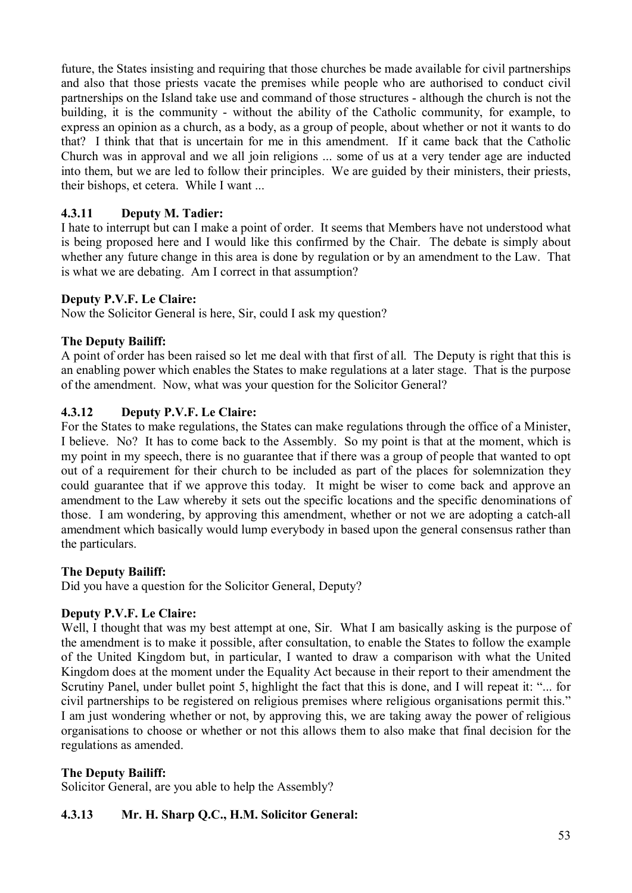future, the States insisting and requiring that those churches be made available for civil partnerships and also that those priests vacate the premises while people who are authorised to conduct civil partnerships on the Island take use and command of those structures - although the church is not the building, it is the community - without the ability of the Catholic community, for example, to express an opinion as a church, as a body, as a group of people, about whether or not it wants to do that? I think that that is uncertain for me in this amendment. If it came back that the Catholic Church was in approval and we all join religions ... some of us at a very tender age are inducted into them, but we are led to follow their principles. We are guided by their ministers, their priests, their bishops, et cetera. While I want ...

# **4.3.11 Deputy M. Tadier:**

I hate to interrupt but can I make a point of order. It seems that Members have not understood what is being proposed here and I would like this confirmed by the Chair. The debate is simply about whether any future change in this area is done by regulation or by an amendment to the Law. That is what we are debating. Am I correct in that assumption?

# **Deputy P.V.F. Le Claire:**

Now the Solicitor General is here, Sir, could I ask my question?

# **The Deputy Bailiff:**

A point of order has been raised so let me deal with that first of all. The Deputy is right that this is an enabling power which enables the States to make regulations at a later stage. That is the purpose of the amendment. Now, what was your question for the Solicitor General?

## **4.3.12 Deputy P.V.F. Le Claire:**

For the States to make regulations, the States can make regulations through the office of a Minister, I believe. No? It has to come back to the Assembly. So my point is that at the moment, which is my point in my speech, there is no guarantee that if there was a group of people that wanted to opt out of a requirement for their church to be included as part of the places for solemnization they could guarantee that if we approve this today. It might be wiser to come back and approve an amendment to the Law whereby it sets out the specific locations and the specific denominations of those. I am wondering, by approving this amendment, whether or not we are adopting a catch-all amendment which basically would lump everybody in based upon the general consensus rather than the particulars.

### **The Deputy Bailiff:**

Did you have a question for the Solicitor General, Deputy?

# **Deputy P.V.F. Le Claire:**

Well, I thought that was my best attempt at one. Sir. What I am basically asking is the purpose of the amendment is to make it possible, after consultation, to enable the States to follow the example of the United Kingdom but, in particular, I wanted to draw a comparison with what the United Kingdom does at the moment under the Equality Act because in their report to their amendment the Scrutiny Panel, under bullet point 5, highlight the fact that this is done, and I will repeat it: "... for civil partnerships to be registered on religious premises where religious organisations permit this." I am just wondering whether or not, by approving this, we are taking away the power of religious organisations to choose or whether or not this allows them to also make that final decision for the regulations as amended.

### **The Deputy Bailiff:**

Solicitor General, are you able to help the Assembly?

# **4.3.13 Mr. H. Sharp Q.C., H.M. Solicitor General:**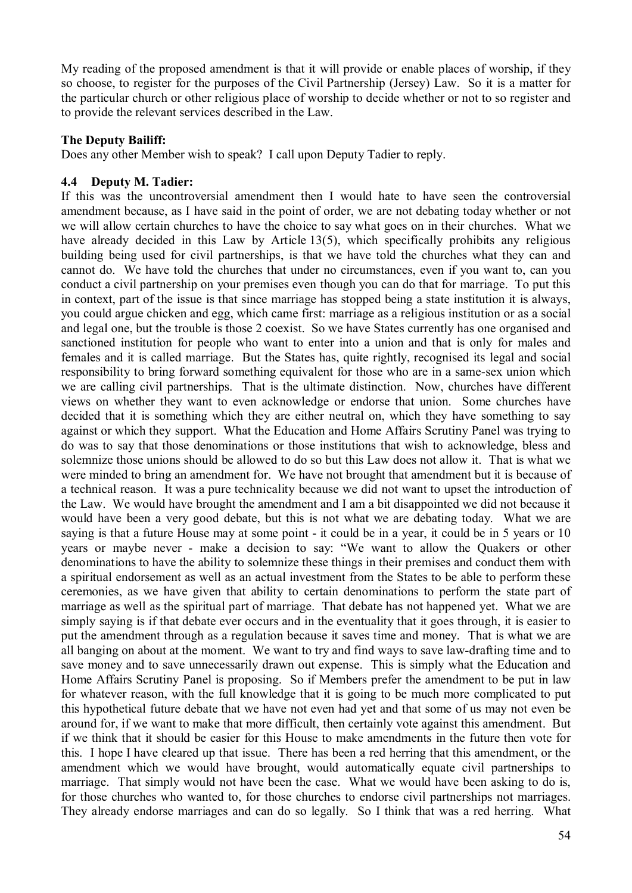My reading of the proposed amendment is that it will provide or enable places of worship, if they so choose, to register for the purposes of the Civil Partnership (Jersey) Law. So it is a matter for the particular church or other religious place of worship to decide whether or not to so register and to provide the relevant services described in the Law.

## **The Deputy Bailiff:**

Does any other Member wish to speak? I call upon Deputy Tadier to reply.

## **4.4 Deputy M. Tadier:**

If this was the uncontroversial amendment then I would hate to have seen the controversial amendment because, as I have said in the point of order, we are not debating today whether or not we will allow certain churches to have the choice to say what goes on in their churches. What we have already decided in this Law by Article 13(5), which specifically prohibits any religious building being used for civil partnerships, is that we have told the churches what they can and cannot do. We have told the churches that under no circumstances, even if you want to, can you conduct a civil partnership on your premises even though you can do that for marriage. To put this in context, part of the issue is that since marriage has stopped being a state institution it is always, you could argue chicken and egg, which came first: marriage as a religious institution or as a social and legal one, but the trouble is those 2 coexist. So we have States currently has one organised and sanctioned institution for people who want to enter into a union and that is only for males and females and it is called marriage. But the States has, quite rightly, recognised its legal and social responsibility to bring forward something equivalent for those who are in a same-sex union which we are calling civil partnerships. That is the ultimate distinction. Now, churches have different views on whether they want to even acknowledge or endorse that union. Some churches have decided that it is something which they are either neutral on, which they have something to say against or which they support. What the Education and Home Affairs Scrutiny Panel was trying to do was to say that those denominations or those institutions that wish to acknowledge, bless and solemnize those unions should be allowed to do so but this Law does not allow it. That is what we were minded to bring an amendment for. We have not brought that amendment but it is because of a technical reason. It was a pure technicality because we did not want to upset the introduction of the Law. We would have brought the amendment and I am a bit disappointed we did not because it would have been a very good debate, but this is not what we are debating today. What we are saying is that a future House may at some point - it could be in a year, it could be in 5 years or 10 years or maybe never - make a decision to say: "We want to allow the Quakers or other denominations to have the ability to solemnize these things in their premises and conduct them with a spiritual endorsement as well as an actual investment from the States to be able to perform these ceremonies, as we have given that ability to certain denominations to perform the state part of marriage as well as the spiritual part of marriage. That debate has not happened yet. What we are simply saying is if that debate ever occurs and in the eventuality that it goes through, it is easier to put the amendment through as a regulation because it saves time and money. That is what we are all banging on about at the moment. We want to try and find ways to save law-drafting time and to save money and to save unnecessarily drawn out expense. This is simply what the Education and Home Affairs Scrutiny Panel is proposing. So if Members prefer the amendment to be put in law for whatever reason, with the full knowledge that it is going to be much more complicated to put this hypothetical future debate that we have not even had yet and that some of us may not even be around for, if we want to make that more difficult, then certainly vote against this amendment. But if we think that it should be easier for this House to make amendments in the future then vote for this. I hope I have cleared up that issue. There has been a red herring that this amendment, or the amendment which we would have brought, would automatically equate civil partnerships to marriage. That simply would not have been the case. What we would have been asking to do is, for those churches who wanted to, for those churches to endorse civil partnerships not marriages. They already endorse marriages and can do so legally. So I think that was a red herring. What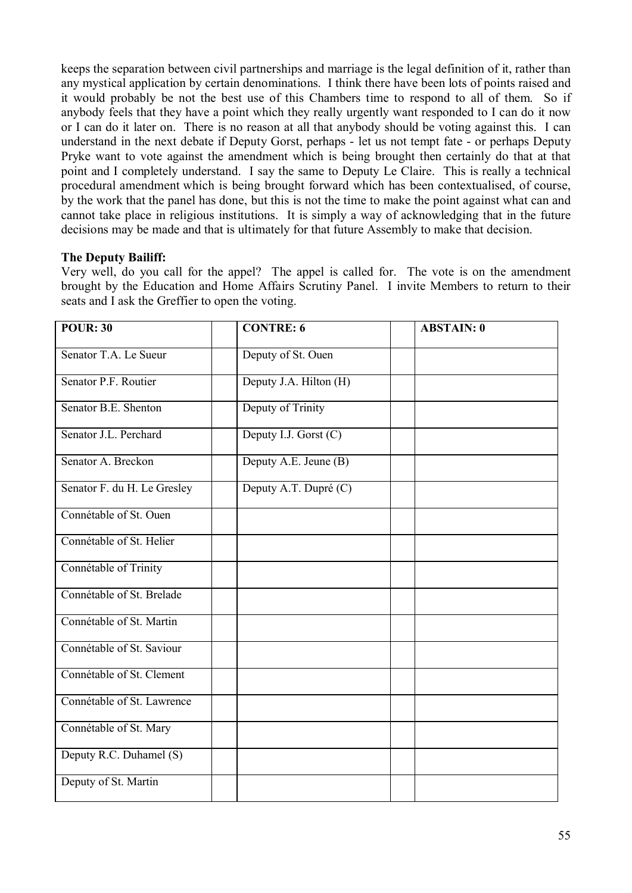keeps the separation between civil partnerships and marriage is the legal definition of it, rather than any mystical application by certain denominations. I think there have been lots of points raised and it would probably be not the best use of this Chambers time to respond to all of them. So if anybody feels that they have a point which they really urgently want responded to I can do it now or I can do it later on. There is no reason at all that anybody should be voting against this. I can understand in the next debate if Deputy Gorst, perhaps - let us not tempt fate - or perhaps Deputy Pryke want to vote against the amendment which is being brought then certainly do that at that point and I completely understand. I say the same to Deputy Le Claire. This is really a technical procedural amendment which is being brought forward which has been contextualised, of course, by the work that the panel has done, but this is not the time to make the point against what can and cannot take place in religious institutions. It is simply a way of acknowledging that in the future decisions may be made and that is ultimately for that future Assembly to make that decision.

# **The Deputy Bailiff:**

Very well, do you call for the appel? The appel is called for. The vote is on the amendment brought by the Education and Home Affairs Scrutiny Panel. I invite Members to return to their seats and I ask the Greffier to open the voting.

| <b>POUR: 30</b>             | <b>CONTRE: 6</b>       | <b>ABSTAIN: 0</b> |
|-----------------------------|------------------------|-------------------|
| Senator T.A. Le Sueur       | Deputy of St. Ouen     |                   |
| Senator P.F. Routier        | Deputy J.A. Hilton (H) |                   |
| Senator B.E. Shenton        | Deputy of Trinity      |                   |
| Senator J.L. Perchard       | Deputy I.J. Gorst (C)  |                   |
| Senator A. Breckon          | Deputy A.E. Jeune (B)  |                   |
| Senator F. du H. Le Gresley | Deputy A.T. Dupré (C)  |                   |
| Connétable of St. Ouen      |                        |                   |
| Connétable of St. Helier    |                        |                   |
| Connétable of Trinity       |                        |                   |
| Connétable of St. Brelade   |                        |                   |
| Connétable of St. Martin    |                        |                   |
| Connétable of St. Saviour   |                        |                   |
| Connétable of St. Clement   |                        |                   |
| Connétable of St. Lawrence  |                        |                   |
| Connétable of St. Mary      |                        |                   |
| Deputy R.C. Duhamel (S)     |                        |                   |
| Deputy of St. Martin        |                        |                   |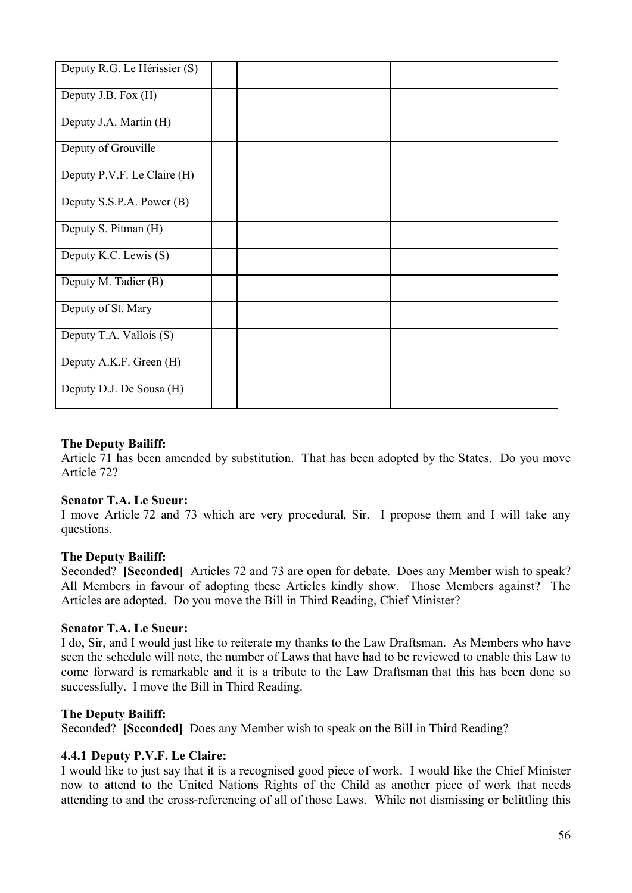| Deputy R.G. Le Hérissier (S) |  |  |  |
|------------------------------|--|--|--|
| Deputy J.B. Fox (H)          |  |  |  |
| Deputy J.A. Martin (H)       |  |  |  |
| Deputy of Grouville          |  |  |  |
| Deputy P.V.F. Le Claire (H)  |  |  |  |
| Deputy S.S.P.A. Power (B)    |  |  |  |
| Deputy S. Pitman (H)         |  |  |  |
| Deputy K.C. Lewis (S)        |  |  |  |
| Deputy M. Tadier (B)         |  |  |  |
| Deputy of St. Mary           |  |  |  |
| Deputy T.A. Vallois (S)      |  |  |  |
| Deputy A.K.F. Green (H)      |  |  |  |
| Deputy D.J. De Sousa (H)     |  |  |  |

## **The Deputy Bailiff:**

Article 71 has been amended by substitution. That has been adopted by the States. Do you move Article 72?

### **Senator T.A. Le Sueur:**

I move Article 72 and 73 which are very procedural, Sir. I propose them and I will take any questions.

### **The Deputy Bailiff:**

Seconded? **[Seconded]** Articles 72 and 73 are open for debate. Does any Member wish to speak? All Members in favour of adopting these Articles kindly show. Those Members against? The Articles are adopted. Do you move the Bill in Third Reading, Chief Minister?

### **Senator T.A. Le Sueur:**

I do, Sir, and I would just like to reiterate my thanks to the Law Draftsman. As Members who have seen the schedule will note, the number of Laws that have had to be reviewed to enable this Law to come forward is remarkable and it is a tribute to the Law Draftsman that this has been done so successfully. I move the Bill in Third Reading.

### **The Deputy Bailiff:**

Seconded? **[Seconded]** Does any Member wish to speak on the Bill in Third Reading?

### **4.4.1 Deputy P.V.F. Le Claire:**

I would like to just say that it is a recognised good piece of work. I would like the Chief Minister now to attend to the United Nations Rights of the Child as another piece of work that needs attending to and the cross-referencing of all of those Laws. While not dismissing or belittling this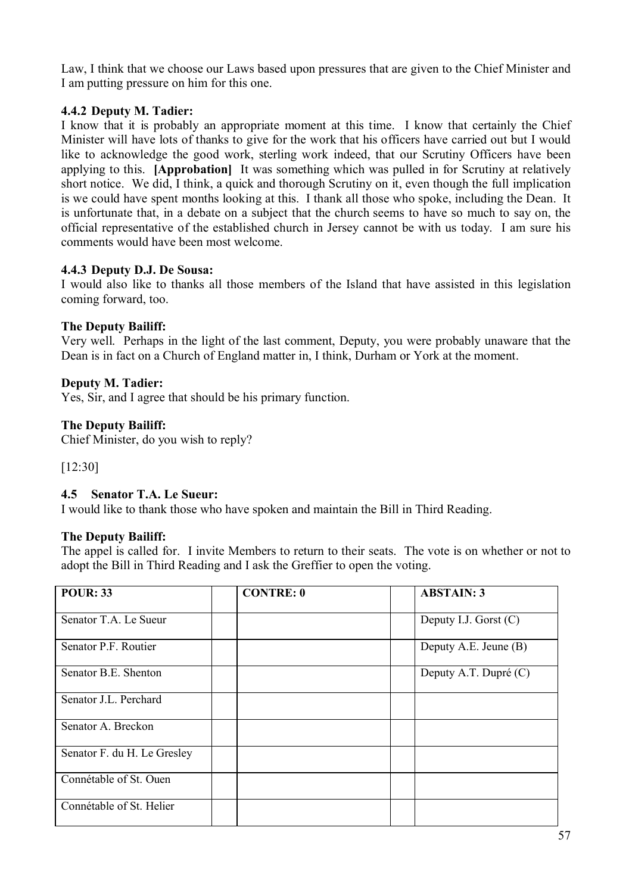Law, I think that we choose our Laws based upon pressures that are given to the Chief Minister and I am putting pressure on him for this one.

# **4.4.2 Deputy M. Tadier:**

I know that it is probably an appropriate moment at this time. I know that certainly the Chief Minister will have lots of thanks to give for the work that his officers have carried out but I would like to acknowledge the good work, sterling work indeed, that our Scrutiny Officers have been applying to this. **[Approbation]** It was something which was pulled in for Scrutiny at relatively short notice. We did, I think, a quick and thorough Scrutiny on it, even though the full implication is we could have spent months looking at this. I thank all those who spoke, including the Dean. It is unfortunate that, in a debate on a subject that the church seems to have so much to say on, the official representative of the established church in Jersey cannot be with us today. I am sure his comments would have been most welcome.

# **4.4.3 Deputy D.J. De Sousa:**

I would also like to thanks all those members of the Island that have assisted in this legislation coming forward, too.

# **The Deputy Bailiff:**

Very well. Perhaps in the light of the last comment, Deputy, you were probably unaware that the Dean is in fact on a Church of England matter in, I think, Durham or York at the moment.

# **Deputy M. Tadier:**

Yes, Sir, and I agree that should be his primary function.

# **The Deputy Bailiff:**

Chief Minister, do you wish to reply?

[12:30]

# **4.5 Senator T.A. Le Sueur:**

I would like to thank those who have spoken and maintain the Bill in Third Reading.

# **The Deputy Bailiff:**

The appel is called for. I invite Members to return to their seats. The vote is on whether or not to adopt the Bill in Third Reading and I ask the Greffier to open the voting.

| <b>POUR: 33</b>             | <b>CONTRE: 0</b> | <b>ABSTAIN: 3</b>       |
|-----------------------------|------------------|-------------------------|
| Senator T.A. Le Sueur       |                  | Deputy I.J. Gorst $(C)$ |
| Senator P.F. Routier        |                  | Deputy A.E. Jeune (B)   |
| Senator B.E. Shenton        |                  | Deputy A.T. Dupré (C)   |
| Senator J.L. Perchard       |                  |                         |
| Senator A. Breckon          |                  |                         |
| Senator F. du H. Le Gresley |                  |                         |
| Connétable of St. Ouen      |                  |                         |
| Connétable of St. Helier    |                  |                         |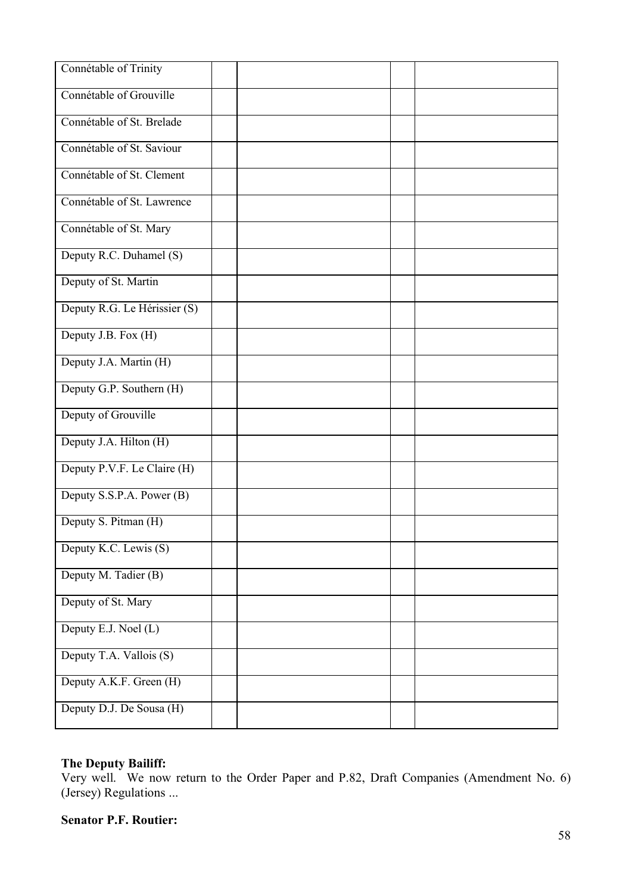| Connétable of Trinity        |  |  |
|------------------------------|--|--|
| Connétable of Grouville      |  |  |
| Connétable of St. Brelade    |  |  |
| Connétable of St. Saviour    |  |  |
| Connétable of St. Clement    |  |  |
| Connétable of St. Lawrence   |  |  |
| Connétable of St. Mary       |  |  |
| Deputy R.C. Duhamel (S)      |  |  |
| Deputy of St. Martin         |  |  |
| Deputy R.G. Le Hérissier (S) |  |  |
| Deputy J.B. Fox (H)          |  |  |
| Deputy J.A. Martin (H)       |  |  |
| Deputy G.P. Southern (H)     |  |  |
| Deputy of Grouville          |  |  |
| Deputy J.A. Hilton (H)       |  |  |
| Deputy P.V.F. Le Claire (H)  |  |  |
| Deputy S.S.P.A. Power (B)    |  |  |
| Deputy S. Pitman (H)         |  |  |
| Deputy K.C. Lewis (S)        |  |  |
| Deputy M. Tadier (B)         |  |  |
| Deputy of St. Mary           |  |  |
| Deputy E.J. Noel (L)         |  |  |
| Deputy T.A. Vallois (S)      |  |  |
| Deputy A.K.F. Green (H)      |  |  |
| Deputy D.J. De Sousa (H)     |  |  |

# **The Deputy Bailiff:**

Very well. We now return to the Order Paper and P.82, Draft Companies (Amendment No. 6) (Jersey) Regulations ...

# **Senator P.F. Routier:**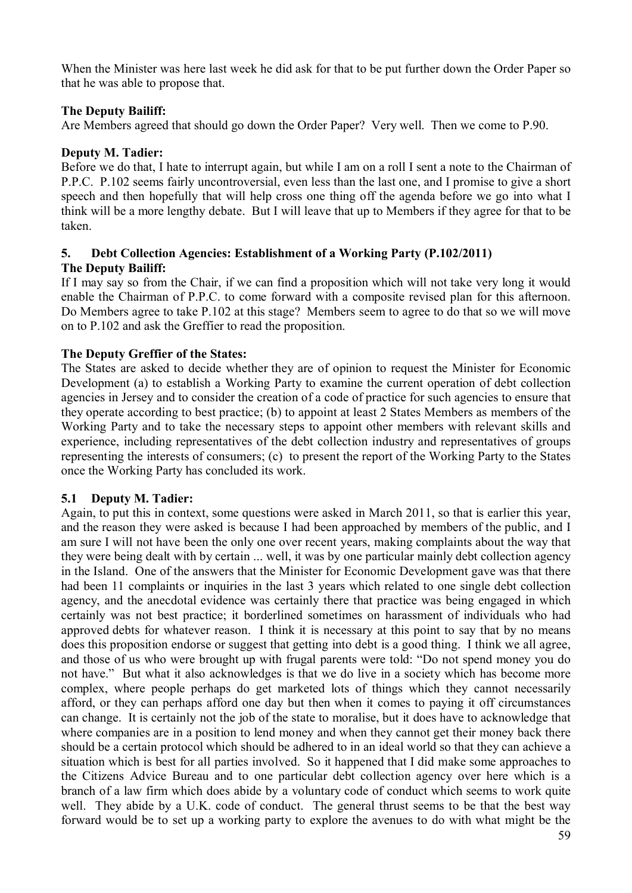When the Minister was here last week he did ask for that to be put further down the Order Paper so that he was able to propose that.

# **The Deputy Bailiff:**

Are Members agreed that should go down the Order Paper? Very well. Then we come to P.90.

# **Deputy M. Tadier:**

Before we do that, I hate to interrupt again, but while I am on a roll I sent a note to the Chairman of P.P.C. P.102 seems fairly uncontroversial, even less than the last one, and I promise to give a short speech and then hopefully that will help cross one thing off the agenda before we go into what I think will be a more lengthy debate. But I will leave that up to Members if they agree for that to be taken.

# **5. Debt Collection Agencies: Establishment of a Working Party (P.102/2011) The Deputy Bailiff:**

If I may say so from the Chair, if we can find a proposition which will not take very long it would enable the Chairman of P.P.C. to come forward with a composite revised plan for this afternoon. Do Members agree to take P.102 at this stage? Members seem to agree to do that so we will move on to P.102 and ask the Greffier to read the proposition.

# **The Deputy Greffier of the States:**

The States are asked to decide whether they are of opinion to request the Minister for Economic Development (a) to establish a Working Party to examine the current operation of debt collection agencies in Jersey and to consider the creation of a code of practice for such agencies to ensure that they operate according to best practice; (b) to appoint at least 2 States Members as members of the Working Party and to take the necessary steps to appoint other members with relevant skills and experience, including representatives of the debt collection industry and representatives of groups representing the interests of consumers; (c) to present the report of the Working Party to the States once the Working Party has concluded its work.

# **5.1 Deputy M. Tadier:**

Again, to put this in context, some questions were asked in March 2011, so that is earlier this year, and the reason they were asked is because I had been approached by members of the public, and I am sure I will not have been the only one over recent years, making complaints about the way that they were being dealt with by certain ... well, it was by one particular mainly debt collection agency in the Island. One of the answers that the Minister for Economic Development gave was that there had been 11 complaints or inquiries in the last 3 years which related to one single debt collection agency, and the anecdotal evidence was certainly there that practice was being engaged in which certainly was not best practice; it borderlined sometimes on harassment of individuals who had approved debts for whatever reason. I think it is necessary at this point to say that by no means does this proposition endorse or suggest that getting into debt is a good thing. I think we all agree, and those of us who were brought up with frugal parents were told: "Do not spend money you do not have." But what it also acknowledges is that we do live in a society which has become more complex, where people perhaps do get marketed lots of things which they cannot necessarily afford, or they can perhaps afford one day but then when it comes to paying it off circumstances can change. It is certainly not the job of the state to moralise, but it does have to acknowledge that where companies are in a position to lend money and when they cannot get their money back there should be a certain protocol which should be adhered to in an ideal world so that they can achieve a situation which is best for all parties involved. So it happened that I did make some approaches to the Citizens Advice Bureau and to one particular debt collection agency over here which is a branch of a law firm which does abide by a voluntary code of conduct which seems to work quite well. They abide by a U.K. code of conduct. The general thrust seems to be that the best way forward would be to set up a working party to explore the avenues to do with what might be the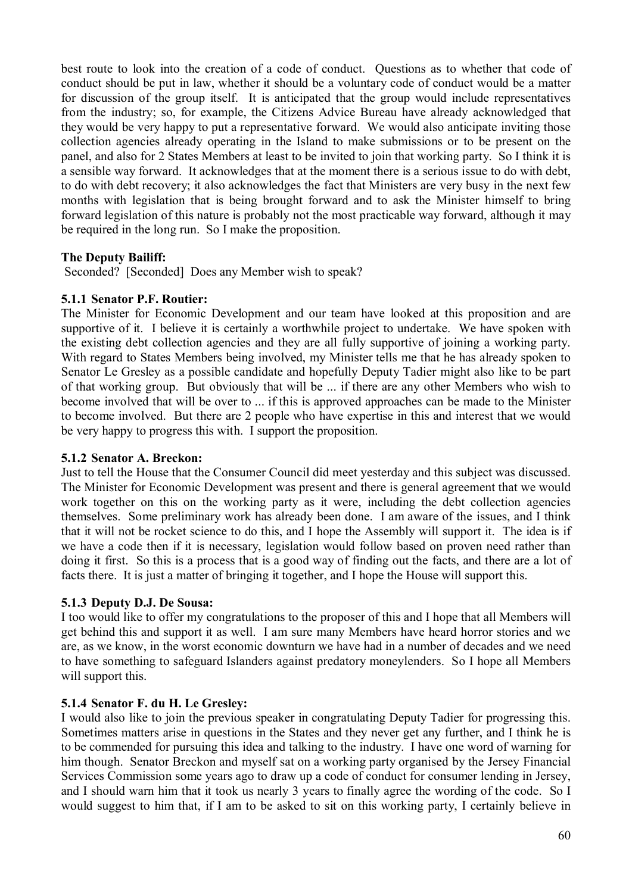best route to look into the creation of a code of conduct. Questions as to whether that code of conduct should be put in law, whether it should be a voluntary code of conduct would be a matter for discussion of the group itself. It is anticipated that the group would include representatives from the industry; so, for example, the Citizens Advice Bureau have already acknowledged that they would be very happy to put a representative forward. We would also anticipate inviting those collection agencies already operating in the Island to make submissions or to be present on the panel, and also for 2 States Members at least to be invited to join that working party. So I think it is a sensible way forward. It acknowledges that at the moment there is a serious issue to do with debt, to do with debt recovery; it also acknowledges the fact that Ministers are very busy in the next few months with legislation that is being brought forward and to ask the Minister himself to bring forward legislation of this nature is probably not the most practicable way forward, although it may be required in the long run. So I make the proposition.

# **The Deputy Bailiff:**

Seconded? [Seconded] Does any Member wish to speak?

### **5.1.1 Senator P.F. Routier:**

The Minister for Economic Development and our team have looked at this proposition and are supportive of it. I believe it is certainly a worthwhile project to undertake. We have spoken with the existing debt collection agencies and they are all fully supportive of joining a working party. With regard to States Members being involved, my Minister tells me that he has already spoken to Senator Le Gresley as a possible candidate and hopefully Deputy Tadier might also like to be part of that working group. But obviously that will be ... if there are any other Members who wish to become involved that will be over to ... if this is approved approaches can be made to the Minister to become involved. But there are 2 people who have expertise in this and interest that we would be very happy to progress this with. I support the proposition.

### **5.1.2 Senator A. Breckon:**

Just to tell the House that the Consumer Council did meet yesterday and this subject was discussed. The Minister for Economic Development was present and there is general agreement that we would work together on this on the working party as it were, including the debt collection agencies themselves. Some preliminary work has already been done. I am aware of the issues, and I think that it will not be rocket science to do this, and I hope the Assembly will support it. The idea is if we have a code then if it is necessary, legislation would follow based on proven need rather than doing it first. So this is a process that is a good way of finding out the facts, and there are a lot of facts there. It is just a matter of bringing it together, and I hope the House will support this.

# **5.1.3 Deputy D.J. De Sousa:**

I too would like to offer my congratulations to the proposer of this and I hope that all Members will get behind this and support it as well. I am sure many Members have heard horror stories and we are, as we know, in the worst economic downturn we have had in a number of decades and we need to have something to safeguard Islanders against predatory moneylenders. So I hope all Members will support this.

# **5.1.4 Senator F. du H. Le Gresley:**

I would also like to join the previous speaker in congratulating Deputy Tadier for progressing this. Sometimes matters arise in questions in the States and they never get any further, and I think he is to be commended for pursuing this idea and talking to the industry. I have one word of warning for him though. Senator Breckon and myself sat on a working party organised by the Jersey Financial Services Commission some years ago to draw up a code of conduct for consumer lending in Jersey, and I should warn him that it took us nearly 3 years to finally agree the wording of the code. So I would suggest to him that, if I am to be asked to sit on this working party, I certainly believe in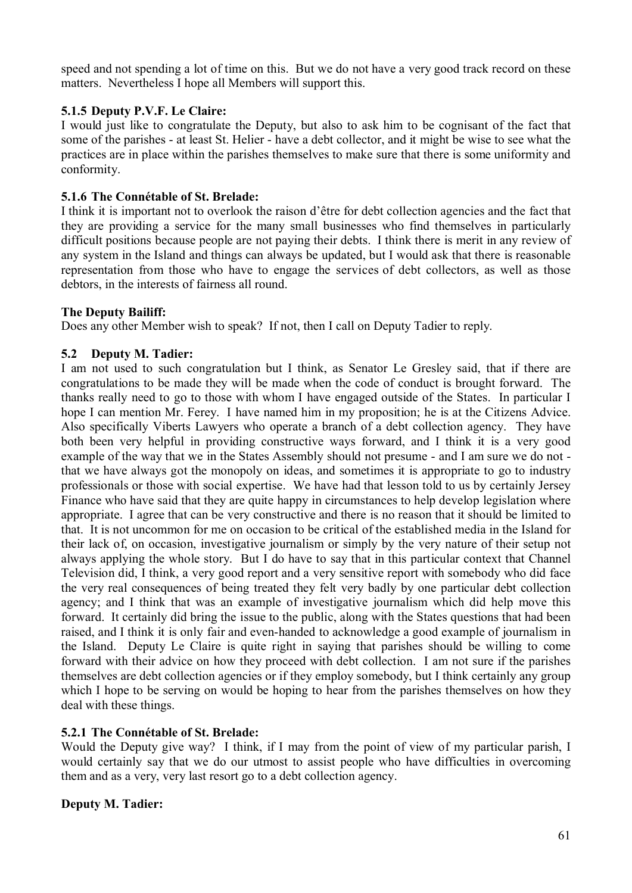speed and not spending a lot of time on this. But we do not have a very good track record on these matters. Nevertheless I hope all Members will support this.

# **5.1.5 Deputy P.V.F. Le Claire:**

I would just like to congratulate the Deputy, but also to ask him to be cognisant of the fact that some of the parishes - at least St. Helier - have a debt collector, and it might be wise to see what the practices are in place within the parishes themselves to make sure that there is some uniformity and conformity.

## **5.1.6 The Connétable of St. Brelade:**

I think it is important not to overlook the raison d'être for debt collection agencies and the fact that they are providing a service for the many small businesses who find themselves in particularly difficult positions because people are not paying their debts. I think there is merit in any review of any system in the Island and things can always be updated, but I would ask that there is reasonable representation from those who have to engage the services of debt collectors, as well as those debtors, in the interests of fairness all round.

## **The Deputy Bailiff:**

Does any other Member wish to speak? If not, then I call on Deputy Tadier to reply.

# **5.2 Deputy M. Tadier:**

I am not used to such congratulation but I think, as Senator Le Gresley said, that if there are congratulations to be made they will be made when the code of conduct is brought forward. The thanks really need to go to those with whom I have engaged outside of the States. In particular I hope I can mention Mr. Ferey. I have named him in my proposition; he is at the Citizens Advice. Also specifically Viberts Lawyers who operate a branch of a debt collection agency. They have both been very helpful in providing constructive ways forward, and I think it is a very good example of the way that we in the States Assembly should not presume - and I am sure we do not that we have always got the monopoly on ideas, and sometimes it is appropriate to go to industry professionals or those with social expertise. We have had that lesson told to us by certainly Jersey Finance who have said that they are quite happy in circumstances to help develop legislation where appropriate. I agree that can be very constructive and there is no reason that it should be limited to that. It is not uncommon for me on occasion to be critical of the established media in the Island for their lack of, on occasion, investigative journalism or simply by the very nature of their setup not always applying the whole story. But I do have to say that in this particular context that Channel Television did, I think, a very good report and a very sensitive report with somebody who did face the very real consequences of being treated they felt very badly by one particular debt collection agency; and I think that was an example of investigative journalism which did help move this forward. It certainly did bring the issue to the public, along with the States questions that had been raised, and I think it is only fair and even-handed to acknowledge a good example of journalism in the Island. Deputy Le Claire is quite right in saying that parishes should be willing to come forward with their advice on how they proceed with debt collection. I am not sure if the parishes themselves are debt collection agencies or if they employ somebody, but I think certainly any group which I hope to be serving on would be hoping to hear from the parishes themselves on how they deal with these things.

# **5.2.1 The Connétable of St. Brelade:**

Would the Deputy give way? I think, if I may from the point of view of my particular parish, I would certainly say that we do our utmost to assist people who have difficulties in overcoming them and as a very, very last resort go to a debt collection agency.

# **Deputy M. Tadier:**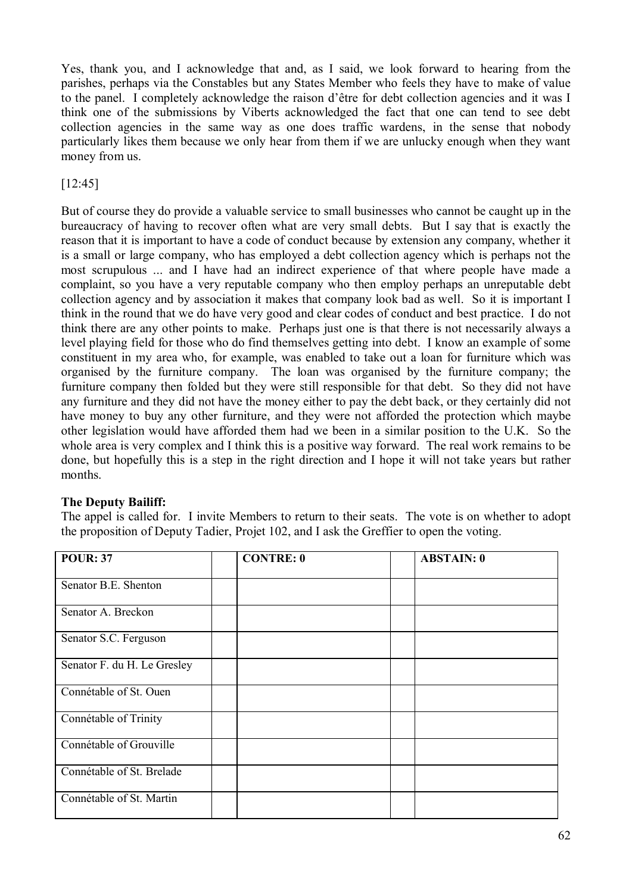Yes, thank you, and I acknowledge that and, as I said, we look forward to hearing from the parishes, perhaps via the Constables but any States Member who feels they have to make of value to the panel. I completely acknowledge the raison d'être for debt collection agencies and it was I think one of the submissions by Viberts acknowledged the fact that one can tend to see debt collection agencies in the same way as one does traffic wardens, in the sense that nobody particularly likes them because we only hear from them if we are unlucky enough when they want money from us.

[12:45]

But of course they do provide a valuable service to small businesses who cannot be caught up in the bureaucracy of having to recover often what are very small debts. But I say that is exactly the reason that it is important to have a code of conduct because by extension any company, whether it is a small or large company, who has employed a debt collection agency which is perhaps not the most scrupulous ... and I have had an indirect experience of that where people have made a complaint, so you have a very reputable company who then employ perhaps an unreputable debt collection agency and by association it makes that company look bad as well. So it is important I think in the round that we do have very good and clear codes of conduct and best practice. I do not think there are any other points to make. Perhaps just one is that there is not necessarily always a level playing field for those who do find themselves getting into debt. I know an example of some constituent in my area who, for example, was enabled to take out a loan for furniture which was organised by the furniture company. The loan was organised by the furniture company; the furniture company then folded but they were still responsible for that debt. So they did not have any furniture and they did not have the money either to pay the debt back, or they certainly did not have money to buy any other furniture, and they were not afforded the protection which maybe other legislation would have afforded them had we been in a similar position to the U.K. So the whole area is very complex and I think this is a positive way forward. The real work remains to be done, but hopefully this is a step in the right direction and I hope it will not take years but rather months.

# **The Deputy Bailiff:**

The appel is called for. I invite Members to return to their seats. The vote is on whether to adopt the proposition of Deputy Tadier, Projet 102, and I ask the Greffier to open the voting.

| <b>POUR: 37</b>             | <b>CONTRE: 0</b> | <b>ABSTAIN: 0</b> |
|-----------------------------|------------------|-------------------|
| Senator B.E. Shenton        |                  |                   |
| Senator A. Breckon          |                  |                   |
| Senator S.C. Ferguson       |                  |                   |
| Senator F. du H. Le Gresley |                  |                   |
| Connétable of St. Ouen      |                  |                   |
| Connétable of Trinity       |                  |                   |
| Connétable of Grouville     |                  |                   |
| Connétable of St. Brelade   |                  |                   |
| Connétable of St. Martin    |                  |                   |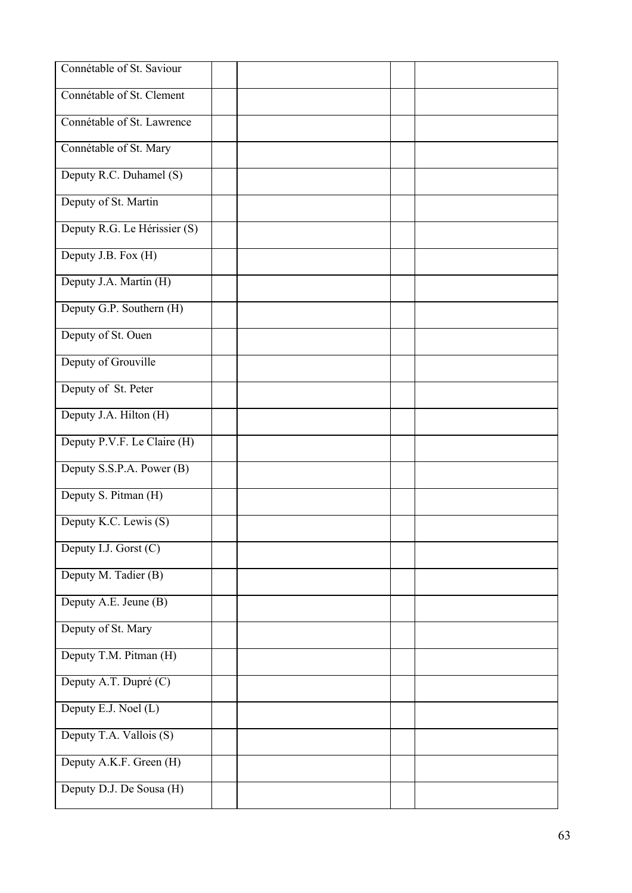| Connétable of St. Saviour    |  |  |
|------------------------------|--|--|
| Connétable of St. Clement    |  |  |
| Connétable of St. Lawrence   |  |  |
| Connétable of St. Mary       |  |  |
| Deputy R.C. Duhamel (S)      |  |  |
| Deputy of St. Martin         |  |  |
| Deputy R.G. Le Hérissier (S) |  |  |
| Deputy J.B. Fox (H)          |  |  |
| Deputy J.A. Martin (H)       |  |  |
| Deputy G.P. Southern (H)     |  |  |
| Deputy of St. Ouen           |  |  |
| Deputy of Grouville          |  |  |
| Deputy of St. Peter          |  |  |
| Deputy J.A. Hilton (H)       |  |  |
| Deputy P.V.F. Le Claire (H)  |  |  |
| Deputy S.S.P.A. Power (B)    |  |  |
| Deputy S. Pitman (H)         |  |  |
| Deputy K.C. Lewis (S)        |  |  |
| Deputy I.J. Gorst (C)        |  |  |
| Deputy M. Tadier (B)         |  |  |
| Deputy A.E. Jeune (B)        |  |  |
| Deputy of St. Mary           |  |  |
| Deputy T.M. Pitman (H)       |  |  |
| Deputy A.T. Dupré (C)        |  |  |
| Deputy E.J. Noel (L)         |  |  |
| Deputy T.A. Vallois (S)      |  |  |
| Deputy A.K.F. Green (H)      |  |  |
| Deputy D.J. De Sousa (H)     |  |  |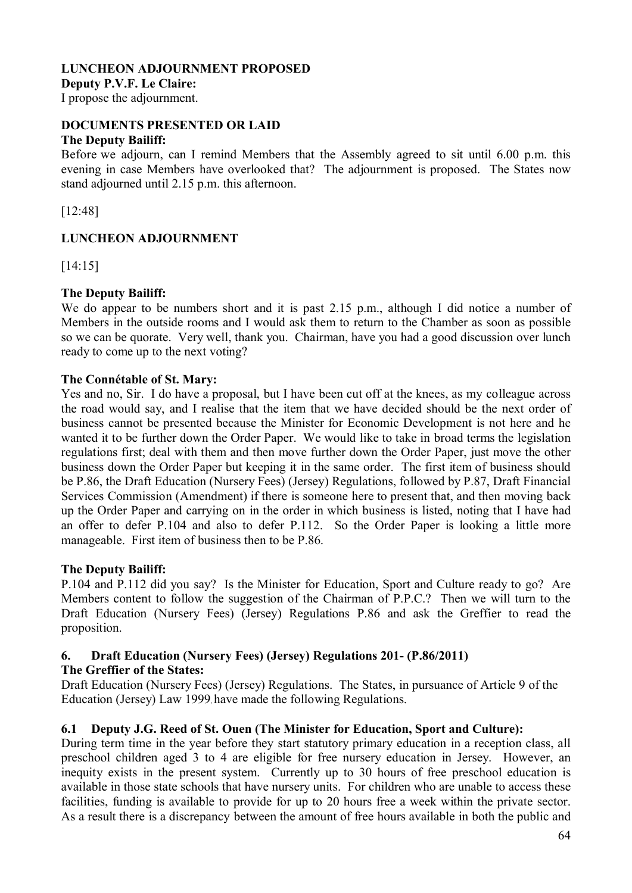## **LUNCHEON ADJOURNMENT PROPOSED Deputy P.V.F. Le Claire:**

I propose the adjournment.

#### **DOCUMENTS PRESENTED OR LAID The Deputy Bailiff:**

Before we adjourn, can I remind Members that the Assembly agreed to sit until 6.00 p.m. this evening in case Members have overlooked that? The adjournment is proposed. The States now stand adjourned until 2.15 p.m. this afternoon.

[12:48]

# **LUNCHEON ADJOURNMENT**

[14:15]

# **The Deputy Bailiff:**

We do appear to be numbers short and it is past 2.15 p.m., although I did notice a number of Members in the outside rooms and I would ask them to return to the Chamber as soon as possible so we can be quorate. Very well, thank you. Chairman, have you had a good discussion over lunch ready to come up to the next voting?

## **The Connétable of St. Mary:**

Yes and no, Sir. I do have a proposal, but I have been cut off at the knees, as my colleague across the road would say, and I realise that the item that we have decided should be the next order of business cannot be presented because the Minister for Economic Development is not here and he wanted it to be further down the Order Paper. We would like to take in broad terms the legislation regulations first; deal with them and then move further down the Order Paper, just move the other business down the Order Paper but keeping it in the same order. The first item of business should be P.86, the Draft Education (Nursery Fees) (Jersey) Regulations, followed by P.87, Draft Financial Services Commission (Amendment) if there is someone here to present that, and then moving back up the Order Paper and carrying on in the order in which business is listed, noting that I have had an offer to defer P.104 and also to defer P.112. So the Order Paper is looking a little more manageable. First item of business then to be P.86.

# **The Deputy Bailiff:**

P.104 and P.112 did you say? Is the Minister for Education, Sport and Culture ready to go? Are Members content to follow the suggestion of the Chairman of P.P.C.? Then we will turn to the Draft Education (Nursery Fees) (Jersey) Regulations P.86 and ask the Greffier to read the proposition.

# **6. Draft Education (Nursery Fees) (Jersey) Regulations 201- (P.86/2011)**

# **The Greffier of the States:**

Draft Education (Nursery Fees) (Jersey) Regulations. The States, in pursuance of Article 9 of the Education (Jersey) Law 1999, have made the following Regulations.

# **6.1 Deputy J.G. Reed of St. Ouen (The Minister for Education, Sport and Culture):**

During term time in the year before they start statutory primary education in a reception class, all preschool children aged 3 to 4 are eligible for free nursery education in Jersey. However, an inequity exists in the present system. Currently up to 30 hours of free preschool education is available in those state schools that have nursery units. For children who are unable to access these facilities, funding is available to provide for up to 20 hours free a week within the private sector. As a result there is a discrepancy between the amount of free hours available in both the public and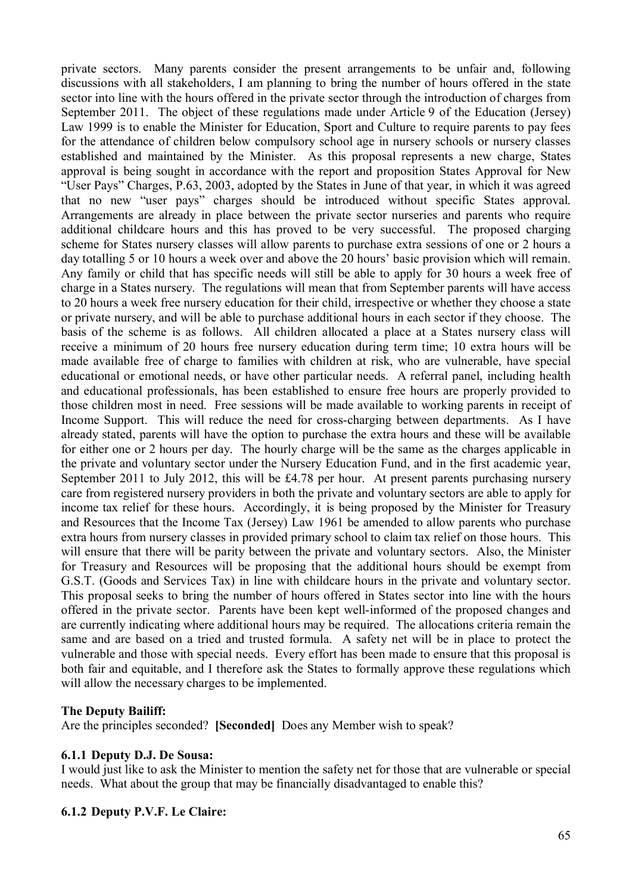private sectors. Many parents consider the present arrangements to be unfair and, following discussions with all stakeholders, I am planning to bring the number of hours offered in the state sector into line with the hours offered in the private sector through the introduction of charges from September 2011. The object of these regulations made under Article 9 of the Education (Jersey) Law 1999 is to enable the Minister for Education, Sport and Culture to require parents to pay fees for the attendance of children below compulsory school age in nursery schools or nursery classes established and maintained by the Minister. As this proposal represents a new charge, States approval is being sought in accordance with the report and proposition States Approval for New "User Pays" Charges, P.63, 2003, adopted by the States in June of that year, in which it was agreed that no new "user pays" charges should be introduced without specific States approval. Arrangements are already in place between the private sector nurseries and parents who require additional childcare hours and this has proved to be very successful. The proposed charging scheme for States nursery classes will allow parents to purchase extra sessions of one or 2 hours a day totalling 5 or 10 hours a week over and above the 20 hours' basic provision which will remain. Any family or child that has specific needs will still be able to apply for 30 hours a week free of charge in a States nursery. The regulations will mean that from September parents will have access to 20 hours a week free nursery education for their child, irrespective or whether they choose a state or private nursery, and will be able to purchase additional hours in each sector if they choose. The basis of the scheme is as follows. All children allocated a place at a States nursery class will receive a minimum of 20 hours free nursery education during term time; 10 extra hours will be made available free of charge to families with children at risk, who are vulnerable, have special educational or emotional needs, or have other particular needs. A referral panel, including health and educational professionals, has been established to ensure free hours are properly provided to those children most in need. Free sessions will be made available to working parents in receipt of Income Support. This will reduce the need for cross-charging between departments. As I have already stated, parents will have the option to purchase the extra hours and these will be available for either one or 2 hours per day. The hourly charge will be the same as the charges applicable in the private and voluntary sector under the Nursery Education Fund, and in the first academic year, September 2011 to July 2012, this will be £4.78 per hour. At present parents purchasing nursery care from registered nursery providers in both the private and voluntary sectors are able to apply for income tax relief for these hours. Accordingly, it is being proposed by the Minister for Treasury and Resources that the Income Tax (Jersey) Law 1961 be amended to allow parents who purchase extra hours from nursery classes in provided primary school to claim tax relief on those hours. This will ensure that there will be parity between the private and voluntary sectors. Also, the Minister for Treasury and Resources will be proposing that the additional hours should be exempt from G.S.T. (Goods and Services Tax) in line with childcare hours in the private and voluntary sector. This proposal seeks to bring the number of hours offered in States sector into line with the hours offered in the private sector. Parents have been kept well-informed of the proposed changes and are currently indicating where additional hours may be required. The allocations criteria remain the same and are based on a tried and trusted formula. A safety net will be in place to protect the vulnerable and those with special needs. Every effort has been made to ensure that this proposal is both fair and equitable, and I therefore ask the States to formally approve these regulations which will allow the necessary charges to be implemented.

### **The Deputy Bailiff:**

Are the principles seconded? **[Seconded]** Does any Member wish to speak?

#### **6.1.1 Deputy D.J. De Sousa:**

I would just like to ask the Minister to mention the safety net for those that are vulnerable or special needs. What about the group that may be financially disadvantaged to enable this?

#### **6.1.2 Deputy P.V.F. Le Claire:**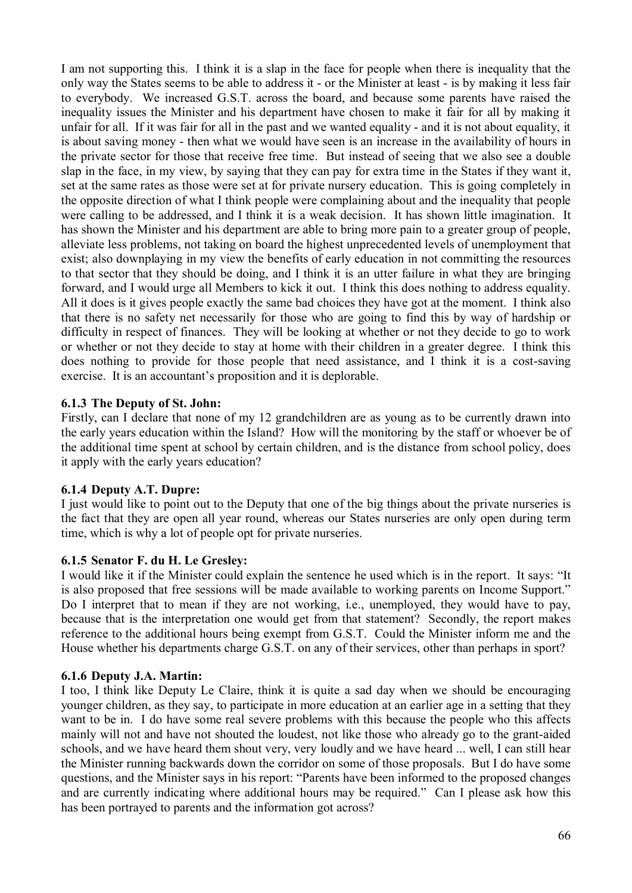I am not supporting this. I think it is a slap in the face for people when there is inequality that the only way the States seems to be able to address it - or the Minister at least - is by making it less fair to everybody. We increased G.S.T. across the board, and because some parents have raised the inequality issues the Minister and his department have chosen to make it fair for all by making it unfair for all. If it was fair for all in the past and we wanted equality - and it is not about equality, it is about saving money - then what we would have seen is an increase in the availability of hours in the private sector for those that receive free time. But instead of seeing that we also see a double slap in the face, in my view, by saying that they can pay for extra time in the States if they want it, set at the same rates as those were set at for private nursery education. This is going completely in the opposite direction of what I think people were complaining about and the inequality that people were calling to be addressed, and I think it is a weak decision. It has shown little imagination. It has shown the Minister and his department are able to bring more pain to a greater group of people, alleviate less problems, not taking on board the highest unprecedented levels of unemployment that exist; also downplaying in my view the benefits of early education in not committing the resources to that sector that they should be doing, and I think it is an utter failure in what they are bringing forward, and I would urge all Members to kick it out. I think this does nothing to address equality. All it does is it gives people exactly the same bad choices they have got at the moment. I think also that there is no safety net necessarily for those who are going to find this by way of hardship or difficulty in respect of finances. They will be looking at whether or not they decide to go to work or whether or not they decide to stay at home with their children in a greater degree. I think this does nothing to provide for those people that need assistance, and I think it is a cost-saving exercise. It is an accountant's proposition and it is deplorable.

# **6.1.3 The Deputy of St. John:**

Firstly, can I declare that none of my 12 grandchildren are as young as to be currently drawn into the early years education within the Island? How will the monitoring by the staff or whoever be of the additional time spent at school by certain children, and is the distance from school policy, does it apply with the early years education?

# **6.1.4 Deputy A.T. Dupre:**

I just would like to point out to the Deputy that one of the big things about the private nurseries is the fact that they are open all year round, whereas our States nurseries are only open during term time, which is why a lot of people opt for private nurseries.

# **6.1.5 Senator F. du H. Le Gresley:**

I would like it if the Minister could explain the sentence he used which is in the report. It says: "It is also proposed that free sessions will be made available to working parents on Income Support." Do I interpret that to mean if they are not working, i.e., unemployed, they would have to pay, because that is the interpretation one would get from that statement? Secondly, the report makes reference to the additional hours being exempt from G.S.T. Could the Minister inform me and the House whether his departments charge G.S.T. on any of their services, other than perhaps in sport?

# **6.1.6 Deputy J.A. Martin:**

I too, I think like Deputy Le Claire, think it is quite a sad day when we should be encouraging younger children, as they say, to participate in more education at an earlier age in a setting that they want to be in. I do have some real severe problems with this because the people who this affects mainly will not and have not shouted the loudest, not like those who already go to the grant-aided schools, and we have heard them shout very, very loudly and we have heard ... well, I can still hear the Minister running backwards down the corridor on some of those proposals. But I do have some questions, and the Minister says in his report: "Parents have been informed to the proposed changes and are currently indicating where additional hours may be required." Can I please ask how this has been portrayed to parents and the information got across?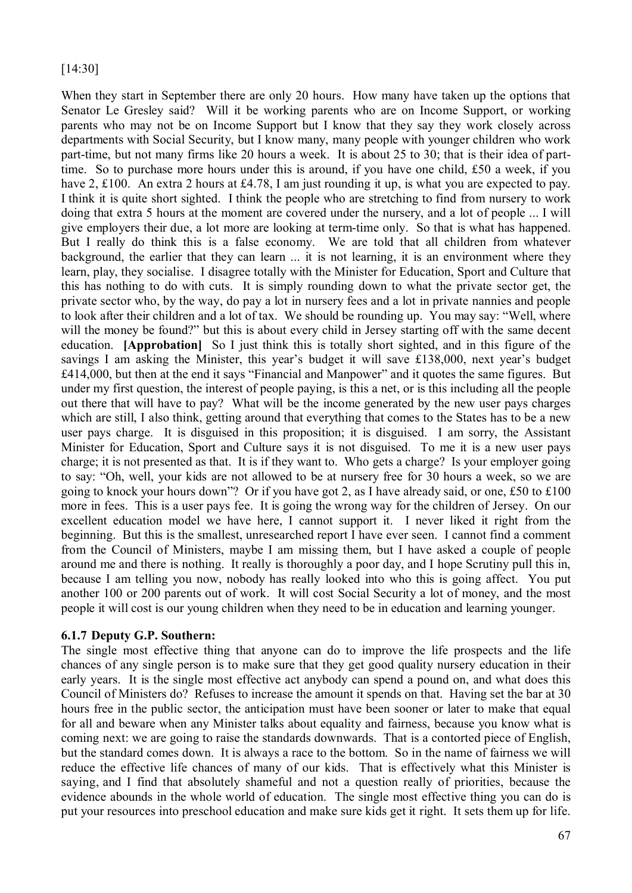# [14:30]

When they start in September there are only 20 hours. How many have taken up the options that Senator Le Gresley said? Will it be working parents who are on Income Support, or working parents who may not be on Income Support but I know that they say they work closely across departments with Social Security, but I know many, many people with younger children who work part-time, but not many firms like 20 hours a week. It is about 25 to 30; that is their idea of parttime. So to purchase more hours under this is around, if you have one child, £50 a week, if you have 2, £100. An extra 2 hours at £4.78, I am just rounding it up, is what you are expected to pay. I think it is quite short sighted. I think the people who are stretching to find from nursery to work doing that extra 5 hours at the moment are covered under the nursery, and a lot of people ... I will give employers their due, a lot more are looking at term-time only. So that is what has happened. But I really do think this is a false economy. We are told that all children from whatever background, the earlier that they can learn ... it is not learning, it is an environment where they learn, play, they socialise. I disagree totally with the Minister for Education, Sport and Culture that this has nothing to do with cuts. It is simply rounding down to what the private sector get, the private sector who, by the way, do pay a lot in nursery fees and a lot in private nannies and people to look after their children and a lot of tax. We should be rounding up. You may say: "Well, where will the money be found?" but this is about every child in Jersey starting off with the same decent education. **[Approbation]** So I just think this is totally short sighted, and in this figure of the savings I am asking the Minister, this year's budget it will save £138,000, next year's budget £414,000, but then at the end it says "Financial and Manpower" and it quotes the same figures. But under my first question, the interest of people paying, is this a net, or is this including all the people out there that will have to pay? What will be the income generated by the new user pays charges which are still, I also think, getting around that everything that comes to the States has to be a new user pays charge. It is disguised in this proposition; it is disguised. I am sorry, the Assistant Minister for Education, Sport and Culture says it is not disguised. To me it is a new user pays charge; it is not presented as that. It is if they want to. Who gets a charge? Is your employer going to say: "Oh, well, your kids are not allowed to be at nursery free for 30 hours a week, so we are going to knock your hours down"? Or if you have got 2, as I have already said, or one, £50 to £100 more in fees. This is a user pays fee. It is going the wrong way for the children of Jersey. On our excellent education model we have here, I cannot support it. I never liked it right from the beginning. But this is the smallest, unresearched report I have ever seen. I cannot find a comment from the Council of Ministers, maybe I am missing them, but I have asked a couple of people around me and there is nothing. It really is thoroughly a poor day, and I hope Scrutiny pull this in, because I am telling you now, nobody has really looked into who this is going affect. You put another 100 or 200 parents out of work. It will cost Social Security a lot of money, and the most people it will cost is our young children when they need to be in education and learning younger.

# **6.1.7 Deputy G.P. Southern:**

The single most effective thing that anyone can do to improve the life prospects and the life chances of any single person is to make sure that they get good quality nursery education in their early years. It is the single most effective act anybody can spend a pound on, and what does this Council of Ministers do? Refuses to increase the amount it spends on that. Having set the bar at 30 hours free in the public sector, the anticipation must have been sooner or later to make that equal for all and beware when any Minister talks about equality and fairness, because you know what is coming next: we are going to raise the standards downwards. That is a contorted piece of English, but the standard comes down. It is always a race to the bottom. So in the name of fairness we will reduce the effective life chances of many of our kids. That is effectively what this Minister is saying, and I find that absolutely shameful and not a question really of priorities, because the evidence abounds in the whole world of education. The single most effective thing you can do is put your resources into preschool education and make sure kids get it right. It sets them up for life.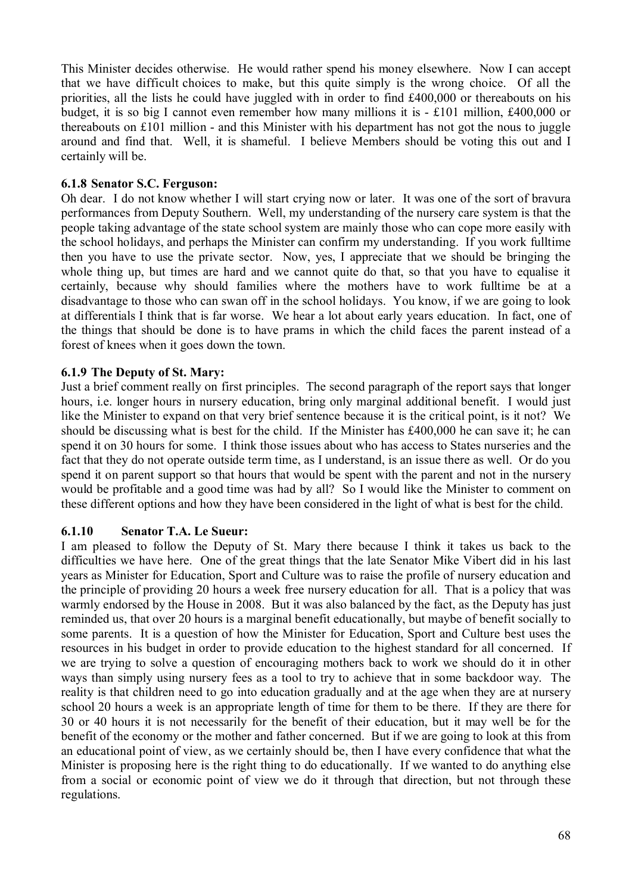This Minister decides otherwise. He would rather spend his money elsewhere. Now I can accept that we have difficult choices to make, but this quite simply is the wrong choice. Of all the priorities, all the lists he could have juggled with in order to find £400,000 or thereabouts on his budget, it is so big I cannot even remember how many millions it is  $\pm 101$  million, £400,000 or thereabouts on £101 million - and this Minister with his department has not got the nous to juggle around and find that. Well, it is shameful. I believe Members should be voting this out and I certainly will be.

## **6.1.8 Senator S.C. Ferguson:**

Oh dear. I do not know whether I will start crying now or later. It was one of the sort of bravura performances from Deputy Southern. Well, my understanding of the nursery care system is that the people taking advantage of the state school system are mainly those who can cope more easily with the school holidays, and perhaps the Minister can confirm my understanding. If you work fulltime then you have to use the private sector. Now, yes, I appreciate that we should be bringing the whole thing up, but times are hard and we cannot quite do that, so that you have to equalise it certainly, because why should families where the mothers have to work fulltime be at a disadvantage to those who can swan off in the school holidays. You know, if we are going to look at differentials I think that is far worse. We hear a lot about early years education. In fact, one of the things that should be done is to have prams in which the child faces the parent instead of a forest of knees when it goes down the town.

## **6.1.9 The Deputy of St. Mary:**

Just a brief comment really on first principles. The second paragraph of the report says that longer hours, i.e. longer hours in nursery education, bring only marginal additional benefit. I would just like the Minister to expand on that very brief sentence because it is the critical point, is it not? We should be discussing what is best for the child. If the Minister has £400,000 he can save it; he can spend it on 30 hours for some. I think those issues about who has access to States nurseries and the fact that they do not operate outside term time, as I understand, is an issue there as well. Or do you spend it on parent support so that hours that would be spent with the parent and not in the nursery would be profitable and a good time was had by all? So I would like the Minister to comment on these different options and how they have been considered in the light of what is best for the child.

### **6.1.10 Senator T.A. Le Sueur:**

I am pleased to follow the Deputy of St. Mary there because I think it takes us back to the difficulties we have here. One of the great things that the late Senator Mike Vibert did in his last years as Minister for Education, Sport and Culture was to raise the profile of nursery education and the principle of providing 20 hours a week free nursery education for all. That is a policy that was warmly endorsed by the House in 2008. But it was also balanced by the fact, as the Deputy has just reminded us, that over 20 hours is a marginal benefit educationally, but maybe of benefit socially to some parents. It is a question of how the Minister for Education, Sport and Culture best uses the resources in his budget in order to provide education to the highest standard for all concerned. If we are trying to solve a question of encouraging mothers back to work we should do it in other ways than simply using nursery fees as a tool to try to achieve that in some backdoor way. The reality is that children need to go into education gradually and at the age when they are at nursery school 20 hours a week is an appropriate length of time for them to be there. If they are there for 30 or 40 hours it is not necessarily for the benefit of their education, but it may well be for the benefit of the economy or the mother and father concerned. But if we are going to look at this from an educational point of view, as we certainly should be, then I have every confidence that what the Minister is proposing here is the right thing to do educationally. If we wanted to do anything else from a social or economic point of view we do it through that direction, but not through these regulations.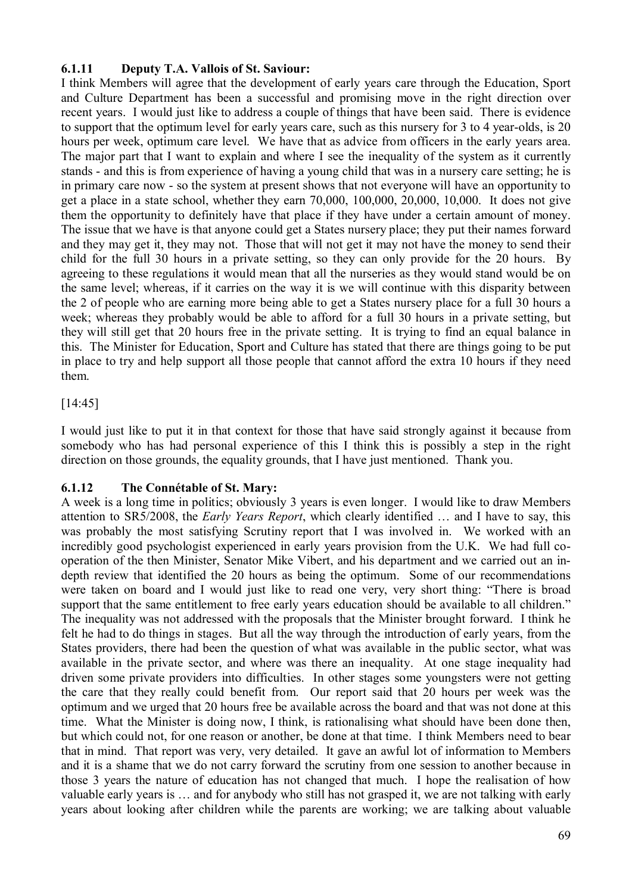# **6.1.11 Deputy T.A. Vallois of St. Saviour:**

I think Members will agree that the development of early years care through the Education, Sport and Culture Department has been a successful and promising move in the right direction over recent years. I would just like to address a couple of things that have been said. There is evidence to support that the optimum level for early years care, such as this nursery for 3 to 4 year-olds, is 20 hours per week, optimum care level. We have that as advice from officers in the early years area. The major part that I want to explain and where I see the inequality of the system as it currently stands - and this is from experience of having a young child that was in a nursery care setting; he is in primary care now - so the system at present shows that not everyone will have an opportunity to get a place in a state school, whether they earn 70,000, 100,000, 20,000, 10,000. It does not give them the opportunity to definitely have that place if they have under a certain amount of money. The issue that we have is that anyone could get a States nursery place; they put their names forward and they may get it, they may not. Those that will not get it may not have the money to send their child for the full 30 hours in a private setting, so they can only provide for the 20 hours. By agreeing to these regulations it would mean that all the nurseries as they would stand would be on the same level; whereas, if it carries on the way it is we will continue with this disparity between the 2 of people who are earning more being able to get a States nursery place for a full 30 hours a week; whereas they probably would be able to afford for a full 30 hours in a private setting, but they will still get that 20 hours free in the private setting. It is trying to find an equal balance in this. The Minister for Education, Sport and Culture has stated that there are things going to be put in place to try and help support all those people that cannot afford the extra 10 hours if they need them.

# [14:45]

I would just like to put it in that context for those that have said strongly against it because from somebody who has had personal experience of this I think this is possibly a step in the right direction on those grounds, the equality grounds, that I have just mentioned. Thank you.

# **6.1.12 The Connétable of St. Mary:**

A week is a long time in politics; obviously 3 years is even longer. I would like to draw Members attention to SR5/2008, the *Early Years Report*, which clearly identified … and I have to say, this was probably the most satisfying Scrutiny report that I was involved in. We worked with an incredibly good psychologist experienced in early years provision from the U.K. We had full cooperation of the then Minister, Senator Mike Vibert, and his department and we carried out an indepth review that identified the 20 hours as being the optimum. Some of our recommendations were taken on board and I would just like to read one very, very short thing: "There is broad support that the same entitlement to free early years education should be available to all children." The inequality was not addressed with the proposals that the Minister brought forward. I think he felt he had to do things in stages. But all the way through the introduction of early years, from the States providers, there had been the question of what was available in the public sector, what was available in the private sector, and where was there an inequality. At one stage inequality had driven some private providers into difficulties. In other stages some youngsters were not getting the care that they really could benefit from. Our report said that 20 hours per week was the optimum and we urged that 20 hours free be available across the board and that was not done at this time. What the Minister is doing now, I think, is rationalising what should have been done then, but which could not, for one reason or another, be done at that time. I think Members need to bear that in mind. That report was very, very detailed. It gave an awful lot of information to Members and it is a shame that we do not carry forward the scrutiny from one session to another because in those 3 years the nature of education has not changed that much. I hope the realisation of how valuable early years is … and for anybody who still has not grasped it, we are not talking with early years about looking after children while the parents are working; we are talking about valuable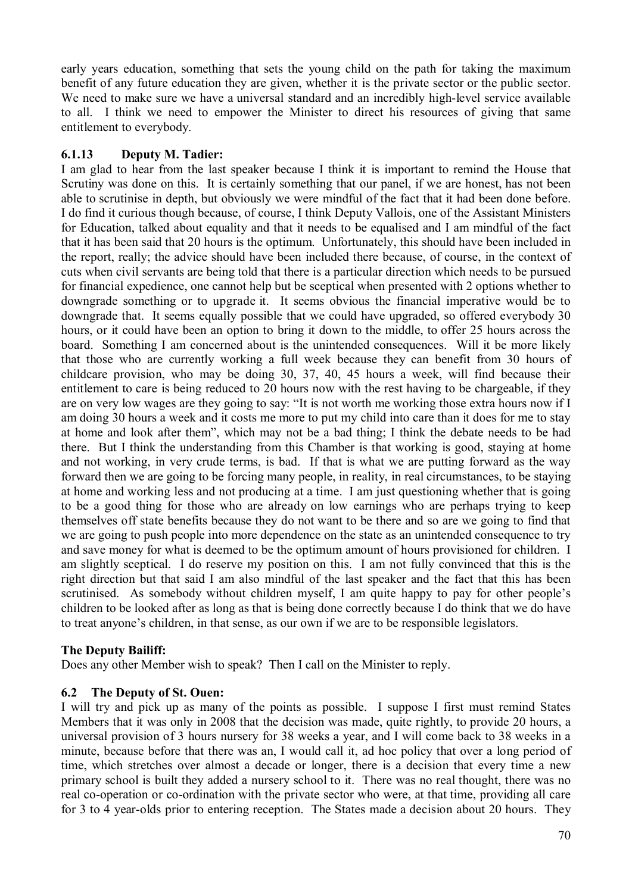early years education, something that sets the young child on the path for taking the maximum benefit of any future education they are given, whether it is the private sector or the public sector. We need to make sure we have a universal standard and an incredibly high-level service available to all. I think we need to empower the Minister to direct his resources of giving that same entitlement to everybody.

# **6.1.13 Deputy M. Tadier:**

I am glad to hear from the last speaker because I think it is important to remind the House that Scrutiny was done on this. It is certainly something that our panel, if we are honest, has not been able to scrutinise in depth, but obviously we were mindful of the fact that it had been done before. I do find it curious though because, of course, I think Deputy Vallois, one of the Assistant Ministers for Education, talked about equality and that it needs to be equalised and I am mindful of the fact that it has been said that 20 hours is the optimum. Unfortunately, this should have been included in the report, really; the advice should have been included there because, of course, in the context of cuts when civil servants are being told that there is a particular direction which needs to be pursued for financial expedience, one cannot help but be sceptical when presented with 2 options whether to downgrade something or to upgrade it. It seems obvious the financial imperative would be to downgrade that. It seems equally possible that we could have upgraded, so offered everybody 30 hours, or it could have been an option to bring it down to the middle, to offer 25 hours across the board. Something I am concerned about is the unintended consequences. Will it be more likely that those who are currently working a full week because they can benefit from 30 hours of childcare provision, who may be doing 30, 37, 40, 45 hours a week, will find because their entitlement to care is being reduced to 20 hours now with the rest having to be chargeable, if they are on very low wages are they going to say: "It is not worth me working those extra hours now if I am doing 30 hours a week and it costs me more to put my child into care than it does for me to stay at home and look after them", which may not be a bad thing; I think the debate needs to be had there. But I think the understanding from this Chamber is that working is good, staying at home and not working, in very crude terms, is bad. If that is what we are putting forward as the way forward then we are going to be forcing many people, in reality, in real circumstances, to be staying at home and working less and not producing at a time. I am just questioning whether that is going to be a good thing for those who are already on low earnings who are perhaps trying to keep themselves off state benefits because they do not want to be there and so are we going to find that we are going to push people into more dependence on the state as an unintended consequence to try and save money for what is deemed to be the optimum amount of hours provisioned for children. I am slightly sceptical. I do reserve my position on this. I am not fully convinced that this is the right direction but that said I am also mindful of the last speaker and the fact that this has been scrutinised. As somebody without children myself, I am quite happy to pay for other people's children to be looked after as long as that is being done correctly because I do think that we do have to treat anyone's children, in that sense, as our own if we are to be responsible legislators.

# **The Deputy Bailiff:**

Does any other Member wish to speak? Then I call on the Minister to reply.

### **6.2 The Deputy of St. Ouen:**

I will try and pick up as many of the points as possible. I suppose I first must remind States Members that it was only in 2008 that the decision was made, quite rightly, to provide 20 hours, a universal provision of 3 hours nursery for 38 weeks a year, and I will come back to 38 weeks in a minute, because before that there was an, I would call it, ad hoc policy that over a long period of time, which stretches over almost a decade or longer, there is a decision that every time a new primary school is built they added a nursery school to it. There was no real thought, there was no real co-operation or co-ordination with the private sector who were, at that time, providing all care for 3 to 4 year-olds prior to entering reception. The States made a decision about 20 hours. They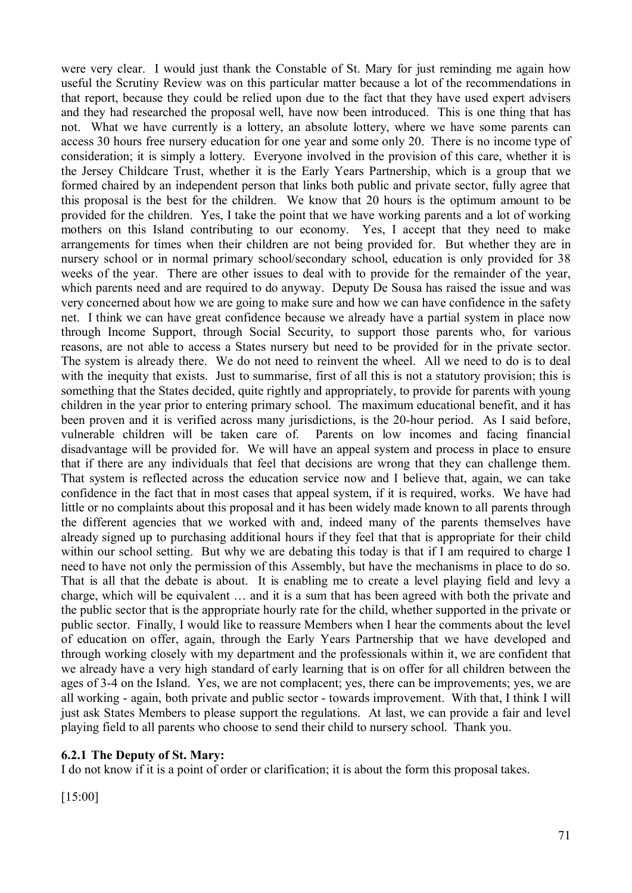were very clear. I would just thank the Constable of St. Mary for just reminding me again how useful the Scrutiny Review was on this particular matter because a lot of the recommendations in that report, because they could be relied upon due to the fact that they have used expert advisers and they had researched the proposal well, have now been introduced. This is one thing that has not. What we have currently is a lottery, an absolute lottery, where we have some parents can access 30 hours free nursery education for one year and some only 20. There is no income type of consideration; it is simply a lottery. Everyone involved in the provision of this care, whether it is the Jersey Childcare Trust, whether it is the Early Years Partnership, which is a group that we formed chaired by an independent person that links both public and private sector, fully agree that this proposal is the best for the children. We know that 20 hours is the optimum amount to be provided for the children. Yes, I take the point that we have working parents and a lot of working mothers on this Island contributing to our economy. Yes, I accept that they need to make arrangements for times when their children are not being provided for. But whether they are in nursery school or in normal primary school/secondary school, education is only provided for 38 weeks of the year. There are other issues to deal with to provide for the remainder of the year, which parents need and are required to do anyway. Deputy De Sousa has raised the issue and was very concerned about how we are going to make sure and how we can have confidence in the safety net. I think we can have great confidence because we already have a partial system in place now through Income Support, through Social Security, to support those parents who, for various reasons, are not able to access a States nursery but need to be provided for in the private sector. The system is already there. We do not need to reinvent the wheel. All we need to do is to deal with the inequity that exists. Just to summarise, first of all this is not a statutory provision; this is something that the States decided, quite rightly and appropriately, to provide for parents with young children in the year prior to entering primary school. The maximum educational benefit, and it has been proven and it is verified across many jurisdictions, is the 20-hour period. As I said before, vulnerable children will be taken care of. Parents on low incomes and facing financial disadvantage will be provided for. We will have an appeal system and process in place to ensure that if there are any individuals that feel that decisions are wrong that they can challenge them. That system is reflected across the education service now and I believe that, again, we can take confidence in the fact that in most cases that appeal system, if it is required, works. We have had little or no complaints about this proposal and it has been widely made known to all parents through the different agencies that we worked with and, indeed many of the parents themselves have already signed up to purchasing additional hours if they feel that that is appropriate for their child within our school setting. But why we are debating this today is that if I am required to charge I need to have not only the permission of this Assembly, but have the mechanisms in place to do so. That is all that the debate is about. It is enabling me to create a level playing field and levy a charge, which will be equivalent … and it is a sum that has been agreed with both the private and the public sector that is the appropriate hourly rate for the child, whether supported in the private or public sector. Finally, I would like to reassure Members when I hear the comments about the level of education on offer, again, through the Early Years Partnership that we have developed and through working closely with my department and the professionals within it, we are confident that we already have a very high standard of early learning that is on offer for all children between the ages of 3-4 on the Island. Yes, we are not complacent; yes, there can be improvements; yes, we are all working - again, both private and public sector - towards improvement. With that, I think I will just ask States Members to please support the regulations. At last, we can provide a fair and level playing field to all parents who choose to send their child to nursery school. Thank you.

### **6.2.1 The Deputy of St. Mary:**

I do not know if it is a point of order or clarification; it is about the form this proposal takes.

[15:00]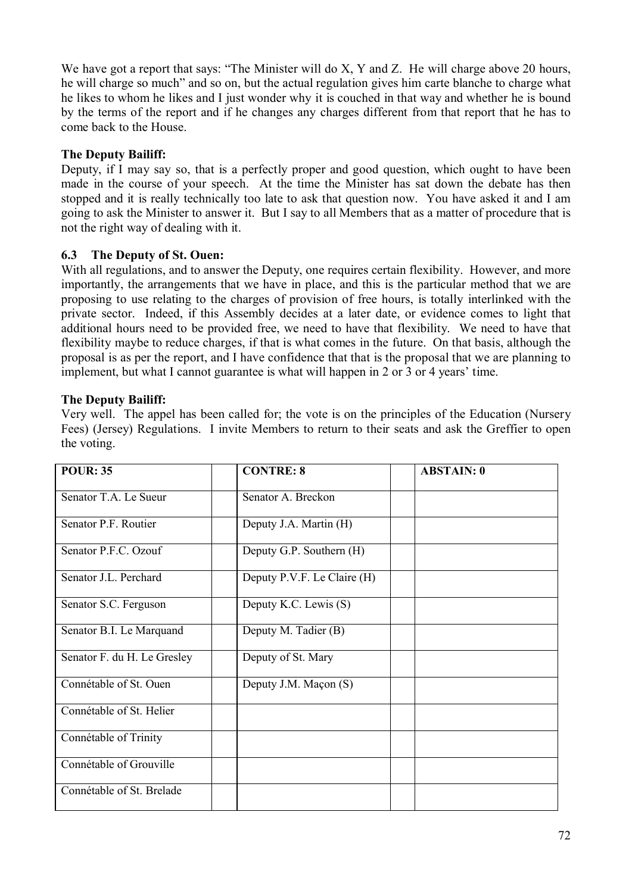We have got a report that says: "The Minister will do X, Y and Z. He will charge above 20 hours, he will charge so much" and so on, but the actual regulation gives him carte blanche to charge what he likes to whom he likes and I just wonder why it is couched in that way and whether he is bound by the terms of the report and if he changes any charges different from that report that he has to come back to the House.

# **The Deputy Bailiff:**

Deputy, if I may say so, that is a perfectly proper and good question, which ought to have been made in the course of your speech. At the time the Minister has sat down the debate has then stopped and it is really technically too late to ask that question now. You have asked it and I am going to ask the Minister to answer it. But I say to all Members that as a matter of procedure that is not the right way of dealing with it.

# **6.3 The Deputy of St. Ouen:**

With all regulations, and to answer the Deputy, one requires certain flexibility. However, and more importantly, the arrangements that we have in place, and this is the particular method that we are proposing to use relating to the charges of provision of free hours, is totally interlinked with the private sector. Indeed, if this Assembly decides at a later date, or evidence comes to light that additional hours need to be provided free, we need to have that flexibility. We need to have that flexibility maybe to reduce charges, if that is what comes in the future. On that basis, although the proposal is as per the report, and I have confidence that that is the proposal that we are planning to implement, but what I cannot guarantee is what will happen in 2 or 3 or 4 years' time.

# **The Deputy Bailiff:**

Very well. The appel has been called for; the vote is on the principles of the Education (Nursery Fees) (Jersey) Regulations. I invite Members to return to their seats and ask the Greffier to open the voting.

| <b>POUR: 35</b>             | <b>CONTRE: 8</b>            | <b>ABSTAIN: 0</b> |
|-----------------------------|-----------------------------|-------------------|
| Senator T.A. Le Sueur       | Senator A. Breckon          |                   |
| Senator P.F. Routier        | Deputy J.A. Martin (H)      |                   |
| Senator P.F.C. Ozouf        | Deputy G.P. Southern (H)    |                   |
| Senator J.L. Perchard       | Deputy P.V.F. Le Claire (H) |                   |
| Senator S.C. Ferguson       | Deputy K.C. Lewis (S)       |                   |
| Senator B.I. Le Marquand    | Deputy M. Tadier (B)        |                   |
| Senator F. du H. Le Gresley | Deputy of St. Mary          |                   |
| Connétable of St. Ouen      | Deputy J.M. Maçon (S)       |                   |
| Connétable of St. Helier    |                             |                   |
| Connétable of Trinity       |                             |                   |
| Connétable of Grouville     |                             |                   |
| Connétable of St. Brelade   |                             |                   |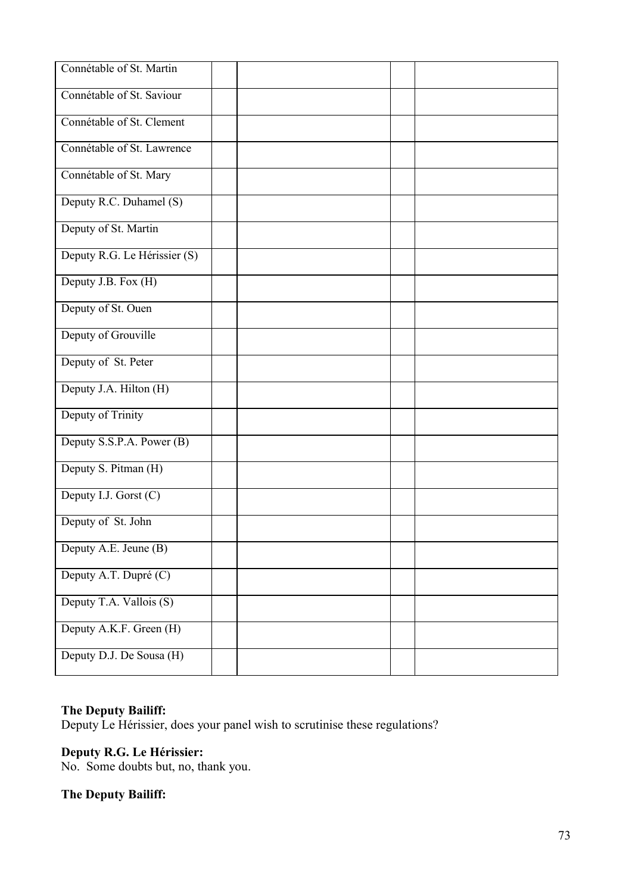| Connétable of St. Martin     |  |  |  |
|------------------------------|--|--|--|
| Connétable of St. Saviour    |  |  |  |
| Connétable of St. Clement    |  |  |  |
| Connétable of St. Lawrence   |  |  |  |
| Connétable of St. Mary       |  |  |  |
| Deputy R.C. Duhamel (S)      |  |  |  |
| Deputy of St. Martin         |  |  |  |
| Deputy R.G. Le Hérissier (S) |  |  |  |
| Deputy J.B. Fox (H)          |  |  |  |
| Deputy of St. Ouen           |  |  |  |
| Deputy of Grouville          |  |  |  |
| Deputy of St. Peter          |  |  |  |
| Deputy J.A. Hilton (H)       |  |  |  |
| Deputy of Trinity            |  |  |  |
| Deputy S.S.P.A. Power (B)    |  |  |  |
| Deputy S. Pitman (H)         |  |  |  |
| Deputy I.J. Gorst (C)        |  |  |  |
| Deputy of St. John           |  |  |  |
| Deputy A.E. Jeune (B)        |  |  |  |
| Deputy A.T. Dupré (C)        |  |  |  |
| Deputy T.A. Vallois (S)      |  |  |  |
| Deputy A.K.F. Green (H)      |  |  |  |
| Deputy D.J. De Sousa (H)     |  |  |  |

## **The Deputy Bailiff:**

Deputy Le Hérissier, does your panel wish to scrutinise these regulations?

## **Deputy R.G. Le Hérissier:**

No. Some doubts but, no, thank you.

# **The Deputy Bailiff:**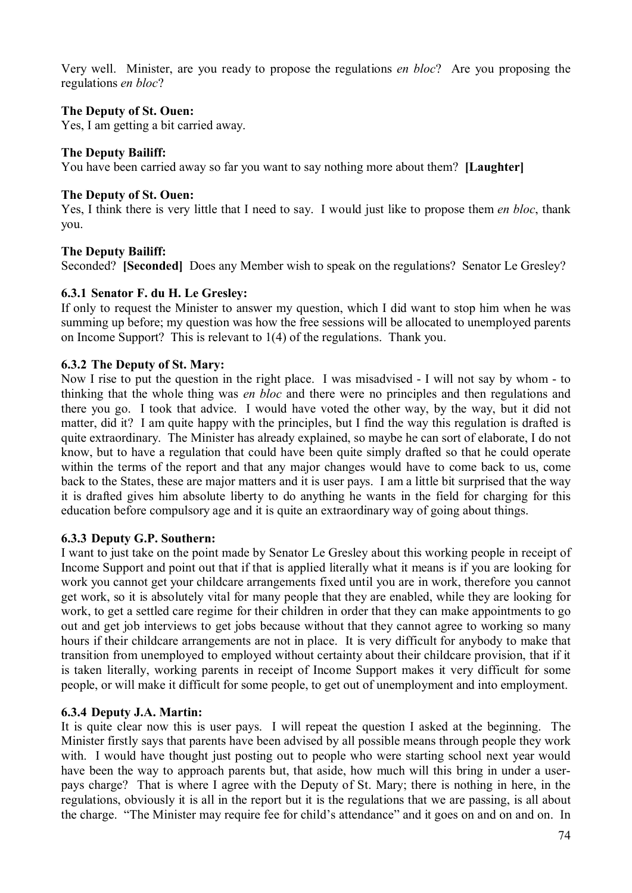Very well. Minister, are you ready to propose the regulations *en bloc*? Are you proposing the regulations *en bloc*?

## **The Deputy of St. Ouen:**

Yes, I am getting a bit carried away.

## **The Deputy Bailiff:**

You have been carried away so far you want to say nothing more about them? **[Laughter]**

#### **The Deputy of St. Ouen:**

Yes, I think there is very little that I need to say. I would just like to propose them *en bloc*, thank you.

## **The Deputy Bailiff:**

Seconded? **[Seconded]** Does any Member wish to speak on the regulations? Senator Le Gresley?

## **6.3.1 Senator F. du H. Le Gresley:**

If only to request the Minister to answer my question, which I did want to stop him when he was summing up before; my question was how the free sessions will be allocated to unemployed parents on Income Support? This is relevant to 1(4) of the regulations. Thank you.

## **6.3.2 The Deputy of St. Mary:**

Now I rise to put the question in the right place. I was misadvised - I will not say by whom - to thinking that the whole thing was *en bloc* and there were no principles and then regulations and there you go. I took that advice. I would have voted the other way, by the way, but it did not matter, did it? I am quite happy with the principles, but I find the way this regulation is drafted is quite extraordinary. The Minister has already explained, so maybe he can sort of elaborate, I do not know, but to have a regulation that could have been quite simply drafted so that he could operate within the terms of the report and that any major changes would have to come back to us, come back to the States, these are major matters and it is user pays. I am a little bit surprised that the way it is drafted gives him absolute liberty to do anything he wants in the field for charging for this education before compulsory age and it is quite an extraordinary way of going about things.

#### **6.3.3 Deputy G.P. Southern:**

I want to just take on the point made by Senator Le Gresley about this working people in receipt of Income Support and point out that if that is applied literally what it means is if you are looking for work you cannot get your childcare arrangements fixed until you are in work, therefore you cannot get work, so it is absolutely vital for many people that they are enabled, while they are looking for work, to get a settled care regime for their children in order that they can make appointments to go out and get job interviews to get jobs because without that they cannot agree to working so many hours if their childcare arrangements are not in place. It is very difficult for anybody to make that transition from unemployed to employed without certainty about their childcare provision, that if it is taken literally, working parents in receipt of Income Support makes it very difficult for some people, or will make it difficult for some people, to get out of unemployment and into employment.

#### **6.3.4 Deputy J.A. Martin:**

It is quite clear now this is user pays. I will repeat the question I asked at the beginning. The Minister firstly says that parents have been advised by all possible means through people they work with. I would have thought just posting out to people who were starting school next year would have been the way to approach parents but, that aside, how much will this bring in under a userpays charge? That is where I agree with the Deputy of St. Mary; there is nothing in here, in the regulations, obviously it is all in the report but it is the regulations that we are passing, is all about the charge. "The Minister may require fee for child's attendance" and it goes on and on and on. In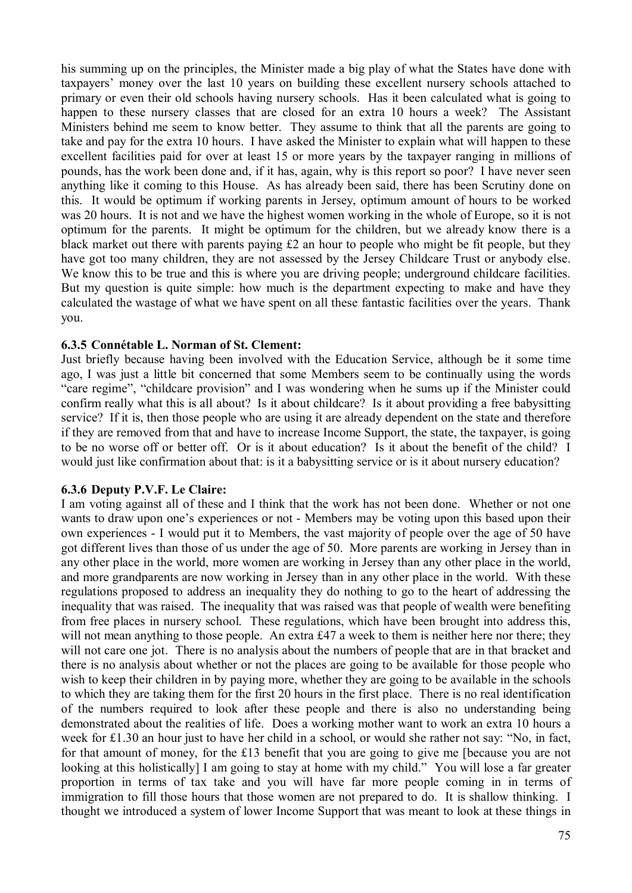his summing up on the principles, the Minister made a big play of what the States have done with taxpayers' money over the last 10 years on building these excellent nursery schools attached to primary or even their old schools having nursery schools. Has it been calculated what is going to happen to these nursery classes that are closed for an extra 10 hours a week? The Assistant Ministers behind me seem to know better. They assume to think that all the parents are going to take and pay for the extra 10 hours. I have asked the Minister to explain what will happen to these excellent facilities paid for over at least 15 or more years by the taxpayer ranging in millions of pounds, has the work been done and, if it has, again, why is this report so poor? I have never seen anything like it coming to this House. As has already been said, there has been Scrutiny done on this. It would be optimum if working parents in Jersey, optimum amount of hours to be worked was 20 hours. It is not and we have the highest women working in the whole of Europe, so it is not optimum for the parents. It might be optimum for the children, but we already know there is a black market out there with parents paying £2 an hour to people who might be fit people, but they have got too many children, they are not assessed by the Jersey Childcare Trust or anybody else. We know this to be true and this is where you are driving people; underground childcare facilities. But my question is quite simple: how much is the department expecting to make and have they calculated the wastage of what we have spent on all these fantastic facilities over the years. Thank you.

#### **6.3.5 Connétable L. Norman of St. Clement:**

Just briefly because having been involved with the Education Service, although be it some time ago, I was just a little bit concerned that some Members seem to be continually using the words "care regime", "childcare provision" and I was wondering when he sums up if the Minister could confirm really what this is all about? Is it about childcare? Is it about providing a free babysitting service? If it is, then those people who are using it are already dependent on the state and therefore if they are removed from that and have to increase Income Support, the state, the taxpayer, is going to be no worse off or better off. Or is it about education? Is it about the benefit of the child? I would just like confirmation about that: is it a babysitting service or is it about nursery education?

#### **6.3.6 Deputy P.V.F. Le Claire:**

I am voting against all of these and I think that the work has not been done. Whether or not one wants to draw upon one's experiences or not - Members may be voting upon this based upon their own experiences - I would put it to Members, the vast majority of people over the age of 50 have got different lives than those of us under the age of 50. More parents are working in Jersey than in any other place in the world, more women are working in Jersey than any other place in the world, and more grandparents are now working in Jersey than in any other place in the world. With these regulations proposed to address an inequality they do nothing to go to the heart of addressing the inequality that was raised. The inequality that was raised was that people of wealth were benefiting from free places in nursery school. These regulations, which have been brought into address this, will not mean anything to those people. An extra £47 a week to them is neither here nor there; they will not care one jot. There is no analysis about the numbers of people that are in that bracket and there is no analysis about whether or not the places are going to be available for those people who wish to keep their children in by paying more, whether they are going to be available in the schools to which they are taking them for the first 20 hours in the first place. There is no real identification of the numbers required to look after these people and there is also no understanding being demonstrated about the realities of life. Does a working mother want to work an extra 10 hours a week for £1.30 an hour just to have her child in a school, or would she rather not say: "No, in fact, for that amount of money, for the £13 benefit that you are going to give me [because you are not looking at this holistically] I am going to stay at home with my child." You will lose a far greater proportion in terms of tax take and you will have far more people coming in in terms of immigration to fill those hours that those women are not prepared to do. It is shallow thinking. I thought we introduced a system of lower Income Support that was meant to look at these things in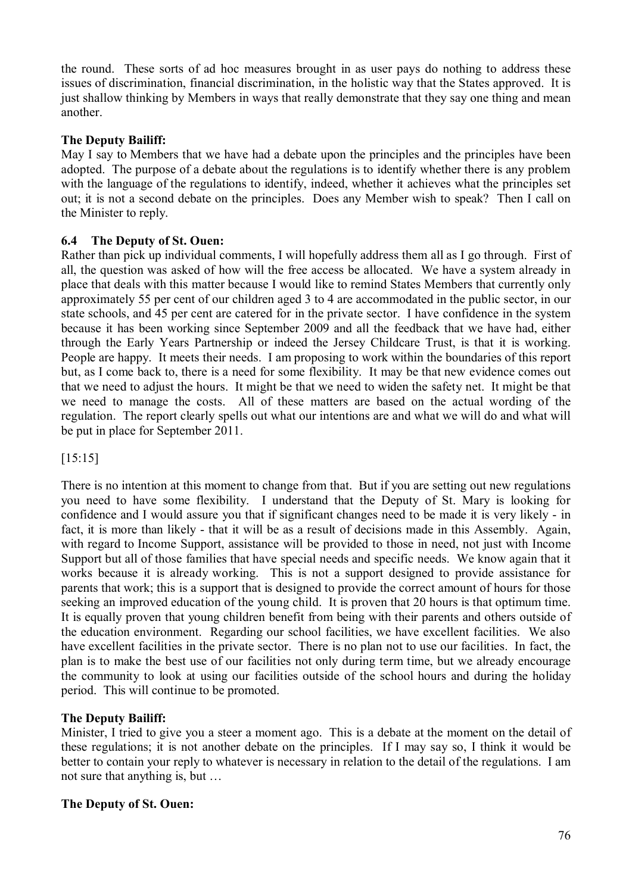the round. These sorts of ad hoc measures brought in as user pays do nothing to address these issues of discrimination, financial discrimination, in the holistic way that the States approved. It is just shallow thinking by Members in ways that really demonstrate that they say one thing and mean another.

## **The Deputy Bailiff:**

May I say to Members that we have had a debate upon the principles and the principles have been adopted. The purpose of a debate about the regulations is to identify whether there is any problem with the language of the regulations to identify, indeed, whether it achieves what the principles set out; it is not a second debate on the principles. Does any Member wish to speak? Then I call on the Minister to reply.

## **6.4 The Deputy of St. Ouen:**

Rather than pick up individual comments, I will hopefully address them all as I go through. First of all, the question was asked of how will the free access be allocated. We have a system already in place that deals with this matter because I would like to remind States Members that currently only approximately 55 per cent of our children aged 3 to 4 are accommodated in the public sector, in our state schools, and 45 per cent are catered for in the private sector. I have confidence in the system because it has been working since September 2009 and all the feedback that we have had, either through the Early Years Partnership or indeed the Jersey Childcare Trust, is that it is working. People are happy. It meets their needs. I am proposing to work within the boundaries of this report but, as I come back to, there is a need for some flexibility. It may be that new evidence comes out that we need to adjust the hours. It might be that we need to widen the safety net. It might be that we need to manage the costs. All of these matters are based on the actual wording of the regulation. The report clearly spells out what our intentions are and what we will do and what will be put in place for September 2011.

[15:15]

There is no intention at this moment to change from that. But if you are setting out new regulations you need to have some flexibility. I understand that the Deputy of St. Mary is looking for confidence and I would assure you that if significant changes need to be made it is very likely - in fact, it is more than likely - that it will be as a result of decisions made in this Assembly. Again, with regard to Income Support, assistance will be provided to those in need, not just with Income Support but all of those families that have special needs and specific needs. We know again that it works because it is already working. This is not a support designed to provide assistance for parents that work; this is a support that is designed to provide the correct amount of hours for those seeking an improved education of the young child. It is proven that 20 hours is that optimum time. It is equally proven that young children benefit from being with their parents and others outside of the education environment. Regarding our school facilities, we have excellent facilities. We also have excellent facilities in the private sector. There is no plan not to use our facilities. In fact, the plan is to make the best use of our facilities not only during term time, but we already encourage the community to look at using our facilities outside of the school hours and during the holiday period. This will continue to be promoted.

## **The Deputy Bailiff:**

Minister, I tried to give you a steer a moment ago. This is a debate at the moment on the detail of these regulations; it is not another debate on the principles. If I may say so, I think it would be better to contain your reply to whatever is necessary in relation to the detail of the regulations. I am not sure that anything is, but …

## **The Deputy of St. Ouen:**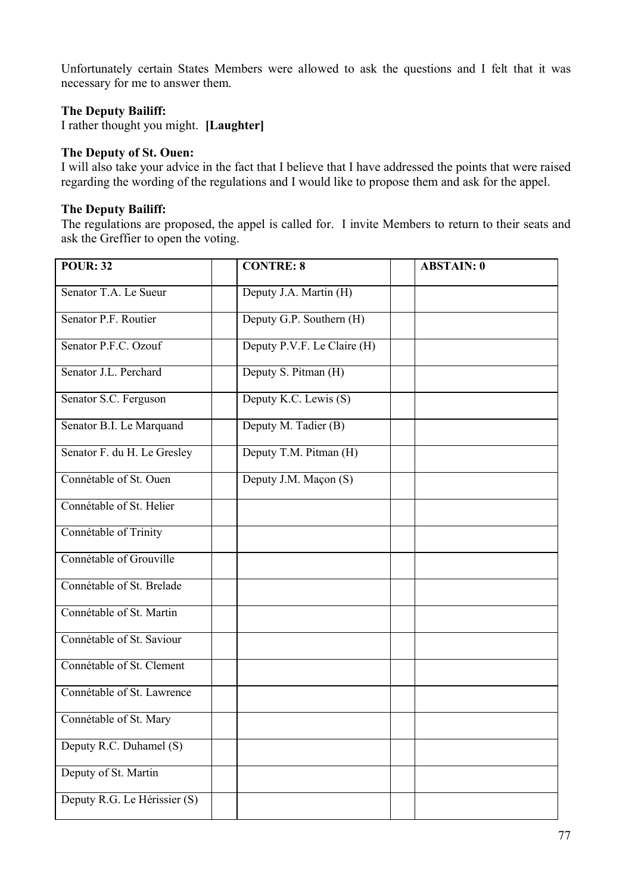Unfortunately certain States Members were allowed to ask the questions and I felt that it was necessary for me to answer them.

## **The Deputy Bailiff:**

I rather thought you might. **[Laughter]**

#### **The Deputy of St. Ouen:**

I will also take your advice in the fact that I believe that I have addressed the points that were raised regarding the wording of the regulations and I would like to propose them and ask for the appel.

## **The Deputy Bailiff:**

The regulations are proposed, the appel is called for. I invite Members to return to their seats and ask the Greffier to open the voting.

| <b>POUR: 32</b>              | <b>CONTRE: 8</b>            | <b>ABSTAIN: 0</b> |  |
|------------------------------|-----------------------------|-------------------|--|
| Senator T.A. Le Sueur        | Deputy J.A. Martin (H)      |                   |  |
| Senator P.F. Routier         | Deputy G.P. Southern (H)    |                   |  |
| Senator P.F.C. Ozouf         | Deputy P.V.F. Le Claire (H) |                   |  |
| Senator J.L. Perchard        | Deputy S. Pitman (H)        |                   |  |
| Senator S.C. Ferguson        | Deputy K.C. Lewis (S)       |                   |  |
| Senator B.I. Le Marquand     | Deputy M. Tadier (B)        |                   |  |
| Senator F. du H. Le Gresley  | Deputy T.M. Pitman (H)      |                   |  |
| Connétable of St. Ouen       | Deputy J.M. Maçon (S)       |                   |  |
| Connétable of St. Helier     |                             |                   |  |
| Connétable of Trinity        |                             |                   |  |
| Connétable of Grouville      |                             |                   |  |
| Connétable of St. Brelade    |                             |                   |  |
| Connétable of St. Martin     |                             |                   |  |
| Connétable of St. Saviour    |                             |                   |  |
| Connétable of St. Clement    |                             |                   |  |
| Connétable of St. Lawrence   |                             |                   |  |
| Connétable of St. Mary       |                             |                   |  |
| Deputy R.C. Duhamel (S)      |                             |                   |  |
| Deputy of St. Martin         |                             |                   |  |
| Deputy R.G. Le Hérissier (S) |                             |                   |  |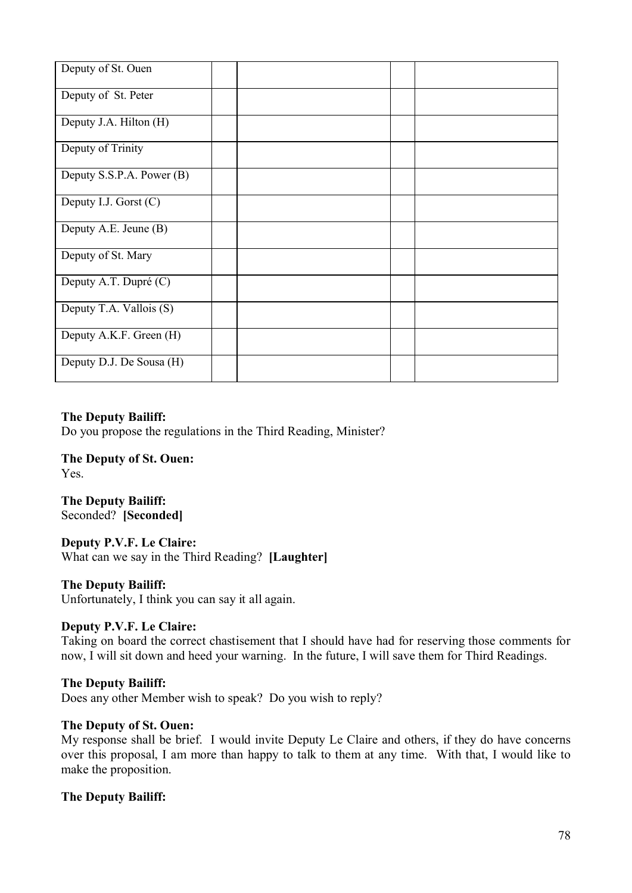| Deputy of St. Ouen        |  |  |  |
|---------------------------|--|--|--|
| Deputy of St. Peter       |  |  |  |
| Deputy J.A. Hilton (H)    |  |  |  |
| Deputy of Trinity         |  |  |  |
| Deputy S.S.P.A. Power (B) |  |  |  |
| Deputy I.J. Gorst (C)     |  |  |  |
| Deputy A.E. Jeune (B)     |  |  |  |
| Deputy of St. Mary        |  |  |  |
| Deputy A.T. Dupré (C)     |  |  |  |
| Deputy T.A. Vallois (S)   |  |  |  |
| Deputy A.K.F. Green (H)   |  |  |  |
| Deputy D.J. De Sousa (H)  |  |  |  |

## **The Deputy Bailiff:**

Do you propose the regulations in the Third Reading, Minister?

**The Deputy of St. Ouen:** Yes.

**The Deputy Bailiff:** Seconded? **[Seconded]**

**Deputy P.V.F. Le Claire:** What can we say in the Third Reading? **[Laughter]**

#### **The Deputy Bailiff:**

Unfortunately, I think you can say it all again.

#### **Deputy P.V.F. Le Claire:**

Taking on board the correct chastisement that I should have had for reserving those comments for now, I will sit down and heed your warning. In the future, I will save them for Third Readings.

#### **The Deputy Bailiff:**

Does any other Member wish to speak? Do you wish to reply?

#### **The Deputy of St. Ouen:**

My response shall be brief. I would invite Deputy Le Claire and others, if they do have concerns over this proposal, I am more than happy to talk to them at any time. With that, I would like to make the proposition.

#### **The Deputy Bailiff:**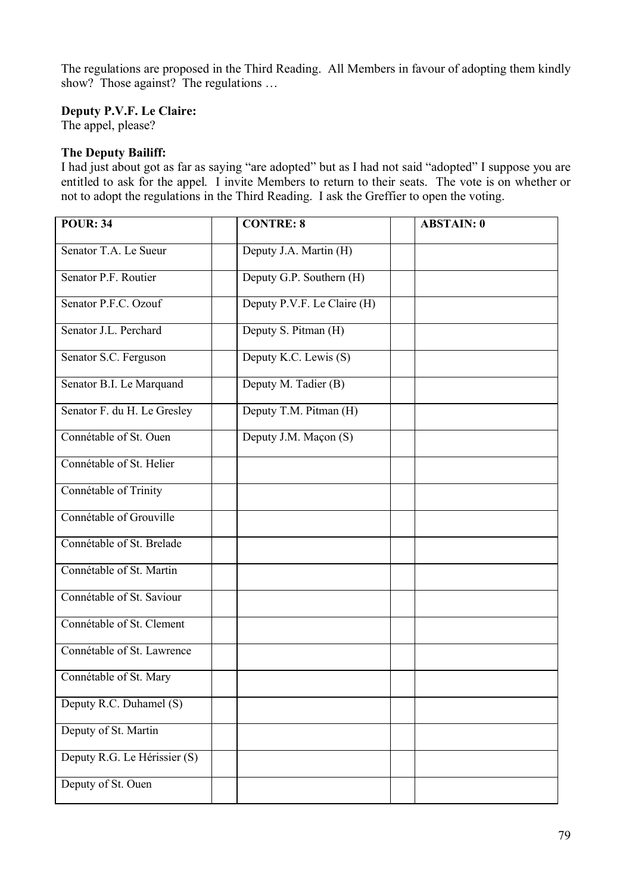The regulations are proposed in the Third Reading. All Members in favour of adopting them kindly show? Those against? The regulations ...

## **Deputy P.V.F. Le Claire:**

The appel, please?

## **The Deputy Bailiff:**

I had just about got as far as saying "are adopted" but as I had not said "adopted" I suppose you are entitled to ask for the appel. I invite Members to return to their seats. The vote is on whether or not to adopt the regulations in the Third Reading. I ask the Greffier to open the voting.

| <b>POUR: 34</b>              | <b>CONTRE: 8</b>            | <b>ABSTAIN: 0</b> |
|------------------------------|-----------------------------|-------------------|
| Senator T.A. Le Sueur        | Deputy J.A. Martin (H)      |                   |
| Senator P.F. Routier         | Deputy G.P. Southern (H)    |                   |
| Senator P.F.C. Ozouf         | Deputy P.V.F. Le Claire (H) |                   |
| Senator J.L. Perchard        | Deputy S. Pitman (H)        |                   |
| Senator S.C. Ferguson        | Deputy K.C. Lewis (S)       |                   |
| Senator B.I. Le Marquand     | Deputy M. Tadier (B)        |                   |
| Senator F. du H. Le Gresley  | Deputy T.M. Pitman (H)      |                   |
| Connétable of St. Ouen       | Deputy J.M. Maçon (S)       |                   |
| Connétable of St. Helier     |                             |                   |
| Connétable of Trinity        |                             |                   |
| Connétable of Grouville      |                             |                   |
| Connétable of St. Brelade    |                             |                   |
| Connétable of St. Martin     |                             |                   |
| Connétable of St. Saviour    |                             |                   |
| Connétable of St. Clement    |                             |                   |
| Connétable of St. Lawrence   |                             |                   |
| Connétable of St. Mary       |                             |                   |
| Deputy R.C. Duhamel (S)      |                             |                   |
| Deputy of St. Martin         |                             |                   |
| Deputy R.G. Le Hérissier (S) |                             |                   |
| Deputy of St. Ouen           |                             |                   |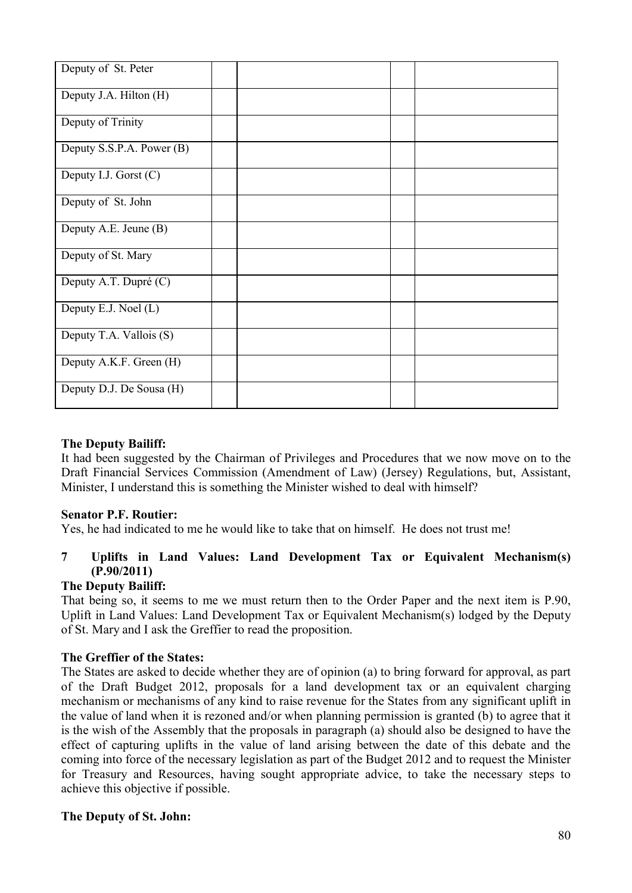| Deputy of St. Peter       |  |  |  |
|---------------------------|--|--|--|
| Deputy J.A. Hilton (H)    |  |  |  |
| Deputy of Trinity         |  |  |  |
| Deputy S.S.P.A. Power (B) |  |  |  |
| Deputy I.J. Gorst (C)     |  |  |  |
| Deputy of St. John        |  |  |  |
| Deputy A.E. Jeune (B)     |  |  |  |
| Deputy of St. Mary        |  |  |  |
| Deputy A.T. Dupré (C)     |  |  |  |
| Deputy E.J. Noel (L)      |  |  |  |
| Deputy T.A. Vallois (S)   |  |  |  |
| Deputy A.K.F. Green (H)   |  |  |  |
| Deputy D.J. De Sousa (H)  |  |  |  |

## **The Deputy Bailiff:**

It had been suggested by the Chairman of Privileges and Procedures that we now move on to the Draft Financial Services Commission (Amendment of Law) (Jersey) Regulations, but, Assistant, Minister, I understand this is something the Minister wished to deal with himself?

## **Senator P.F. Routier:**

Yes, he had indicated to me he would like to take that on himself. He does not trust me!

# **7 Uplifts in Land Values: Land Development Tax or Equivalent Mechanism(s) (P.90/2011)**

## **The Deputy Bailiff:**

That being so, it seems to me we must return then to the Order Paper and the next item is P.90, Uplift in Land Values: Land Development Tax or Equivalent Mechanism(s) lodged by the Deputy of St. Mary and I ask the Greffier to read the proposition.

## **The Greffier of the States:**

The States are asked to decide whether they are of opinion (a) to bring forward for approval, as part of the Draft Budget 2012, proposals for a land development tax or an equivalent charging mechanism or mechanisms of any kind to raise revenue for the States from any significant uplift in the value of land when it is rezoned and/or when planning permission is granted (b) to agree that it is the wish of the Assembly that the proposals in paragraph (a) should also be designed to have the effect of capturing uplifts in the value of land arising between the date of this debate and the coming into force of the necessary legislation as part of the Budget 2012 and to request the Minister for Treasury and Resources, having sought appropriate advice, to take the necessary steps to achieve this objective if possible.

## **The Deputy of St. John:**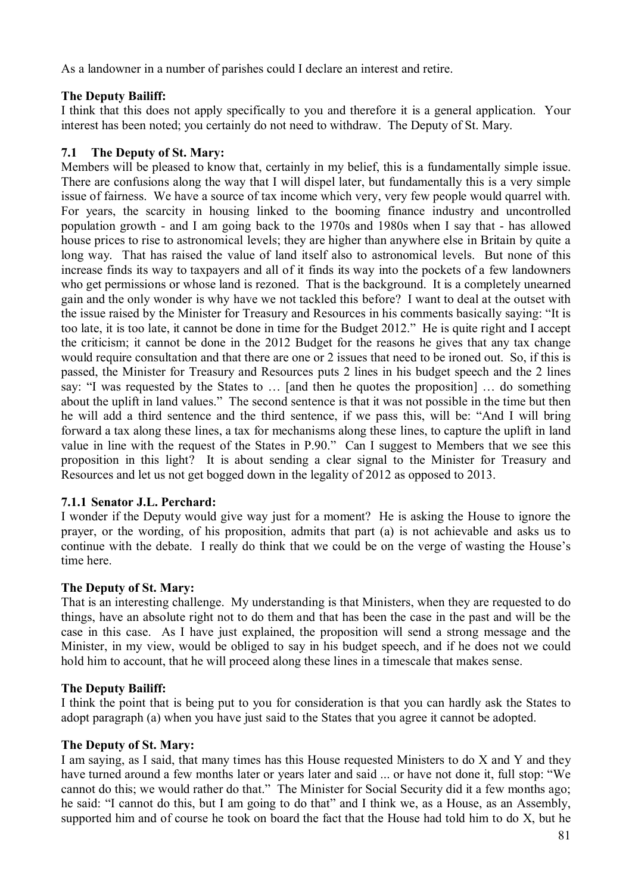As a landowner in a number of parishes could I declare an interest and retire.

# **The Deputy Bailiff:**

I think that this does not apply specifically to you and therefore it is a general application. Your interest has been noted; you certainly do not need to withdraw. The Deputy of St. Mary.

# **7.1 The Deputy of St. Mary:**

Members will be pleased to know that, certainly in my belief, this is a fundamentally simple issue. There are confusions along the way that I will dispel later, but fundamentally this is a very simple issue of fairness. We have a source of tax income which very, very few people would quarrel with. For years, the scarcity in housing linked to the booming finance industry and uncontrolled population growth - and I am going back to the 1970s and 1980s when I say that - has allowed house prices to rise to astronomical levels; they are higher than anywhere else in Britain by quite a long way. That has raised the value of land itself also to astronomical levels. But none of this increase finds its way to taxpayers and all of it finds its way into the pockets of a few landowners who get permissions or whose land is rezoned. That is the background. It is a completely unearned gain and the only wonder is why have we not tackled this before? I want to deal at the outset with the issue raised by the Minister for Treasury and Resources in his comments basically saying: "It is too late, it is too late, it cannot be done in time for the Budget 2012." He is quite right and I accept the criticism; it cannot be done in the 2012 Budget for the reasons he gives that any tax change would require consultation and that there are one or 2 issues that need to be ironed out. So, if this is passed, the Minister for Treasury and Resources puts 2 lines in his budget speech and the 2 lines say: "I was requested by the States to … [and then he quotes the proposition] … do something about the uplift in land values." The second sentence is that it was not possible in the time but then he will add a third sentence and the third sentence, if we pass this, will be: "And I will bring forward a tax along these lines, a tax for mechanisms along these lines, to capture the uplift in land value in line with the request of the States in P.90." Can I suggest to Members that we see this proposition in this light? It is about sending a clear signal to the Minister for Treasury and Resources and let us not get bogged down in the legality of 2012 as opposed to 2013.

# **7.1.1 Senator J.L. Perchard:**

I wonder if the Deputy would give way just for a moment? He is asking the House to ignore the prayer, or the wording, of his proposition, admits that part (a) is not achievable and asks us to continue with the debate. I really do think that we could be on the verge of wasting the House's time here.

# **The Deputy of St. Mary:**

That is an interesting challenge. My understanding is that Ministers, when they are requested to do things, have an absolute right not to do them and that has been the case in the past and will be the case in this case. As I have just explained, the proposition will send a strong message and the Minister, in my view, would be obliged to say in his budget speech, and if he does not we could hold him to account, that he will proceed along these lines in a timescale that makes sense.

# **The Deputy Bailiff:**

I think the point that is being put to you for consideration is that you can hardly ask the States to adopt paragraph (a) when you have just said to the States that you agree it cannot be adopted.

## **The Deputy of St. Mary:**

I am saying, as I said, that many times has this House requested Ministers to do X and Y and they have turned around a few months later or years later and said ... or have not done it, full stop: "We cannot do this; we would rather do that." The Minister for Social Security did it a few months ago; he said: "I cannot do this, but I am going to do that" and I think we, as a House, as an Assembly, supported him and of course he took on board the fact that the House had told him to do X, but he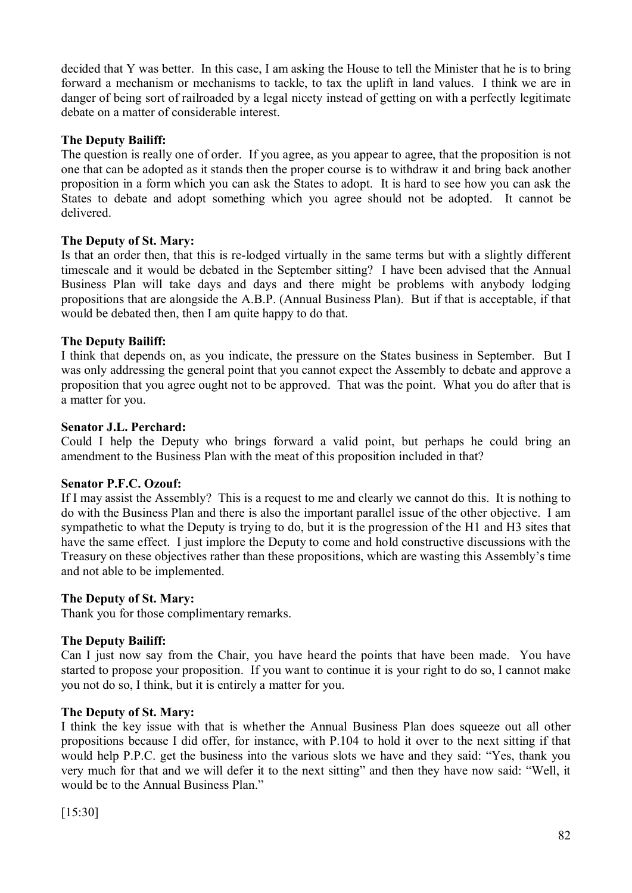decided that Y was better. In this case, I am asking the House to tell the Minister that he is to bring forward a mechanism or mechanisms to tackle, to tax the uplift in land values. I think we are in danger of being sort of railroaded by a legal nicety instead of getting on with a perfectly legitimate debate on a matter of considerable interest.

## **The Deputy Bailiff:**

The question is really one of order. If you agree, as you appear to agree, that the proposition is not one that can be adopted as it stands then the proper course is to withdraw it and bring back another proposition in a form which you can ask the States to adopt. It is hard to see how you can ask the States to debate and adopt something which you agree should not be adopted. It cannot be delivered.

## **The Deputy of St. Mary:**

Is that an order then, that this is re-lodged virtually in the same terms but with a slightly different timescale and it would be debated in the September sitting? I have been advised that the Annual Business Plan will take days and days and there might be problems with anybody lodging propositions that are alongside the A.B.P. (Annual Business Plan). But if that is acceptable, if that would be debated then, then I am quite happy to do that.

## **The Deputy Bailiff:**

I think that depends on, as you indicate, the pressure on the States business in September. But I was only addressing the general point that you cannot expect the Assembly to debate and approve a proposition that you agree ought not to be approved. That was the point. What you do after that is a matter for you.

## **Senator J.L. Perchard:**

Could I help the Deputy who brings forward a valid point, but perhaps he could bring an amendment to the Business Plan with the meat of this proposition included in that?

#### **Senator P.F.C. Ozouf:**

If I may assist the Assembly? This is a request to me and clearly we cannot do this. It is nothing to do with the Business Plan and there is also the important parallel issue of the other objective. I am sympathetic to what the Deputy is trying to do, but it is the progression of the H1 and H3 sites that have the same effect. I just implore the Deputy to come and hold constructive discussions with the Treasury on these objectives rather than these propositions, which are wasting this Assembly's time and not able to be implemented.

#### **The Deputy of St. Mary:**

Thank you for those complimentary remarks.

## **The Deputy Bailiff:**

Can I just now say from the Chair, you have heard the points that have been made. You have started to propose your proposition. If you want to continue it is your right to do so, I cannot make you not do so, I think, but it is entirely a matter for you.

#### **The Deputy of St. Mary:**

I think the key issue with that is whether the Annual Business Plan does squeeze out all other propositions because I did offer, for instance, with P.104 to hold it over to the next sitting if that would help P.P.C. get the business into the various slots we have and they said: "Yes, thank you very much for that and we will defer it to the next sitting" and then they have now said: "Well, it would be to the Annual Business Plan."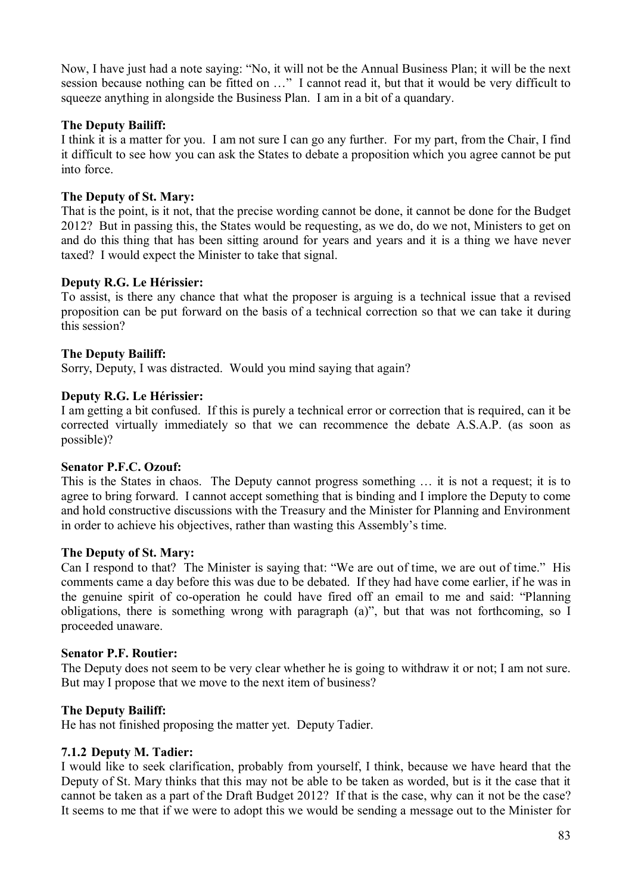Now, I have just had a note saying: "No, it will not be the Annual Business Plan; it will be the next session because nothing can be fitted on …" I cannot read it, but that it would be very difficult to squeeze anything in alongside the Business Plan. I am in a bit of a quandary.

## **The Deputy Bailiff:**

I think it is a matter for you. I am not sure I can go any further. For my part, from the Chair, I find it difficult to see how you can ask the States to debate a proposition which you agree cannot be put into force.

## **The Deputy of St. Mary:**

That is the point, is it not, that the precise wording cannot be done, it cannot be done for the Budget 2012? But in passing this, the States would be requesting, as we do, do we not, Ministers to get on and do this thing that has been sitting around for years and years and it is a thing we have never taxed? I would expect the Minister to take that signal.

## **Deputy R.G. Le Hérissier:**

To assist, is there any chance that what the proposer is arguing is a technical issue that a revised proposition can be put forward on the basis of a technical correction so that we can take it during this session?

## **The Deputy Bailiff:**

Sorry, Deputy, I was distracted. Would you mind saying that again?

## **Deputy R.G. Le Hérissier:**

I am getting a bit confused. If this is purely a technical error or correction that is required, can it be corrected virtually immediately so that we can recommence the debate A.S.A.P. (as soon as possible)?

#### **Senator P.F.C. Ozouf:**

This is the States in chaos. The Deputy cannot progress something … it is not a request; it is to agree to bring forward. I cannot accept something that is binding and I implore the Deputy to come and hold constructive discussions with the Treasury and the Minister for Planning and Environment in order to achieve his objectives, rather than wasting this Assembly's time.

#### **The Deputy of St. Mary:**

Can I respond to that? The Minister is saying that: "We are out of time, we are out of time." His comments came a day before this was due to be debated. If they had have come earlier, if he was in the genuine spirit of co-operation he could have fired off an email to me and said: "Planning obligations, there is something wrong with paragraph (a)", but that was not forthcoming, so I proceeded unaware.

#### **Senator P.F. Routier:**

The Deputy does not seem to be very clear whether he is going to withdraw it or not; I am not sure. But may I propose that we move to the next item of business?

## **The Deputy Bailiff:**

He has not finished proposing the matter yet. Deputy Tadier.

#### **7.1.2 Deputy M. Tadier:**

I would like to seek clarification, probably from yourself, I think, because we have heard that the Deputy of St. Mary thinks that this may not be able to be taken as worded, but is it the case that it cannot be taken as a part of the Draft Budget 2012? If that is the case, why can it not be the case? It seems to me that if we were to adopt this we would be sending a message out to the Minister for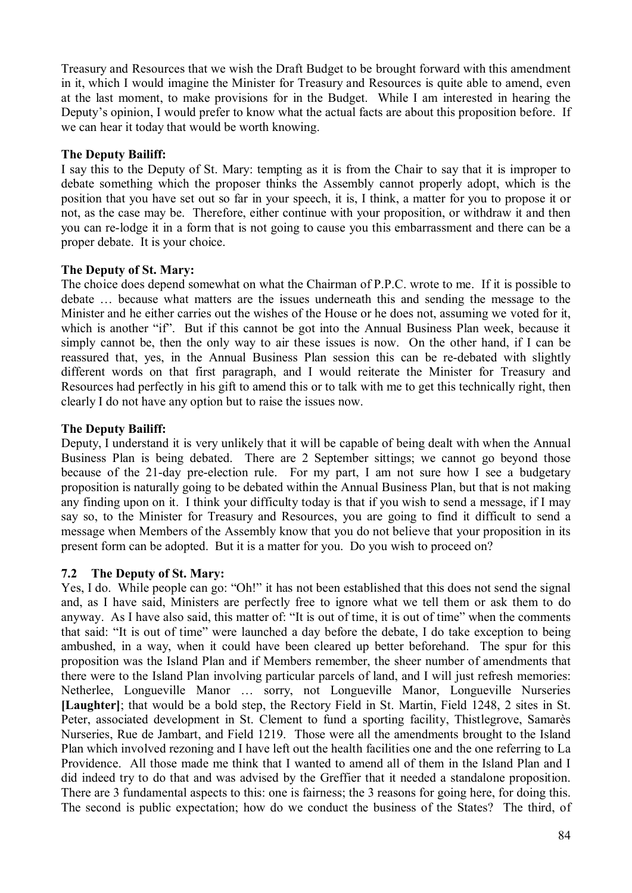Treasury and Resources that we wish the Draft Budget to be brought forward with this amendment in it, which I would imagine the Minister for Treasury and Resources is quite able to amend, even at the last moment, to make provisions for in the Budget. While I am interested in hearing the Deputy's opinion, I would prefer to know what the actual facts are about this proposition before. If we can hear it today that would be worth knowing.

## **The Deputy Bailiff:**

I say this to the Deputy of St. Mary: tempting as it is from the Chair to say that it is improper to debate something which the proposer thinks the Assembly cannot properly adopt, which is the position that you have set out so far in your speech, it is, I think, a matter for you to propose it or not, as the case may be. Therefore, either continue with your proposition, or withdraw it and then you can re-lodge it in a form that is not going to cause you this embarrassment and there can be a proper debate. It is your choice.

## **The Deputy of St. Mary:**

The choice does depend somewhat on what the Chairman of P.P.C. wrote to me. If it is possible to debate … because what matters are the issues underneath this and sending the message to the Minister and he either carries out the wishes of the House or he does not, assuming we voted for it, which is another "if". But if this cannot be got into the Annual Business Plan week, because it simply cannot be, then the only way to air these issues is now. On the other hand, if I can be reassured that, yes, in the Annual Business Plan session this can be re-debated with slightly different words on that first paragraph, and I would reiterate the Minister for Treasury and Resources had perfectly in his gift to amend this or to talk with me to get this technically right, then clearly I do not have any option but to raise the issues now.

## **The Deputy Bailiff:**

Deputy, I understand it is very unlikely that it will be capable of being dealt with when the Annual Business Plan is being debated. There are 2 September sittings; we cannot go beyond those because of the 21-day pre-election rule. For my part, I am not sure how I see a budgetary proposition is naturally going to be debated within the Annual Business Plan, but that is not making any finding upon on it. I think your difficulty today is that if you wish to send a message, if I may say so, to the Minister for Treasury and Resources, you are going to find it difficult to send a message when Members of the Assembly know that you do not believe that your proposition in its present form can be adopted. But it is a matter for you. Do you wish to proceed on?

## **7.2 The Deputy of St. Mary:**

Yes, I do. While people can go: "Oh!" it has not been established that this does not send the signal and, as I have said, Ministers are perfectly free to ignore what we tell them or ask them to do anyway. As I have also said, this matter of: "It is out of time, it is out of time" when the comments that said: "It is out of time" were launched a day before the debate, I do take exception to being ambushed, in a way, when it could have been cleared up better beforehand. The spur for this proposition was the Island Plan and if Members remember, the sheer number of amendments that there were to the Island Plan involving particular parcels of land, and I will just refresh memories: Netherlee, Longueville Manor … sorry, not Longueville Manor, Longueville Nurseries **[Laughter]**; that would be a bold step, the Rectory Field in St. Martin, Field 1248, 2 sites in St. Peter, associated development in St. Clement to fund a sporting facility, Thistlegrove, Samarès Nurseries, Rue de Jambart, and Field 1219. Those were all the amendments brought to the Island Plan which involved rezoning and I have left out the health facilities one and the one referring to La Providence. All those made me think that I wanted to amend all of them in the Island Plan and I did indeed try to do that and was advised by the Greffier that it needed a standalone proposition. There are 3 fundamental aspects to this: one is fairness; the 3 reasons for going here, for doing this. The second is public expectation; how do we conduct the business of the States? The third, of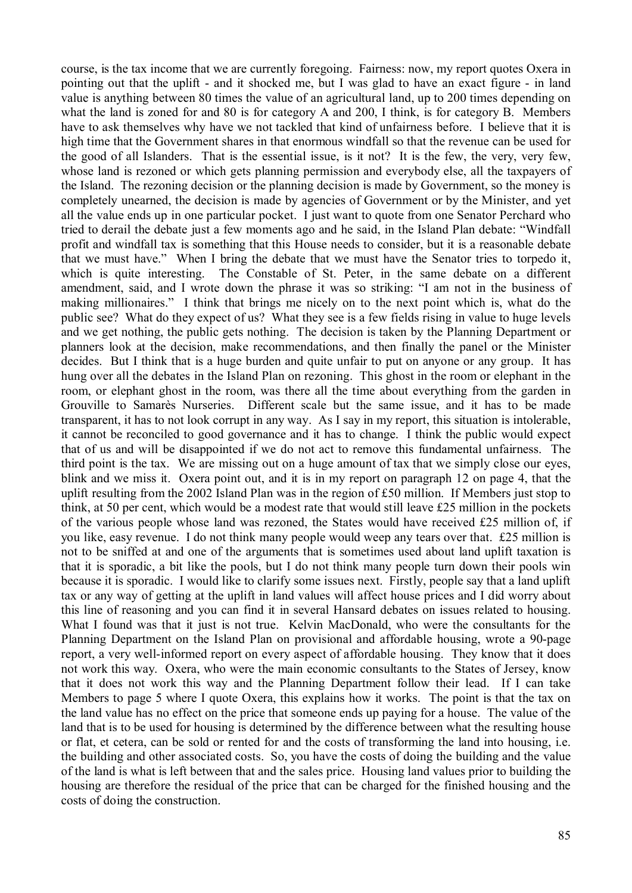course, is the tax income that we are currently foregoing. Fairness: now, my report quotes Oxera in pointing out that the uplift - and it shocked me, but I was glad to have an exact figure - in land value is anything between 80 times the value of an agricultural land, up to 200 times depending on what the land is zoned for and 80 is for category A and 200, I think, is for category B. Members have to ask themselves why have we not tackled that kind of unfairness before. I believe that it is high time that the Government shares in that enormous windfall so that the revenue can be used for the good of all Islanders. That is the essential issue, is it not? It is the few, the very, very few, whose land is rezoned or which gets planning permission and everybody else, all the taxpayers of the Island. The rezoning decision or the planning decision is made by Government, so the money is completely unearned, the decision is made by agencies of Government or by the Minister, and yet all the value ends up in one particular pocket. I just want to quote from one Senator Perchard who tried to derail the debate just a few moments ago and he said, in the Island Plan debate: "Windfall profit and windfall tax is something that this House needs to consider, but it is a reasonable debate that we must have." When I bring the debate that we must have the Senator tries to torpedo it, which is quite interesting. The Constable of St. Peter, in the same debate on a different amendment, said, and I wrote down the phrase it was so striking: "I am not in the business of making millionaires." I think that brings me nicely on to the next point which is, what do the public see? What do they expect of us? What they see is a few fields rising in value to huge levels and we get nothing, the public gets nothing. The decision is taken by the Planning Department or planners look at the decision, make recommendations, and then finally the panel or the Minister decides. But I think that is a huge burden and quite unfair to put on anyone or any group. It has hung over all the debates in the Island Plan on rezoning. This ghost in the room or elephant in the room, or elephant ghost in the room, was there all the time about everything from the garden in Grouville to Samarès Nurseries. Different scale but the same issue, and it has to be made transparent, it has to not look corrupt in any way. As I say in my report, this situation is intolerable, it cannot be reconciled to good governance and it has to change. I think the public would expect that of us and will be disappointed if we do not act to remove this fundamental unfairness. The third point is the tax. We are missing out on a huge amount of tax that we simply close our eyes, blink and we miss it. Oxera point out, and it is in my report on paragraph 12 on page 4, that the uplift resulting from the 2002 Island Plan was in the region of £50 million. If Members just stop to think, at 50 per cent, which would be a modest rate that would still leave £25 million in the pockets of the various people whose land was rezoned, the States would have received £25 million of, if you like, easy revenue. I do not think many people would weep any tears over that. £25 million is not to be sniffed at and one of the arguments that is sometimes used about land uplift taxation is that it is sporadic, a bit like the pools, but I do not think many people turn down their pools win because it is sporadic. I would like to clarify some issues next. Firstly, people say that a land uplift tax or any way of getting at the uplift in land values will affect house prices and I did worry about this line of reasoning and you can find it in several Hansard debates on issues related to housing. What I found was that it just is not true. Kelvin MacDonald, who were the consultants for the Planning Department on the Island Plan on provisional and affordable housing, wrote a 90-page report, a very well-informed report on every aspect of affordable housing. They know that it does not work this way. Oxera, who were the main economic consultants to the States of Jersey, know that it does not work this way and the Planning Department follow their lead. If I can take Members to page 5 where I quote Oxera, this explains how it works. The point is that the tax on the land value has no effect on the price that someone ends up paying for a house. The value of the land that is to be used for housing is determined by the difference between what the resulting house or flat, et cetera, can be sold or rented for and the costs of transforming the land into housing, i.e. the building and other associated costs. So, you have the costs of doing the building and the value of the land is what is left between that and the sales price. Housing land values prior to building the housing are therefore the residual of the price that can be charged for the finished housing and the costs of doing the construction.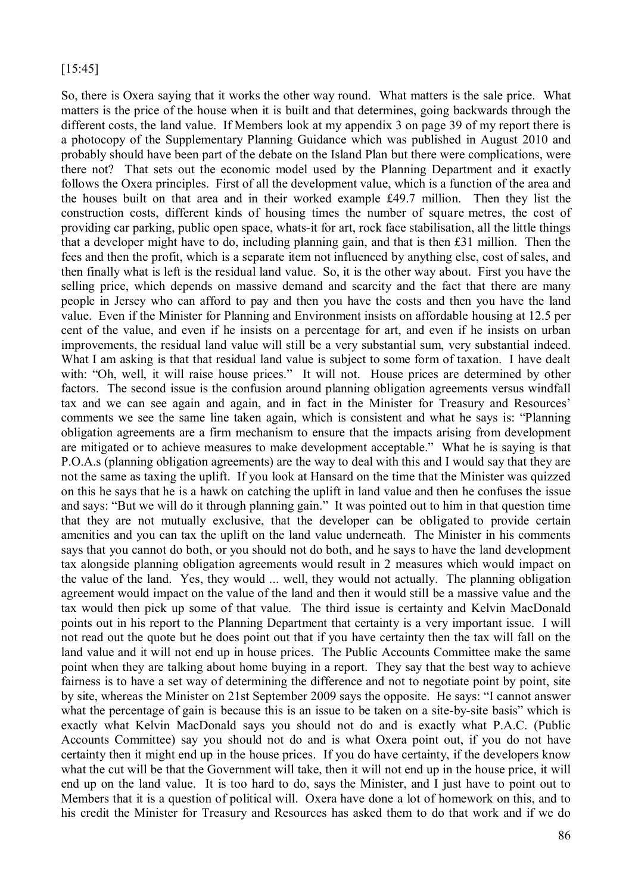#### [15:45]

So, there is Oxera saying that it works the other way round. What matters is the sale price. What matters is the price of the house when it is built and that determines, going backwards through the different costs, the land value. If Members look at my appendix 3 on page 39 of my report there is a photocopy of the Supplementary Planning Guidance which was published in August 2010 and probably should have been part of the debate on the Island Plan but there were complications, were there not? That sets out the economic model used by the Planning Department and it exactly follows the Oxera principles. First of all the development value, which is a function of the area and the houses built on that area and in their worked example £49.7 million. Then they list the construction costs, different kinds of housing times the number of square metres, the cost of providing car parking, public open space, whats-it for art, rock face stabilisation, all the little things that a developer might have to do, including planning gain, and that is then £31 million. Then the fees and then the profit, which is a separate item not influenced by anything else, cost of sales, and then finally what is left is the residual land value. So, it is the other way about. First you have the selling price, which depends on massive demand and scarcity and the fact that there are many people in Jersey who can afford to pay and then you have the costs and then you have the land value. Even if the Minister for Planning and Environment insists on affordable housing at 12.5 per cent of the value, and even if he insists on a percentage for art, and even if he insists on urban improvements, the residual land value will still be a very substantial sum, very substantial indeed. What I am asking is that that residual land value is subject to some form of taxation. I have dealt with: "Oh, well, it will raise house prices." It will not. House prices are determined by other factors. The second issue is the confusion around planning obligation agreements versus windfall tax and we can see again and again, and in fact in the Minister for Treasury and Resources' comments we see the same line taken again, which is consistent and what he says is: "Planning obligation agreements are a firm mechanism to ensure that the impacts arising from development are mitigated or to achieve measures to make development acceptable." What he is saying is that P.O.A.s (planning obligation agreements) are the way to deal with this and I would say that they are not the same as taxing the uplift. If you look at Hansard on the time that the Minister was quizzed on this he says that he is a hawk on catching the uplift in land value and then he confuses the issue and says: "But we will do it through planning gain." It was pointed out to him in that question time that they are not mutually exclusive, that the developer can be obligated to provide certain amenities and you can tax the uplift on the land value underneath. The Minister in his comments says that you cannot do both, or you should not do both, and he says to have the land development tax alongside planning obligation agreements would result in 2 measures which would impact on the value of the land. Yes, they would ... well, they would not actually. The planning obligation agreement would impact on the value of the land and then it would still be a massive value and the tax would then pick up some of that value. The third issue is certainty and Kelvin MacDonald points out in his report to the Planning Department that certainty is a very important issue. I will not read out the quote but he does point out that if you have certainty then the tax will fall on the land value and it will not end up in house prices. The Public Accounts Committee make the same point when they are talking about home buying in a report. They say that the best way to achieve fairness is to have a set way of determining the difference and not to negotiate point by point, site by site, whereas the Minister on 21st September 2009 says the opposite. He says: "I cannot answer what the percentage of gain is because this is an issue to be taken on a site-by-site basis" which is exactly what Kelvin MacDonald says you should not do and is exactly what P.A.C. (Public Accounts Committee) say you should not do and is what Oxera point out, if you do not have certainty then it might end up in the house prices. If you do have certainty, if the developers know what the cut will be that the Government will take, then it will not end up in the house price, it will end up on the land value. It is too hard to do, says the Minister, and I just have to point out to Members that it is a question of political will. Oxera have done a lot of homework on this, and to his credit the Minister for Treasury and Resources has asked them to do that work and if we do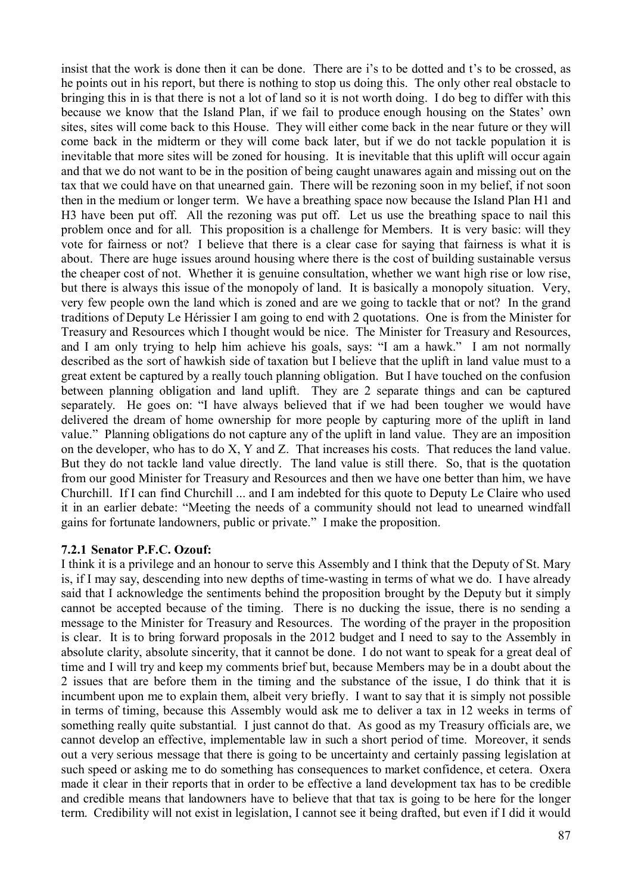insist that the work is done then it can be done. There are i's to be dotted and t's to be crossed, as he points out in his report, but there is nothing to stop us doing this. The only other real obstacle to bringing this in is that there is not a lot of land so it is not worth doing. I do beg to differ with this because we know that the Island Plan, if we fail to produce enough housing on the States' own sites, sites will come back to this House. They will either come back in the near future or they will come back in the midterm or they will come back later, but if we do not tackle population it is inevitable that more sites will be zoned for housing. It is inevitable that this uplift will occur again and that we do not want to be in the position of being caught unawares again and missing out on the tax that we could have on that unearned gain. There will be rezoning soon in my belief, if not soon then in the medium or longer term. We have a breathing space now because the Island Plan H1 and H3 have been put off. All the rezoning was put off. Let us use the breathing space to nail this problem once and for all. This proposition is a challenge for Members. It is very basic: will they vote for fairness or not? I believe that there is a clear case for saying that fairness is what it is about. There are huge issues around housing where there is the cost of building sustainable versus the cheaper cost of not. Whether it is genuine consultation, whether we want high rise or low rise, but there is always this issue of the monopoly of land. It is basically a monopoly situation. Very, very few people own the land which is zoned and are we going to tackle that or not? In the grand traditions of Deputy Le Hérissier I am going to end with 2 quotations. One is from the Minister for Treasury and Resources which I thought would be nice. The Minister for Treasury and Resources, and I am only trying to help him achieve his goals, says: "I am a hawk." I am not normally described as the sort of hawkish side of taxation but I believe that the uplift in land value must to a great extent be captured by a really touch planning obligation. But I have touched on the confusion between planning obligation and land uplift. They are 2 separate things and can be captured separately. He goes on: "I have always believed that if we had been tougher we would have delivered the dream of home ownership for more people by capturing more of the uplift in land value." Planning obligations do not capture any of the uplift in land value. They are an imposition on the developer, who has to do X, Y and Z. That increases his costs. That reduces the land value. But they do not tackle land value directly. The land value is still there. So, that is the quotation from our good Minister for Treasury and Resources and then we have one better than him, we have Churchill. If I can find Churchill ... and I am indebted for this quote to Deputy Le Claire who used it in an earlier debate: "Meeting the needs of a community should not lead to unearned windfall gains for fortunate landowners, public or private." I make the proposition.

#### **7.2.1 Senator P.F.C. Ozouf:**

I think it is a privilege and an honour to serve this Assembly and I think that the Deputy of St. Mary is, if I may say, descending into new depths of time-wasting in terms of what we do. I have already said that I acknowledge the sentiments behind the proposition brought by the Deputy but it simply cannot be accepted because of the timing. There is no ducking the issue, there is no sending a message to the Minister for Treasury and Resources. The wording of the prayer in the proposition is clear. It is to bring forward proposals in the 2012 budget and I need to say to the Assembly in absolute clarity, absolute sincerity, that it cannot be done. I do not want to speak for a great deal of time and I will try and keep my comments brief but, because Members may be in a doubt about the 2 issues that are before them in the timing and the substance of the issue, I do think that it is incumbent upon me to explain them, albeit very briefly. I want to say that it is simply not possible in terms of timing, because this Assembly would ask me to deliver a tax in 12 weeks in terms of something really quite substantial. I just cannot do that. As good as my Treasury officials are, we cannot develop an effective, implementable law in such a short period of time. Moreover, it sends out a very serious message that there is going to be uncertainty and certainly passing legislation at such speed or asking me to do something has consequences to market confidence, et cetera. Oxera made it clear in their reports that in order to be effective a land development tax has to be credible and credible means that landowners have to believe that that tax is going to be here for the longer term. Credibility will not exist in legislation, I cannot see it being drafted, but even if I did it would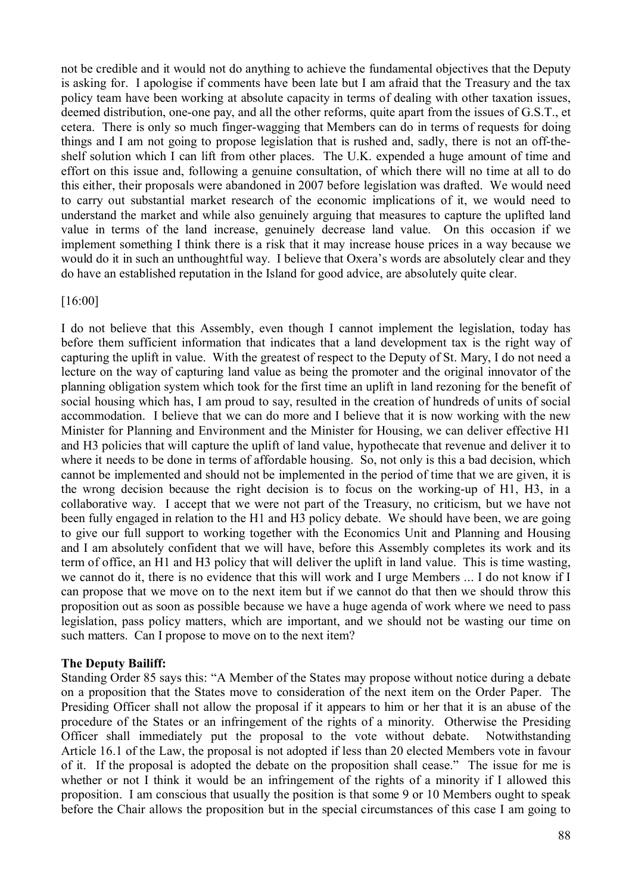not be credible and it would not do anything to achieve the fundamental objectives that the Deputy is asking for. I apologise if comments have been late but I am afraid that the Treasury and the tax policy team have been working at absolute capacity in terms of dealing with other taxation issues, deemed distribution, one-one pay, and all the other reforms, quite apart from the issues of G.S.T., et cetera. There is only so much finger-wagging that Members can do in terms of requests for doing things and I am not going to propose legislation that is rushed and, sadly, there is not an off-theshelf solution which I can lift from other places. The U.K. expended a huge amount of time and effort on this issue and, following a genuine consultation, of which there will no time at all to do this either, their proposals were abandoned in 2007 before legislation was drafted. We would need to carry out substantial market research of the economic implications of it, we would need to understand the market and while also genuinely arguing that measures to capture the uplifted land value in terms of the land increase, genuinely decrease land value. On this occasion if we implement something I think there is a risk that it may increase house prices in a way because we would do it in such an unthoughtful way. I believe that Oxera's words are absolutely clear and they do have an established reputation in the Island for good advice, are absolutely quite clear.

[16:00]

I do not believe that this Assembly, even though I cannot implement the legislation, today has before them sufficient information that indicates that a land development tax is the right way of capturing the uplift in value. With the greatest of respect to the Deputy of St. Mary, I do not need a lecture on the way of capturing land value as being the promoter and the original innovator of the planning obligation system which took for the first time an uplift in land rezoning for the benefit of social housing which has, I am proud to say, resulted in the creation of hundreds of units of social accommodation. I believe that we can do more and I believe that it is now working with the new Minister for Planning and Environment and the Minister for Housing, we can deliver effective H1 and H3 policies that will capture the uplift of land value, hypothecate that revenue and deliver it to where it needs to be done in terms of affordable housing. So, not only is this a bad decision, which cannot be implemented and should not be implemented in the period of time that we are given, it is the wrong decision because the right decision is to focus on the working-up of H1, H3, in a collaborative way. I accept that we were not part of the Treasury, no criticism, but we have not been fully engaged in relation to the H1 and H3 policy debate. We should have been, we are going to give our full support to working together with the Economics Unit and Planning and Housing and I am absolutely confident that we will have, before this Assembly completes its work and its term of office, an H1 and H3 policy that will deliver the uplift in land value. This is time wasting, we cannot do it, there is no evidence that this will work and I urge Members ... I do not know if I can propose that we move on to the next item but if we cannot do that then we should throw this proposition out as soon as possible because we have a huge agenda of work where we need to pass legislation, pass policy matters, which are important, and we should not be wasting our time on such matters. Can I propose to move on to the next item?

## **The Deputy Bailiff:**

Standing Order 85 says this: "A Member of the States may propose without notice during a debate on a proposition that the States move to consideration of the next item on the Order Paper. The Presiding Officer shall not allow the proposal if it appears to him or her that it is an abuse of the procedure of the States or an infringement of the rights of a minority. Otherwise the Presiding Officer shall immediately put the proposal to the vote without debate. Notwithstanding Article 16.1 of the Law, the proposal is not adopted if less than 20 elected Members vote in favour of it. If the proposal is adopted the debate on the proposition shall cease." The issue for me is whether or not I think it would be an infringement of the rights of a minority if I allowed this proposition. I am conscious that usually the position is that some 9 or 10 Members ought to speak before the Chair allows the proposition but in the special circumstances of this case I am going to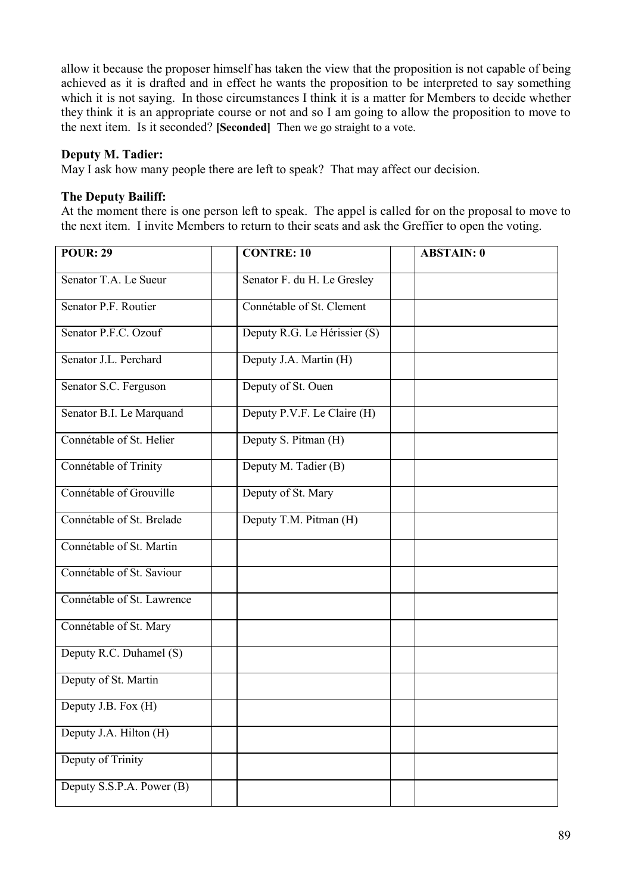allow it because the proposer himself has taken the view that the proposition is not capable of being achieved as it is drafted and in effect he wants the proposition to be interpreted to say something which it is not saying. In those circumstances I think it is a matter for Members to decide whether they think it is an appropriate course or not and so I am going to allow the proposition to move to the next item. Is it seconded? **[Seconded]** Then we go straight to a vote.

## **Deputy M. Tadier:**

May I ask how many people there are left to speak? That may affect our decision.

#### **The Deputy Bailiff:**

At the moment there is one person left to speak. The appel is called for on the proposal to move to the next item. I invite Members to return to their seats and ask the Greffier to open the voting.

| <b>POUR: 29</b>            | <b>CONTRE: 10</b>            | <b>ABSTAIN: 0</b> |
|----------------------------|------------------------------|-------------------|
| Senator T.A. Le Sueur      | Senator F. du H. Le Gresley  |                   |
| Senator P.F. Routier       | Connétable of St. Clement    |                   |
| Senator P.F.C. Ozouf       | Deputy R.G. Le Hérissier (S) |                   |
| Senator J.L. Perchard      | Deputy J.A. Martin (H)       |                   |
| Senator S.C. Ferguson      | Deputy of St. Ouen           |                   |
| Senator B.I. Le Marquand   | Deputy P.V.F. Le Claire (H)  |                   |
| Connétable of St. Helier   | Deputy S. Pitman (H)         |                   |
| Connétable of Trinity      | Deputy M. Tadier (B)         |                   |
| Connétable of Grouville    | Deputy of St. Mary           |                   |
| Connétable of St. Brelade  | Deputy T.M. Pitman (H)       |                   |
| Connétable of St. Martin   |                              |                   |
| Connétable of St. Saviour  |                              |                   |
| Connétable of St. Lawrence |                              |                   |
| Connétable of St. Mary     |                              |                   |
| Deputy R.C. Duhamel (S)    |                              |                   |
| Deputy of St. Martin       |                              |                   |
| Deputy J.B. Fox (H)        |                              |                   |
| Deputy J.A. Hilton (H)     |                              |                   |
| Deputy of Trinity          |                              |                   |
| Deputy S.S.P.A. Power (B)  |                              |                   |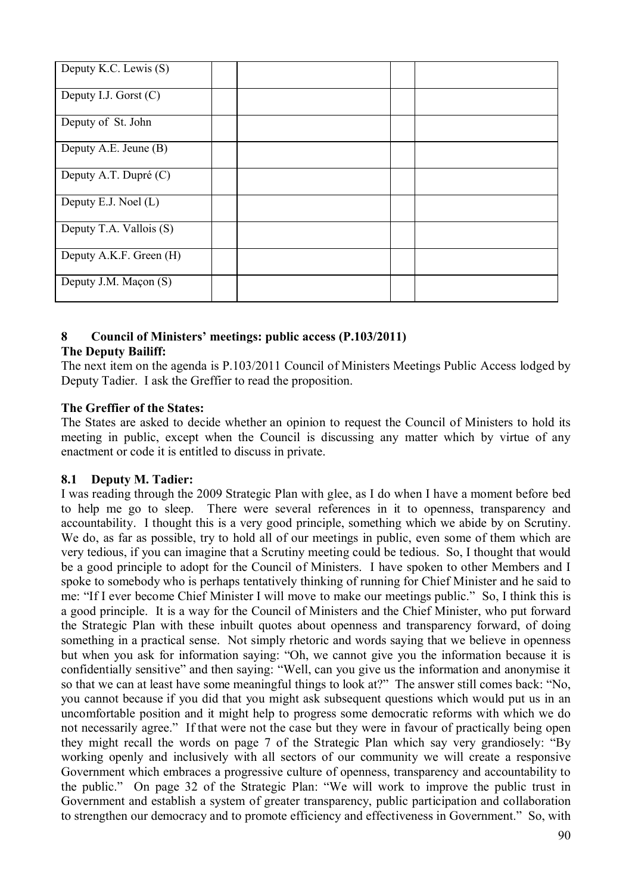| Deputy K.C. Lewis (S)   |  |  |  |
|-------------------------|--|--|--|
| Deputy I.J. Gorst $(C)$ |  |  |  |
| Deputy of St. John      |  |  |  |
| Deputy A.E. Jeune (B)   |  |  |  |
| Deputy A.T. Dupré (C)   |  |  |  |
| Deputy E.J. Noel (L)    |  |  |  |
| Deputy T.A. Vallois (S) |  |  |  |
| Deputy A.K.F. Green (H) |  |  |  |
| Deputy J.M. Maçon (S)   |  |  |  |

# **8 Council of Ministers' meetings: public access (P.103/2011)**

## **The Deputy Bailiff:**

The next item on the agenda is P.103/2011 Council of Ministers Meetings Public Access lodged by Deputy Tadier. I ask the Greffier to read the proposition.

# **The Greffier of the States:**

The States are asked to decide whether an opinion to request the Council of Ministers to hold its meeting in public, except when the Council is discussing any matter which by virtue of any enactment or code it is entitled to discuss in private.

# **8.1 Deputy M. Tadier:**

I was reading through the 2009 Strategic Plan with glee, as I do when I have a moment before bed to help me go to sleep. There were several references in it to openness, transparency and accountability. I thought this is a very good principle, something which we abide by on Scrutiny. We do, as far as possible, try to hold all of our meetings in public, even some of them which are very tedious, if you can imagine that a Scrutiny meeting could be tedious. So, I thought that would be a good principle to adopt for the Council of Ministers. I have spoken to other Members and I spoke to somebody who is perhaps tentatively thinking of running for Chief Minister and he said to me: "If I ever become Chief Minister I will move to make our meetings public." So, I think this is a good principle. It is a way for the Council of Ministers and the Chief Minister, who put forward the Strategic Plan with these inbuilt quotes about openness and transparency forward, of doing something in a practical sense. Not simply rhetoric and words saying that we believe in openness but when you ask for information saying: "Oh, we cannot give you the information because it is confidentially sensitive" and then saying: "Well, can you give us the information and anonymise it so that we can at least have some meaningful things to look at?" The answer still comes back: "No, you cannot because if you did that you might ask subsequent questions which would put us in an uncomfortable position and it might help to progress some democratic reforms with which we do not necessarily agree." If that were not the case but they were in favour of practically being open they might recall the words on page 7 of the Strategic Plan which say very grandiosely: "By working openly and inclusively with all sectors of our community we will create a responsive Government which embraces a progressive culture of openness, transparency and accountability to the public." On page 32 of the Strategic Plan: "We will work to improve the public trust in Government and establish a system of greater transparency, public participation and collaboration to strengthen our democracy and to promote efficiency and effectiveness in Government." So, with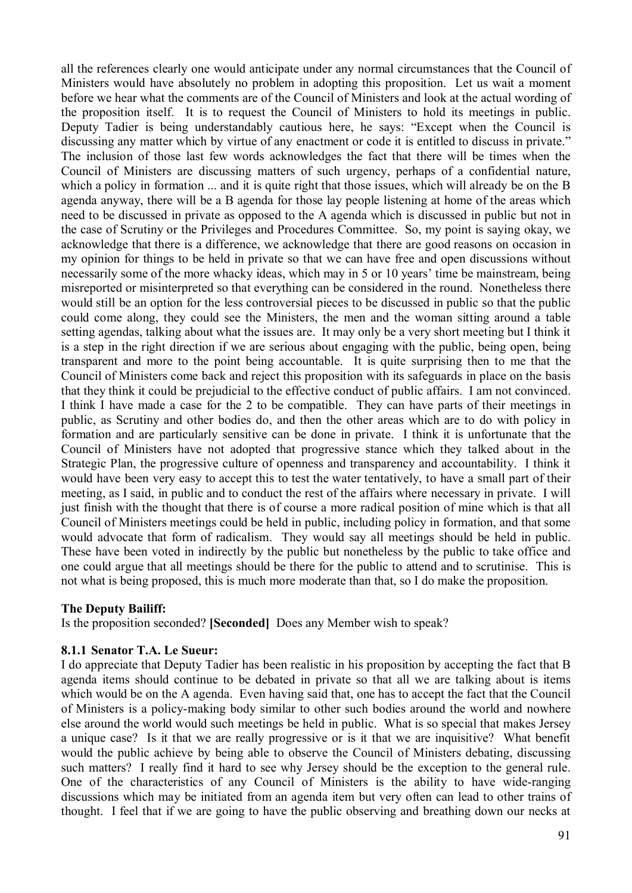all the references clearly one would anticipate under any normal circumstances that the Council of Ministers would have absolutely no problem in adopting this proposition. Let us wait a moment before we hear what the comments are of the Council of Ministers and look at the actual wording of the proposition itself. It is to request the Council of Ministers to hold its meetings in public. Deputy Tadier is being understandably cautious here, he says: "Except when the Council is discussing any matter which by virtue of any enactment or code it is entitled to discuss in private." The inclusion of those last few words acknowledges the fact that there will be times when the Council of Ministers are discussing matters of such urgency, perhaps of a confidential nature, which a policy in formation ... and it is quite right that those issues, which will already be on the B agenda anyway, there will be a B agenda for those lay people listening at home of the areas which need to be discussed in private as opposed to the A agenda which is discussed in public but not in the case of Scrutiny or the Privileges and Procedures Committee. So, my point is saying okay, we acknowledge that there is a difference, we acknowledge that there are good reasons on occasion in my opinion for things to be held in private so that we can have free and open discussions without necessarily some of the more whacky ideas, which may in 5 or 10 years' time be mainstream, being misreported or misinterpreted so that everything can be considered in the round. Nonetheless there would still be an option for the less controversial pieces to be discussed in public so that the public could come along, they could see the Ministers, the men and the woman sitting around a table setting agendas, talking about what the issues are. It may only be a very short meeting but I think it is a step in the right direction if we are serious about engaging with the public, being open, being transparent and more to the point being accountable. It is quite surprising then to me that the Council of Ministers come back and reject this proposition with its safeguards in place on the basis that they think it could be prejudicial to the effective conduct of public affairs. I am not convinced. I think I have made a case for the 2 to be compatible. They can have parts of their meetings in public, as Scrutiny and other bodies do, and then the other areas which are to do with policy in formation and are particularly sensitive can be done in private. I think it is unfortunate that the Council of Ministers have not adopted that progressive stance which they talked about in the Strategic Plan, the progressive culture of openness and transparency and accountability. I think it would have been very easy to accept this to test the water tentatively, to have a small part of their meeting, as I said, in public and to conduct the rest of the affairs where necessary in private. I will just finish with the thought that there is of course a more radical position of mine which is that all Council of Ministers meetings could be held in public, including policy in formation, and that some would advocate that form of radicalism. They would say all meetings should be held in public. These have been voted in indirectly by the public but nonetheless by the public to take office and one could argue that all meetings should be there for the public to attend and to scrutinise. This is not what is being proposed, this is much more moderate than that, so I do make the proposition.

#### **The Deputy Bailiff:**

Is the proposition seconded? **[Seconded]** Does any Member wish to speak?

#### **8.1.1 Senator T.A. Le Sueur:**

I do appreciate that Deputy Tadier has been realistic in his proposition by accepting the fact that B agenda items should continue to be debated in private so that all we are talking about is items which would be on the A agenda. Even having said that, one has to accept the fact that the Council of Ministers is a policy-making body similar to other such bodies around the world and nowhere else around the world would such meetings be held in public. What is so special that makes Jersey a unique case? Is it that we are really progressive or is it that we are inquisitive? What benefit would the public achieve by being able to observe the Council of Ministers debating, discussing such matters? I really find it hard to see why Jersey should be the exception to the general rule. One of the characteristics of any Council of Ministers is the ability to have wide-ranging discussions which may be initiated from an agenda item but very often can lead to other trains of thought. I feel that if we are going to have the public observing and breathing down our necks at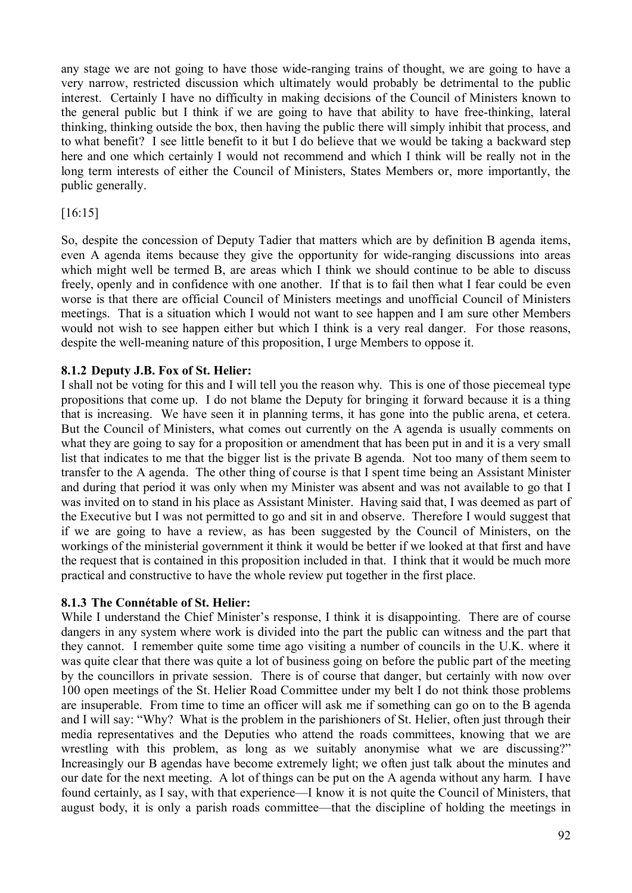any stage we are not going to have those wide-ranging trains of thought, we are going to have a very narrow, restricted discussion which ultimately would probably be detrimental to the public interest. Certainly I have no difficulty in making decisions of the Council of Ministers known to the general public but I think if we are going to have that ability to have free-thinking, lateral thinking, thinking outside the box, then having the public there will simply inhibit that process, and to what benefit? I see little benefit to it but I do believe that we would be taking a backward step here and one which certainly I would not recommend and which I think will be really not in the long term interests of either the Council of Ministers, States Members or, more importantly, the public generally.

## [16:15]

So, despite the concession of Deputy Tadier that matters which are by definition B agenda items, even A agenda items because they give the opportunity for wide-ranging discussions into areas which might well be termed B, are areas which I think we should continue to be able to discuss freely, openly and in confidence with one another. If that is to fail then what I fear could be even worse is that there are official Council of Ministers meetings and unofficial Council of Ministers meetings. That is a situation which I would not want to see happen and I am sure other Members would not wish to see happen either but which I think is a very real danger. For those reasons, despite the well-meaning nature of this proposition, I urge Members to oppose it.

## **8.1.2 Deputy J.B. Fox of St. Helier:**

I shall not be voting for this and I will tell you the reason why. This is one of those piecemeal type propositions that come up. I do not blame the Deputy for bringing it forward because it is a thing that is increasing. We have seen it in planning terms, it has gone into the public arena, et cetera. But the Council of Ministers, what comes out currently on the A agenda is usually comments on what they are going to say for a proposition or amendment that has been put in and it is a very small list that indicates to me that the bigger list is the private B agenda. Not too many of them seem to transfer to the A agenda. The other thing of course is that I spent time being an Assistant Minister and during that period it was only when my Minister was absent and was not available to go that I was invited on to stand in his place as Assistant Minister. Having said that, I was deemed as part of the Executive but I was not permitted to go and sit in and observe. Therefore I would suggest that if we are going to have a review, as has been suggested by the Council of Ministers, on the workings of the ministerial government it think it would be better if we looked at that first and have the request that is contained in this proposition included in that. I think that it would be much more practical and constructive to have the whole review put together in the first place.

## **8.1.3 The Connétable of St. Helier:**

While I understand the Chief Minister's response, I think it is disappointing. There are of course dangers in any system where work is divided into the part the public can witness and the part that they cannot. I remember quite some time ago visiting a number of councils in the U.K. where it was quite clear that there was quite a lot of business going on before the public part of the meeting by the councillors in private session. There is of course that danger, but certainly with now over 100 open meetings of the St. Helier Road Committee under my belt I do not think those problems are insuperable. From time to time an officer will ask me if something can go on to the B agenda and I will say: "Why? What is the problem in the parishioners of St. Helier, often just through their media representatives and the Deputies who attend the roads committees, knowing that we are wrestling with this problem, as long as we suitably anonymise what we are discussing?" Increasingly our B agendas have become extremely light; we often just talk about the minutes and our date for the next meeting. A lot of things can be put on the A agenda without any harm. I have found certainly, as I say, with that experience—I know it is not quite the Council of Ministers, that august body, it is only a parish roads committee—that the discipline of holding the meetings in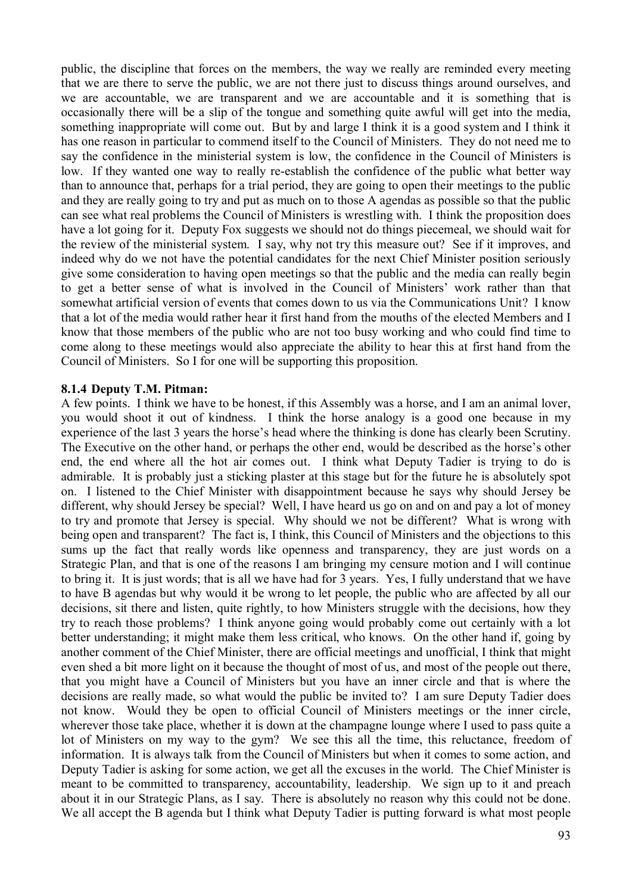public, the discipline that forces on the members, the way we really are reminded every meeting that we are there to serve the public, we are not there just to discuss things around ourselves, and we are accountable, we are transparent and we are accountable and it is something that is occasionally there will be a slip of the tongue and something quite awful will get into the media, something inappropriate will come out. But by and large I think it is a good system and I think it has one reason in particular to commend itself to the Council of Ministers. They do not need me to say the confidence in the ministerial system is low, the confidence in the Council of Ministers is low. If they wanted one way to really re-establish the confidence of the public what better way than to announce that, perhaps for a trial period, they are going to open their meetings to the public and they are really going to try and put as much on to those A agendas as possible so that the public can see what real problems the Council of Ministers is wrestling with. I think the proposition does have a lot going for it. Deputy Fox suggests we should not do things piecemeal, we should wait for the review of the ministerial system. I say, why not try this measure out? See if it improves, and indeed why do we not have the potential candidates for the next Chief Minister position seriously give some consideration to having open meetings so that the public and the media can really begin to get a better sense of what is involved in the Council of Ministers' work rather than that somewhat artificial version of events that comes down to us via the Communications Unit? I know that a lot of the media would rather hear it first hand from the mouths of the elected Members and I know that those members of the public who are not too busy working and who could find time to come along to these meetings would also appreciate the ability to hear this at first hand from the Council of Ministers. So I for one will be supporting this proposition.

#### **8.1.4 Deputy T.M. Pitman:**

A few points. I think we have to be honest, if this Assembly was a horse, and I am an animal lover, you would shoot it out of kindness. I think the horse analogy is a good one because in my experience of the last 3 years the horse's head where the thinking is done has clearly been Scrutiny. The Executive on the other hand, or perhaps the other end, would be described as the horse's other end, the end where all the hot air comes out. I think what Deputy Tadier is trying to do is admirable. It is probably just a sticking plaster at this stage but for the future he is absolutely spot on. I listened to the Chief Minister with disappointment because he says why should Jersey be different, why should Jersey be special? Well, I have heard us go on and on and pay a lot of money to try and promote that Jersey is special. Why should we not be different? What is wrong with being open and transparent? The fact is, I think, this Council of Ministers and the objections to this sums up the fact that really words like openness and transparency, they are just words on a Strategic Plan, and that is one of the reasons I am bringing my censure motion and I will continue to bring it. It is just words; that is all we have had for 3 years. Yes, I fully understand that we have to have B agendas but why would it be wrong to let people, the public who are affected by all our decisions, sit there and listen, quite rightly, to how Ministers struggle with the decisions, how they try to reach those problems? I think anyone going would probably come out certainly with a lot better understanding; it might make them less critical, who knows. On the other hand if, going by another comment of the Chief Minister, there are official meetings and unofficial, I think that might even shed a bit more light on it because the thought of most of us, and most of the people out there, that you might have a Council of Ministers but you have an inner circle and that is where the decisions are really made, so what would the public be invited to? I am sure Deputy Tadier does not know. Would they be open to official Council of Ministers meetings or the inner circle, wherever those take place, whether it is down at the champagne lounge where I used to pass quite a lot of Ministers on my way to the gym? We see this all the time, this reluctance, freedom of information. It is always talk from the Council of Ministers but when it comes to some action, and Deputy Tadier is asking for some action, we get all the excuses in the world. The Chief Minister is meant to be committed to transparency, accountability, leadership. We sign up to it and preach about it in our Strategic Plans, as I say. There is absolutely no reason why this could not be done. We all accept the B agenda but I think what Deputy Tadier is putting forward is what most people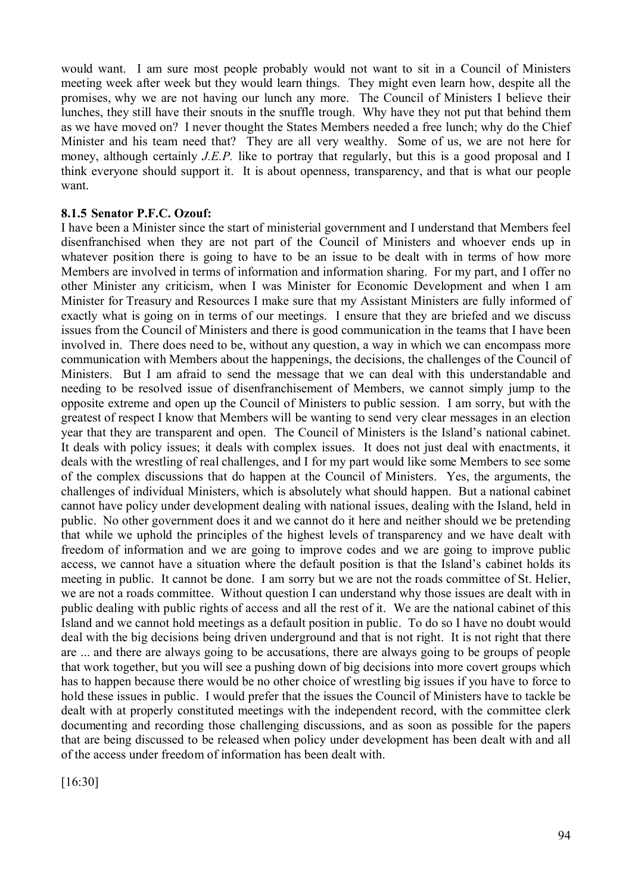would want. I am sure most people probably would not want to sit in a Council of Ministers meeting week after week but they would learn things. They might even learn how, despite all the promises, why we are not having our lunch any more. The Council of Ministers I believe their lunches, they still have their snouts in the snuffle trough. Why have they not put that behind them as we have moved on? I never thought the States Members needed a free lunch; why do the Chief Minister and his team need that? They are all very wealthy. Some of us, we are not here for money, although certainly *J.E.P.* like to portray that regularly, but this is a good proposal and I think everyone should support it. It is about openness, transparency, and that is what our people want.

#### **8.1.5 Senator P.F.C. Ozouf:**

I have been a Minister since the start of ministerial government and I understand that Members feel disenfranchised when they are not part of the Council of Ministers and whoever ends up in whatever position there is going to have to be an issue to be dealt with in terms of how more Members are involved in terms of information and information sharing. For my part, and I offer no other Minister any criticism, when I was Minister for Economic Development and when I am Minister for Treasury and Resources I make sure that my Assistant Ministers are fully informed of exactly what is going on in terms of our meetings. I ensure that they are briefed and we discuss issues from the Council of Ministers and there is good communication in the teams that I have been involved in. There does need to be, without any question, a way in which we can encompass more communication with Members about the happenings, the decisions, the challenges of the Council of Ministers. But I am afraid to send the message that we can deal with this understandable and needing to be resolved issue of disenfranchisement of Members, we cannot simply jump to the opposite extreme and open up the Council of Ministers to public session. I am sorry, but with the greatest of respect I know that Members will be wanting to send very clear messages in an election year that they are transparent and open. The Council of Ministers is the Island's national cabinet. It deals with policy issues; it deals with complex issues. It does not just deal with enactments, it deals with the wrestling of real challenges, and I for my part would like some Members to see some of the complex discussions that do happen at the Council of Ministers. Yes, the arguments, the challenges of individual Ministers, which is absolutely what should happen. But a national cabinet cannot have policy under development dealing with national issues, dealing with the Island, held in public. No other government does it and we cannot do it here and neither should we be pretending that while we uphold the principles of the highest levels of transparency and we have dealt with freedom of information and we are going to improve codes and we are going to improve public access, we cannot have a situation where the default position is that the Island's cabinet holds its meeting in public. It cannot be done. I am sorry but we are not the roads committee of St. Helier, we are not a roads committee. Without question I can understand why those issues are dealt with in public dealing with public rights of access and all the rest of it. We are the national cabinet of this Island and we cannot hold meetings as a default position in public. To do so I have no doubt would deal with the big decisions being driven underground and that is not right. It is not right that there are ... and there are always going to be accusations, there are always going to be groups of people that work together, but you will see a pushing down of big decisions into more covert groups which has to happen because there would be no other choice of wrestling big issues if you have to force to hold these issues in public. I would prefer that the issues the Council of Ministers have to tackle be dealt with at properly constituted meetings with the independent record, with the committee clerk documenting and recording those challenging discussions, and as soon as possible for the papers that are being discussed to be released when policy under development has been dealt with and all of the access under freedom of information has been dealt with.

[16:30]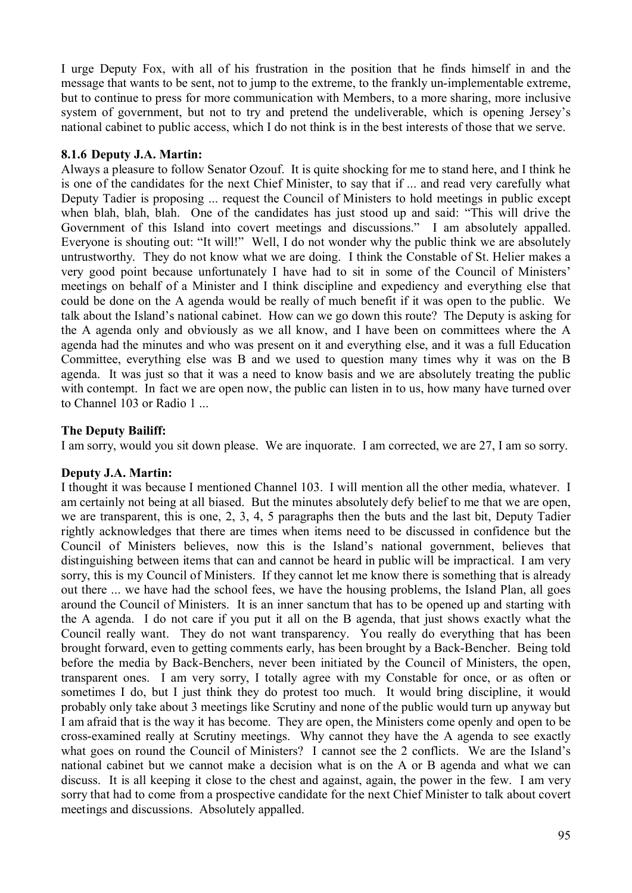I urge Deputy Fox, with all of his frustration in the position that he finds himself in and the message that wants to be sent, not to jump to the extreme, to the frankly un-implementable extreme, but to continue to press for more communication with Members, to a more sharing, more inclusive system of government, but not to try and pretend the undeliverable, which is opening Jersey's national cabinet to public access, which I do not think is in the best interests of those that we serve.

## **8.1.6 Deputy J.A. Martin:**

Always a pleasure to follow Senator Ozouf. It is quite shocking for me to stand here, and I think he is one of the candidates for the next Chief Minister, to say that if ... and read very carefully what Deputy Tadier is proposing ... request the Council of Ministers to hold meetings in public except when blah, blah, blah. One of the candidates has just stood up and said: "This will drive the Government of this Island into covert meetings and discussions." I am absolutely appalled. Everyone is shouting out: "It will!" Well, I do not wonder why the public think we are absolutely untrustworthy. They do not know what we are doing. I think the Constable of St. Helier makes a very good point because unfortunately I have had to sit in some of the Council of Ministers' meetings on behalf of a Minister and I think discipline and expediency and everything else that could be done on the A agenda would be really of much benefit if it was open to the public. We talk about the Island's national cabinet. How can we go down this route? The Deputy is asking for the A agenda only and obviously as we all know, and I have been on committees where the A agenda had the minutes and who was present on it and everything else, and it was a full Education Committee, everything else was B and we used to question many times why it was on the B agenda. It was just so that it was a need to know basis and we are absolutely treating the public with contempt. In fact we are open now, the public can listen in to us, how many have turned over to Channel 103 or Radio 1 ...

## **The Deputy Bailiff:**

I am sorry, would you sit down please. We are inquorate. I am corrected, we are 27, I am so sorry.

#### **Deputy J.A. Martin:**

I thought it was because I mentioned Channel 103. I will mention all the other media, whatever. I am certainly not being at all biased. But the minutes absolutely defy belief to me that we are open, we are transparent, this is one, 2, 3, 4, 5 paragraphs then the buts and the last bit, Deputy Tadier rightly acknowledges that there are times when items need to be discussed in confidence but the Council of Ministers believes, now this is the Island's national government, believes that distinguishing between items that can and cannot be heard in public will be impractical. I am very sorry, this is my Council of Ministers. If they cannot let me know there is something that is already out there ... we have had the school fees, we have the housing problems, the Island Plan, all goes around the Council of Ministers. It is an inner sanctum that has to be opened up and starting with the A agenda. I do not care if you put it all on the B agenda, that just shows exactly what the Council really want. They do not want transparency. You really do everything that has been brought forward, even to getting comments early, has been brought by a Back-Bencher. Being told before the media by Back-Benchers, never been initiated by the Council of Ministers, the open, transparent ones. I am very sorry, I totally agree with my Constable for once, or as often or sometimes I do, but I just think they do protest too much. It would bring discipline, it would probably only take about 3 meetings like Scrutiny and none of the public would turn up anyway but I am afraid that is the way it has become. They are open, the Ministers come openly and open to be cross-examined really at Scrutiny meetings. Why cannot they have the A agenda to see exactly what goes on round the Council of Ministers? I cannot see the 2 conflicts. We are the Island's national cabinet but we cannot make a decision what is on the A or B agenda and what we can discuss. It is all keeping it close to the chest and against, again, the power in the few. I am very sorry that had to come from a prospective candidate for the next Chief Minister to talk about covert meetings and discussions. Absolutely appalled.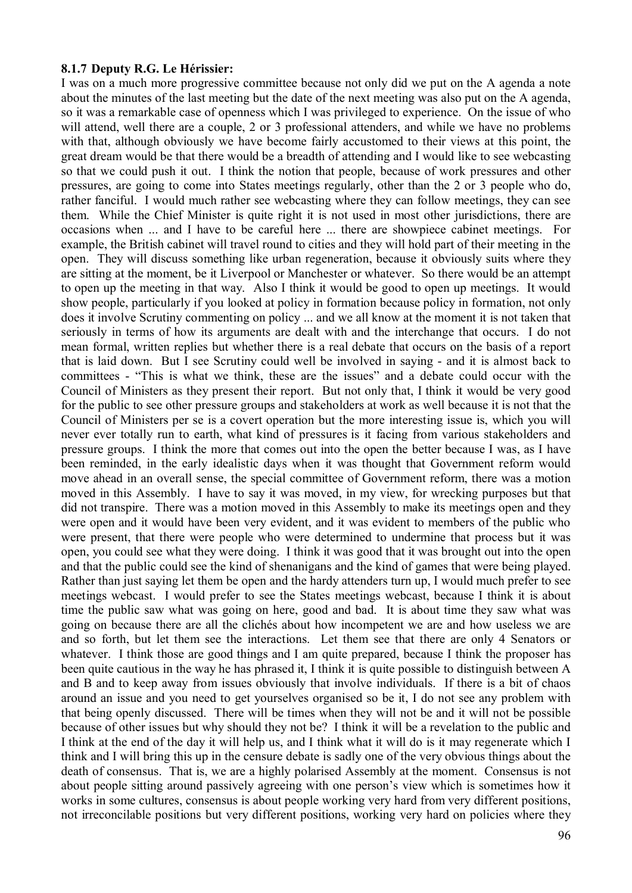#### **8.1.7 Deputy R.G. Le Hérissier:**

I was on a much more progressive committee because not only did we put on the A agenda a note about the minutes of the last meeting but the date of the next meeting was also put on the A agenda, so it was a remarkable case of openness which I was privileged to experience. On the issue of who will attend, well there are a couple, 2 or 3 professional attenders, and while we have no problems with that, although obviously we have become fairly accustomed to their views at this point, the great dream would be that there would be a breadth of attending and I would like to see webcasting so that we could push it out. I think the notion that people, because of work pressures and other pressures, are going to come into States meetings regularly, other than the 2 or 3 people who do, rather fanciful. I would much rather see webcasting where they can follow meetings, they can see them. While the Chief Minister is quite right it is not used in most other jurisdictions, there are occasions when ... and I have to be careful here ... there are showpiece cabinet meetings. For example, the British cabinet will travel round to cities and they will hold part of their meeting in the open. They will discuss something like urban regeneration, because it obviously suits where they are sitting at the moment, be it Liverpool or Manchester or whatever. So there would be an attempt to open up the meeting in that way. Also I think it would be good to open up meetings. It would show people, particularly if you looked at policy in formation because policy in formation, not only does it involve Scrutiny commenting on policy ... and we all know at the moment it is not taken that seriously in terms of how its arguments are dealt with and the interchange that occurs. I do not mean formal, written replies but whether there is a real debate that occurs on the basis of a report that is laid down. But I see Scrutiny could well be involved in saying - and it is almost back to committees - "This is what we think, these are the issues" and a debate could occur with the Council of Ministers as they present their report. But not only that, I think it would be very good for the public to see other pressure groups and stakeholders at work as well because it is not that the Council of Ministers per se is a covert operation but the more interesting issue is, which you will never ever totally run to earth, what kind of pressures is it facing from various stakeholders and pressure groups. I think the more that comes out into the open the better because I was, as I have been reminded, in the early idealistic days when it was thought that Government reform would move ahead in an overall sense, the special committee of Government reform, there was a motion moved in this Assembly. I have to say it was moved, in my view, for wrecking purposes but that did not transpire. There was a motion moved in this Assembly to make its meetings open and they were open and it would have been very evident, and it was evident to members of the public who were present, that there were people who were determined to undermine that process but it was open, you could see what they were doing. I think it was good that it was brought out into the open and that the public could see the kind of shenanigans and the kind of games that were being played. Rather than just saying let them be open and the hardy attenders turn up, I would much prefer to see meetings webcast. I would prefer to see the States meetings webcast, because I think it is about time the public saw what was going on here, good and bad. It is about time they saw what was going on because there are all the clichés about how incompetent we are and how useless we are and so forth, but let them see the interactions. Let them see that there are only 4 Senators or whatever. I think those are good things and I am quite prepared, because I think the proposer has been quite cautious in the way he has phrased it, I think it is quite possible to distinguish between A and B and to keep away from issues obviously that involve individuals. If there is a bit of chaos around an issue and you need to get yourselves organised so be it, I do not see any problem with that being openly discussed. There will be times when they will not be and it will not be possible because of other issues but why should they not be? I think it will be a revelation to the public and I think at the end of the day it will help us, and I think what it will do is it may regenerate which I think and I will bring this up in the censure debate is sadly one of the very obvious things about the death of consensus. That is, we are a highly polarised Assembly at the moment. Consensus is not about people sitting around passively agreeing with one person's view which is sometimes how it works in some cultures, consensus is about people working very hard from very different positions, not irreconcilable positions but very different positions, working very hard on policies where they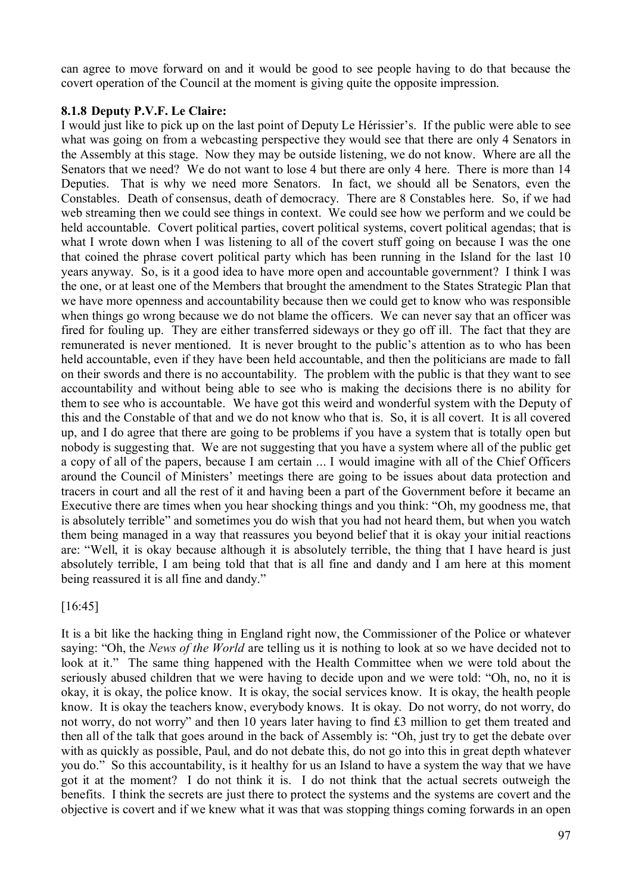can agree to move forward on and it would be good to see people having to do that because the covert operation of the Council at the moment is giving quite the opposite impression.

#### **8.1.8 Deputy P.V.F. Le Claire:**

I would just like to pick up on the last point of Deputy Le Hérissier's. If the public were able to see what was going on from a webcasting perspective they would see that there are only 4 Senators in the Assembly at this stage. Now they may be outside listening, we do not know. Where are all the Senators that we need? We do not want to lose 4 but there are only 4 here. There is more than 14 Deputies. That is why we need more Senators. In fact, we should all be Senators, even the Constables. Death of consensus, death of democracy. There are 8 Constables here. So, if we had web streaming then we could see things in context. We could see how we perform and we could be held accountable. Covert political parties, covert political systems, covert political agendas; that is what I wrote down when I was listening to all of the covert stuff going on because I was the one that coined the phrase covert political party which has been running in the Island for the last 10 years anyway. So, is it a good idea to have more open and accountable government? I think I was the one, or at least one of the Members that brought the amendment to the States Strategic Plan that we have more openness and accountability because then we could get to know who was responsible when things go wrong because we do not blame the officers. We can never say that an officer was fired for fouling up. They are either transferred sideways or they go off ill. The fact that they are remunerated is never mentioned. It is never brought to the public's attention as to who has been held accountable, even if they have been held accountable, and then the politicians are made to fall on their swords and there is no accountability. The problem with the public is that they want to see accountability and without being able to see who is making the decisions there is no ability for them to see who is accountable. We have got this weird and wonderful system with the Deputy of this and the Constable of that and we do not know who that is. So, it is all covert. It is all covered up, and I do agree that there are going to be problems if you have a system that is totally open but nobody is suggesting that. We are not suggesting that you have a system where all of the public get a copy of all of the papers, because I am certain ... I would imagine with all of the Chief Officers around the Council of Ministers' meetings there are going to be issues about data protection and tracers in court and all the rest of it and having been a part of the Government before it became an Executive there are times when you hear shocking things and you think: "Oh, my goodness me, that is absolutely terrible" and sometimes you do wish that you had not heard them, but when you watch them being managed in a way that reassures you beyond belief that it is okay your initial reactions are: "Well, it is okay because although it is absolutely terrible, the thing that I have heard is just absolutely terrible, I am being told that that is all fine and dandy and I am here at this moment being reassured it is all fine and dandy."

## [16:45]

It is a bit like the hacking thing in England right now, the Commissioner of the Police or whatever saying: "Oh, the *News of the World* are telling us it is nothing to look at so we have decided not to look at it." The same thing happened with the Health Committee when we were told about the seriously abused children that we were having to decide upon and we were told: "Oh, no, no it is okay, it is okay, the police know. It is okay, the social services know. It is okay, the health people know. It is okay the teachers know, everybody knows. It is okay. Do not worry, do not worry, do not worry, do not worry" and then 10 years later having to find £3 million to get them treated and then all of the talk that goes around in the back of Assembly is: "Oh, just try to get the debate over with as quickly as possible, Paul, and do not debate this, do not go into this in great depth whatever you do." So this accountability, is it healthy for us an Island to have a system the way that we have got it at the moment? I do not think it is. I do not think that the actual secrets outweigh the benefits. I think the secrets are just there to protect the systems and the systems are covert and the objective is covert and if we knew what it was that was stopping things coming forwards in an open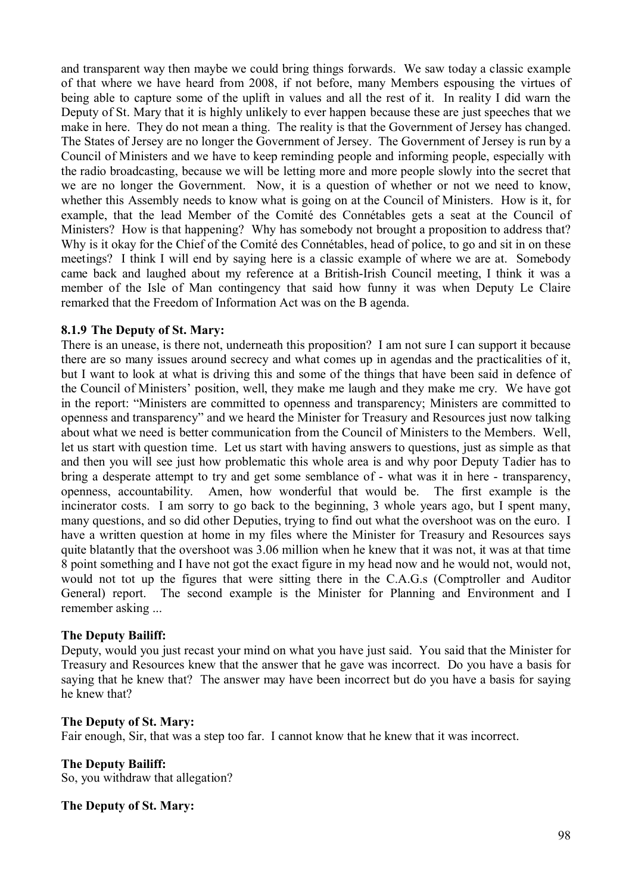and transparent way then maybe we could bring things forwards. We saw today a classic example of that where we have heard from 2008, if not before, many Members espousing the virtues of being able to capture some of the uplift in values and all the rest of it. In reality I did warn the Deputy of St. Mary that it is highly unlikely to ever happen because these are just speeches that we make in here. They do not mean a thing. The reality is that the Government of Jersey has changed. The States of Jersey are no longer the Government of Jersey. The Government of Jersey is run by a Council of Ministers and we have to keep reminding people and informing people, especially with the radio broadcasting, because we will be letting more and more people slowly into the secret that we are no longer the Government. Now, it is a question of whether or not we need to know, whether this Assembly needs to know what is going on at the Council of Ministers. How is it, for example, that the lead Member of the Comité des Connétables gets a seat at the Council of Ministers? How is that happening? Why has somebody not brought a proposition to address that? Why is it okay for the Chief of the Comité des Connétables, head of police, to go and sit in on these meetings? I think I will end by saying here is a classic example of where we are at. Somebody came back and laughed about my reference at a British-Irish Council meeting, I think it was a member of the Isle of Man contingency that said how funny it was when Deputy Le Claire remarked that the Freedom of Information Act was on the B agenda.

## **8.1.9 The Deputy of St. Mary:**

There is an unease, is there not, underneath this proposition? I am not sure I can support it because there are so many issues around secrecy and what comes up in agendas and the practicalities of it, but I want to look at what is driving this and some of the things that have been said in defence of the Council of Ministers' position, well, they make me laugh and they make me cry. We have got in the report: "Ministers are committed to openness and transparency; Ministers are committed to openness and transparency" and we heard the Minister for Treasury and Resources just now talking about what we need is better communication from the Council of Ministers to the Members. Well, let us start with question time. Let us start with having answers to questions, just as simple as that and then you will see just how problematic this whole area is and why poor Deputy Tadier has to bring a desperate attempt to try and get some semblance of - what was it in here - transparency, openness, accountability. Amen, how wonderful that would be. The first example is the incinerator costs. I am sorry to go back to the beginning, 3 whole years ago, but I spent many, many questions, and so did other Deputies, trying to find out what the overshoot was on the euro. I have a written question at home in my files where the Minister for Treasury and Resources says quite blatantly that the overshoot was 3.06 million when he knew that it was not, it was at that time 8 point something and I have not got the exact figure in my head now and he would not, would not, would not tot up the figures that were sitting there in the C.A.G.s (Comptroller and Auditor General) report. The second example is the Minister for Planning and Environment and I remember asking ...

## **The Deputy Bailiff:**

Deputy, would you just recast your mind on what you have just said. You said that the Minister for Treasury and Resources knew that the answer that he gave was incorrect. Do you have a basis for saying that he knew that? The answer may have been incorrect but do you have a basis for saying he knew that?

#### **The Deputy of St. Mary:**

Fair enough, Sir, that was a step too far. I cannot know that he knew that it was incorrect.

## **The Deputy Bailiff:**

So, you withdraw that allegation?

#### **The Deputy of St. Mary:**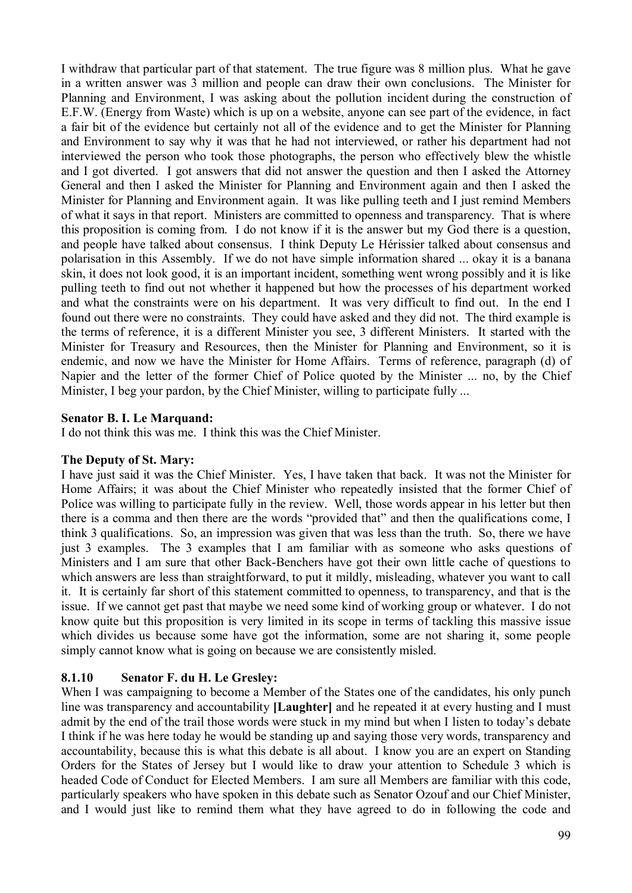I withdraw that particular part of that statement. The true figure was 8 million plus. What he gave in a written answer was 3 million and people can draw their own conclusions. The Minister for Planning and Environment, I was asking about the pollution incident during the construction of E.F.W. (Energy from Waste) which is up on a website, anyone can see part of the evidence, in fact a fair bit of the evidence but certainly not all of the evidence and to get the Minister for Planning and Environment to say why it was that he had not interviewed, or rather his department had not interviewed the person who took those photographs, the person who effectively blew the whistle and I got diverted. I got answers that did not answer the question and then I asked the Attorney General and then I asked the Minister for Planning and Environment again and then I asked the Minister for Planning and Environment again. It was like pulling teeth and I just remind Members of what it says in that report. Ministers are committed to openness and transparency. That is where this proposition is coming from. I do not know if it is the answer but my God there is a question, and people have talked about consensus. I think Deputy Le Hérissier talked about consensus and polarisation in this Assembly. If we do not have simple information shared ... okay it is a banana skin, it does not look good, it is an important incident, something went wrong possibly and it is like pulling teeth to find out not whether it happened but how the processes of his department worked and what the constraints were on his department. It was very difficult to find out. In the end I found out there were no constraints. They could have asked and they did not. The third example is the terms of reference, it is a different Minister you see, 3 different Ministers. It started with the Minister for Treasury and Resources, then the Minister for Planning and Environment, so it is endemic, and now we have the Minister for Home Affairs. Terms of reference, paragraph (d) of Napier and the letter of the former Chief of Police quoted by the Minister ... no, by the Chief Minister, I beg your pardon, by the Chief Minister, willing to participate fully ...

## **Senator B. I. Le Marquand:**

I do not think this was me. I think this was the Chief Minister.

#### **The Deputy of St. Mary:**

I have just said it was the Chief Minister. Yes, I have taken that back. It was not the Minister for Home Affairs; it was about the Chief Minister who repeatedly insisted that the former Chief of Police was willing to participate fully in the review. Well, those words appear in his letter but then there is a comma and then there are the words "provided that" and then the qualifications come, I think 3 qualifications. So, an impression was given that was less than the truth. So, there we have just 3 examples. The 3 examples that I am familiar with as someone who asks questions of Ministers and I am sure that other Back-Benchers have got their own little cache of questions to which answers are less than straightforward, to put it mildly, misleading, whatever you want to call it. It is certainly far short of this statement committed to openness, to transparency, and that is the issue. If we cannot get past that maybe we need some kind of working group or whatever. I do not know quite but this proposition is very limited in its scope in terms of tackling this massive issue which divides us because some have got the information, some are not sharing it, some people simply cannot know what is going on because we are consistently misled.

## **8.1.10 Senator F. du H. Le Gresley:**

When I was campaigning to become a Member of the States one of the candidates, his only punch line was transparency and accountability **[Laughter]** and he repeated it at every husting and I must admit by the end of the trail those words were stuck in my mind but when I listen to today's debate I think if he was here today he would be standing up and saying those very words, transparency and accountability, because this is what this debate is all about. I know you are an expert on Standing Orders for the States of Jersey but I would like to draw your attention to Schedule 3 which is headed Code of Conduct for Elected Members. I am sure all Members are familiar with this code, particularly speakers who have spoken in this debate such as Senator Ozouf and our Chief Minister, and I would just like to remind them what they have agreed to do in following the code and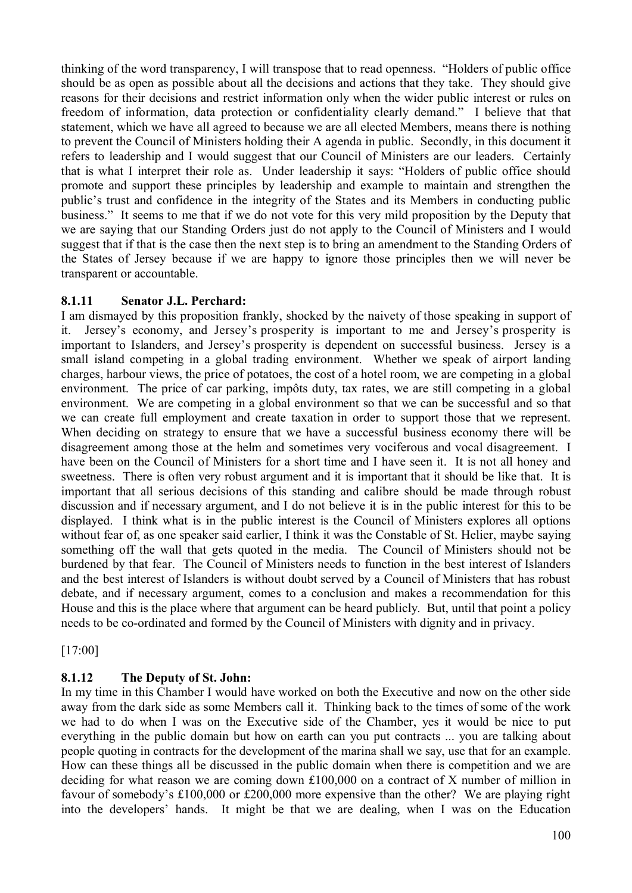thinking of the word transparency, I will transpose that to read openness. "Holders of public office should be as open as possible about all the decisions and actions that they take. They should give reasons for their decisions and restrict information only when the wider public interest or rules on freedom of information, data protection or confidentiality clearly demand." I believe that that statement, which we have all agreed to because we are all elected Members, means there is nothing to prevent the Council of Ministers holding their A agenda in public. Secondly, in this document it refers to leadership and I would suggest that our Council of Ministers are our leaders. Certainly that is what I interpret their role as. Under leadership it says: "Holders of public office should promote and support these principles by leadership and example to maintain and strengthen the public's trust and confidence in the integrity of the States and its Members in conducting public business." It seems to me that if we do not vote for this very mild proposition by the Deputy that we are saying that our Standing Orders just do not apply to the Council of Ministers and I would suggest that if that is the case then the next step is to bring an amendment to the Standing Orders of the States of Jersey because if we are happy to ignore those principles then we will never be transparent or accountable.

## **8.1.11 Senator J.L. Perchard:**

I am dismayed by this proposition frankly, shocked by the naivety of those speaking in support of it. Jersey's economy, and Jersey's prosperity is important to me and Jersey's prosperity is important to Islanders, and Jersey's prosperity is dependent on successful business. Jersey is a small island competing in a global trading environment. Whether we speak of airport landing charges, harbour views, the price of potatoes, the cost of a hotel room, we are competing in a global environment. The price of car parking, impôts duty, tax rates, we are still competing in a global environment. We are competing in a global environment so that we can be successful and so that we can create full employment and create taxation in order to support those that we represent. When deciding on strategy to ensure that we have a successful business economy there will be disagreement among those at the helm and sometimes very vociferous and vocal disagreement. I have been on the Council of Ministers for a short time and I have seen it. It is not all honey and sweetness. There is often very robust argument and it is important that it should be like that. It is important that all serious decisions of this standing and calibre should be made through robust discussion and if necessary argument, and I do not believe it is in the public interest for this to be displayed. I think what is in the public interest is the Council of Ministers explores all options without fear of, as one speaker said earlier, I think it was the Constable of St. Helier, maybe saying something off the wall that gets quoted in the media. The Council of Ministers should not be burdened by that fear. The Council of Ministers needs to function in the best interest of Islanders and the best interest of Islanders is without doubt served by a Council of Ministers that has robust debate, and if necessary argument, comes to a conclusion and makes a recommendation for this House and this is the place where that argument can be heard publicly. But, until that point a policy needs to be co-ordinated and formed by the Council of Ministers with dignity and in privacy.

[17:00]

## **8.1.12 The Deputy of St. John:**

In my time in this Chamber I would have worked on both the Executive and now on the other side away from the dark side as some Members call it. Thinking back to the times of some of the work we had to do when I was on the Executive side of the Chamber, yes it would be nice to put everything in the public domain but how on earth can you put contracts ... you are talking about people quoting in contracts for the development of the marina shall we say, use that for an example. How can these things all be discussed in the public domain when there is competition and we are deciding for what reason we are coming down £100,000 on a contract of X number of million in favour of somebody's £100,000 or £200,000 more expensive than the other? We are playing right into the developers' hands. It might be that we are dealing, when I was on the Education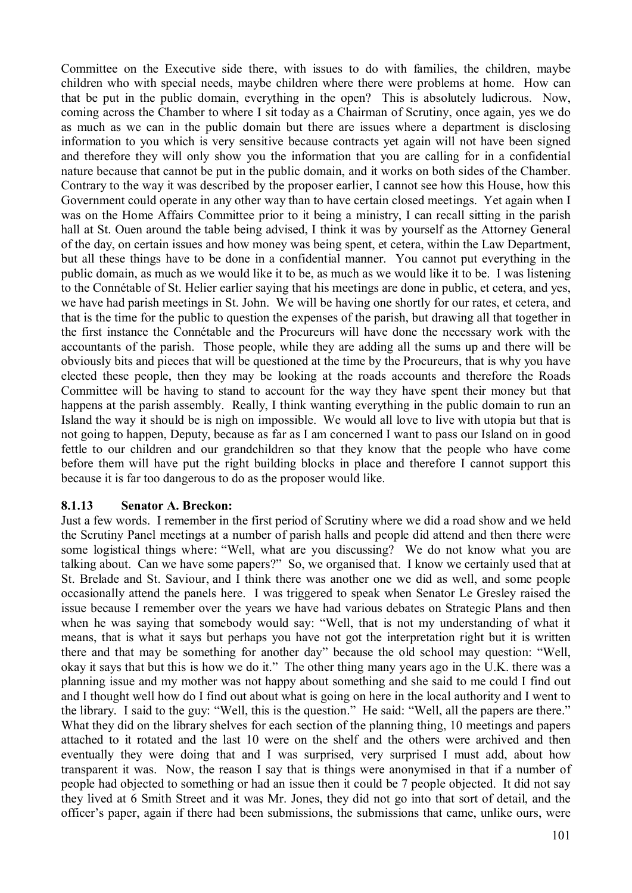Committee on the Executive side there, with issues to do with families, the children, maybe children who with special needs, maybe children where there were problems at home. How can that be put in the public domain, everything in the open? This is absolutely ludicrous. Now, coming across the Chamber to where I sit today as a Chairman of Scrutiny, once again, yes we do as much as we can in the public domain but there are issues where a department is disclosing information to you which is very sensitive because contracts yet again will not have been signed and therefore they will only show you the information that you are calling for in a confidential nature because that cannot be put in the public domain, and it works on both sides of the Chamber. Contrary to the way it was described by the proposer earlier, I cannot see how this House, how this Government could operate in any other way than to have certain closed meetings. Yet again when I was on the Home Affairs Committee prior to it being a ministry, I can recall sitting in the parish hall at St. Ouen around the table being advised, I think it was by yourself as the Attorney General of the day, on certain issues and how money was being spent, et cetera, within the Law Department, but all these things have to be done in a confidential manner. You cannot put everything in the public domain, as much as we would like it to be, as much as we would like it to be. I was listening to the Connétable of St. Helier earlier saying that his meetings are done in public, et cetera, and yes, we have had parish meetings in St. John. We will be having one shortly for our rates, et cetera, and that is the time for the public to question the expenses of the parish, but drawing all that together in the first instance the Connétable and the Procureurs will have done the necessary work with the accountants of the parish. Those people, while they are adding all the sums up and there will be obviously bits and pieces that will be questioned at the time by the Procureurs, that is why you have elected these people, then they may be looking at the roads accounts and therefore the Roads Committee will be having to stand to account for the way they have spent their money but that happens at the parish assembly. Really, I think wanting everything in the public domain to run an Island the way it should be is nigh on impossible. We would all love to live with utopia but that is not going to happen, Deputy, because as far as I am concerned I want to pass our Island on in good fettle to our children and our grandchildren so that they know that the people who have come before them will have put the right building blocks in place and therefore I cannot support this because it is far too dangerous to do as the proposer would like.

#### **8.1.13 Senator A. Breckon:**

Just a few words. I remember in the first period of Scrutiny where we did a road show and we held the Scrutiny Panel meetings at a number of parish halls and people did attend and then there were some logistical things where: "Well, what are you discussing? We do not know what you are talking about. Can we have some papers?" So, we organised that. I know we certainly used that at St. Brelade and St. Saviour, and I think there was another one we did as well, and some people occasionally attend the panels here. I was triggered to speak when Senator Le Gresley raised the issue because I remember over the years we have had various debates on Strategic Plans and then when he was saying that somebody would say: "Well, that is not my understanding of what it means, that is what it says but perhaps you have not got the interpretation right but it is written there and that may be something for another day" because the old school may question: "Well, okay it says that but this is how we do it." The other thing many years ago in the U.K. there was a planning issue and my mother was not happy about something and she said to me could I find out and I thought well how do I find out about what is going on here in the local authority and I went to the library. I said to the guy: "Well, this is the question." He said: "Well, all the papers are there." What they did on the library shelves for each section of the planning thing, 10 meetings and papers attached to it rotated and the last 10 were on the shelf and the others were archived and then eventually they were doing that and I was surprised, very surprised I must add, about how transparent it was. Now, the reason I say that is things were anonymised in that if a number of people had objected to something or had an issue then it could be 7 people objected. It did not say they lived at 6 Smith Street and it was Mr. Jones, they did not go into that sort of detail, and the officer's paper, again if there had been submissions, the submissions that came, unlike ours, were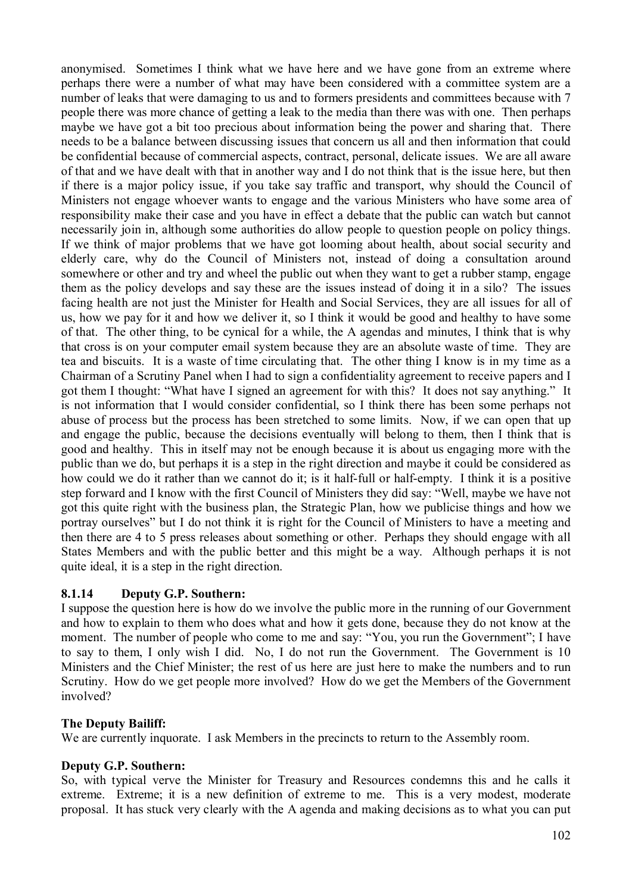anonymised. Sometimes I think what we have here and we have gone from an extreme where perhaps there were a number of what may have been considered with a committee system are a number of leaks that were damaging to us and to formers presidents and committees because with 7 people there was more chance of getting a leak to the media than there was with one. Then perhaps maybe we have got a bit too precious about information being the power and sharing that. There needs to be a balance between discussing issues that concern us all and then information that could be confidential because of commercial aspects, contract, personal, delicate issues. We are all aware of that and we have dealt with that in another way and I do not think that is the issue here, but then if there is a major policy issue, if you take say traffic and transport, why should the Council of Ministers not engage whoever wants to engage and the various Ministers who have some area of responsibility make their case and you have in effect a debate that the public can watch but cannot necessarily join in, although some authorities do allow people to question people on policy things. If we think of major problems that we have got looming about health, about social security and elderly care, why do the Council of Ministers not, instead of doing a consultation around somewhere or other and try and wheel the public out when they want to get a rubber stamp, engage them as the policy develops and say these are the issues instead of doing it in a silo? The issues facing health are not just the Minister for Health and Social Services, they are all issues for all of us, how we pay for it and how we deliver it, so I think it would be good and healthy to have some of that. The other thing, to be cynical for a while, the A agendas and minutes, I think that is why that cross is on your computer email system because they are an absolute waste of time. They are tea and biscuits. It is a waste of time circulating that. The other thing I know is in my time as a Chairman of a Scrutiny Panel when I had to sign a confidentiality agreement to receive papers and I got them I thought: "What have I signed an agreement for with this? It does not say anything." It is not information that I would consider confidential, so I think there has been some perhaps not abuse of process but the process has been stretched to some limits. Now, if we can open that up and engage the public, because the decisions eventually will belong to them, then I think that is good and healthy. This in itself may not be enough because it is about us engaging more with the public than we do, but perhaps it is a step in the right direction and maybe it could be considered as how could we do it rather than we cannot do it; is it half-full or half-empty. I think it is a positive step forward and I know with the first Council of Ministers they did say: "Well, maybe we have not got this quite right with the business plan, the Strategic Plan, how we publicise things and how we portray ourselves" but I do not think it is right for the Council of Ministers to have a meeting and then there are 4 to 5 press releases about something or other. Perhaps they should engage with all States Members and with the public better and this might be a way. Although perhaps it is not quite ideal, it is a step in the right direction.

## **8.1.14 Deputy G.P. Southern:**

I suppose the question here is how do we involve the public more in the running of our Government and how to explain to them who does what and how it gets done, because they do not know at the moment. The number of people who come to me and say: "You, you run the Government"; I have to say to them, I only wish I did. No, I do not run the Government. The Government is 10 Ministers and the Chief Minister; the rest of us here are just here to make the numbers and to run Scrutiny. How do we get people more involved? How do we get the Members of the Government involved?

#### **The Deputy Bailiff:**

We are currently inquorate. I ask Members in the precincts to return to the Assembly room.

#### **Deputy G.P. Southern:**

So, with typical verve the Minister for Treasury and Resources condemns this and he calls it extreme. Extreme; it is a new definition of extreme to me. This is a very modest, moderate proposal. It has stuck very clearly with the A agenda and making decisions as to what you can put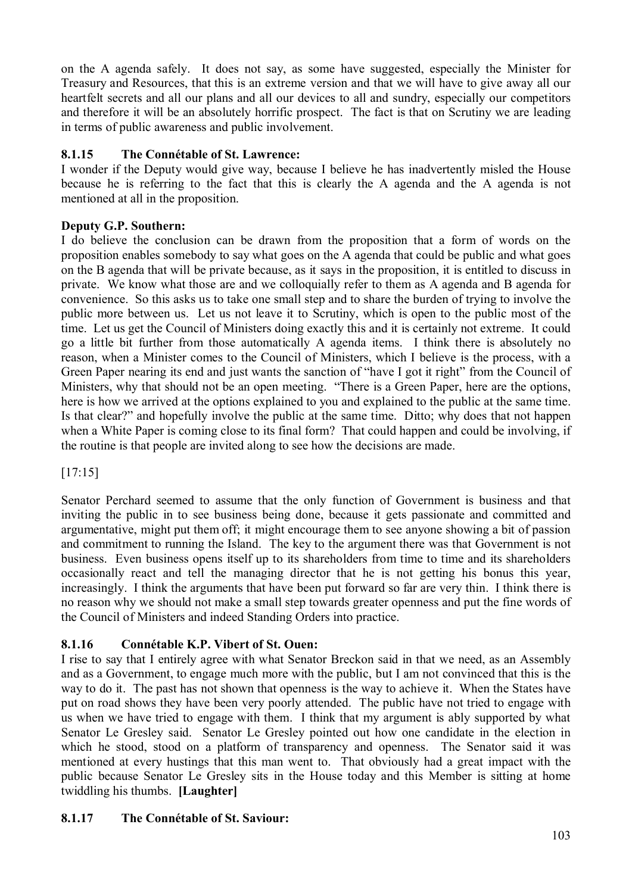on the A agenda safely. It does not say, as some have suggested, especially the Minister for Treasury and Resources, that this is an extreme version and that we will have to give away all our heartfelt secrets and all our plans and all our devices to all and sundry, especially our competitors and therefore it will be an absolutely horrific prospect. The fact is that on Scrutiny we are leading in terms of public awareness and public involvement.

# **8.1.15 The Connétable of St. Lawrence:**

I wonder if the Deputy would give way, because I believe he has inadvertently misled the House because he is referring to the fact that this is clearly the A agenda and the A agenda is not mentioned at all in the proposition.

# **Deputy G.P. Southern:**

I do believe the conclusion can be drawn from the proposition that a form of words on the proposition enables somebody to say what goes on the A agenda that could be public and what goes on the B agenda that will be private because, as it says in the proposition, it is entitled to discuss in private. We know what those are and we colloquially refer to them as A agenda and B agenda for convenience. So this asks us to take one small step and to share the burden of trying to involve the public more between us. Let us not leave it to Scrutiny, which is open to the public most of the time. Let us get the Council of Ministers doing exactly this and it is certainly not extreme. It could go a little bit further from those automatically A agenda items. I think there is absolutely no reason, when a Minister comes to the Council of Ministers, which I believe is the process, with a Green Paper nearing its end and just wants the sanction of "have I got it right" from the Council of Ministers, why that should not be an open meeting. "There is a Green Paper, here are the options, here is how we arrived at the options explained to you and explained to the public at the same time. Is that clear?" and hopefully involve the public at the same time. Ditto; why does that not happen when a White Paper is coming close to its final form? That could happen and could be involving, if the routine is that people are invited along to see how the decisions are made.

[17:15]

Senator Perchard seemed to assume that the only function of Government is business and that inviting the public in to see business being done, because it gets passionate and committed and argumentative, might put them off; it might encourage them to see anyone showing a bit of passion and commitment to running the Island. The key to the argument there was that Government is not business. Even business opens itself up to its shareholders from time to time and its shareholders occasionally react and tell the managing director that he is not getting his bonus this year, increasingly. I think the arguments that have been put forward so far are very thin. I think there is no reason why we should not make a small step towards greater openness and put the fine words of the Council of Ministers and indeed Standing Orders into practice.

# **8.1.16 Connétable K.P. Vibert of St. Ouen:**

I rise to say that I entirely agree with what Senator Breckon said in that we need, as an Assembly and as a Government, to engage much more with the public, but I am not convinced that this is the way to do it. The past has not shown that openness is the way to achieve it. When the States have put on road shows they have been very poorly attended. The public have not tried to engage with us when we have tried to engage with them. I think that my argument is ably supported by what Senator Le Gresley said. Senator Le Gresley pointed out how one candidate in the election in which he stood, stood on a platform of transparency and openness. The Senator said it was mentioned at every hustings that this man went to. That obviously had a great impact with the public because Senator Le Gresley sits in the House today and this Member is sitting at home twiddling his thumbs. **[Laughter]**

# **8.1.17 The Connétable of St. Saviour:**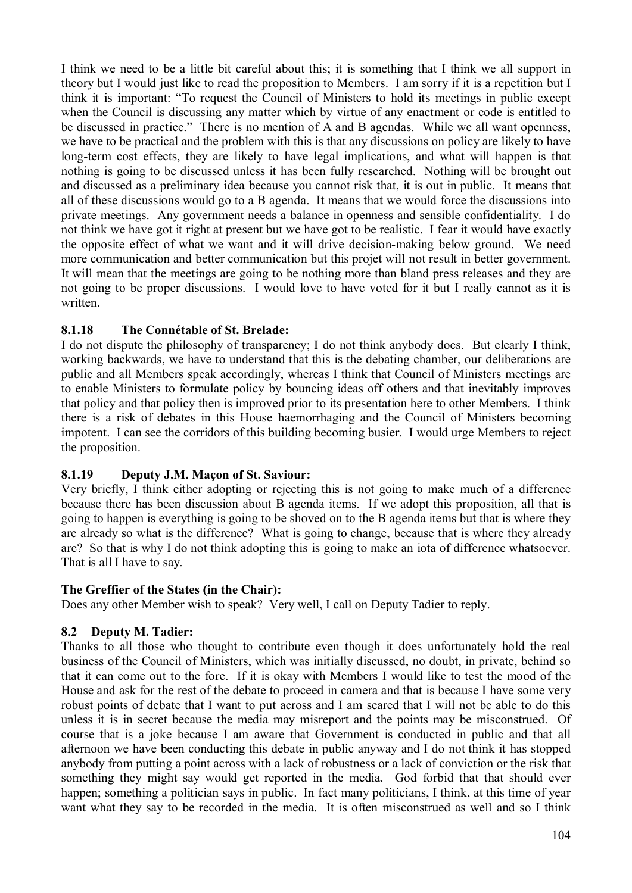I think we need to be a little bit careful about this; it is something that I think we all support in theory but I would just like to read the proposition to Members. I am sorry if it is a repetition but I think it is important: "To request the Council of Ministers to hold its meetings in public except when the Council is discussing any matter which by virtue of any enactment or code is entitled to be discussed in practice." There is no mention of A and B agendas. While we all want openness, we have to be practical and the problem with this is that any discussions on policy are likely to have long-term cost effects, they are likely to have legal implications, and what will happen is that nothing is going to be discussed unless it has been fully researched. Nothing will be brought out and discussed as a preliminary idea because you cannot risk that, it is out in public. It means that all of these discussions would go to a B agenda. It means that we would force the discussions into private meetings. Any government needs a balance in openness and sensible confidentiality. I do not think we have got it right at present but we have got to be realistic. I fear it would have exactly the opposite effect of what we want and it will drive decision-making below ground. We need more communication and better communication but this projet will not result in better government. It will mean that the meetings are going to be nothing more than bland press releases and they are not going to be proper discussions. I would love to have voted for it but I really cannot as it is written.

## **8.1.18 The Connétable of St. Brelade:**

I do not dispute the philosophy of transparency; I do not think anybody does. But clearly I think, working backwards, we have to understand that this is the debating chamber, our deliberations are public and all Members speak accordingly, whereas I think that Council of Ministers meetings are to enable Ministers to formulate policy by bouncing ideas off others and that inevitably improves that policy and that policy then is improved prior to its presentation here to other Members. I think there is a risk of debates in this House haemorrhaging and the Council of Ministers becoming impotent. I can see the corridors of this building becoming busier. I would urge Members to reject the proposition.

## **8.1.19 Deputy J.M. Maçon of St. Saviour:**

Very briefly, I think either adopting or rejecting this is not going to make much of a difference because there has been discussion about B agenda items. If we adopt this proposition, all that is going to happen is everything is going to be shoved on to the B agenda items but that is where they are already so what is the difference? What is going to change, because that is where they already are? So that is why I do not think adopting this is going to make an iota of difference whatsoever. That is all I have to say.

## **The Greffier of the States (in the Chair):**

Does any other Member wish to speak? Very well, I call on Deputy Tadier to reply.

## **8.2 Deputy M. Tadier:**

Thanks to all those who thought to contribute even though it does unfortunately hold the real business of the Council of Ministers, which was initially discussed, no doubt, in private, behind so that it can come out to the fore. If it is okay with Members I would like to test the mood of the House and ask for the rest of the debate to proceed in camera and that is because I have some very robust points of debate that I want to put across and I am scared that I will not be able to do this unless it is in secret because the media may misreport and the points may be misconstrued. Of course that is a joke because I am aware that Government is conducted in public and that all afternoon we have been conducting this debate in public anyway and I do not think it has stopped anybody from putting a point across with a lack of robustness or a lack of conviction or the risk that something they might say would get reported in the media. God forbid that that should ever happen; something a politician says in public. In fact many politicians, I think, at this time of year want what they say to be recorded in the media. It is often misconstrued as well and so I think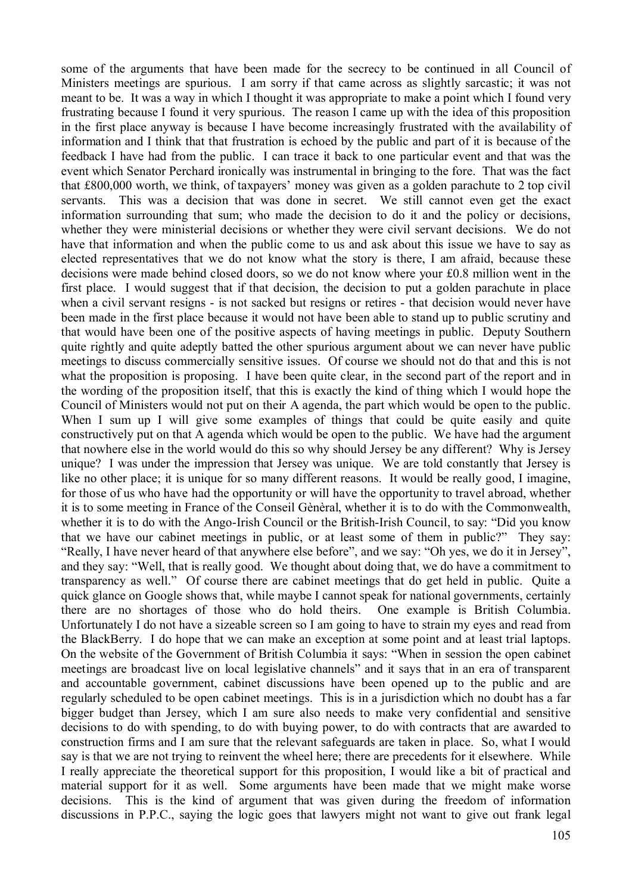some of the arguments that have been made for the secrecy to be continued in all Council of Ministers meetings are spurious. I am sorry if that came across as slightly sarcastic; it was not meant to be. It was a way in which I thought it was appropriate to make a point which I found very frustrating because I found it very spurious. The reason I came up with the idea of this proposition in the first place anyway is because I have become increasingly frustrated with the availability of information and I think that that frustration is echoed by the public and part of it is because of the feedback I have had from the public. I can trace it back to one particular event and that was the event which Senator Perchard ironically was instrumental in bringing to the fore. That was the fact that £800,000 worth, we think, of taxpayers' money was given as a golden parachute to 2 top civil servants. This was a decision that was done in secret. We still cannot even get the exact information surrounding that sum; who made the decision to do it and the policy or decisions, whether they were ministerial decisions or whether they were civil servant decisions. We do not have that information and when the public come to us and ask about this issue we have to say as elected representatives that we do not know what the story is there, I am afraid, because these decisions were made behind closed doors, so we do not know where your £0.8 million went in the first place. I would suggest that if that decision, the decision to put a golden parachute in place when a civil servant resigns - is not sacked but resigns or retires - that decision would never have been made in the first place because it would not have been able to stand up to public scrutiny and that would have been one of the positive aspects of having meetings in public. Deputy Southern quite rightly and quite adeptly batted the other spurious argument about we can never have public meetings to discuss commercially sensitive issues. Of course we should not do that and this is not what the proposition is proposing. I have been quite clear, in the second part of the report and in the wording of the proposition itself, that this is exactly the kind of thing which I would hope the Council of Ministers would not put on their A agenda, the part which would be open to the public. When I sum up I will give some examples of things that could be quite easily and quite constructively put on that A agenda which would be open to the public. We have had the argument that nowhere else in the world would do this so why should Jersey be any different? Why is Jersey unique? I was under the impression that Jersey was unique. We are told constantly that Jersey is like no other place; it is unique for so many different reasons. It would be really good, I imagine, for those of us who have had the opportunity or will have the opportunity to travel abroad, whether it is to some meeting in France of the Conseil Gènèral, whether it is to do with the Commonwealth, whether it is to do with the Ango-Irish Council or the British-Irish Council, to say: "Did you know that we have our cabinet meetings in public, or at least some of them in public?" They say: "Really, I have never heard of that anywhere else before", and we say: "Oh yes, we do it in Jersey", and they say: "Well, that is really good. We thought about doing that, we do have a commitment to transparency as well." Of course there are cabinet meetings that do get held in public. Quite a quick glance on Google shows that, while maybe I cannot speak for national governments, certainly there are no shortages of those who do hold theirs. One example is British Columbia. Unfortunately I do not have a sizeable screen so I am going to have to strain my eyes and read from the BlackBerry. I do hope that we can make an exception at some point and at least trial laptops. On the website of the Government of British Columbia it says: "When in session the open cabinet meetings are broadcast live on local legislative channels" and it says that in an era of transparent and accountable government, cabinet discussions have been opened up to the public and are regularly scheduled to be open cabinet meetings. This is in a jurisdiction which no doubt has a far bigger budget than Jersey, which I am sure also needs to make very confidential and sensitive decisions to do with spending, to do with buying power, to do with contracts that are awarded to construction firms and I am sure that the relevant safeguards are taken in place. So, what I would say is that we are not trying to reinvent the wheel here; there are precedents for it elsewhere. While I really appreciate the theoretical support for this proposition, I would like a bit of practical and material support for it as well. Some arguments have been made that we might make worse decisions. This is the kind of argument that was given during the freedom of information discussions in P.P.C., saying the logic goes that lawyers might not want to give out frank legal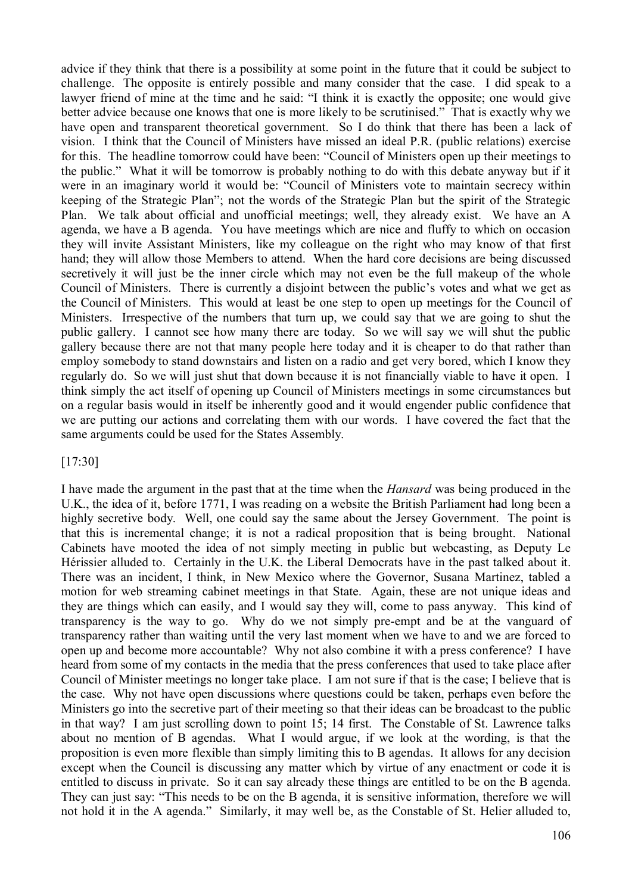advice if they think that there is a possibility at some point in the future that it could be subject to challenge. The opposite is entirely possible and many consider that the case. I did speak to a lawyer friend of mine at the time and he said: "I think it is exactly the opposite; one would give better advice because one knows that one is more likely to be scrutinised." That is exactly why we have open and transparent theoretical government. So I do think that there has been a lack of vision. I think that the Council of Ministers have missed an ideal P.R. (public relations) exercise for this. The headline tomorrow could have been: "Council of Ministers open up their meetings to the public." What it will be tomorrow is probably nothing to do with this debate anyway but if it were in an imaginary world it would be: "Council of Ministers vote to maintain secrecy within keeping of the Strategic Plan"; not the words of the Strategic Plan but the spirit of the Strategic Plan. We talk about official and unofficial meetings; well, they already exist. We have an A agenda, we have a B agenda. You have meetings which are nice and fluffy to which on occasion they will invite Assistant Ministers, like my colleague on the right who may know of that first hand; they will allow those Members to attend. When the hard core decisions are being discussed secretively it will just be the inner circle which may not even be the full makeup of the whole Council of Ministers. There is currently a disjoint between the public's votes and what we get as the Council of Ministers. This would at least be one step to open up meetings for the Council of Ministers. Irrespective of the numbers that turn up, we could say that we are going to shut the public gallery. I cannot see how many there are today. So we will say we will shut the public gallery because there are not that many people here today and it is cheaper to do that rather than employ somebody to stand downstairs and listen on a radio and get very bored, which I know they regularly do. So we will just shut that down because it is not financially viable to have it open. I think simply the act itself of opening up Council of Ministers meetings in some circumstances but on a regular basis would in itself be inherently good and it would engender public confidence that we are putting our actions and correlating them with our words. I have covered the fact that the same arguments could be used for the States Assembly.

[17:30]

I have made the argument in the past that at the time when the *Hansard* was being produced in the U.K., the idea of it, before 1771, I was reading on a website the British Parliament had long been a highly secretive body. Well, one could say the same about the Jersey Government. The point is that this is incremental change; it is not a radical proposition that is being brought. National Cabinets have mooted the idea of not simply meeting in public but webcasting, as Deputy Le Hérissier alluded to. Certainly in the U.K. the Liberal Democrats have in the past talked about it. There was an incident, I think, in New Mexico where the Governor, Susana Martinez, tabled a motion for web streaming cabinet meetings in that State. Again, these are not unique ideas and they are things which can easily, and I would say they will, come to pass anyway. This kind of transparency is the way to go. Why do we not simply pre-empt and be at the vanguard of transparency rather than waiting until the very last moment when we have to and we are forced to open up and become more accountable? Why not also combine it with a press conference? I have heard from some of my contacts in the media that the press conferences that used to take place after Council of Minister meetings no longer take place. I am not sure if that is the case; I believe that is the case. Why not have open discussions where questions could be taken, perhaps even before the Ministers go into the secretive part of their meeting so that their ideas can be broadcast to the public in that way? I am just scrolling down to point 15; 14 first. The Constable of St. Lawrence talks about no mention of B agendas. What I would argue, if we look at the wording, is that the proposition is even more flexible than simply limiting this to B agendas. It allows for any decision except when the Council is discussing any matter which by virtue of any enactment or code it is entitled to discuss in private. So it can say already these things are entitled to be on the B agenda. They can just say: "This needs to be on the B agenda, it is sensitive information, therefore we will not hold it in the A agenda." Similarly, it may well be, as the Constable of St. Helier alluded to,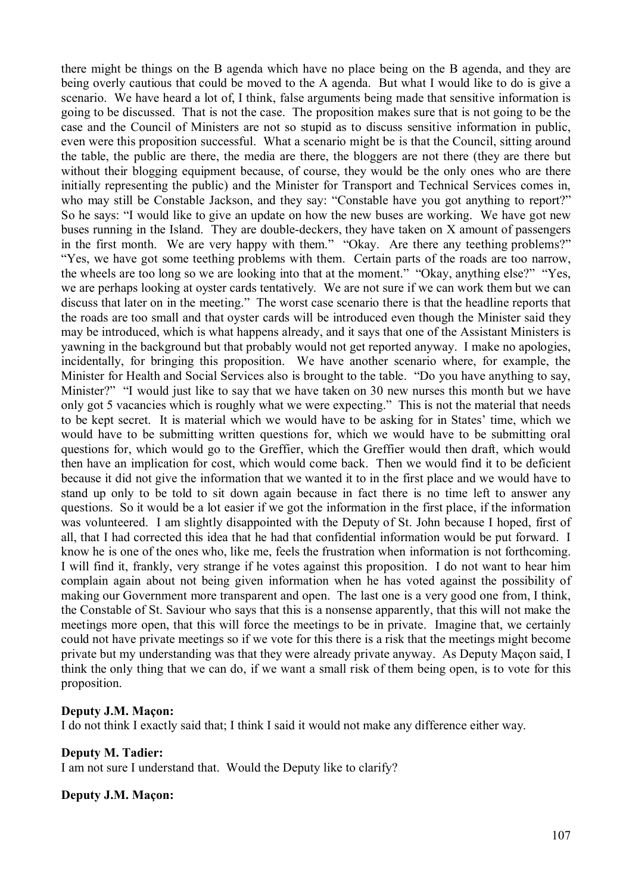there might be things on the B agenda which have no place being on the B agenda, and they are being overly cautious that could be moved to the A agenda. But what I would like to do is give a scenario. We have heard a lot of, I think, false arguments being made that sensitive information is going to be discussed. That is not the case. The proposition makes sure that is not going to be the case and the Council of Ministers are not so stupid as to discuss sensitive information in public, even were this proposition successful. What a scenario might be is that the Council, sitting around the table, the public are there, the media are there, the bloggers are not there (they are there but without their blogging equipment because, of course, they would be the only ones who are there initially representing the public) and the Minister for Transport and Technical Services comes in, who may still be Constable Jackson, and they say: "Constable have you got anything to report?" So he says: "I would like to give an update on how the new buses are working. We have got new buses running in the Island. They are double-deckers, they have taken on X amount of passengers in the first month. We are very happy with them." "Okay. Are there any teething problems?" "Yes, we have got some teething problems with them. Certain parts of the roads are too narrow, the wheels are too long so we are looking into that at the moment." "Okay, anything else?" "Yes, we are perhaps looking at oyster cards tentatively. We are not sure if we can work them but we can discuss that later on in the meeting." The worst case scenario there is that the headline reports that the roads are too small and that oyster cards will be introduced even though the Minister said they may be introduced, which is what happens already, and it says that one of the Assistant Ministers is yawning in the background but that probably would not get reported anyway. I make no apologies, incidentally, for bringing this proposition. We have another scenario where, for example, the Minister for Health and Social Services also is brought to the table. "Do you have anything to say, Minister?" "I would just like to say that we have taken on 30 new nurses this month but we have only got 5 vacancies which is roughly what we were expecting." This is not the material that needs to be kept secret. It is material which we would have to be asking for in States' time, which we would have to be submitting written questions for, which we would have to be submitting oral questions for, which would go to the Greffier, which the Greffier would then draft, which would then have an implication for cost, which would come back. Then we would find it to be deficient because it did not give the information that we wanted it to in the first place and we would have to stand up only to be told to sit down again because in fact there is no time left to answer any questions. So it would be a lot easier if we got the information in the first place, if the information was volunteered. I am slightly disappointed with the Deputy of St. John because I hoped, first of all, that I had corrected this idea that he had that confidential information would be put forward. I know he is one of the ones who, like me, feels the frustration when information is not forthcoming. I will find it, frankly, very strange if he votes against this proposition. I do not want to hear him complain again about not being given information when he has voted against the possibility of making our Government more transparent and open. The last one is a very good one from, I think, the Constable of St. Saviour who says that this is a nonsense apparently, that this will not make the meetings more open, that this will force the meetings to be in private. Imagine that, we certainly could not have private meetings so if we vote for this there is a risk that the meetings might become private but my understanding was that they were already private anyway. As Deputy Maçon said, I think the only thing that we can do, if we want a small risk of them being open, is to vote for this proposition.

#### **Deputy J.M. Maçon:**

I do not think I exactly said that; I think I said it would not make any difference either way.

#### **Deputy M. Tadier:**

I am not sure I understand that. Would the Deputy like to clarify?

#### **Deputy J.M. Maçon:**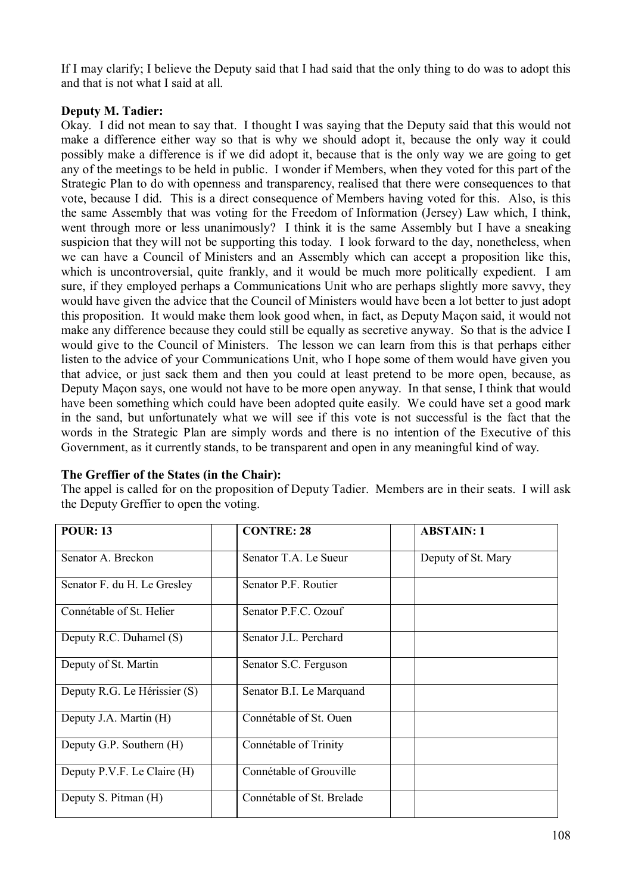If I may clarify; I believe the Deputy said that I had said that the only thing to do was to adopt this and that is not what I said at all.

## **Deputy M. Tadier:**

Okay. I did not mean to say that. I thought I was saying that the Deputy said that this would not make a difference either way so that is why we should adopt it, because the only way it could possibly make a difference is if we did adopt it, because that is the only way we are going to get any of the meetings to be held in public. I wonder if Members, when they voted for this part of the Strategic Plan to do with openness and transparency, realised that there were consequences to that vote, because I did. This is a direct consequence of Members having voted for this. Also, is this the same Assembly that was voting for the Freedom of Information (Jersey) Law which, I think, went through more or less unanimously? I think it is the same Assembly but I have a sneaking suspicion that they will not be supporting this today. I look forward to the day, nonetheless, when we can have a Council of Ministers and an Assembly which can accept a proposition like this, which is uncontroversial, quite frankly, and it would be much more politically expedient. I am sure, if they employed perhaps a Communications Unit who are perhaps slightly more savvy, they would have given the advice that the Council of Ministers would have been a lot better to just adopt this proposition. It would make them look good when, in fact, as Deputy Maçon said, it would not make any difference because they could still be equally as secretive anyway. So that is the advice I would give to the Council of Ministers. The lesson we can learn from this is that perhaps either listen to the advice of your Communications Unit, who I hope some of them would have given you that advice, or just sack them and then you could at least pretend to be more open, because, as Deputy Maçon says, one would not have to be more open anyway. In that sense, I think that would have been something which could have been adopted quite easily. We could have set a good mark in the sand, but unfortunately what we will see if this vote is not successful is the fact that the words in the Strategic Plan are simply words and there is no intention of the Executive of this Government, as it currently stands, to be transparent and open in any meaningful kind of way.

| <b>POUR: 13</b>              | <b>CONTRE: 28</b>         | <b>ABSTAIN: 1</b>  |
|------------------------------|---------------------------|--------------------|
| Senator A. Breckon           | Senator T.A. Le Sueur     | Deputy of St. Mary |
| Senator F. du H. Le Gresley  | Senator P.F. Routier      |                    |
| Connétable of St. Helier     | Senator P.F.C. Ozouf      |                    |
| Deputy R.C. Duhamel (S)      | Senator J.L. Perchard     |                    |
| Deputy of St. Martin         | Senator S.C. Ferguson     |                    |
| Deputy R.G. Le Hérissier (S) | Senator B.I. Le Marquand  |                    |
| Deputy J.A. Martin (H)       | Connétable of St. Ouen    |                    |
| Deputy G.P. Southern (H)     | Connétable of Trinity     |                    |
| Deputy P.V.F. Le Claire (H)  | Connétable of Grouville   |                    |
| Deputy S. Pitman (H)         | Connétable of St. Brelade |                    |

## **The Greffier of the States (in the Chair):**

The appel is called for on the proposition of Deputy Tadier. Members are in their seats. I will ask the Deputy Greffier to open the voting.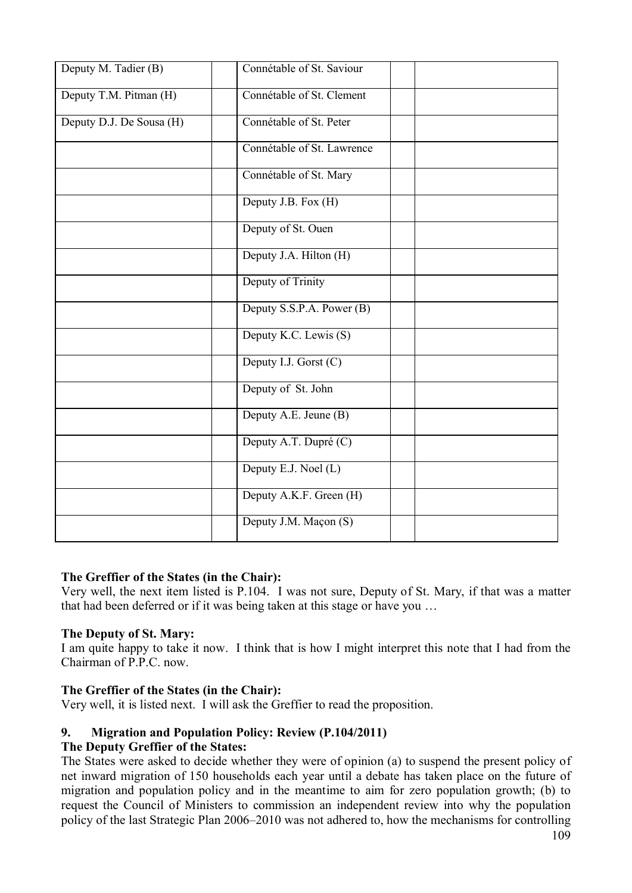| Connétable of St. Saviour  |  |
|----------------------------|--|
| Connétable of St. Clement  |  |
| Connétable of St. Peter    |  |
| Connétable of St. Lawrence |  |
| Connétable of St. Mary     |  |
| Deputy J.B. Fox (H)        |  |
| Deputy of St. Ouen         |  |
| Deputy J.A. Hilton (H)     |  |
| Deputy of Trinity          |  |
| Deputy S.S.P.A. Power (B)  |  |
| Deputy K.C. Lewis (S)      |  |
| Deputy I.J. Gorst (C)      |  |
| Deputy of St. John         |  |
| Deputy A.E. Jeune (B)      |  |
| Deputy A.T. Dupré (C)      |  |
| Deputy E.J. Noel (L)       |  |
| Deputy A.K.F. Green (H)    |  |
| Deputy J.M. Maçon (S)      |  |
|                            |  |

### **The Greffier of the States (in the Chair):**

Very well, the next item listed is P.104. I was not sure, Deputy of St. Mary, if that was a matter that had been deferred or if it was being taken at this stage or have you …

### **The Deputy of St. Mary:**

I am quite happy to take it now. I think that is how I might interpret this note that I had from the Chairman of  $P$   $P$   $C$  now.

### **The Greffier of the States (in the Chair):**

Very well, it is listed next. I will ask the Greffier to read the proposition.

## **9. Migration and Population Policy: Review (P.104/2011)**

### **The Deputy Greffier of the States:**

The States were asked to decide whether they were of opinion (a) to suspend the present policy of net inward migration of 150 households each year until a debate has taken place on the future of migration and population policy and in the meantime to aim for zero population growth; (b) to request the Council of Ministers to commission an independent review into why the population policy of the last Strategic Plan 2006–2010 was not adhered to, how the mechanisms for controlling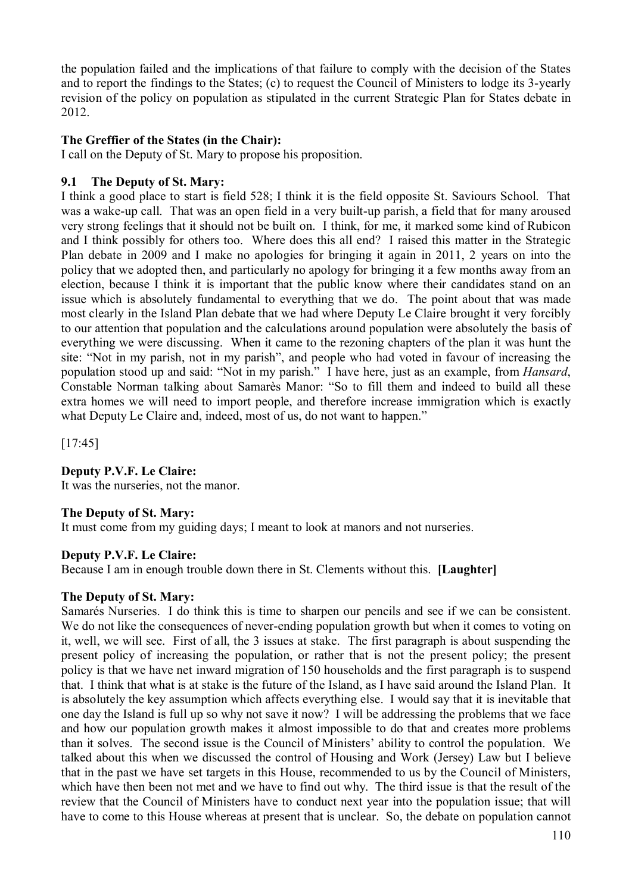the population failed and the implications of that failure to comply with the decision of the States and to report the findings to the States; (c) to request the Council of Ministers to lodge its 3-yearly revision of the policy on population as stipulated in the current Strategic Plan for States debate in 2012.

### **The Greffier of the States (in the Chair):**

I call on the Deputy of St. Mary to propose his proposition.

### **9.1 The Deputy of St. Mary:**

I think a good place to start is field 528; I think it is the field opposite St. Saviours School. That was a wake-up call. That was an open field in a very built-up parish, a field that for many aroused very strong feelings that it should not be built on. I think, for me, it marked some kind of Rubicon and I think possibly for others too. Where does this all end? I raised this matter in the Strategic Plan debate in 2009 and I make no apologies for bringing it again in 2011, 2 years on into the policy that we adopted then, and particularly no apology for bringing it a few months away from an election, because I think it is important that the public know where their candidates stand on an issue which is absolutely fundamental to everything that we do. The point about that was made most clearly in the Island Plan debate that we had where Deputy Le Claire brought it very forcibly to our attention that population and the calculations around population were absolutely the basis of everything we were discussing. When it came to the rezoning chapters of the plan it was hunt the site: "Not in my parish, not in my parish", and people who had voted in favour of increasing the population stood up and said: "Not in my parish." I have here, just as an example, from *Hansard*, Constable Norman talking about Samarès Manor: "So to fill them and indeed to build all these extra homes we will need to import people, and therefore increase immigration which is exactly what Deputy Le Claire and, indeed, most of us, do not want to happen."

[17:45]

### **Deputy P.V.F. Le Claire:**

It was the nurseries, not the manor.

### **The Deputy of St. Mary:**

It must come from my guiding days; I meant to look at manors and not nurseries.

### **Deputy P.V.F. Le Claire:**

Because I am in enough trouble down there in St. Clements without this. **[Laughter]**

#### **The Deputy of St. Mary:**

Samarés Nurseries. I do think this is time to sharpen our pencils and see if we can be consistent. We do not like the consequences of never-ending population growth but when it comes to voting on it, well, we will see. First of all, the 3 issues at stake. The first paragraph is about suspending the present policy of increasing the population, or rather that is not the present policy; the present policy is that we have net inward migration of 150 households and the first paragraph is to suspend that. I think that what is at stake is the future of the Island, as I have said around the Island Plan. It is absolutely the key assumption which affects everything else. I would say that it is inevitable that one day the Island is full up so why not save it now? I will be addressing the problems that we face and how our population growth makes it almost impossible to do that and creates more problems than it solves. The second issue is the Council of Ministers' ability to control the population. We talked about this when we discussed the control of Housing and Work (Jersey) Law but I believe that in the past we have set targets in this House, recommended to us by the Council of Ministers, which have then been not met and we have to find out why. The third issue is that the result of the review that the Council of Ministers have to conduct next year into the population issue; that will have to come to this House whereas at present that is unclear. So, the debate on population cannot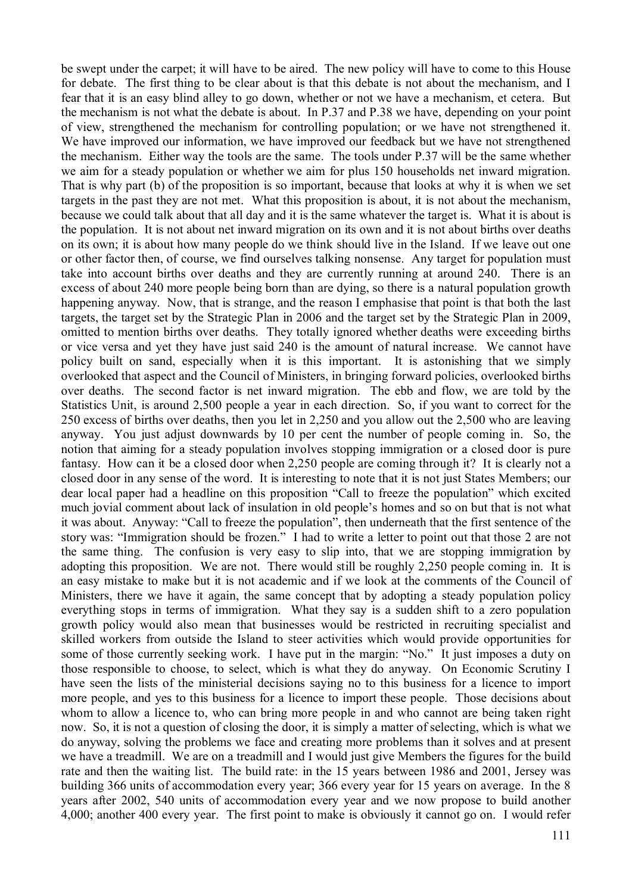be swept under the carpet; it will have to be aired. The new policy will have to come to this House for debate. The first thing to be clear about is that this debate is not about the mechanism, and I fear that it is an easy blind alley to go down, whether or not we have a mechanism, et cetera. But the mechanism is not what the debate is about. In P.37 and P.38 we have, depending on your point of view, strengthened the mechanism for controlling population; or we have not strengthened it. We have improved our information, we have improved our feedback but we have not strengthened the mechanism. Either way the tools are the same. The tools under P.37 will be the same whether we aim for a steady population or whether we aim for plus 150 households net inward migration. That is why part (b) of the proposition is so important, because that looks at why it is when we set targets in the past they are not met. What this proposition is about, it is not about the mechanism, because we could talk about that all day and it is the same whatever the target is. What it is about is the population. It is not about net inward migration on its own and it is not about births over deaths on its own; it is about how many people do we think should live in the Island. If we leave out one or other factor then, of course, we find ourselves talking nonsense. Any target for population must take into account births over deaths and they are currently running at around 240. There is an excess of about 240 more people being born than are dying, so there is a natural population growth happening anyway. Now, that is strange, and the reason I emphasise that point is that both the last targets, the target set by the Strategic Plan in 2006 and the target set by the Strategic Plan in 2009, omitted to mention births over deaths. They totally ignored whether deaths were exceeding births or vice versa and yet they have just said 240 is the amount of natural increase. We cannot have policy built on sand, especially when it is this important. It is astonishing that we simply overlooked that aspect and the Council of Ministers, in bringing forward policies, overlooked births over deaths. The second factor is net inward migration. The ebb and flow, we are told by the Statistics Unit, is around 2,500 people a year in each direction. So, if you want to correct for the 250 excess of births over deaths, then you let in 2,250 and you allow out the 2,500 who are leaving anyway. You just adjust downwards by 10 per cent the number of people coming in. So, the notion that aiming for a steady population involves stopping immigration or a closed door is pure fantasy. How can it be a closed door when 2,250 people are coming through it? It is clearly not a closed door in any sense of the word. It is interesting to note that it is not just States Members; our dear local paper had a headline on this proposition "Call to freeze the population" which excited much jovial comment about lack of insulation in old people's homes and so on but that is not what it was about. Anyway: "Call to freeze the population", then underneath that the first sentence of the story was: "Immigration should be frozen." I had to write a letter to point out that those 2 are not the same thing. The confusion is very easy to slip into, that we are stopping immigration by adopting this proposition. We are not. There would still be roughly 2,250 people coming in. It is an easy mistake to make but it is not academic and if we look at the comments of the Council of Ministers, there we have it again, the same concept that by adopting a steady population policy everything stops in terms of immigration. What they say is a sudden shift to a zero population growth policy would also mean that businesses would be restricted in recruiting specialist and skilled workers from outside the Island to steer activities which would provide opportunities for some of those currently seeking work. I have put in the margin: "No." It just imposes a duty on those responsible to choose, to select, which is what they do anyway. On Economic Scrutiny I have seen the lists of the ministerial decisions saying no to this business for a licence to import more people, and yes to this business for a licence to import these people. Those decisions about whom to allow a licence to, who can bring more people in and who cannot are being taken right now. So, it is not a question of closing the door, it is simply a matter of selecting, which is what we do anyway, solving the problems we face and creating more problems than it solves and at present we have a treadmill. We are on a treadmill and I would just give Members the figures for the build rate and then the waiting list. The build rate: in the 15 years between 1986 and 2001, Jersey was building 366 units of accommodation every year; 366 every year for 15 years on average. In the 8 years after 2002, 540 units of accommodation every year and we now propose to build another 4,000; another 400 every year. The first point to make is obviously it cannot go on. I would refer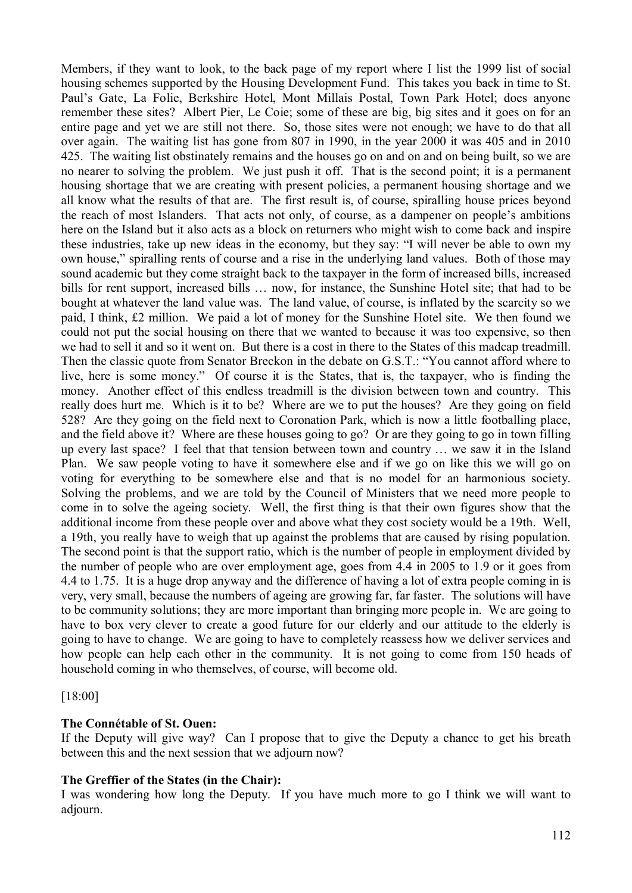Members, if they want to look, to the back page of my report where I list the 1999 list of social housing schemes supported by the Housing Development Fund. This takes you back in time to St. Paul's Gate, La Folie, Berkshire Hotel, Mont Millais Postal, Town Park Hotel; does anyone remember these sites? Albert Pier, Le Coie; some of these are big, big sites and it goes on for an entire page and yet we are still not there. So, those sites were not enough; we have to do that all over again. The waiting list has gone from 807 in 1990, in the year 2000 it was 405 and in 2010 425. The waiting list obstinately remains and the houses go on and on and on being built, so we are no nearer to solving the problem. We just push it off. That is the second point; it is a permanent housing shortage that we are creating with present policies, a permanent housing shortage and we all know what the results of that are. The first result is, of course, spiralling house prices beyond the reach of most Islanders. That acts not only, of course, as a dampener on people's ambitions here on the Island but it also acts as a block on returners who might wish to come back and inspire these industries, take up new ideas in the economy, but they say: "I will never be able to own my own house," spiralling rents of course and a rise in the underlying land values. Both of those may sound academic but they come straight back to the taxpayer in the form of increased bills, increased bills for rent support, increased bills … now, for instance, the Sunshine Hotel site; that had to be bought at whatever the land value was. The land value, of course, is inflated by the scarcity so we paid, I think, £2 million. We paid a lot of money for the Sunshine Hotel site. We then found we could not put the social housing on there that we wanted to because it was too expensive, so then we had to sell it and so it went on. But there is a cost in there to the States of this madcap treadmill. Then the classic quote from Senator Breckon in the debate on G.S.T.: "You cannot afford where to live, here is some money." Of course it is the States, that is, the taxpayer, who is finding the money. Another effect of this endless treadmill is the division between town and country. This really does hurt me. Which is it to be? Where are we to put the houses? Are they going on field 528? Are they going on the field next to Coronation Park, which is now a little footballing place, and the field above it? Where are these houses going to go? Or are they going to go in town filling up every last space? I feel that that tension between town and country … we saw it in the Island Plan. We saw people voting to have it somewhere else and if we go on like this we will go on voting for everything to be somewhere else and that is no model for an harmonious society. Solving the problems, and we are told by the Council of Ministers that we need more people to come in to solve the ageing society. Well, the first thing is that their own figures show that the additional income from these people over and above what they cost society would be a 19th. Well, a 19th, you really have to weigh that up against the problems that are caused by rising population. The second point is that the support ratio, which is the number of people in employment divided by the number of people who are over employment age, goes from 4.4 in 2005 to 1.9 or it goes from 4.4 to 1.75. It is a huge drop anyway and the difference of having a lot of extra people coming in is very, very small, because the numbers of ageing are growing far, far faster. The solutions will have to be community solutions; they are more important than bringing more people in. We are going to have to box very clever to create a good future for our elderly and our attitude to the elderly is going to have to change. We are going to have to completely reassess how we deliver services and how people can help each other in the community. It is not going to come from 150 heads of household coming in who themselves, of course, will become old.

[18:00]

### **The Connétable of St. Ouen:**

If the Deputy will give way? Can I propose that to give the Deputy a chance to get his breath between this and the next session that we adjourn now?

#### **The Greffier of the States (in the Chair):**

I was wondering how long the Deputy. If you have much more to go I think we will want to adjourn.